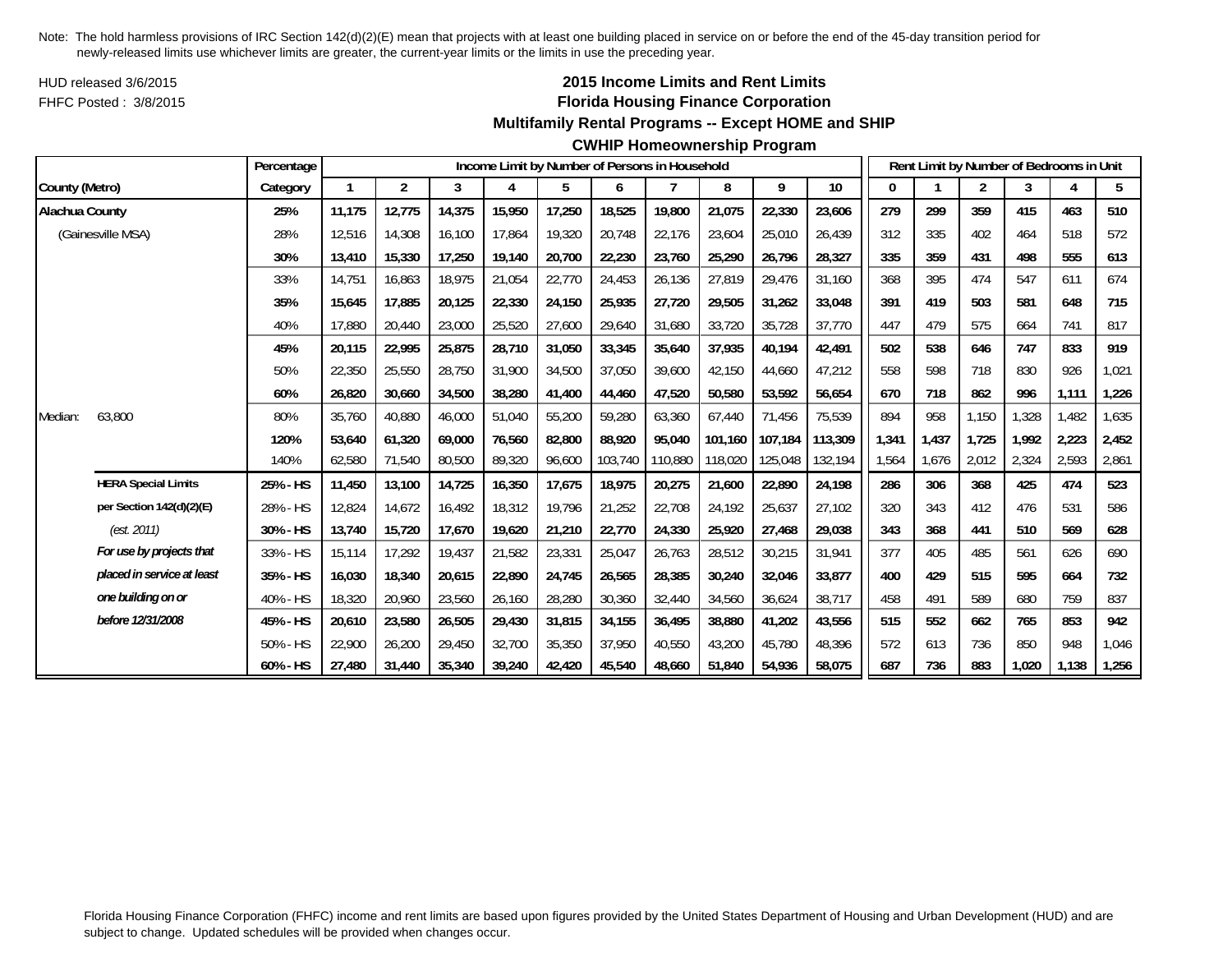HUD released 3/6/2015FHFC Posted : 3/8/2015

# **2015 Income Limits and Rent Limits Florida Housing Finance Corporation**

#### **Multifamily Rental Programs -- Except HOME and SHIP**

|                |                            | Percentage |        |                |        |        |        |         | Income Limit by Number of Persons in Household |         |         |                 |       |       |                | Rent Limit by Number of Bedrooms in Unit |       |       |
|----------------|----------------------------|------------|--------|----------------|--------|--------|--------|---------|------------------------------------------------|---------|---------|-----------------|-------|-------|----------------|------------------------------------------|-------|-------|
| County (Metro) |                            | Category   | 1      | $\overline{2}$ | 3      | 4      | 5      | 6       |                                                | 8       | 9       | 10 <sup>°</sup> | 0     |       | $\overline{2}$ | 3                                        | 4     | 5     |
| Alachua County |                            | 25%        | 11,175 | 12,775         | 14,375 | 15,950 | 17,250 | 18,525  | 19,800                                         | 21,075  | 22,330  | 23,606          | 279   | 299   | 359            | 415                                      | 463   | 510   |
|                | (Gainesville MSA)          | 28%        | 12,516 | 14,308         | 16,100 | 17,864 | 19,320 | 20,748  | 22,176                                         | 23,604  | 25,010  | 26,439          | 312   | 335   | 402            | 464                                      | 518   | 572   |
|                |                            | 30%        | 13,410 | 15,330         | 17,250 | 19,140 | 20,700 | 22,230  | 23,760                                         | 25,290  | 26,796  | 28,327          | 335   | 359   | 431            | 498                                      | 555   | 613   |
|                |                            | 33%        | 14.751 | 16,863         | 18,975 | 21,054 | 22,770 | 24,453  | 26,136                                         | 27,819  | 29,476  | 31,160          | 368   | 395   | 474            | 547                                      | 611   | 674   |
|                |                            | 35%        | 15,645 | 17,885         | 20,125 | 22,330 | 24,150 | 25,935  | 27,720                                         | 29,505  | 31,262  | 33,048          | 391   | 419   | 503            | 581                                      | 648   | 715   |
|                |                            | 40%        | 17,880 | 20,440         | 23,000 | 25,520 | 27,600 | 29,640  | 31,680                                         | 33,720  | 35,728  | 37,770          | 447   | 479   | 575            | 664                                      | 741   | 817   |
|                |                            | 45%        | 20.115 | 22,995         | 25,875 | 28,710 | 31,050 | 33,345  | 35,640                                         | 37,935  | 40.194  | 42,491          | 502   | 538   | 646            | 747                                      | 833   | 919   |
|                |                            | 50%        | 22,350 | 25,550         | 28,750 | 31,900 | 34,500 | 37,050  | 39,600                                         | 42,150  | 44,660  | 47,212          | 558   | 598   | 718            | 830                                      | 926   | 1,021 |
|                |                            | 60%        | 26,820 | 30,660         | 34,500 | 38,280 | 41,400 | 44,460  | 47,520                                         | 50,580  | 53,592  | 56,654          | 670   | 718   | 862            | 996                                      | 1,111 | 1,226 |
| Median:        | 63,800                     | 80%        | 35,760 | 40,880         | 46,000 | 51,040 | 55,200 | 59,280  | 63,360                                         | 67,440  | 71,456  | 75,539          | 894   | 958   | 1,150          | 1,328                                    | 1,482 | 1,635 |
|                |                            | 120%       | 53.640 | 61.320         | 69.000 | 76,560 | 82,800 | 88,920  | 95.040                                         | 101.160 | 107.184 | 113,309         | 1,341 | 1,437 | 1,725          | 1.992                                    | 2,223 | 2,452 |
|                |                            | 140%       | 62,580 | 71,540         | 80,500 | 89,320 | 96,600 | 103,740 | 110,880                                        | 118,020 | 125,048 | 132,194         | 1,564 | 1,676 | 2,012          | 2,324                                    | 2,593 | 2,861 |
|                | <b>HERA Special Limits</b> | 25% - HS   | 11,450 | 13,100         | 14,725 | 16,350 | 17,675 | 18,975  | 20,275                                         | 21,600  | 22,890  | 24,198          | 286   | 306   | 368            | 425                                      | 474   | 523   |
|                | per Section 142(d)(2)(E)   | 28% - HS   | 12,824 | 14,672         | 16,492 | 18,312 | 19,796 | 21,252  | 22,708                                         | 24,192  | 25,637  | 27,102          | 320   | 343   | 412            | 476                                      | 531   | 586   |
|                | (est. 2011)                | 30% - HS   | 13,740 | 15,720         | 17,670 | 19,620 | 21,210 | 22,770  | 24,330                                         | 25,920  | 27,468  | 29,038          | 343   | 368   | 441            | 510                                      | 569   | 628   |
|                | For use by projects that   | 33% - HS   | 15,114 | 17,292         | 19,437 | 21,582 | 23,331 | 25,047  | 26,763                                         | 28,512  | 30,215  | 31,941          | 377   | 405   | 485            | 561                                      | 626   | 690   |
|                | placed in service at least | 35% - HS   | 16,030 | 18,340         | 20,615 | 22,890 | 24,745 | 26,565  | 28,385                                         | 30,240  | 32,046  | 33,877          | 400   | 429   | 515            | 595                                      | 664   | 732   |
|                | one building on or         | 40% - HS   | 18,320 | 20,960         | 23,560 | 26,160 | 28,280 | 30,360  | 32,440                                         | 34,560  | 36,624  | 38,717          | 458   | 491   | 589            | 680                                      | 759   | 837   |
|                | before 12/31/2008          | 45% - HS   | 20,610 | 23,580         | 26,505 | 29,430 | 31,815 | 34,155  | 36,495                                         | 38,880  | 41,202  | 43,556          | 515   | 552   | 662            | 765                                      | 853   | 942   |
|                |                            | 50% - HS   | 22,900 | 26,200         | 29,450 | 32,700 | 35,350 | 37,950  | 40,550                                         | 43,200  | 45,780  | 48,396          | 572   | 613   | 736            | 850                                      | 948   | 1,046 |
|                |                            | 60% - HS   | 27,480 | 31,440         | 35,340 | 39,240 | 42,420 | 45,540  | 48,660                                         | 51,840  | 54,936  | 58,075          | 687   | 736   | 883            | 1,020                                    | 1,138 | 1,256 |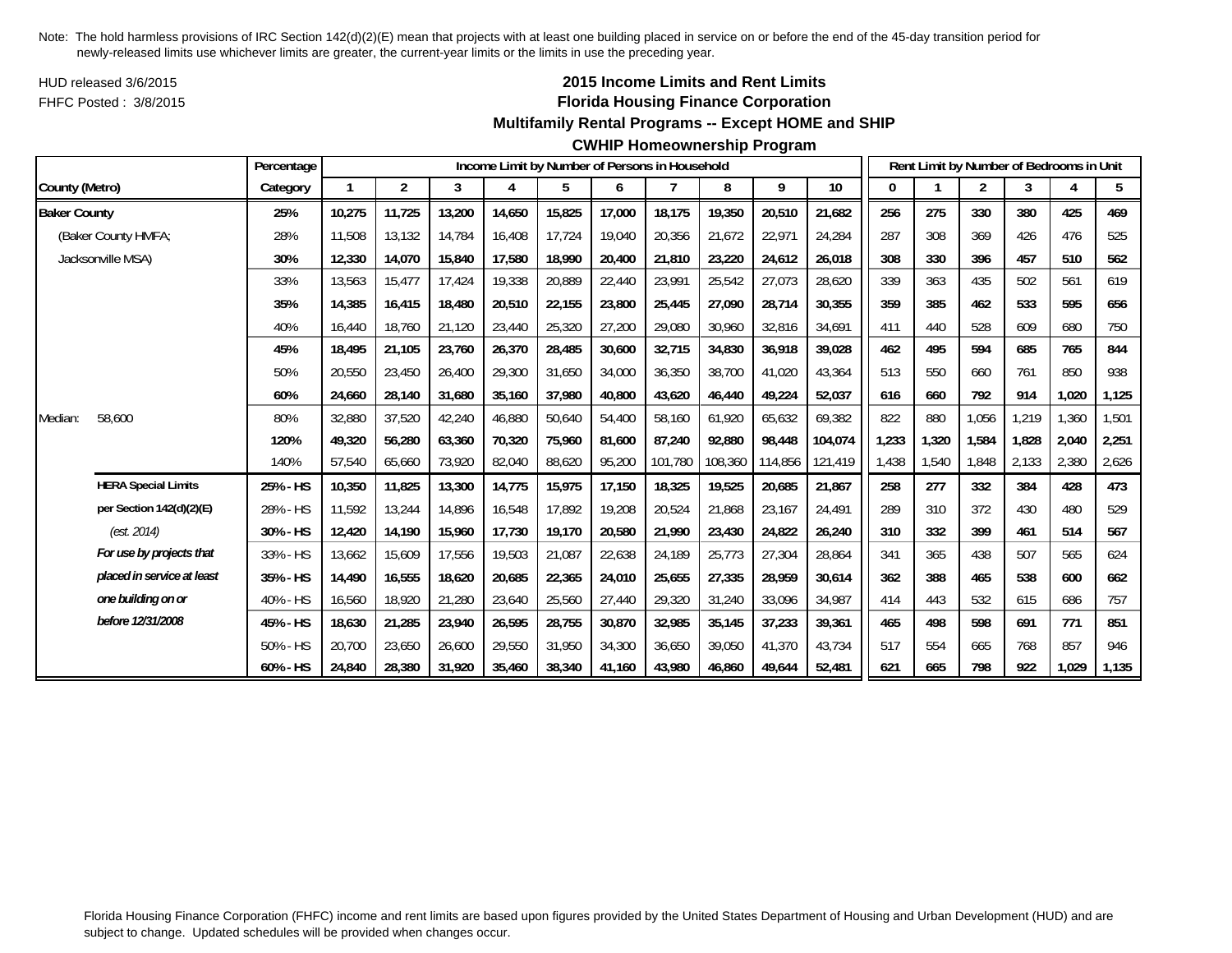HUD released 3/6/2015FHFC Posted : 3/8/2015

# **2015 Income Limits and Rent Limits Florida Housing Finance Corporation**

## **Multifamily Rental Programs -- Except HOME and SHIP**

#### **CWHIP Homeownership Program**

|                     |                            | Percentage |        |                |        |        |        |        | Income Limit by Number of Persons in Household |         |         |         |       | Rent Limit by Number of Bedrooms in Unit |                |       |       |       |
|---------------------|----------------------------|------------|--------|----------------|--------|--------|--------|--------|------------------------------------------------|---------|---------|---------|-------|------------------------------------------|----------------|-------|-------|-------|
| County (Metro)      |                            | Category   | 1      | $\overline{2}$ | 3      | 4      | 5      | 6      | 7                                              | 8       | 9       | 10      | 0     |                                          | $\overline{2}$ | 3     | 4     | 5     |
| <b>Baker County</b> |                            | 25%        | 10,275 | 11,725         | 13,200 | 14,650 | 15,825 | 17,000 | 18,175                                         | 19,350  | 20,510  | 21,682  | 256   | 275                                      | 330            | 380   | 425   | 469   |
|                     | (Baker County HMFA;        | 28%        | 11,508 | 13,132         | 14.784 | 16,408 | 17.724 | 19,040 | 20,356                                         | 21,672  | 22,971  | 24.284  | 287   | 308                                      | 369            | 426   | 476   | 525   |
|                     | Jacksonville MSA)          | 30%        | 12,330 | 14,070         | 15,840 | 17,580 | 18,990 | 20,400 | 21,810                                         | 23,220  | 24,612  | 26,018  | 308   | 330                                      | 396            | 457   | 510   | 562   |
|                     |                            | 33%        | 13,563 | 15,477         | 17,424 | 19,338 | 20,889 | 22,440 | 23,991                                         | 25,542  | 27,073  | 28,620  | 339   | 363                                      | 435            | 502   | 561   | 619   |
|                     |                            | 35%        | 14,385 | 16,415         | 18,480 | 20,510 | 22,155 | 23,800 | 25,445                                         | 27,090  | 28,714  | 30,355  | 359   | 385                                      | 462            | 533   | 595   | 656   |
|                     |                            | 40%        | 16,440 | 18,760         | 21,120 | 23,440 | 25,320 | 27,200 | 29,080                                         | 30,960  | 32,816  | 34,691  | 411   | 440                                      | 528            | 609   | 680   | 750   |
|                     |                            | 45%        | 18,495 | 21,105         | 23,760 | 26,370 | 28,485 | 30,600 | 32,715                                         | 34,830  | 36,918  | 39,028  | 462   | 495                                      | 594            | 685   | 765   | 844   |
|                     |                            | 50%        | 20,550 | 23,450         | 26,400 | 29,300 | 31,650 | 34,000 | 36,350                                         | 38,700  | 41,020  | 43,364  | 513   | 550                                      | 660            | 761   | 850   | 938   |
|                     |                            | 60%        | 24,660 | 28,140         | 31,680 | 35,160 | 37,980 | 40,800 | 43,620                                         | 46,440  | 49,224  | 52,037  | 616   | 660                                      | 792            | 914   | 1,020 | 1,125 |
| Median:             | 58,600                     | 80%        | 32,880 | 37,520         | 42,240 | 46,880 | 50,640 | 54,400 | 58,160                                         | 61,920  | 65,632  | 69,382  | 822   | 880                                      | 1,056          | 1,219 | 1,360 | 1,501 |
|                     |                            | 120%       | 49,320 | 56,280         | 63,360 | 70,320 | 75,960 | 81.600 | 87,240                                         | 92,880  | 98,448  | 104,074 | 1,233 | 1,320                                    | 1,584          | 1,828 | 2,040 | 2,251 |
|                     |                            | 140%       | 57,540 | 65,660         | 73,920 | 82,040 | 88,620 | 95,200 | 101,780                                        | 108,360 | 114,856 | 121,419 | 1,438 | 1,540                                    | 1,848          | 2,133 | 2,380 | 2,626 |
|                     | <b>HERA Special Limits</b> | 25% - HS   | 10,350 | 11,825         | 13,300 | 14,775 | 15,975 | 17,150 | 18,325                                         | 19,525  | 20,685  | 21,867  | 258   | 277                                      | 332            | 384   | 428   | 473   |
|                     | per Section 142(d)(2)(E)   | 28% - HS   | 11,592 | 13,244         | 14,896 | 16,548 | 17,892 | 19,208 | 20,524                                         | 21,868  | 23,167  | 24,491  | 289   | 310                                      | 372            | 430   | 480   | 529   |
|                     | (est. 2014)                | 30% - HS   | 12,420 | 14.190         | 15,960 | 17,730 | 19,170 | 20,580 | 21,990                                         | 23,430  | 24,822  | 26,240  | 310   | 332                                      | 399            | 461   | 514   | 567   |
|                     | For use by projects that   | 33% - HS   | 13,662 | 15,609         | 17,556 | 19,503 | 21,087 | 22,638 | 24,189                                         | 25,773  | 27,304  | 28,864  | 341   | 365                                      | 438            | 507   | 565   | 624   |
|                     | placed in service at least | 35% - HS   | 14,490 | 16,555         | 18,620 | 20,685 | 22,365 | 24,010 | 25,655                                         | 27,335  | 28,959  | 30,614  | 362   | 388                                      | 465            | 538   | 600   | 662   |
|                     | one building on or         | 40% - HS   | 16,560 | 18,920         | 21,280 | 23,640 | 25,560 | 27,440 | 29,320                                         | 31,240  | 33,096  | 34,987  | 414   | 443                                      | 532            | 615   | 686   | 757   |
|                     | before 12/31/2008          | 45% - HS   | 18,630 | 21,285         | 23,940 | 26,595 | 28,755 | 30,870 | 32,985                                         | 35,145  | 37,233  | 39,361  | 465   | 498                                      | 598            | 691   | 771   | 851   |
|                     |                            | 50% - HS   | 20,700 | 23,650         | 26,600 | 29,550 | 31,950 | 34,300 | 36,650                                         | 39,050  | 41,370  | 43,734  | 517   | 554                                      | 665            | 768   | 857   | 946   |
|                     |                            | 60% - HS   | 24,840 | 28,380         | 31,920 | 35,460 | 38,340 | 41,160 | 43,980                                         | 46,860  | 49,644  | 52,481  | 621   | 665                                      | 798            | 922   | 1,029 | 1,135 |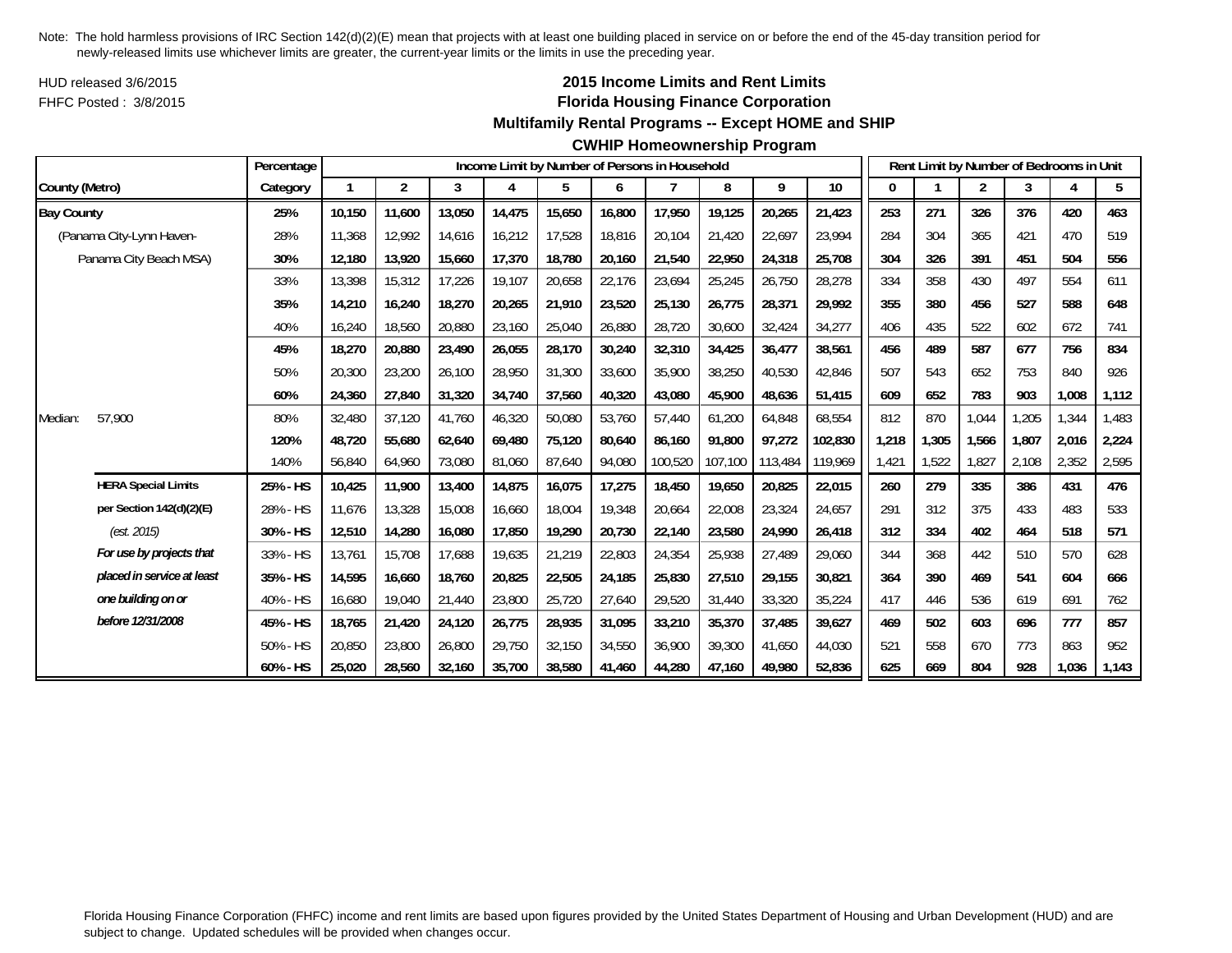HUD released 3/6/2015FHFC Posted : 3/8/2015

# **2015 Income Limits and Rent Limits Florida Housing Finance Corporation**

#### **Multifamily Rental Programs -- Except HOME and SHIP**

#### **CWHIP Homeownership Program**

|                   |                            | Percentage |        |                |        |        |        |        | Income Limit by Number of Persons in Household |         |         |         |       |       | Rent Limit by Number of Bedrooms in Unit |       |       |       |
|-------------------|----------------------------|------------|--------|----------------|--------|--------|--------|--------|------------------------------------------------|---------|---------|---------|-------|-------|------------------------------------------|-------|-------|-------|
| County (Metro)    |                            | Category   | 1      | $\overline{2}$ | 3      | 4      | 5      | 6      |                                                | 8       | 9       | 10      |       |       | $\overline{2}$                           | 3     | 4     | 5     |
| <b>Bay County</b> |                            | 25%        | 10,150 | 11,600         | 13,050 | 14,475 | 15,650 | 16,800 | 17,950                                         | 19,125  | 20,265  | 21,423  | 253   | 271   | 326                                      | 376   | 420   | 463   |
|                   | (Panama City-Lynn Haven-   | 28%        | 11,368 | 12.992         | 14,616 | 16,212 | 17,528 | 18,816 | 20.104                                         | 21,420  | 22,697  | 23,994  | 284   | 304   | 365                                      | 421   | 470   | 519   |
|                   | Panama City Beach MSA)     | 30%        | 12,180 | 13,920         | 15,660 | 17,370 | 18,780 | 20,160 | 21,540                                         | 22,950  | 24,318  | 25,708  | 304   | 326   | 391                                      | 451   | 504   | 556   |
|                   |                            | 33%        | 13,398 | 15,312         | 17,226 | 19,107 | 20,658 | 22,176 | 23,694                                         | 25,245  | 26,750  | 28,278  | 334   | 358   | 430                                      | 497   | 554   | 611   |
|                   |                            | 35%        | 14,210 | 16,240         | 18,270 | 20,265 | 21,910 | 23,520 | 25,130                                         | 26,775  | 28,371  | 29,992  | 355   | 380   | 456                                      | 527   | 588   | 648   |
|                   |                            | 40%        | 16,240 | 18,560         | 20,880 | 23,160 | 25,040 | 26,880 | 28,720                                         | 30,600  | 32,424  | 34,277  | 406   | 435   | 522                                      | 602   | 672   | 741   |
|                   |                            | 45%        | 18,270 | 20,880         | 23,490 | 26,055 | 28,170 | 30,240 | 32,310                                         | 34,425  | 36,477  | 38,561  | 456   | 489   | 587                                      | 677   | 756   | 834   |
|                   |                            | 50%        | 20,300 | 23,200         | 26,100 | 28,950 | 31,300 | 33,600 | 35,900                                         | 38,250  | 40,530  | 42,846  | 507   | 543   | 652                                      | 753   | 840   | 926   |
|                   |                            | 60%        | 24,360 | 27,840         | 31,320 | 34,740 | 37,560 | 40,320 | 43,080                                         | 45,900  | 48,636  | 51,415  | 609   | 652   | 783                                      | 903   | 1,008 | 1,112 |
| Median:           | 57,900                     | 80%        | 32,480 | 37,120         | 41,760 | 46,320 | 50,080 | 53,760 | 57,440                                         | 61,200  | 64,848  | 68,554  | 812   | 870   | 1,044                                    | 1,205 | 1,344 | 1,483 |
|                   |                            | 120%       | 48.720 | 55.680         | 62,640 | 69,480 | 75,120 | 80,640 | 86.160                                         | 91.800  | 97,272  | 102,830 | 1,218 | 1,305 | 1,566                                    | 1.807 | 2,016 | 2,224 |
|                   |                            | 140%       | 56,840 | 64,960         | 73,080 | 81,060 | 87,640 | 94,080 | 100,520                                        | 107,100 | 113,484 | 119,969 | 1,421 | 1,522 | 1,827                                    | 2,108 | 2,352 | 2,595 |
|                   | <b>HERA Special Limits</b> | 25% - HS   | 10,425 | 11,900         | 13,400 | 14,875 | 16,075 | 17,275 | 18,450                                         | 19,650  | 20,825  | 22,015  | 260   | 279   | 335                                      | 386   | 431   | 476   |
|                   | per Section 142(d)(2)(E)   | 28% - HS   | 11,676 | 13,328         | 15,008 | 16,660 | 18,004 | 19,348 | 20,664                                         | 22,008  | 23,324  | 24,657  | 291   | 312   | 375                                      | 433   | 483   | 533   |
|                   | (est. 2015)                | 30% - HS   | 12,510 | 14,280         | 16,080 | 17,850 | 19,290 | 20,730 | 22,140                                         | 23,580  | 24,990  | 26,418  | 312   | 334   | 402                                      | 464   | 518   | 571   |
|                   | For use by projects that   | 33% - HS   | 13,761 | 15,708         | 17,688 | 19,635 | 21,219 | 22,803 | 24,354                                         | 25,938  | 27,489  | 29,060  | 344   | 368   | 442                                      | 510   | 570   | 628   |
|                   | placed in service at least | 35% - HS   | 14,595 | 16,660         | 18,760 | 20,825 | 22,505 | 24,185 | 25,830                                         | 27,510  | 29,155  | 30,821  | 364   | 390   | 469                                      | 541   | 604   | 666   |
|                   | one building on or         | 40% - HS   | 16,680 | 19,040         | 21,440 | 23,800 | 25,720 | 27,640 | 29,520                                         | 31,440  | 33,320  | 35,224  | 417   | 446   | 536                                      | 619   | 691   | 762   |
|                   | before 12/31/2008          | 45% - HS   | 18,765 | 21,420         | 24,120 | 26,775 | 28,935 | 31,095 | 33,210                                         | 35,370  | 37,485  | 39,627  | 469   | 502   | 603                                      | 696   | 777   | 857   |
|                   |                            | 50% - HS   | 20,850 | 23,800         | 26,800 | 29,750 | 32,150 | 34,550 | 36,900                                         | 39,300  | 41,650  | 44,030  | 521   | 558   | 670                                      | 773   | 863   | 952   |
|                   |                            | 60% - HS   | 25,020 | 28,560         | 32,160 | 35,700 | 38,580 | 41.460 | 44.280                                         | 47,160  | 49.980  | 52,836  | 625   | 669   | 804                                      | 928   | 1,036 | 1,143 |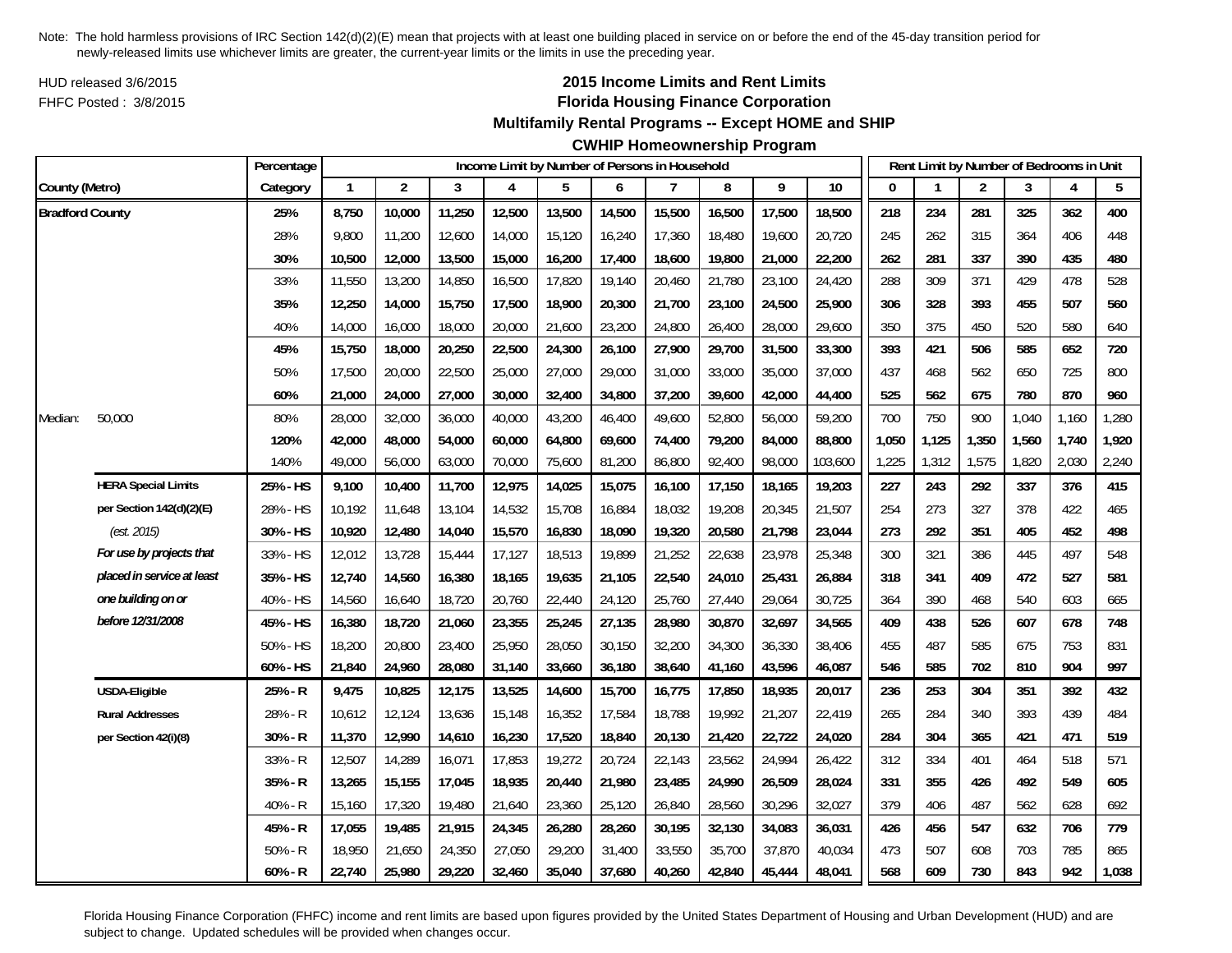HUD released 3/6/2015FHFC Posted : 3/8/2015

# **2015 Income Limits and Rent Limits Florida Housing Finance Corporation**

**Multifamily Rental Programs -- Except HOME and SHIP**

**CWHIP Homeownership Program**

|                        |                            | Percentage |              |                |        | Income Limit by Number of Persons in Household |        |        |        |        |        |         |       |       |                | Rent Limit by Number of Bedrooms in Unit |       |       |
|------------------------|----------------------------|------------|--------------|----------------|--------|------------------------------------------------|--------|--------|--------|--------|--------|---------|-------|-------|----------------|------------------------------------------|-------|-------|
| County (Metro)         |                            | Category   | $\mathbf{1}$ | $\overline{2}$ | 3      | 4                                              | 5      | 6      | 7      | 8      | 9      | 10      | O     |       | $\overline{2}$ | 3                                        | 4     | 5     |
| <b>Bradford County</b> |                            | 25%        | 8,750        | 10,000         | 11,250 | 12,500                                         | 13,500 | 14,500 | 15,500 | 16,500 | 17,500 | 18,500  | 218   | 234   | 281            | 325                                      | 362   | 400   |
|                        |                            | 28%        | 9,800        | 11,200         | 12,600 | 14,000                                         | 15,120 | 16,240 | 17,360 | 18,480 | 19,600 | 20,720  | 245   | 262   | 315            | 364                                      | 406   | 448   |
|                        |                            | 30%        | 10,500       | 12,000         | 13,500 | 15,000                                         | 16,200 | 17,400 | 18,600 | 19,800 | 21,000 | 22,200  | 262   | 281   | 337            | 390                                      | 435   | 480   |
|                        |                            | 33%        | 11,550       | 13,200         | 14,850 | 16,500                                         | 17,820 | 19,140 | 20,460 | 21,780 | 23,100 | 24,420  | 288   | 309   | 371            | 429                                      | 478   | 528   |
|                        |                            | 35%        | 12,250       | 14,000         | 15,750 | 17,500                                         | 18,900 | 20,300 | 21,700 | 23,100 | 24,500 | 25,900  | 306   | 328   | 393            | 455                                      | 507   | 560   |
|                        |                            | 40%        | 14,000       | 16,000         | 18,000 | 20,000                                         | 21,600 | 23,200 | 24,800 | 26,400 | 28,000 | 29,600  | 350   | 375   | 450            | 520                                      | 580   | 640   |
|                        |                            | 45%        | 15,750       | 18,000         | 20,250 | 22,500                                         | 24,300 | 26,100 | 27,900 | 29,700 | 31,500 | 33,300  | 393   | 421   | 506            | 585                                      | 652   | 720   |
|                        |                            | 50%        | 17,500       | 20,000         | 22,500 | 25,000                                         | 27,000 | 29,000 | 31,000 | 33,000 | 35,000 | 37,000  | 437   | 468   | 562            | 650                                      | 725   | 800   |
|                        |                            | 60%        | 21,000       | 24,000         | 27,000 | 30,000                                         | 32,400 | 34,800 | 37,200 | 39,600 | 42,000 | 44,400  | 525   | 562   | 675            | 780                                      | 870   | 960   |
| Median:                | 50,000                     | 80%        | 28,000       | 32,000         | 36,000 | 40,000                                         | 43,200 | 46,400 | 49,600 | 52,800 | 56,000 | 59,200  | 700   | 750   | 900            | 1,040                                    | 1,160 | 1,280 |
|                        |                            | 120%       | 42,000       | 48,000         | 54,000 | 60,000                                         | 64,800 | 69,600 | 74,400 | 79,200 | 84,000 | 88,800  | 1,050 | 1,125 | 1,350          | 1,560                                    | 1,740 | 1,920 |
|                        |                            | 140%       | 49,000       | 56,000         | 63,000 | 70,000                                         | 75,600 | 81,200 | 86,800 | 92,400 | 98,000 | 103,600 | 1,225 | 1,312 | 1,575          | 1,820                                    | 2,030 | 2,240 |
|                        | <b>HERA Special Limits</b> | 25% - HS   | 9,100        | 10,400         | 11,700 | 12,975                                         | 14,025 | 15,075 | 16,100 | 17,150 | 18,165 | 19,203  | 227   | 243   | 292            | 337                                      | 376   | 415   |
|                        | per Section 142(d)(2)(E)   | 28% - HS   | 10,192       | 11,648         | 13,104 | 14,532                                         | 15,708 | 16,884 | 18,032 | 19,208 | 20,345 | 21,507  | 254   | 273   | 327            | 378                                      | 422   | 465   |
|                        | (est. 2015)                | 30% - HS   | 10,920       | 12,480         | 14,040 | 15,570                                         | 16,830 | 18,090 | 19,320 | 20,580 | 21,798 | 23,044  | 273   | 292   | 351            | 405                                      | 452   | 498   |
|                        | For use by projects that   | 33% - HS   | 12,012       | 13,728         | 15,444 | 17,127                                         | 18,513 | 19,899 | 21,252 | 22,638 | 23,978 | 25,348  | 300   | 321   | 386            | 445                                      | 497   | 548   |
|                        | placed in service at least | 35% - HS   | 12,740       | 14,560         | 16,380 | 18,165                                         | 19,635 | 21,105 | 22,540 | 24,010 | 25,431 | 26,884  | 318   | 341   | 409            | 472                                      | 527   | 581   |
|                        | one building on or         | 40% - HS   | 14,560       | 16,640         | 18,720 | 20,760                                         | 22,440 | 24,120 | 25,760 | 27,440 | 29,064 | 30,725  | 364   | 390   | 468            | 540                                      | 603   | 665   |
|                        | before 12/31/2008          | 45% - HS   | 16,380       | 18,720         | 21,060 | 23,355                                         | 25,245 | 27,135 | 28,980 | 30,870 | 32,697 | 34,565  | 409   | 438   | 526            | 607                                      | 678   | 748   |
|                        |                            | 50% - HS   | 18,200       | 20,800         | 23,400 | 25,950                                         | 28,050 | 30,150 | 32,200 | 34,300 | 36,330 | 38,406  | 455   | 487   | 585            | 675                                      | 753   | 831   |
|                        |                            | 60% - HS   | 21,840       | 24,960         | 28,080 | 31,140                                         | 33,660 | 36,180 | 38,640 | 41,160 | 43,596 | 46,087  | 546   | 585   | 702            | 810                                      | 904   | 997   |
|                        | USDA-Eligible              | 25% - R    | 9,475        | 10,825         | 12,175 | 13,525                                         | 14,600 | 15,700 | 16,775 | 17,850 | 18,935 | 20,017  | 236   | 253   | 304            | 351                                      | 392   | 432   |
|                        | <b>Rural Addresses</b>     | 28% - R    | 10,612       | 12,124         | 13,636 | 15,148                                         | 16,352 | 17,584 | 18,788 | 19,992 | 21,207 | 22,419  | 265   | 284   | 340            | 393                                      | 439   | 484   |
|                        | per Section 42(i)(8)       | 30% - R    | 11,370       | 12,990         | 14,610 | 16,230                                         | 17,520 | 18,840 | 20,130 | 21,420 | 22,722 | 24,020  | 284   | 304   | 365            | 421                                      | 471   | 519   |
|                        |                            | 33% - R    | 12,507       | 14,289         | 16,071 | 17,853                                         | 19,272 | 20,724 | 22,143 | 23,562 | 24,994 | 26,422  | 312   | 334   | 401            | 464                                      | 518   | 571   |
|                        |                            | 35% - R    | 13,265       | 15,155         | 17,045 | 18,935                                         | 20,440 | 21,980 | 23,485 | 24,990 | 26,509 | 28,024  | 331   | 355   | 426            | 492                                      | 549   | 605   |
|                        |                            | 40% - R    | 15,160       | 17,320         | 19,480 | 21,640                                         | 23,360 | 25,120 | 26,840 | 28,560 | 30,296 | 32,027  | 379   | 406   | 487            | 562                                      | 628   | 692   |
|                        |                            | 45% - R    | 17,055       | 19,485         | 21,915 | 24,345                                         | 26,280 | 28,260 | 30,195 | 32,130 | 34,083 | 36,031  | 426   | 456   | 547            | 632                                      | 706   | 779   |
|                        |                            | $50% - R$  | 18,950       | 21,650         | 24,350 | 27,050                                         | 29,200 | 31,400 | 33,550 | 35,700 | 37,870 | 40,034  | 473   | 507   | 608            | 703                                      | 785   | 865   |
|                        |                            | $60% - R$  | 22,740       | 25,980         | 29,220 | 32,460                                         | 35,040 | 37,680 | 40,260 | 42,840 | 45,444 | 48,041  | 568   | 609   | 730            | 843                                      | 942   | 1,038 |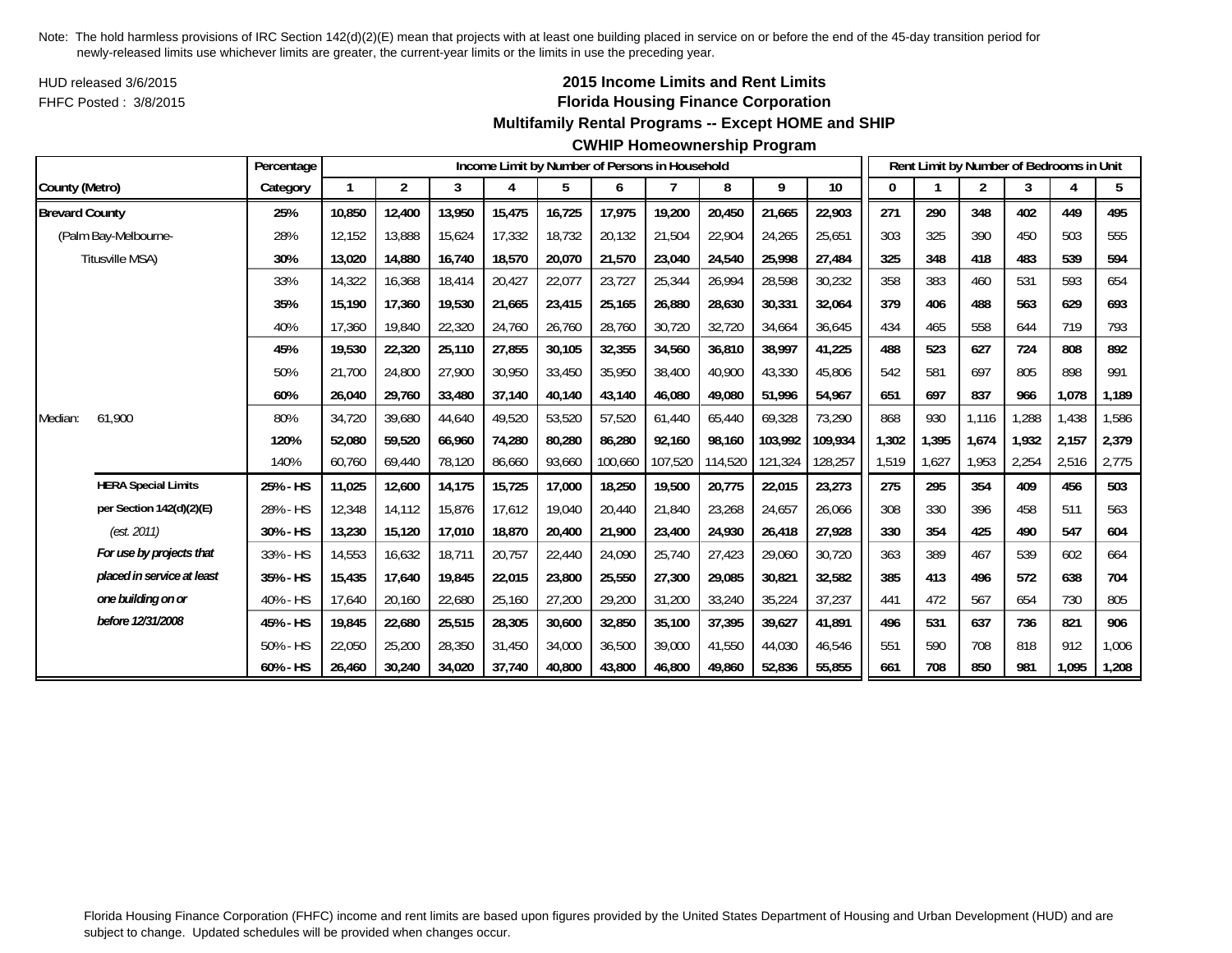HUD released 3/6/2015FHFC Posted : 3/8/2015

# **2015 Income Limits and Rent Limits Florida Housing Finance Corporation**

#### **Multifamily Rental Programs -- Except HOME and SHIP**

#### **CWHIP Homeownership Program**

|                       |                            | Percentage |        |                |        |        | Income Limit by Number of Persons in Household |         |         |         |         |         |       |       | Rent Limit by Number of Bedrooms in Unit |       |       |       |
|-----------------------|----------------------------|------------|--------|----------------|--------|--------|------------------------------------------------|---------|---------|---------|---------|---------|-------|-------|------------------------------------------|-------|-------|-------|
| County (Metro)        |                            | Category   | 1      | $\overline{2}$ | 3      | 4      | 5                                              | 6       |         | 8       | 9       | 10      | 0     |       | $\overline{2}$                           | 3     | 4     | 5     |
| <b>Brevard County</b> |                            | 25%        | 10,850 | 12,400         | 13,950 | 15,475 | 16,725                                         | 17,975  | 19,200  | 20,450  | 21,665  | 22,903  | 271   | 290   | 348                                      | 402   | 449   | 495   |
|                       | (Palm Bay-Melbourne-       | 28%        | 12.152 | 13,888         | 15,624 | 17,332 | 18,732                                         | 20,132  | 21,504  | 22,904  | 24,265  | 25,651  | 303   | 325   | 390                                      | 450   | 503   | 555   |
|                       | Titusville MSA)            | 30%        | 13,020 | 14,880         | 16,740 | 18,570 | 20,070                                         | 21,570  | 23,040  | 24,540  | 25,998  | 27,484  | 325   | 348   | 418                                      | 483   | 539   | 594   |
|                       |                            | 33%        | 14,322 | 16,368         | 18,414 | 20,427 | 22,077                                         | 23,727  | 25,344  | 26,994  | 28,598  | 30,232  | 358   | 383   | 460                                      | 531   | 593   | 654   |
|                       |                            | 35%        | 15,190 | 17,360         | 19,530 | 21,665 | 23,415                                         | 25,165  | 26,880  | 28,630  | 30,331  | 32,064  | 379   | 406   | 488                                      | 563   | 629   | 693   |
|                       |                            | 40%        | 17,360 | 19,840         | 22,320 | 24,760 | 26,760                                         | 28,760  | 30,720  | 32,720  | 34,664  | 36,645  | 434   | 465   | 558                                      | 644   | 719   | 793   |
|                       |                            | 45%        | 19,530 | 22,320         | 25,110 | 27,855 | 30,105                                         | 32,355  | 34,560  | 36,810  | 38,997  | 41,225  | 488   | 523   | 627                                      | 724   | 808   | 892   |
|                       |                            | 50%        | 21,700 | 24,800         | 27,900 | 30,950 | 33,450                                         | 35,950  | 38,400  | 40,900  | 43,330  | 45,806  | 542   | 581   | 697                                      | 805   | 898   | 991   |
|                       |                            | 60%        | 26,040 | 29,760         | 33,480 | 37,140 | 40,140                                         | 43,140  | 46,080  | 49,080  | 51,996  | 54,967  | 651   | 697   | 837                                      | 966   | 1,078 | 1,189 |
| Median:               | 61,900                     | 80%        | 34,720 | 39,680         | 44,640 | 49,520 | 53,520                                         | 57,520  | 61,440  | 65,440  | 69,328  | 73,290  | 868   | 930   | 1,116                                    | ,288  | 1,438 | 1,586 |
|                       |                            | 120%       | 52,080 | 59,520         | 66.960 | 74,280 | 80,280                                         | 86.280  | 92.160  | 98.160  | 103.992 | 109.934 | 1,302 | 1,395 | 1,674                                    | 1.932 | 2,157 | 2,379 |
|                       |                            | 140%       | 60,760 | 69,440         | 78,120 | 86,660 | 93,660                                         | 100,660 | 107,520 | 114,520 | 121,324 | 128,257 | 1,519 | 1,627 | 1,953                                    | 2,254 | 2,516 | 2,775 |
|                       | <b>HERA Special Limits</b> | 25% - HS   | 11,025 | 12,600         | 14,175 | 15,725 | 17,000                                         | 18,250  | 19,500  | 20,775  | 22,015  | 23,273  | 275   | 295   | 354                                      | 409   | 456   | 503   |
|                       | per Section 142(d)(2)(E)   | 28% - HS   | 12,348 | 14,112         | 15,876 | 17,612 | 19,040                                         | 20,440  | 21,840  | 23,268  | 24,657  | 26,066  | 308   | 330   | 396                                      | 458   | 511   | 563   |
|                       | (est. 2011)                | 30% - HS   | 13,230 | 15,120         | 17,010 | 18,870 | 20,400                                         | 21,900  | 23,400  | 24,930  | 26,418  | 27,928  | 330   | 354   | 425                                      | 490   | 547   | 604   |
|                       | For use by projects that   | 33% - HS   | 14,553 | 16,632         | 18,711 | 20,757 | 22,440                                         | 24,090  | 25,740  | 27,423  | 29,060  | 30,720  | 363   | 389   | 467                                      | 539   | 602   | 664   |
|                       | placed in service at least | 35% - HS   | 15,435 | 17,640         | 19,845 | 22,015 | 23,800                                         | 25,550  | 27,300  | 29,085  | 30,821  | 32,582  | 385   | 413   | 496                                      | 572   | 638   | 704   |
|                       | one building on or         | 40% - HS   | 17,640 | 20,160         | 22,680 | 25,160 | 27,200                                         | 29,200  | 31,200  | 33,240  | 35,224  | 37,237  | 441   | 472   | 567                                      | 654   | 730   | 805   |
|                       | before 12/31/2008          | 45% - HS   | 19,845 | 22,680         | 25,515 | 28,305 | 30,600                                         | 32,850  | 35,100  | 37,395  | 39,627  | 41,891  | 496   | 531   | 637                                      | 736   | 821   | 906   |
|                       |                            | 50% - HS   | 22,050 | 25,200         | 28,350 | 31,450 | 34,000                                         | 36,500  | 39,000  | 41,550  | 44,030  | 46,546  | 551   | 590   | 708                                      | 818   | 912   | 1,006 |
|                       |                            | 60% - HS   | 26,460 | 30,240         | 34,020 | 37,740 | 40,800                                         | 43,800  | 46,800  | 49,860  | 52,836  | 55,855  | 661   | 708   | 850                                      | 981   | 1,095 | 1,208 |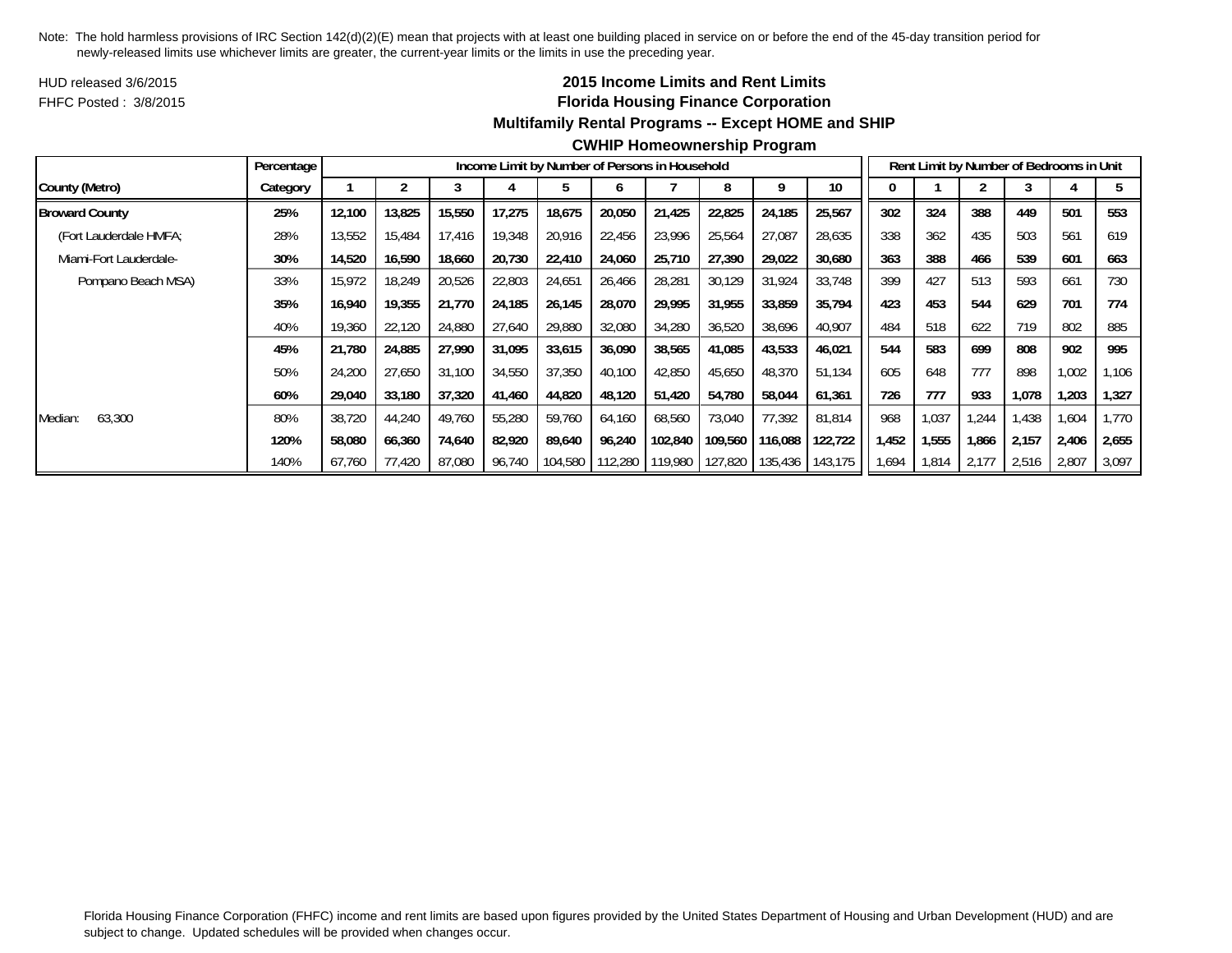HUD released 3/6/2015FHFC Posted : 3/8/2015

# **2015 Income Limits and Rent Limits Florida Housing Finance Corporation Multifamily Rental Programs -- Except HOME and SHIP**

|                        | Percentage |        |        |        |        | Income Limit by Number of Persons in Household |         |         |         |         |         |       |       | Rent Limit by Number of Bedrooms in Unit |       |       |        |
|------------------------|------------|--------|--------|--------|--------|------------------------------------------------|---------|---------|---------|---------|---------|-------|-------|------------------------------------------|-------|-------|--------|
| County (Metro)         | Category   |        |        |        |        |                                                |         |         |         |         | 10      |       |       |                                          |       |       |        |
| <b>Broward County</b>  | 25%        | 12.100 | 13,825 | 15,550 | 17,275 | 18,675                                         | 20,050  | 21,425  | 22,825  | 24,185  | 25,567  | 302   | 324   | 388                                      | 449   | 501   | 553    |
| (Fort Lauderdale HMFA; | 28%        | 13,552 | 15,484 | 17,416 | 19,348 | 20,916                                         | 22,456  | 23,996  | 25,564  | 27,087  | 28,635  | 338   | 362   | 435                                      | 503   | 561   | 619    |
| Miami-Fort Lauderdale- | 30%        | 14,520 | 16.590 | 18,660 | 20,730 | 22,410                                         | 24,060  | 25,710  | 27.390  | 29,022  | 30,680  | 363   | 388   | 466                                      | 539   | 601   | 663    |
| Pompano Beach MSA)     | 33%        | 15,972 | 18,249 | 20,526 | 22,803 | 24,651                                         | 26,466  | 28,281  | 30,129  | 31,924  | 33,748  | 399   | 427   | 513                                      | 593   | 661   | 730    |
|                        | 35%        | 16.940 | 19,355 | 21.770 | 24.185 | 26,145                                         | 28,070  | 29.995  | 31,955  | 33,859  | 35,794  | 423   | 453   | 544                                      | 629   | 701   | 774    |
|                        | 40%        | 19,360 | 22,120 | 24,880 | 27,640 | 29,880                                         | 32,080  | 34,280  | 36,520  | 38,696  | 40,907  | 484   | 518   | 622                                      | 719   | 802   | 885    |
|                        | 45%        | 21,780 | 24,885 | 27,990 | 31,095 | 33,615                                         | 36,090  | 38,565  | 41,085  | 43,533  | 46,021  | 544   | 583   | 699                                      | 808   | 902   | 995    |
|                        | 50%        | 24,200 | 27,650 | 31,100 | 34,550 | 37,350                                         | 40,100  | 42,850  | 45,650  | 48,370  | 51,134  | 605   | 648   | 777                                      | 898   | 1,002 | 106, ا |
|                        | 60%        | 29,040 | 33,180 | 37,320 | 41,460 | 44,820                                         | 48,120  | 51,420  | 54,780  | 58,044  | 61,361  | 726   | 777   | 933                                      | 1,078 | 1,203 | 1,327  |
| 63,300<br>Median:      | 80%        | 38,720 | 44,240 | 49,760 | 55,280 | 59,760                                         | 64,160  | 68,560  | 73,040  | 77,392  | 81,814  | 968   | 1,037 | .244                                     | .438  | 1,604 | 1.770  |
|                        | 120%       | 58,080 | 66,360 | 74,640 | 82,920 | 89,640                                         | 96,240  | 102,840 | 109,560 | 116,088 | 122,722 | 1,452 | 1,555 | 1,866                                    | 2,157 | 2,406 | 2,655  |
|                        | 140%       | 67.760 | 77.420 | 87,080 | 96,740 | 104,580                                        | 112,280 | 119,980 | 127,820 | 135,436 | 143,175 | .694  | 1,814 | 2.177                                    | 2,516 | 2,807 | 3,097  |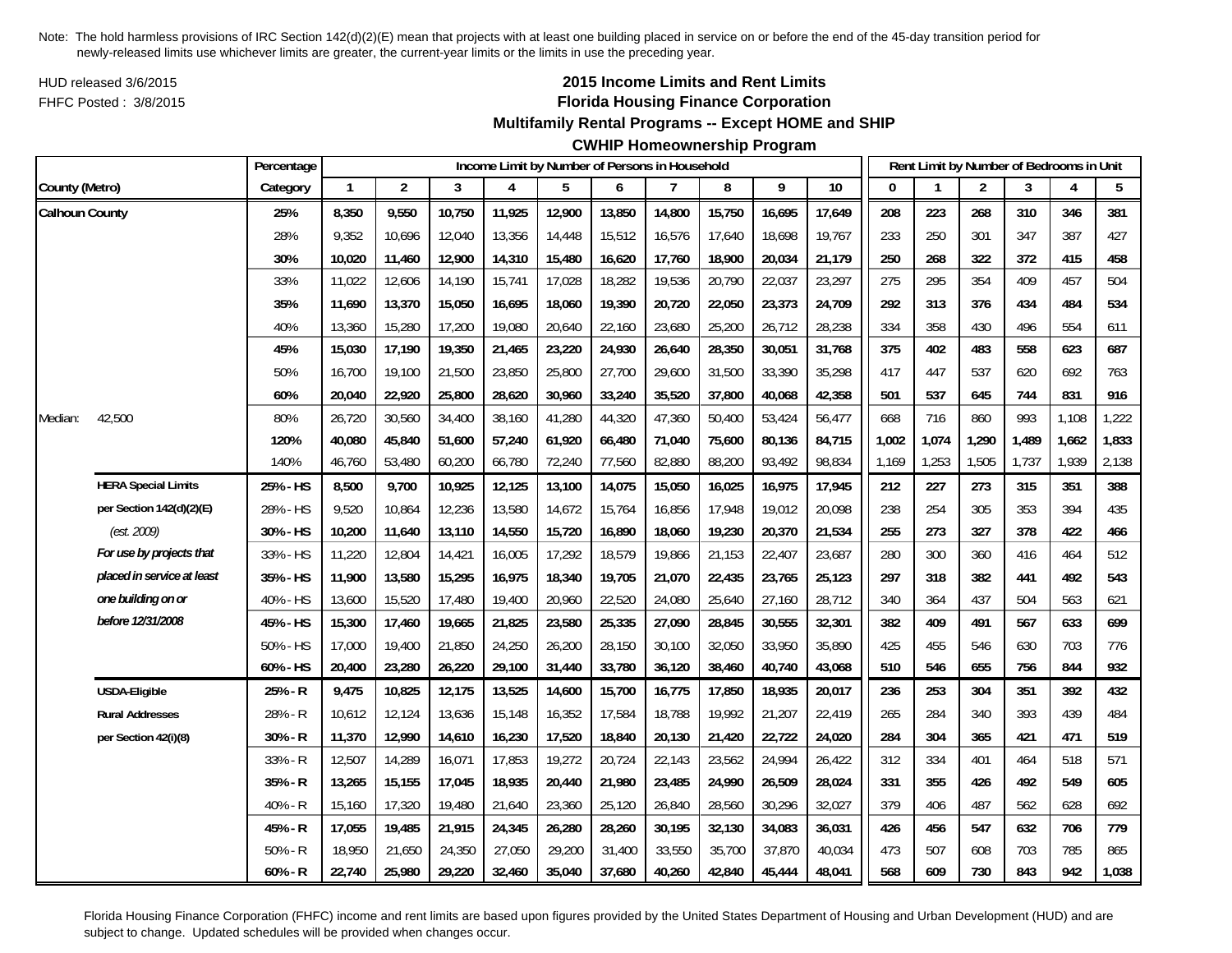HUD released 3/6/2015FHFC Posted : 3/8/2015

# **2015 Income Limits and Rent Limits Florida Housing Finance Corporation**

## **Multifamily Rental Programs -- Except HOME and SHIP**

# **CWHIP Homeownership Program**

|                       |                            | Percentage |              |                |        | Income Limit by Number of Persons in Household |        |        |        |        |        |        |              |       | Rent Limit by Number of Bedrooms in Unit |       |       |       |
|-----------------------|----------------------------|------------|--------------|----------------|--------|------------------------------------------------|--------|--------|--------|--------|--------|--------|--------------|-------|------------------------------------------|-------|-------|-------|
| County (Metro)        |                            | Category   | $\mathbf{1}$ | $\overline{c}$ | 3      | 4                                              | 5      | 6      | 7      | 8      | 9      | 10     | $\mathbf{0}$ |       | $\overline{2}$                           | 3     | 4     | 5     |
| <b>Calhoun County</b> |                            | 25%        | 8,350        | 9,550          | 10,750 | 11,925                                         | 12,900 | 13,850 | 14,800 | 15,750 | 16,695 | 17,649 | 208          | 223   | 268                                      | 310   | 346   | 381   |
|                       |                            | 28%        | 9,352        | 10,696         | 12,040 | 13,356                                         | 14,448 | 15,512 | 16,576 | 17,640 | 18,698 | 19,767 | 233          | 250   | 301                                      | 347   | 387   | 427   |
|                       |                            | 30%        | 10,020       | 11,460         | 12,900 | 14,310                                         | 15,480 | 16,620 | 17,760 | 18,900 | 20,034 | 21,179 | 250          | 268   | 322                                      | 372   | 415   | 458   |
|                       |                            | 33%        | 11,022       | 12,606         | 14,190 | 15,741                                         | 17,028 | 18,282 | 19,536 | 20,790 | 22,037 | 23,297 | 275          | 295   | 354                                      | 409   | 457   | 504   |
|                       |                            | 35%        | 11,690       | 13,370         | 15,050 | 16,695                                         | 18,060 | 19,390 | 20,720 | 22,050 | 23,373 | 24,709 | 292          | 313   | 376                                      | 434   | 484   | 534   |
|                       |                            | 40%        | 13,360       | 15,280         | 17,200 | 19,080                                         | 20,640 | 22,160 | 23,680 | 25,200 | 26,712 | 28,238 | 334          | 358   | 430                                      | 496   | 554   | 611   |
|                       |                            | 45%        | 15,030       | 17,190         | 19,350 | 21,465                                         | 23,220 | 24,930 | 26,640 | 28,350 | 30,051 | 31,768 | 375          | 402   | 483                                      | 558   | 623   | 687   |
|                       |                            | 50%        | 16,700       | 19,100         | 21,500 | 23,850                                         | 25,800 | 27,700 | 29,600 | 31,500 | 33,390 | 35,298 | 417          | 447   | 537                                      | 620   | 692   | 763   |
|                       |                            | 60%        | 20,040       | 22,920         | 25,800 | 28,620                                         | 30,960 | 33,240 | 35,520 | 37,800 | 40,068 | 42,358 | 501          | 537   | 645                                      | 744   | 831   | 916   |
| Median:               | 42,500                     | 80%        | 26,720       | 30,560         | 34,400 | 38,160                                         | 41,280 | 44,320 | 47,360 | 50,400 | 53,424 | 56,477 | 668          | 716   | 860                                      | 993   | 1,108 | 1,222 |
|                       |                            | 120%       | 40,080       | 45,840         | 51,600 | 57,240                                         | 61,920 | 66,480 | 71,040 | 75,600 | 80,136 | 84,715 | 1,002        | 1,074 | 1,290                                    | 1,489 | 1,662 | 1,833 |
|                       |                            | 140%       | 46,760       | 53,480         | 60,200 | 66,780                                         | 72,240 | 77,560 | 82,880 | 88,200 | 93,492 | 98,834 | 1,169        | 1,253 | 1,505                                    | 1,737 | 1,939 | 2,138 |
|                       | <b>HERA Special Limits</b> | 25% - HS   | 8,500        | 9,700          | 10,925 | 12,125                                         | 13,100 | 14,075 | 15,050 | 16,025 | 16,975 | 17,945 | 212          | 227   | 273                                      | 315   | 351   | 388   |
|                       | per Section 142(d)(2)(E)   | 28% - HS   | 9,520        | 10,864         | 12,236 | 13,580                                         | 14,672 | 15,764 | 16,856 | 17,948 | 19,012 | 20,098 | 238          | 254   | 305                                      | 353   | 394   | 435   |
|                       | (est. 2009)                | 30% - HS   | 10,200       | 11,640         | 13,110 | 14,550                                         | 15,720 | 16,890 | 18,060 | 19,230 | 20,370 | 21,534 | 255          | 273   | 327                                      | 378   | 422   | 466   |
|                       | For use by projects that   | 33% - HS   | 11,220       | 12,804         | 14,421 | 16,005                                         | 17,292 | 18,579 | 19,866 | 21,153 | 22,407 | 23,687 | 280          | 300   | 360                                      | 416   | 464   | 512   |
|                       | placed in service at least | 35% - HS   | 11,900       | 13,580         | 15,295 | 16,975                                         | 18,340 | 19,705 | 21,070 | 22,435 | 23,765 | 25,123 | 297          | 318   | 382                                      | 441   | 492   | 543   |
|                       | one building on or         | 40% - HS   | 13,600       | 15,520         | 17,480 | 19,400                                         | 20,960 | 22,520 | 24,080 | 25,640 | 27,160 | 28,712 | 340          | 364   | 437                                      | 504   | 563   | 621   |
|                       | before 12/31/2008          | 45% - HS   | 15,300       | 17,460         | 19,665 | 21,825                                         | 23,580 | 25,335 | 27,090 | 28,845 | 30,555 | 32,301 | 382          | 409   | 491                                      | 567   | 633   | 699   |
|                       |                            | 50% - HS   | 17,000       | 19,400         | 21,850 | 24,250                                         | 26,200 | 28,150 | 30,100 | 32,050 | 33,950 | 35,890 | 425          | 455   | 546                                      | 630   | 703   | 776   |
|                       |                            | 60% - HS   | 20,400       | 23,280         | 26,220 | 29,100                                         | 31,440 | 33,780 | 36,120 | 38,460 | 40,740 | 43,068 | 510          | 546   | 655                                      | 756   | 844   | 932   |
|                       | USDA-Eligible              | 25% - R    | 9,475        | 10,825         | 12,175 | 13,525                                         | 14,600 | 15,700 | 16,775 | 17,850 | 18,935 | 20,017 | 236          | 253   | 304                                      | 351   | 392   | 432   |
|                       | <b>Rural Addresses</b>     | 28% - R    | 10,612       | 12,124         | 13,636 | 15,148                                         | 16,352 | 17,584 | 18,788 | 19,992 | 21,207 | 22,419 | 265          | 284   | 340                                      | 393   | 439   | 484   |
|                       | per Section 42(i)(8)       | 30% - R    | 11,370       | 12,990         | 14,610 | 16,230                                         | 17,520 | 18,840 | 20,130 | 21,420 | 22,722 | 24,020 | 284          | 304   | 365                                      | 421   | 471   | 519   |
|                       |                            | 33% - R    | 12,507       | 14,289         | 16,071 | 17,853                                         | 19,272 | 20,724 | 22,143 | 23,562 | 24,994 | 26,422 | 312          | 334   | 401                                      | 464   | 518   | 571   |
|                       |                            | 35% - R    | 13,265       | 15,155         | 17,045 | 18,935                                         | 20,440 | 21,980 | 23,485 | 24,990 | 26,509 | 28,024 | 331          | 355   | 426                                      | 492   | 549   | 605   |
|                       |                            | 40% - R    | 15,160       | 17,320         | 19,480 | 21,640                                         | 23,360 | 25,120 | 26,840 | 28,560 | 30,296 | 32,027 | 379          | 406   | 487                                      | 562   | 628   | 692   |
|                       |                            | 45% - R    | 17,055       | 19,485         | 21,915 | 24,345                                         | 26,280 | 28,260 | 30,195 | 32,130 | 34,083 | 36,031 | 426          | 456   | 547                                      | 632   | 706   | 779   |
|                       |                            | $50% - R$  | 18,950       | 21,650         | 24,350 | 27,050                                         | 29,200 | 31,400 | 33,550 | 35,700 | 37,870 | 40,034 | 473          | 507   | 608                                      | 703   | 785   | 865   |
|                       |                            | $60% - R$  | 22,740       | 25,980         | 29,220 | 32,460                                         | 35,040 | 37,680 | 40,260 | 42,840 | 45,444 | 48,041 | 568          | 609   | 730                                      | 843   | 942   | 1,038 |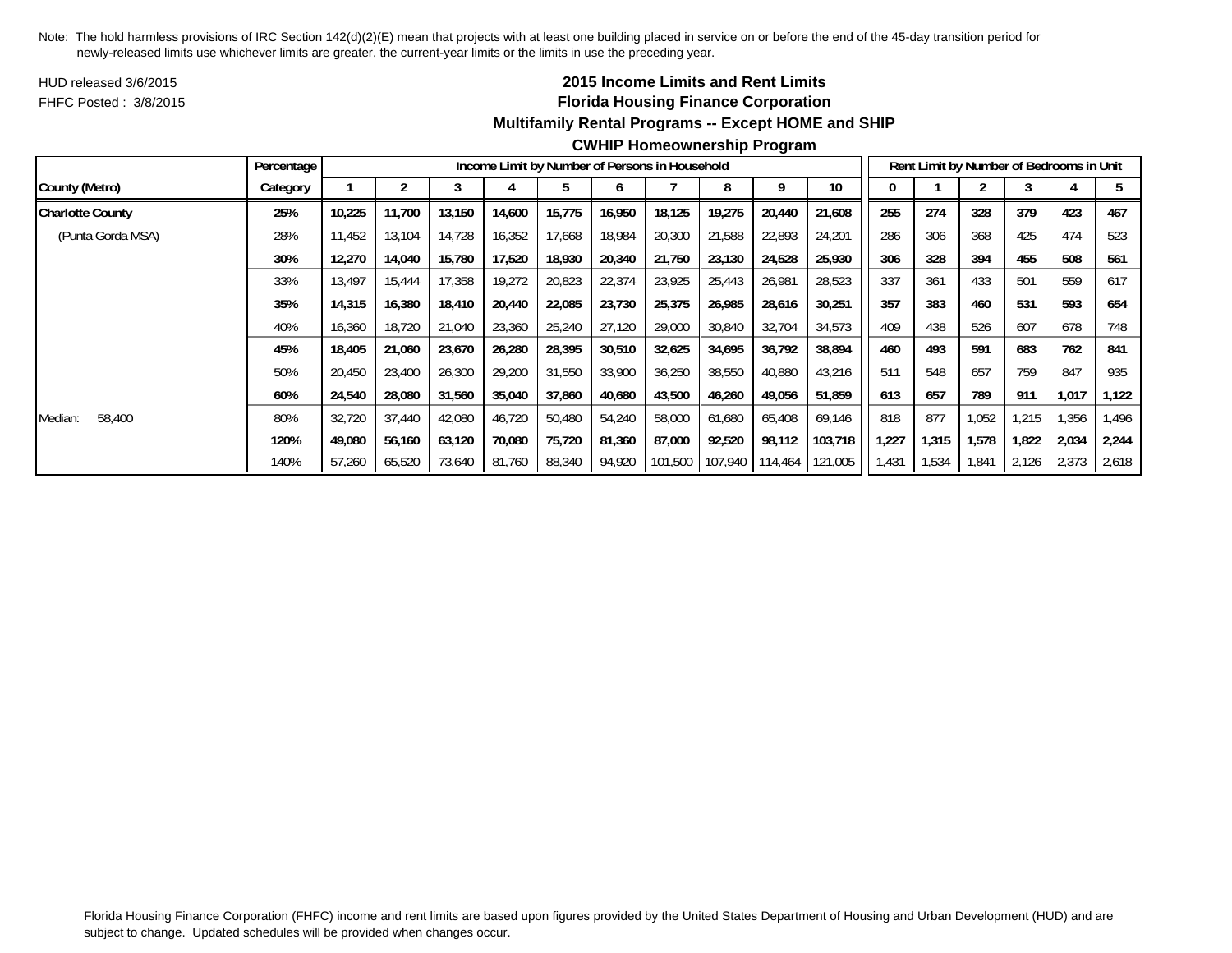HUD released 3/6/2015FHFC Posted : 3/8/2015

# **2015 Income Limits and Rent Limits Florida Housing Finance Corporation Multifamily Rental Programs -- Except HOME and SHIP**

|                         | Percentage |        |        |        |        | Income Limit by Number of Persons in Household |        |         |         |         |         |       | Rent Limit by Number of Bedrooms in Unit |       |       |       |       |
|-------------------------|------------|--------|--------|--------|--------|------------------------------------------------|--------|---------|---------|---------|---------|-------|------------------------------------------|-------|-------|-------|-------|
| County (Metro)          | Category   |        |        |        |        |                                                | o      |         |         | a       | 10      |       |                                          |       |       |       |       |
| <b>Charlotte County</b> | 25%        | 10,225 | 11.700 | 13,150 | 14,600 | 15,775                                         | 16,950 | 18,125  | 19,275  | 20,440  | 21,608  | 255   | 274                                      | 328   | 379   | 423   | 467   |
| (Punta Gorda MSA)       | 28%        | 11,452 | 13,104 | 14,728 | 16,352 | 17,668                                         | 18,984 | 20,300  | 21,588  | 22,893  | 24,201  | 286   | 306                                      | 368   | 425   | 474   | 523   |
|                         | 30%        | 12,270 | 14,040 | 15,780 | 17,520 | 18,930                                         | 20,340 | 21,750  | 23,130  | 24,528  | 25,930  | 306   | 328                                      | 394   | 455   | 508   | 561   |
|                         | 33%        | 13,497 | 15,444 | 17,358 | 19,272 | 20,823                                         | 22,374 | 23,925  | 25,443  | 26,981  | 28,523  | 337   | 361                                      | 433   | 501   | 559   | 617   |
|                         | 35%        | 14,315 | 16,380 | 18,410 | 20,440 | 22,085                                         | 23,730 | 25,375  | 26,985  | 28,616  | 30,251  | 357   | 383                                      | 460   | 531   | 593   | 654   |
|                         | 40%        | 16,360 | 18,720 | 21,040 | 23,360 | 25,240                                         | 27,120 | 29,000  | 30,840  | 32,704  | 34,573  | 409   | 438                                      | 526   | 607   | 678   | 748   |
|                         | 45%        | 18,405 | 21,060 | 23,670 | 26,280 | 28,395                                         | 30,510 | 32,625  | 34,695  | 36,792  | 38,894  | 460   | 493                                      | 591   | 683   | 762   | 841   |
|                         | 50%        | 20,450 | 23,400 | 26,300 | 29,200 | 31,550                                         | 33,900 | 36,250  | 38,550  | 40,880  | 43,216  | 511   | 548                                      | 657   | 759   | 847   | 935   |
|                         | 60%        | 24,540 | 28,080 | 31,560 | 35,040 | 37,860                                         | 40.680 | 43,500  | 46,260  | 49,056  | 51,859  | 613   | 657                                      | 789   | 911   | 1,017 | 1,122 |
| 58,400<br>Median:       | 80%        | 32,720 | 37,440 | 42,080 | 46,720 | 50,480                                         | 54,240 | 58,000  | 61,680  | 65,408  | 69,146  | 818   | 877                                      | 1,052 | 1.215 | 1,356 | 1.496 |
|                         | 120%       | 49,080 | 56,160 | 63,120 | 70,080 | 75,720                                         | 81,360 | 87,000  | 92,520  | 98,112  | 103,718 | 1,227 | 1,315                                    | 1,578 | 1,822 | 2,034 | 2,244 |
|                         | 140%       | 57,260 | 65,520 | 73,640 | 81,760 | 88,340                                         | 94,920 | 101,500 | 107,940 | 114,464 | 121,005 | 1,431 | 1,534                                    | 1,841 | 2,126 | 2,373 | 2,618 |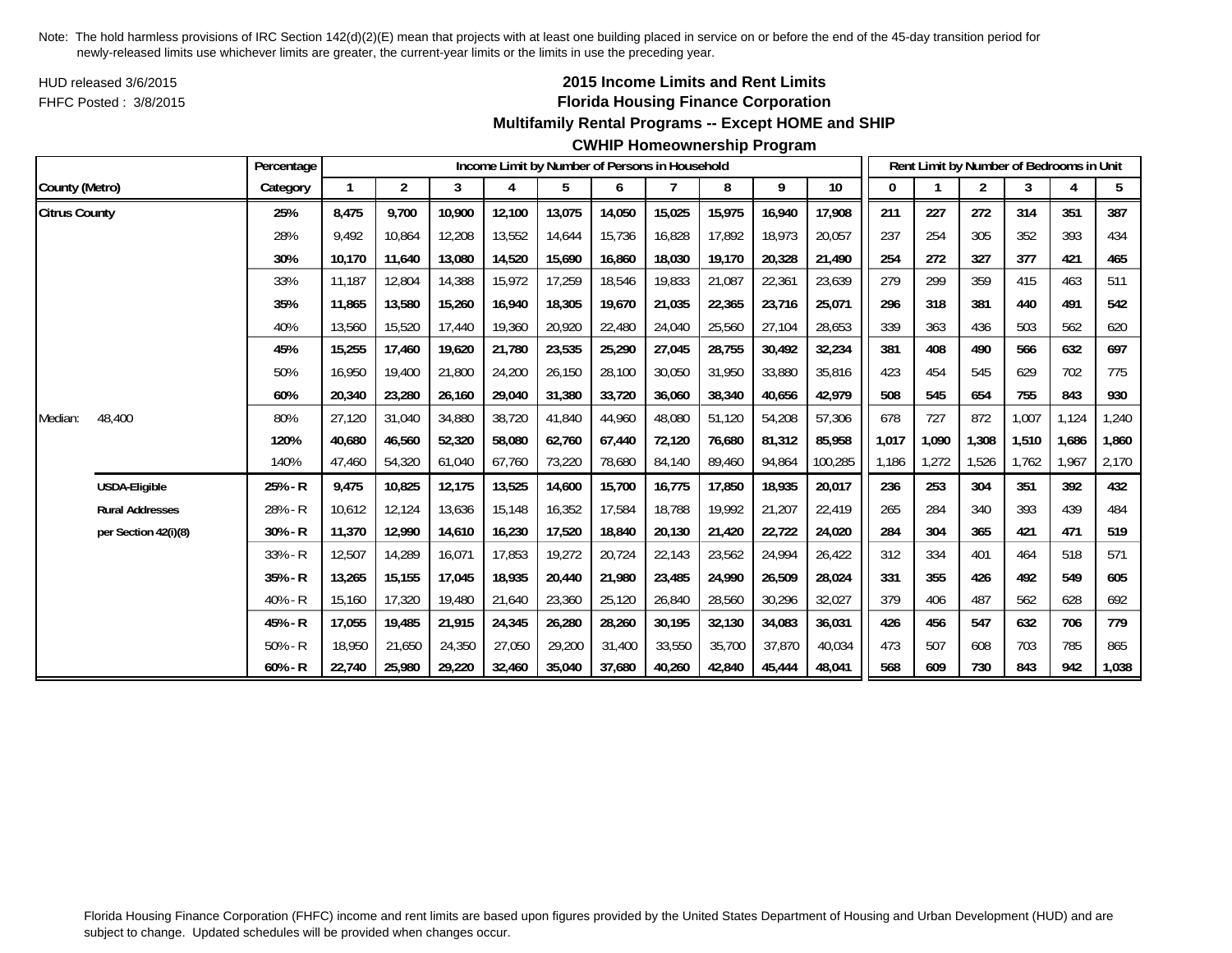HUD released 3/6/2015FHFC Posted : 3/8/2015

# **2015 Income Limits and Rent Limits Florida Housing Finance Corporation**

## **Multifamily Rental Programs -- Except HOME and SHIP**

#### **CWHIP Homeownership Program**

|                      |                        | Percentage |        |                |        |        |        |        | Income Limit by Number of Persons in Household |        |        |                 |       |       |                | Rent Limit by Number of Bedrooms in Unit |       |       |
|----------------------|------------------------|------------|--------|----------------|--------|--------|--------|--------|------------------------------------------------|--------|--------|-----------------|-------|-------|----------------|------------------------------------------|-------|-------|
| County (Metro)       |                        | Category   |        | $\overline{2}$ | 3      | 4      | 5      | 6      |                                                | 8      | 9      | 10 <sup>°</sup> | 0     |       | $\overline{2}$ | 3                                        |       | 5     |
| <b>Citrus County</b> |                        | 25%        | 8,475  | 9,700          | 10,900 | 12,100 | 13,075 | 14,050 | 15,025                                         | 15,975 | 16,940 | 17,908          | 211   | 227   | 272            | 314                                      | 351   | 387   |
|                      |                        | 28%        | 9.492  | 10.864         | 12,208 | 13,552 | 14,644 | 15.736 | 16,828                                         | 17.892 | 18,973 | 20,057          | 237   | 254   | 305            | 352                                      | 393   | 434   |
|                      |                        | 30%        | 10,170 | 11,640         | 13,080 | 14,520 | 15,690 | 16,860 | 18,030                                         | 19,170 | 20,328 | 21,490          | 254   | 272   | 327            | 377                                      | 421   | 465   |
|                      |                        | 33%        | 11,187 | 12,804         | 14,388 | 15,972 | 17,259 | 18,546 | 19,833                                         | 21,087 | 22,361 | 23,639          | 279   | 299   | 359            | 415                                      | 463   | 511   |
|                      |                        | 35%        | 11,865 | 13,580         | 15,260 | 16,940 | 18,305 | 19,670 | 21,035                                         | 22,365 | 23,716 | 25,071          | 296   | 318   | 381            | 440                                      | 491   | 542   |
|                      |                        | 40%        | 13,560 | 15,520         | 17,440 | 19,360 | 20,920 | 22,480 | 24,040                                         | 25,560 | 27,104 | 28,653          | 339   | 363   | 436            | 503                                      | 562   | 620   |
|                      |                        | 45%        | 15,255 | 17,460         | 19,620 | 21,780 | 23,535 | 25,290 | 27,045                                         | 28,755 | 30,492 | 32,234          | 381   | 408   | 490            | 566                                      | 632   | 697   |
|                      |                        | 50%        | 16,950 | 19,400         | 21,800 | 24,200 | 26,150 | 28,100 | 30,050                                         | 31,950 | 33,880 | 35,816          | 423   | 454   | 545            | 629                                      | 702   | 775   |
|                      |                        | 60%        | 20,340 | 23,280         | 26,160 | 29,040 | 31,380 | 33,720 | 36,060                                         | 38,340 | 40,656 | 42,979          | 508   | 545   | 654            | 755                                      | 843   | 930   |
| Median:              | 48,400                 | 80%        | 27,120 | 31,040         | 34,880 | 38,720 | 41,840 | 44,960 | 48,080                                         | 51,120 | 54,208 | 57,306          | 678   | 727   | 872            | 1,007                                    | 1,124 | 1,240 |
|                      |                        | 120%       | 40.680 | 46,560         | 52,320 | 58,080 | 62.760 | 67.440 | 72,120                                         | 76.680 | 81,312 | 85,958          | 1,017 | 1,090 | 1.308          | 1,510                                    | 1.686 | 1,860 |
|                      |                        | 140%       | 47,460 | 54,320         | 61,040 | 67,760 | 73,220 | 78,680 | 84,140                                         | 89,460 | 94,864 | 100,285         | 1,186 | 1,272 | 1,526          | 1,762                                    | 1,967 | 2,170 |
|                      | <b>USDA-Eligible</b>   | 25% - R    | 9,475  | 10,825         | 12,175 | 13,525 | 14,600 | 15,700 | 16,775                                         | 17,850 | 18,935 | 20,017          | 236   | 253   | 304            | 351                                      | 392   | 432   |
|                      | <b>Rural Addresses</b> | 28% - R    | 10,612 | 12,124         | 13,636 | 15,148 | 16,352 | 17,584 | 18,788                                         | 19,992 | 21,207 | 22,419          | 265   | 284   | 340            | 393                                      | 439   | 484   |
|                      | per Section 42(i)(8)   | 30% - R    | 11,370 | 12,990         | 14,610 | 16,230 | 17,520 | 18,840 | 20,130                                         | 21,420 | 22,722 | 24,020          | 284   | 304   | 365            | 421                                      | 471   | 519   |
|                      |                        | $33% - R$  | 12,507 | 14,289         | 16,071 | 17,853 | 19,272 | 20,724 | 22,143                                         | 23,562 | 24,994 | 26,422          | 312   | 334   | 401            | 464                                      | 518   | 571   |
|                      |                        | 35% - R    | 13,265 | 15,155         | 17,045 | 18,935 | 20,440 | 21,980 | 23,485                                         | 24,990 | 26,509 | 28,024          | 331   | 355   | 426            | 492                                      | 549   | 605   |
|                      |                        | $40% - R$  | 15,160 | 17,320         | 19,480 | 21,640 | 23,360 | 25,120 | 26,840                                         | 28,560 | 30,296 | 32,027          | 379   | 406   | 487            | 562                                      | 628   | 692   |
|                      |                        | 45% - R    | 17,055 | 19,485         | 21,915 | 24,345 | 26,280 | 28,260 | 30,195                                         | 32,130 | 34,083 | 36,031          | 426   | 456   | 547            | 632                                      | 706   | 779   |
|                      |                        | $50% - R$  | 18,950 | 21,650         | 24,350 | 27,050 | 29,200 | 31,400 | 33,550                                         | 35,700 | 37,870 | 40,034          | 473   | 507   | 608            | 703                                      | 785   | 865   |
|                      |                        | $60% - R$  | 22,740 | 25,980         | 29,220 | 32,460 | 35,040 | 37,680 | 40,260                                         | 42,840 | 45,444 | 48,041          | 568   | 609   | 730            | 843                                      | 942   | 1,038 |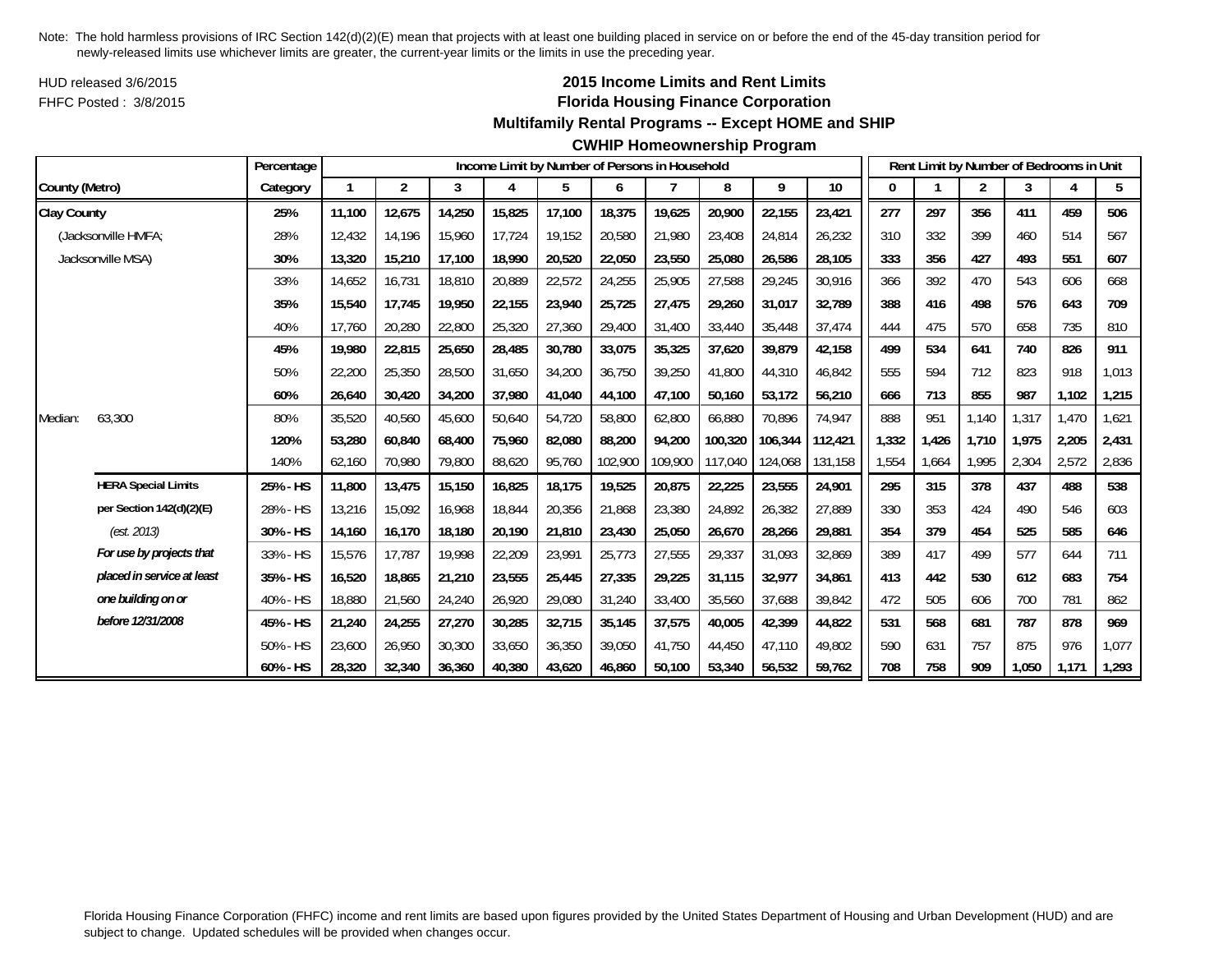HUD released 3/6/2015FHFC Posted : 3/8/2015

## **2015 Income Limits and Rent Limits Florida Housing Finance Corporation**

#### **Multifamily Rental Programs -- Except HOME and SHIP**

#### **CWHIP Homeownership Program**

|                    |                            | Percentage |        |                |        |        |        |         | Income Limit by Number of Persons in Household |         |         |         |       |       | Rent Limit by Number of Bedrooms in Unit |       |       |       |
|--------------------|----------------------------|------------|--------|----------------|--------|--------|--------|---------|------------------------------------------------|---------|---------|---------|-------|-------|------------------------------------------|-------|-------|-------|
| County (Metro)     |                            | Category   | 1      | $\overline{2}$ | 3      | 4      | 5      | 6       |                                                | 8       | 9       | 10      |       |       | $\overline{2}$                           | 3     | 4     | 5     |
| <b>Clay County</b> |                            | 25%        | 11,100 | 12,675         | 14,250 | 15,825 | 17,100 | 18,375  | 19,625                                         | 20,900  | 22,155  | 23,421  | 277   | 297   | 356                                      | 411   | 459   | 506   |
|                    | (Jacksonville HMFA;        | 28%        | 12.432 | 14,196         | 15,960 | 17,724 | 19,152 | 20,580  | 21,980                                         | 23,408  | 24,814  | 26,232  | 310   | 332   | 399                                      | 460   | 514   | 567   |
|                    | Jacksonville MSA)          | 30%        | 13,320 | 15,210         | 17,100 | 18,990 | 20,520 | 22,050  | 23,550                                         | 25,080  | 26,586  | 28,105  | 333   | 356   | 427                                      | 493   | 551   | 607   |
|                    |                            | 33%        | 14,652 | 16,731         | 18,810 | 20,889 | 22,572 | 24,255  | 25,905                                         | 27,588  | 29,245  | 30,916  | 366   | 392   | 470                                      | 543   | 606   | 668   |
|                    |                            | 35%        | 15,540 | 17,745         | 19,950 | 22,155 | 23,940 | 25,725  | 27,475                                         | 29,260  | 31,017  | 32,789  | 388   | 416   | 498                                      | 576   | 643   | 709   |
|                    |                            | 40%        | 17.760 | 20,280         | 22,800 | 25,320 | 27,360 | 29,400  | 31,400                                         | 33,440  | 35,448  | 37,474  | 444   | 475   | 570                                      | 658   | 735   | 810   |
|                    |                            | 45%        | 19,980 | 22,815         | 25,650 | 28,485 | 30,780 | 33,075  | 35,325                                         | 37,620  | 39,879  | 42,158  | 499   | 534   | 641                                      | 740   | 826   | 911   |
|                    |                            | 50%        | 22,200 | 25,350         | 28,500 | 31,650 | 34,200 | 36,750  | 39,250                                         | 41,800  | 44,310  | 46,842  | 555   | 594   | 712                                      | 823   | 918   | 1,013 |
|                    |                            | 60%        | 26,640 | 30,420         | 34,200 | 37,980 | 41,040 | 44,100  | 47,100                                         | 50,160  | 53,172  | 56,210  | 666   | 713   | 855                                      | 987   | 1,102 | 1,215 |
| Median:            | 63,300                     | 80%        | 35,520 | 40,560         | 45,600 | 50,640 | 54,720 | 58,800  | 62,800                                         | 66,880  | 70,896  | 74,947  | 888   | 951   | 1,140                                    | 1,317 | 1,470 | 1,621 |
|                    |                            | 120%       | 53,280 | 60,840         | 68,400 | 75,960 | 82,080 | 88,200  | 94,200                                         | 100,320 | 106,344 | 112,421 | 1,332 | 1,426 | 1,710                                    | 1.975 | 2,205 | 2,431 |
|                    |                            | 140%       | 62,160 | 70,980         | 79,800 | 88,620 | 95,760 | 102,900 | 109,900                                        | 117,040 | 124,068 | 131,158 | 1,554 | 1,664 | 1,995                                    | 2,304 | 2,572 | 2,836 |
|                    | <b>HERA Special Limits</b> | 25% - HS   | 11,800 | 13,475         | 15,150 | 16,825 | 18,175 | 19,525  | 20,875                                         | 22,225  | 23,555  | 24,901  | 295   | 315   | 378                                      | 437   | 488   | 538   |
|                    | per Section 142(d)(2)(E)   | 28% - HS   | 13,216 | 15,092         | 16,968 | 18,844 | 20,356 | 21,868  | 23,380                                         | 24,892  | 26,382  | 27,889  | 330   | 353   | 424                                      | 490   | 546   | 603   |
|                    | (est. 2013)                | 30% - HS   | 14,160 | 16.170         | 18.180 | 20,190 | 21,810 | 23,430  | 25,050                                         | 26,670  | 28,266  | 29,881  | 354   | 379   | 454                                      | 525   | 585   | 646   |
|                    | For use by projects that   | 33% - HS   | 15,576 | 17,787         | 19,998 | 22,209 | 23,991 | 25,773  | 27,555                                         | 29,337  | 31,093  | 32,869  | 389   | 417   | 499                                      | 577   | 644   | 711   |
|                    | placed in service at least | 35% - HS   | 16,520 | 18,865         | 21,210 | 23,555 | 25,445 | 27,335  | 29,225                                         | 31,115  | 32,977  | 34,861  | 413   | 442   | 530                                      | 612   | 683   | 754   |
|                    | one building on or         | 40% - HS   | 18,880 | 21,560         | 24,240 | 26,920 | 29,080 | 31,240  | 33,400                                         | 35,560  | 37,688  | 39,842  | 472   | 505   | 606                                      | 700   | 781   | 862   |
|                    | before 12/31/2008          | 45% - HS   | 21,240 | 24,255         | 27,270 | 30,285 | 32,715 | 35,145  | 37,575                                         | 40,005  | 42,399  | 44,822  | 531   | 568   | 681                                      | 787   | 878   | 969   |
|                    |                            | 50% - HS   | 23,600 | 26,950         | 30,300 | 33,650 | 36,350 | 39,050  | 41.750                                         | 44.450  | 47.110  | 49,802  | 590   | 631   | 757                                      | 875   | 976   | 1,077 |
|                    |                            | 60% - HS   | 28,320 | 32,340         | 36,360 | 40,380 | 43,620 | 46,860  | 50,100                                         | 53,340  | 56,532  | 59,762  | 708   | 758   | 909                                      | 1,050 | 1,171 | 1,293 |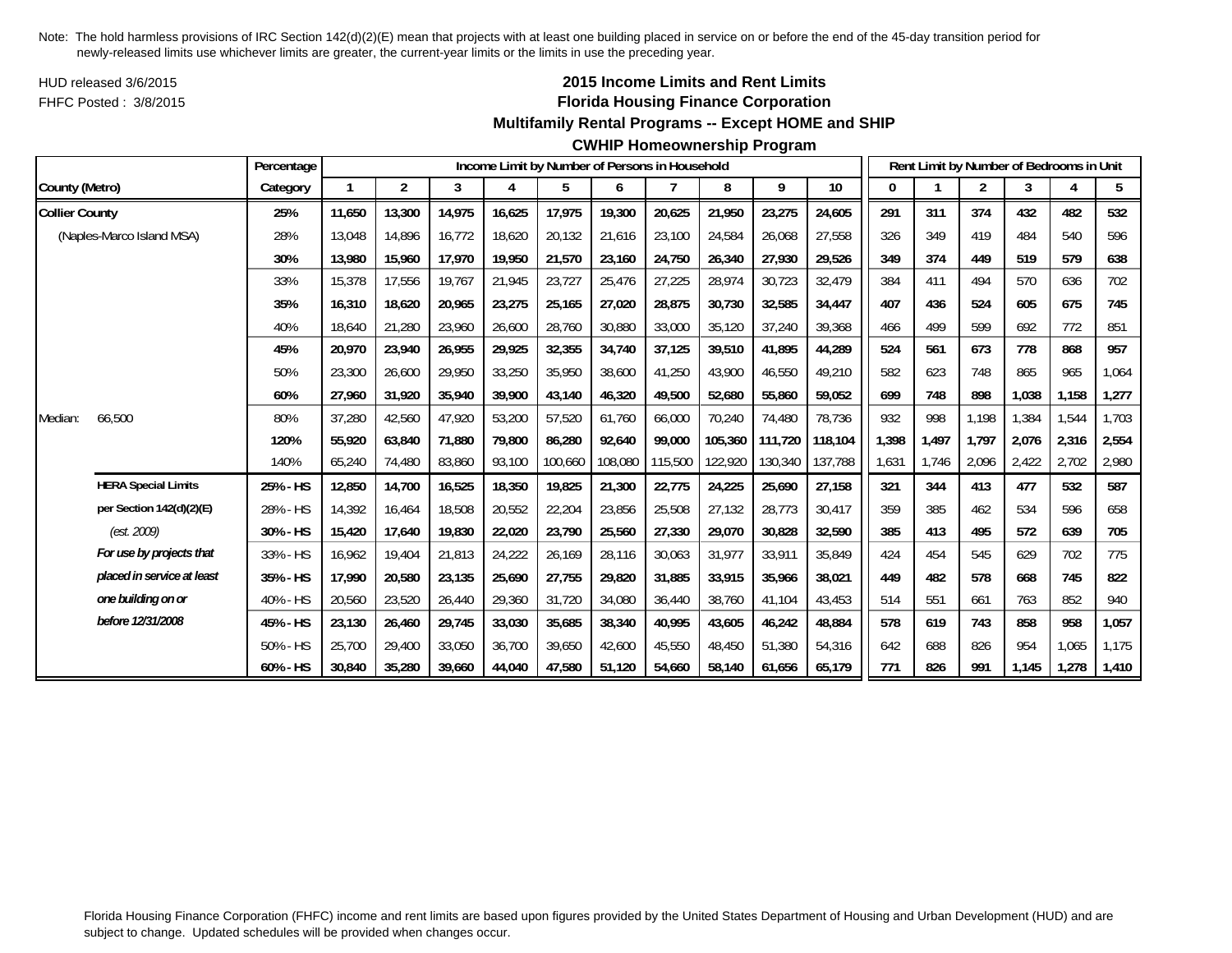HUD released 3/6/2015FHFC Posted : 3/8/2015

## **2015 Income Limits and Rent Limits Florida Housing Finance Corporation**

#### **Multifamily Rental Programs -- Except HOME and SHIP**

|                       |                            | Percentage |        |                |        |        |         |         | Income Limit by Number of Persons in Household |         |         |         |       |       |                | Rent Limit by Number of Bedrooms in Unit |       |       |
|-----------------------|----------------------------|------------|--------|----------------|--------|--------|---------|---------|------------------------------------------------|---------|---------|---------|-------|-------|----------------|------------------------------------------|-------|-------|
| County (Metro)        |                            | Category   |        | $\overline{2}$ | 3      | 4      | 5       | 6       |                                                | 8       | 9       | 10      | 0     |       | $\overline{2}$ | 3                                        | 4     | 5     |
| <b>Collier County</b> |                            | 25%        | 11,650 | 13,300         | 14,975 | 16,625 | 17,975  | 19,300  | 20,625                                         | 21,950  | 23,275  | 24,605  | 291   | 311   | 374            | 432                                      | 482   | 532   |
|                       | (Naples-Marco Island MSA)  | 28%        | 13,048 | 14,896         | 16,772 | 18,620 | 20,132  | 21,616  | 23,100                                         | 24,584  | 26,068  | 27,558  | 326   | 349   | 419            | 484                                      | 540   | 596   |
|                       |                            | 30%        | 13,980 | 15,960         | 17,970 | 19,950 | 21,570  | 23,160  | 24,750                                         | 26,340  | 27,930  | 29,526  | 349   | 374   | 449            | 519                                      | 579   | 638   |
|                       |                            | 33%        | 15,378 | 17,556         | 19,767 | 21,945 | 23,727  | 25,476  | 27,225                                         | 28,974  | 30,723  | 32,479  | 384   | 411   | 494            | 570                                      | 636   | 702   |
|                       |                            | 35%        | 16,310 | 18,620         | 20,965 | 23,275 | 25,165  | 27,020  | 28,875                                         | 30,730  | 32,585  | 34,447  | 407   | 436   | 524            | 605                                      | 675   | 745   |
|                       |                            | 40%        | 18,640 | 21,280         | 23,960 | 26,600 | 28,760  | 30,880  | 33,000                                         | 35,120  | 37,240  | 39,368  | 466   | 499   | 599            | 692                                      | 772   | 851   |
|                       |                            | 45%        | 20,970 | 23,940         | 26,955 | 29,925 | 32,355  | 34,740  | 37,125                                         | 39,510  | 41,895  | 44,289  | 524   | 561   | 673            | 778                                      | 868   | 957   |
|                       |                            | 50%        | 23,300 | 26,600         | 29,950 | 33,250 | 35,950  | 38,600  | 41,250                                         | 43,900  | 46,550  | 49,210  | 582   | 623   | 748            | 865                                      | 965   | 1,064 |
|                       |                            | 60%        | 27,960 | 31,920         | 35,940 | 39,900 | 43,140  | 46,320  | 49,500                                         | 52,680  | 55,860  | 59,052  | 699   | 748   | 898            | 1,038                                    | 1,158 | 1,277 |
| Median:               | 66,500                     | 80%        | 37,280 | 42,560         | 47,920 | 53,200 | 57,520  | 61,760  | 66,000                                         | 70,240  | 74,480  | 78,736  | 932   | 998   | 1,198          | 1,384                                    | 1,544 | 1,703 |
|                       |                            | 120%       | 55,920 | 63,840         | 71,880 | 79,800 | 86,280  | 92,640  | 99.000                                         | 105,360 | 111,720 | 118,104 | 1,398 | 1,497 | 1,797          | 2,076                                    | 2,316 | 2,554 |
|                       |                            | 140%       | 65,240 | 74,480         | 83,860 | 93,100 | 100,660 | 108,080 | 115,500                                        | 122,920 | 130,340 | 137,788 | 1,631 | 1,746 | 2,096          | 2,422                                    | 2,702 | 2,980 |
|                       | <b>HERA Special Limits</b> | 25% - HS   | 12,850 | 14,700         | 16,525 | 18,350 | 19,825  | 21,300  | 22,775                                         | 24,225  | 25,690  | 27,158  | 321   | 344   | 413            | 477                                      | 532   | 587   |
|                       | per Section 142(d)(2)(E)   | 28% - HS   | 14,392 | 16.464         | 18,508 | 20,552 | 22,204  | 23,856  | 25,508                                         | 27,132  | 28,773  | 30,417  | 359   | 385   | 462            | 534                                      | 596   | 658   |
|                       | (est. 2009)                | 30% - HS   | 15,420 | 17,640         | 19,830 | 22,020 | 23,790  | 25,560  | 27,330                                         | 29,070  | 30,828  | 32,590  | 385   | 413   | 495            | 572                                      | 639   | 705   |
|                       | For use by projects that   | 33% - HS   | 16,962 | 19.404         | 21,813 | 24,222 | 26,169  | 28,116  | 30,063                                         | 31,977  | 33,911  | 35,849  | 424   | 454   | 545            | 629                                      | 702   | 775   |
|                       | placed in service at least | 35% - HS   | 17,990 | 20,580         | 23,135 | 25,690 | 27,755  | 29,820  | 31,885                                         | 33,915  | 35,966  | 38.021  | 449   | 482   | 578            | 668                                      | 745   | 822   |
|                       | one building on or         | 40% - HS   | 20,560 | 23,520         | 26,440 | 29,360 | 31,720  | 34,080  | 36,440                                         | 38,760  | 41,104  | 43,453  | 514   | 551   | 661            | 763                                      | 852   | 940   |
|                       | before 12/31/2008          | 45% - HS   | 23,130 | 26,460         | 29,745 | 33,030 | 35,685  | 38,340  | 40,995                                         | 43,605  | 46,242  | 48,884  | 578   | 619   | 743            | 858                                      | 958   | 1,057 |
|                       |                            | 50% - HS   | 25,700 | 29,400         | 33,050 | 36,700 | 39,650  | 42,600  | 45,550                                         | 48,450  | 51,380  | 54,316  | 642   | 688   | 826            | 954                                      | 1,065 | 1,175 |
|                       |                            | 60% - HS   | 30,840 | 35,280         | 39,660 | 44,040 | 47,580  | 51,120  | 54,660                                         | 58,140  | 61,656  | 65,179  | 771   | 826   | 991            | 1,145                                    | 1,278 | 1,410 |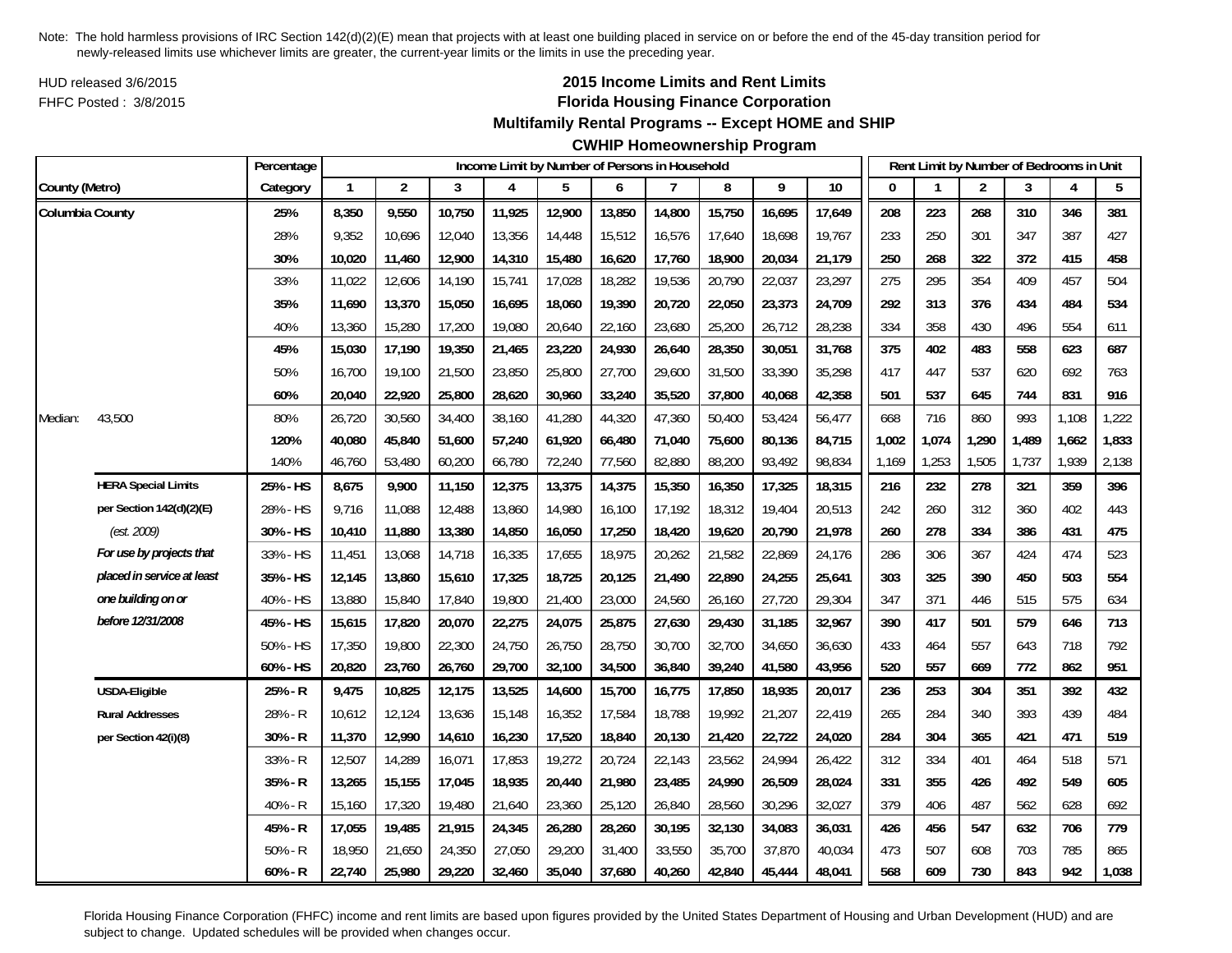HUD released 3/6/2015FHFC Posted : 3/8/2015

# **2015 Income Limits and Rent Limits Florida Housing Finance Corporation**

## **Multifamily Rental Programs -- Except HOME and SHIP**

# **CWHIP Homeownership Program**

|                 |                            | Percentage |              |                |        | Income Limit by Number of Persons in Household |        |        |        |        |        |        |       |       | Rent Limit by Number of Bedrooms in Unit |       |       |       |
|-----------------|----------------------------|------------|--------------|----------------|--------|------------------------------------------------|--------|--------|--------|--------|--------|--------|-------|-------|------------------------------------------|-------|-------|-------|
| County (Metro)  |                            | Category   | $\mathbf{1}$ | $\overline{2}$ | 3      | 4                                              | 5      | 6      | 7      | 8      | 9      | 10     | 0     |       | 2                                        | 3     | 4     | 5     |
| Columbia County |                            | 25%        | 8,350        | 9,550          | 10,750 | 11,925                                         | 12,900 | 13,850 | 14,800 | 15,750 | 16,695 | 17,649 | 208   | 223   | 268                                      | 310   | 346   | 381   |
|                 |                            | 28%        | 9,352        | 10,696         | 12,040 | 13,356                                         | 14,448 | 15,512 | 16,576 | 17,640 | 18,698 | 19,767 | 233   | 250   | 301                                      | 347   | 387   | 427   |
|                 |                            | 30%        | 10,020       | 11,460         | 12,900 | 14,310                                         | 15,480 | 16,620 | 17,760 | 18,900 | 20,034 | 21,179 | 250   | 268   | 322                                      | 372   | 415   | 458   |
|                 |                            | 33%        | 11,022       | 12,606         | 14,190 | 15,741                                         | 17,028 | 18,282 | 19,536 | 20,790 | 22,037 | 23,297 | 275   | 295   | 354                                      | 409   | 457   | 504   |
|                 |                            | 35%        | 11,690       | 13,370         | 15,050 | 16,695                                         | 18,060 | 19,390 | 20,720 | 22,050 | 23,373 | 24,709 | 292   | 313   | 376                                      | 434   | 484   | 534   |
|                 |                            | 40%        | 13,360       | 15,280         | 17,200 | 19,080                                         | 20,640 | 22,160 | 23,680 | 25,200 | 26,712 | 28,238 | 334   | 358   | 430                                      | 496   | 554   | 611   |
|                 |                            | 45%        | 15,030       | 17,190         | 19,350 | 21,465                                         | 23,220 | 24,930 | 26,640 | 28,350 | 30,051 | 31,768 | 375   | 402   | 483                                      | 558   | 623   | 687   |
|                 |                            | 50%        | 16,700       | 19,100         | 21,500 | 23,850                                         | 25,800 | 27,700 | 29,600 | 31,500 | 33,390 | 35,298 | 417   | 447   | 537                                      | 620   | 692   | 763   |
|                 |                            | 60%        | 20,040       | 22,920         | 25,800 | 28,620                                         | 30,960 | 33,240 | 35,520 | 37,800 | 40,068 | 42,358 | 501   | 537   | 645                                      | 744   | 831   | 916   |
| Median:         | 43,500                     | 80%        | 26,720       | 30,560         | 34,400 | 38,160                                         | 41,280 | 44,320 | 47,360 | 50,400 | 53,424 | 56,477 | 668   | 716   | 860                                      | 993   | 1,108 | 1,222 |
|                 |                            | 120%       | 40,080       | 45,840         | 51,600 | 57,240                                         | 61,920 | 66,480 | 71,040 | 75,600 | 80,136 | 84,715 | 1,002 | 1,074 | 1,290                                    | 1,489 | 1,662 | 1,833 |
|                 |                            | 140%       | 46,760       | 53,480         | 60,200 | 66,780                                         | 72,240 | 77,560 | 82,880 | 88,200 | 93,492 | 98,834 | 1,169 | 1,253 | 1,505                                    | 1,737 | 1,939 | 2,138 |
|                 | <b>HERA Special Limits</b> | 25% - HS   | 8,675        | 9,900          | 11,150 | 12,375                                         | 13,375 | 14,375 | 15,350 | 16,350 | 17,325 | 18,315 | 216   | 232   | 278                                      | 321   | 359   | 396   |
|                 | per Section 142(d)(2)(E)   | 28% - HS   | 9,716        | 11,088         | 12,488 | 13,860                                         | 14,980 | 16,100 | 17,192 | 18,312 | 19,404 | 20,513 | 242   | 260   | 312                                      | 360   | 402   | 443   |
|                 | (est. 2009)                | 30% - HS   | 10,410       | 11,880         | 13,380 | 14,850                                         | 16,050 | 17,250 | 18,420 | 19,620 | 20,790 | 21,978 | 260   | 278   | 334                                      | 386   | 431   | 475   |
|                 | For use by projects that   | 33% - HS   | 11,451       | 13,068         | 14,718 | 16,335                                         | 17,655 | 18,975 | 20,262 | 21,582 | 22,869 | 24,176 | 286   | 306   | 367                                      | 424   | 474   | 523   |
|                 | placed in service at least | 35% - HS   | 12,145       | 13,860         | 15,610 | 17,325                                         | 18,725 | 20,125 | 21,490 | 22,890 | 24,255 | 25,641 | 303   | 325   | 390                                      | 450   | 503   | 554   |
|                 | one building on or         | 40% - HS   | 13,880       | 15,840         | 17,840 | 19,800                                         | 21,400 | 23,000 | 24,560 | 26,160 | 27,720 | 29,304 | 347   | 371   | 446                                      | 515   | 575   | 634   |
|                 | before 12/31/2008          | 45% - HS   | 15,615       | 17,820         | 20,070 | 22,275                                         | 24,075 | 25,875 | 27,630 | 29,430 | 31,185 | 32,967 | 390   | 417   | 501                                      | 579   | 646   | 713   |
|                 |                            | 50% - HS   | 17,350       | 19,800         | 22,300 | 24,750                                         | 26,750 | 28,750 | 30,700 | 32,700 | 34,650 | 36,630 | 433   | 464   | 557                                      | 643   | 718   | 792   |
|                 |                            | 60% - HS   | 20,820       | 23,760         | 26,760 | 29,700                                         | 32,100 | 34,500 | 36,840 | 39,240 | 41,580 | 43,956 | 520   | 557   | 669                                      | 772   | 862   | 951   |
|                 | <b>USDA-Eligible</b>       | 25% - R    | 9,475        | 10,825         | 12,175 | 13,525                                         | 14,600 | 15,700 | 16,775 | 17,850 | 18,935 | 20,017 | 236   | 253   | 304                                      | 351   | 392   | 432   |
|                 | <b>Rural Addresses</b>     | 28% - R    | 10,612       | 12,124         | 13,636 | 15,148                                         | 16,352 | 17,584 | 18,788 | 19,992 | 21,207 | 22,419 | 265   | 284   | 340                                      | 393   | 439   | 484   |
|                 | per Section 42(i)(8)       | $30% - R$  | 11,370       | 12,990         | 14,610 | 16,230                                         | 17,520 | 18,840 | 20,130 | 21,420 | 22,722 | 24,020 | 284   | 304   | 365                                      | 421   | 471   | 519   |
|                 |                            | 33% - R    | 12,507       | 14,289         | 16,071 | 17,853                                         | 19,272 | 20,724 | 22,143 | 23,562 | 24,994 | 26,422 | 312   | 334   | 401                                      | 464   | 518   | 571   |
|                 |                            | 35% - R    | 13,265       | 15,155         | 17,045 | 18,935                                         | 20,440 | 21,980 | 23,485 | 24,990 | 26,509 | 28,024 | 331   | 355   | 426                                      | 492   | 549   | 605   |
|                 |                            | 40% - R    | 15,160       | 17,320         | 19,480 | 21,640                                         | 23,360 | 25,120 | 26,840 | 28,560 | 30,296 | 32,027 | 379   | 406   | 487                                      | 562   | 628   | 692   |
|                 |                            | 45% - R    | 17,055       | 19,485         | 21,915 | 24,345                                         | 26,280 | 28,260 | 30,195 | 32,130 | 34,083 | 36,031 | 426   | 456   | 547                                      | 632   | 706   | 779   |
|                 |                            | $50% - R$  | 18,950       | 21,650         | 24,350 | 27,050                                         | 29,200 | 31,400 | 33,550 | 35,700 | 37,870 | 40,034 | 473   | 507   | 608                                      | 703   | 785   | 865   |
|                 |                            | $60% - R$  | 22,740       | 25,980         | 29,220 | 32,460                                         | 35,040 | 37,680 | 40,260 | 42,840 | 45,444 | 48,041 | 568   | 609   | 730                                      | 843   | 942   | 1,038 |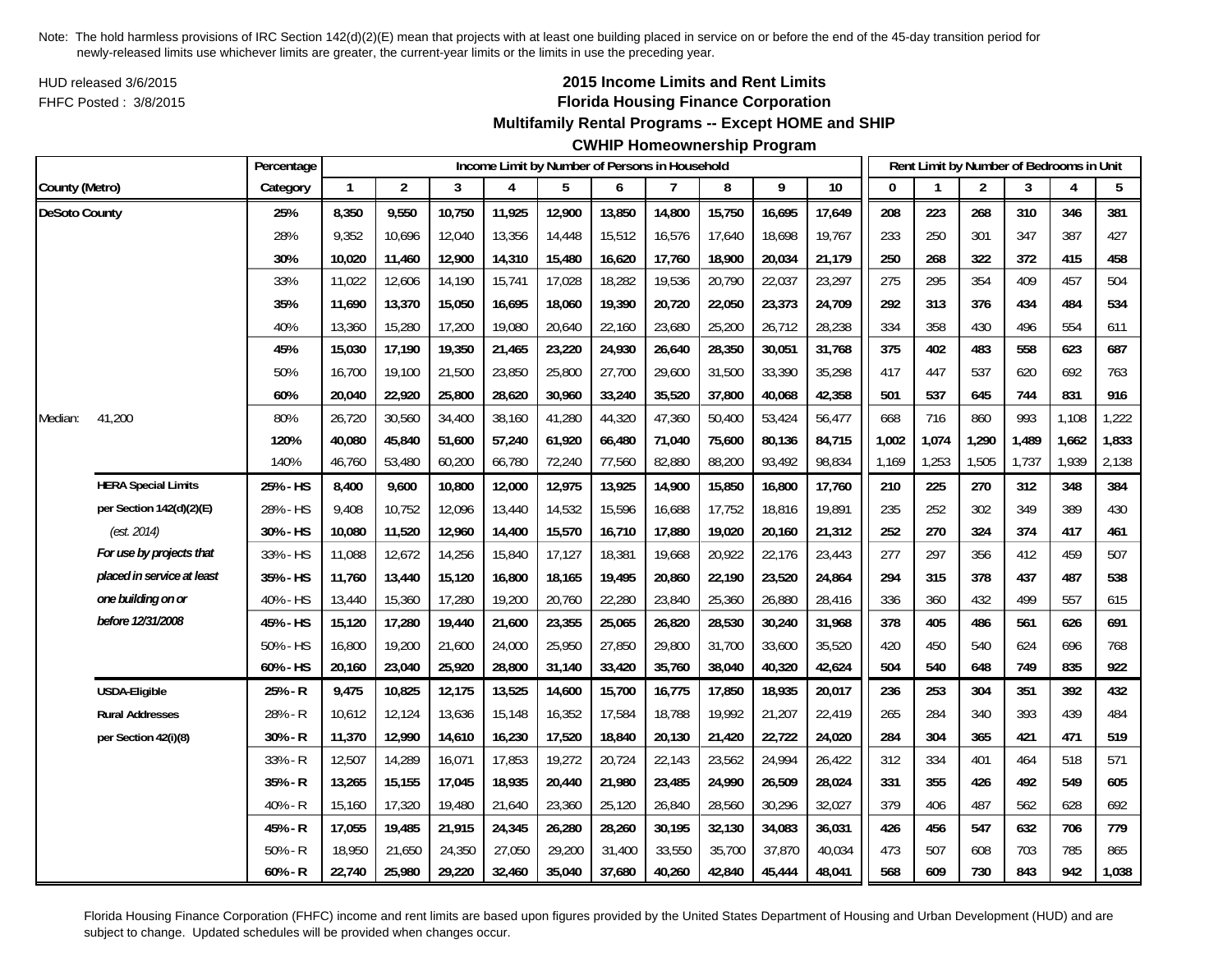HUD released 3/6/2015FHFC Posted : 3/8/2015

## **2015 Income Limits and Rent Limits Florida Housing Finance Corporation**

#### **Multifamily Rental Programs -- Except HOME and SHIP**

#### **CWHIP Homeownership Program**

|                      |                            | Percentage |              |                |        | Income Limit by Number of Persons in Household |        |        |        |        |        |        |          |       | Rent Limit by Number of Bedrooms in Unit |       |       |       |
|----------------------|----------------------------|------------|--------------|----------------|--------|------------------------------------------------|--------|--------|--------|--------|--------|--------|----------|-------|------------------------------------------|-------|-------|-------|
| County (Metro)       |                            | Category   | $\mathbf{1}$ | $\overline{2}$ | 3      | 4                                              | 5      | 6      | 7      | 8      | 9      | 10     | $\Omega$ |       | $\overline{2}$                           | 3     | 4     | 5     |
| <b>DeSoto County</b> |                            | 25%        | 8,350        | 9,550          | 10,750 | 11,925                                         | 12,900 | 13,850 | 14,800 | 15,750 | 16,695 | 17,649 | 208      | 223   | 268                                      | 310   | 346   | 381   |
|                      |                            | 28%        | 9,352        | 10,696         | 12,040 | 13,356                                         | 14,448 | 15,512 | 16,576 | 17,640 | 18,698 | 19,767 | 233      | 250   | 301                                      | 347   | 387   | 427   |
|                      |                            | 30%        | 10,020       | 11,460         | 12,900 | 14,310                                         | 15,480 | 16,620 | 17,760 | 18,900 | 20,034 | 21,179 | 250      | 268   | 322                                      | 372   | 415   | 458   |
|                      |                            | 33%        | 11,022       | 12,606         | 14,190 | 15,741                                         | 17,028 | 18,282 | 19,536 | 20,790 | 22,037 | 23,297 | 275      | 295   | 354                                      | 409   | 457   | 504   |
|                      |                            | 35%        | 11,690       | 13,370         | 15,050 | 16,695                                         | 18,060 | 19,390 | 20,720 | 22,050 | 23,373 | 24,709 | 292      | 313   | 376                                      | 434   | 484   | 534   |
|                      |                            | 40%        | 13,360       | 15,280         | 17,200 | 19,080                                         | 20,640 | 22,160 | 23,680 | 25,200 | 26,712 | 28,238 | 334      | 358   | 430                                      | 496   | 554   | 611   |
|                      |                            | 45%        | 15,030       | 17,190         | 19,350 | 21,465                                         | 23,220 | 24,930 | 26,640 | 28,350 | 30,051 | 31,768 | 375      | 402   | 483                                      | 558   | 623   | 687   |
|                      |                            | 50%        | 16,700       | 19,100         | 21,500 | 23,850                                         | 25,800 | 27,700 | 29,600 | 31,500 | 33,390 | 35,298 | 417      | 447   | 537                                      | 620   | 692   | 763   |
|                      |                            | 60%        | 20,040       | 22,920         | 25,800 | 28,620                                         | 30,960 | 33,240 | 35,520 | 37,800 | 40,068 | 42,358 | 501      | 537   | 645                                      | 744   | 831   | 916   |
| Median:              | 41,200                     | 80%        | 26,720       | 30,560         | 34,400 | 38,160                                         | 41,280 | 44,320 | 47,360 | 50,400 | 53,424 | 56,477 | 668      | 716   | 860                                      | 993   | 1,108 | 1,222 |
|                      |                            | 120%       | 40,080       | 45,840         | 51,600 | 57,240                                         | 61,920 | 66,480 | 71,040 | 75,600 | 80,136 | 84,715 | 1,002    | 1,074 | 1,290                                    | 1,489 | 1,662 | 1,833 |
|                      |                            | 140%       | 46,760       | 53,480         | 60,200 | 66,780                                         | 72,240 | 77,560 | 82,880 | 88,200 | 93,492 | 98,834 | 1,169    | 1,253 | 1,505                                    | 1,737 | 1,939 | 2,138 |
|                      | <b>HERA Special Limits</b> | 25% - HS   | 8,400        | 9,600          | 10,800 | 12,000                                         | 12,975 | 13,925 | 14,900 | 15,850 | 16,800 | 17,760 | 210      | 225   | 270                                      | 312   | 348   | 384   |
|                      | per Section 142(d)(2)(E)   | 28% - HS   | 9,408        | 10,752         | 12,096 | 13,440                                         | 14,532 | 15,596 | 16,688 | 17,752 | 18,816 | 19,891 | 235      | 252   | 302                                      | 349   | 389   | 430   |
|                      | (est. 2014)                | 30% - HS   | 10,080       | 11,520         | 12,960 | 14,400                                         | 15,570 | 16,710 | 17,880 | 19,020 | 20,160 | 21,312 | 252      | 270   | 324                                      | 374   | 417   | 461   |
|                      | For use by projects that   | 33% - HS   | 11,088       | 12,672         | 14,256 | 15,840                                         | 17,127 | 18,381 | 19,668 | 20,922 | 22,176 | 23,443 | 277      | 297   | 356                                      | 412   | 459   | 507   |
|                      | placed in service at least | 35% - HS   | 11,760       | 13,440         | 15,120 | 16,800                                         | 18,165 | 19,495 | 20,860 | 22,190 | 23,520 | 24,864 | 294      | 315   | 378                                      | 437   | 487   | 538   |
|                      | one building on or         | 40% - HS   | 13,440       | 15,360         | 17,280 | 19,200                                         | 20,760 | 22,280 | 23,840 | 25,360 | 26,880 | 28,416 | 336      | 360   | 432                                      | 499   | 557   | 615   |
|                      | before 12/31/2008          | 45% - HS   | 15,120       | 17,280         | 19,440 | 21,600                                         | 23,355 | 25,065 | 26,820 | 28,530 | 30,240 | 31,968 | 378      | 405   | 486                                      | 561   | 626   | 691   |
|                      |                            | 50% - HS   | 16,800       | 19,200         | 21,600 | 24,000                                         | 25,950 | 27,850 | 29,800 | 31,700 | 33,600 | 35,520 | 420      | 450   | 540                                      | 624   | 696   | 768   |
|                      |                            | 60% - HS   | 20,160       | 23,040         | 25,920 | 28,800                                         | 31,140 | 33,420 | 35,760 | 38,040 | 40,320 | 42,624 | 504      | 540   | 648                                      | 749   | 835   | 922   |
|                      | USDA-Eligible              | 25% - R    | 9,475        | 10,825         | 12,175 | 13,525                                         | 14,600 | 15,700 | 16,775 | 17,850 | 18,935 | 20,017 | 236      | 253   | 304                                      | 351   | 392   | 432   |
|                      | <b>Rural Addresses</b>     | 28% - R    | 10,612       | 12,124         | 13,636 | 15,148                                         | 16,352 | 17,584 | 18,788 | 19,992 | 21,207 | 22,419 | 265      | 284   | 340                                      | 393   | 439   | 484   |
|                      | per Section 42(i)(8)       | 30% - R    | 11,370       | 12,990         | 14,610 | 16,230                                         | 17,520 | 18,840 | 20,130 | 21,420 | 22,722 | 24,020 | 284      | 304   | 365                                      | 421   | 471   | 519   |
|                      |                            | 33% - R    | 12,507       | 14,289         | 16,071 | 17,853                                         | 19,272 | 20,724 | 22,143 | 23,562 | 24,994 | 26,422 | 312      | 334   | 401                                      | 464   | 518   | 571   |
|                      |                            | 35% - R    | 13,265       | 15,155         | 17,045 | 18,935                                         | 20,440 | 21,980 | 23,485 | 24,990 | 26,509 | 28,024 | 331      | 355   | 426                                      | 492   | 549   | 605   |
|                      |                            | 40% - R    | 15,160       | 17,320         | 19,480 | 21,640                                         | 23,360 | 25,120 | 26,840 | 28,560 | 30,296 | 32,027 | 379      | 406   | 487                                      | 562   | 628   | 692   |
|                      |                            | 45% - R    | 17,055       | 19,485         | 21,915 | 24,345                                         | 26,280 | 28,260 | 30,195 | 32,130 | 34,083 | 36,031 | 426      | 456   | 547                                      | 632   | 706   | 779   |
|                      |                            | $50% - R$  | 18,950       | 21,650         | 24,350 | 27,050                                         | 29,200 | 31,400 | 33,550 | 35,700 | 37,870 | 40,034 | 473      | 507   | 608                                      | 703   | 785   | 865   |
|                      |                            | $60% - R$  | 22,740       | 25,980         | 29,220 | 32,460                                         | 35,040 | 37,680 | 40,260 | 42,840 | 45,444 | 48,041 | 568      | 609   | 730                                      | 843   | 942   | 1,038 |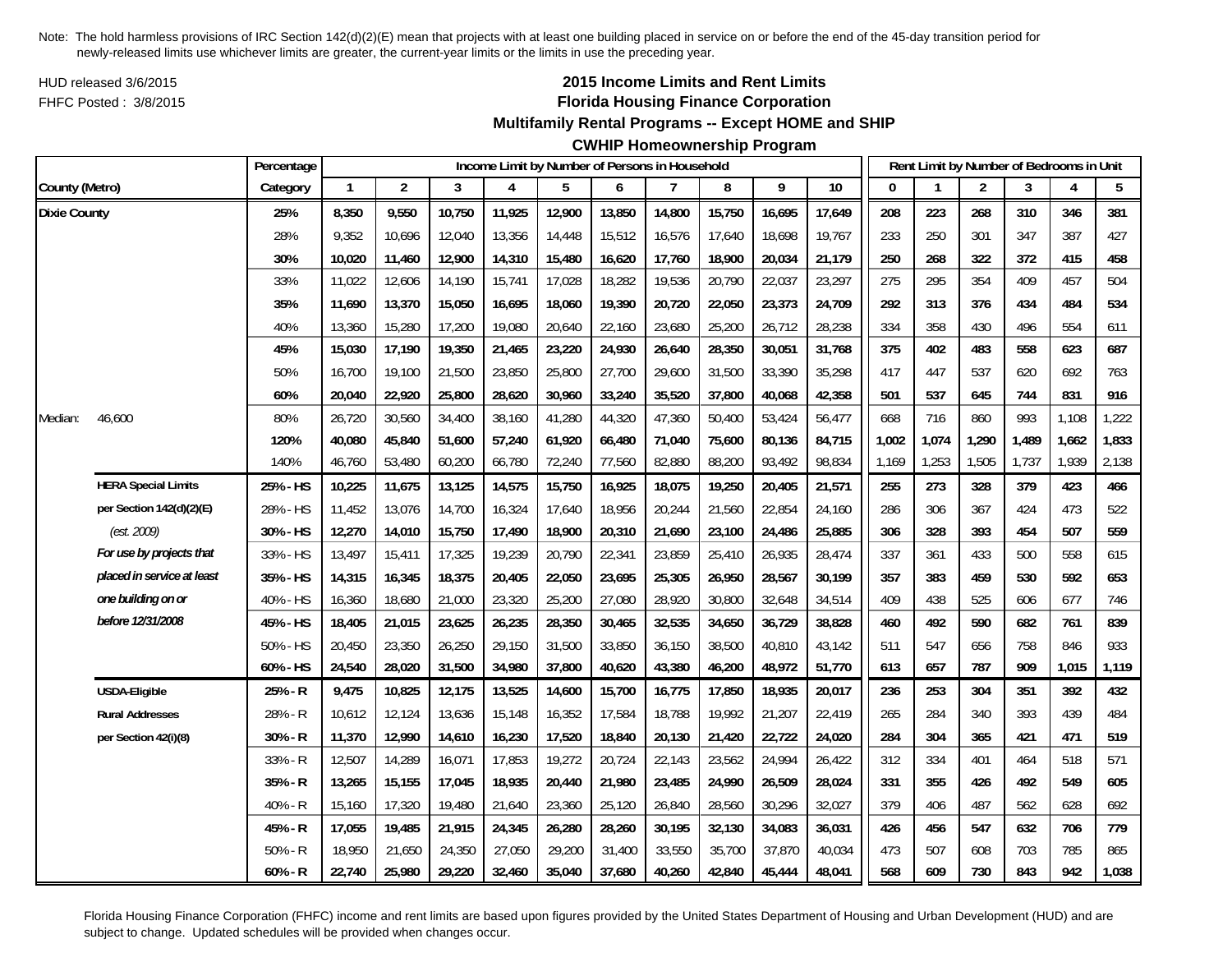HUD released 3/6/2015FHFC Posted : 3/8/2015

# **2015 Income Limits and Rent Limits Florida Housing Finance Corporation**

## **Multifamily Rental Programs -- Except HOME and SHIP**

# **CWHIP Homeownership Program**

|                     |                            | Percentage |              |                |        | Income Limit by Number of Persons in Household |        |        |        |        |        |        |          |       | Rent Limit by Number of Bedrooms in Unit |       |       |       |
|---------------------|----------------------------|------------|--------------|----------------|--------|------------------------------------------------|--------|--------|--------|--------|--------|--------|----------|-------|------------------------------------------|-------|-------|-------|
| County (Metro)      |                            | Category   | $\mathbf{1}$ | $\overline{2}$ | 3      | 4                                              | 5      | 6      | 7      | 8      | 9      | 10     | $\bf{0}$ |       | $\overline{2}$                           | 3     | 4     | 5     |
| <b>Dixie County</b> |                            | 25%        | 8,350        | 9,550          | 10,750 | 11,925                                         | 12,900 | 13,850 | 14,800 | 15,750 | 16,695 | 17,649 | 208      | 223   | 268                                      | 310   | 346   | 381   |
|                     |                            | 28%        | 9,352        | 10,696         | 12,040 | 13,356                                         | 14,448 | 15,512 | 16,576 | 17,640 | 18,698 | 19,767 | 233      | 250   | 301                                      | 347   | 387   | 427   |
|                     |                            | 30%        | 10,020       | 11,460         | 12,900 | 14,310                                         | 15,480 | 16,620 | 17,760 | 18,900 | 20,034 | 21,179 | 250      | 268   | 322                                      | 372   | 415   | 458   |
|                     |                            | 33%        | 11,022       | 12,606         | 14,190 | 15,741                                         | 17,028 | 18,282 | 19,536 | 20,790 | 22,037 | 23,297 | 275      | 295   | 354                                      | 409   | 457   | 504   |
|                     |                            | 35%        | 11,690       | 13,370         | 15,050 | 16,695                                         | 18,060 | 19,390 | 20,720 | 22,050 | 23,373 | 24,709 | 292      | 313   | 376                                      | 434   | 484   | 534   |
|                     |                            | 40%        | 13,360       | 15,280         | 17,200 | 19,080                                         | 20,640 | 22,160 | 23,680 | 25,200 | 26,712 | 28,238 | 334      | 358   | 430                                      | 496   | 554   | 611   |
|                     |                            | 45%        | 15,030       | 17,190         | 19,350 | 21,465                                         | 23,220 | 24,930 | 26,640 | 28,350 | 30,051 | 31,768 | 375      | 402   | 483                                      | 558   | 623   | 687   |
|                     |                            | 50%        | 16,700       | 19,100         | 21,500 | 23,850                                         | 25,800 | 27,700 | 29,600 | 31,500 | 33,390 | 35,298 | 417      | 447   | 537                                      | 620   | 692   | 763   |
|                     |                            | 60%        | 20,040       | 22,920         | 25,800 | 28,620                                         | 30,960 | 33,240 | 35,520 | 37,800 | 40,068 | 42,358 | 501      | 537   | 645                                      | 744   | 831   | 916   |
| Median:             | 46,600                     | 80%        | 26,720       | 30,560         | 34,400 | 38,160                                         | 41,280 | 44,320 | 47,360 | 50,400 | 53,424 | 56,477 | 668      | 716   | 860                                      | 993   | 1,108 | 1,222 |
|                     |                            | 120%       | 40,080       | 45,840         | 51,600 | 57,240                                         | 61,920 | 66,480 | 71,040 | 75,600 | 80,136 | 84,715 | 1,002    | 1,074 | 1,290                                    | 1,489 | 1,662 | 1,833 |
|                     |                            | 140%       | 46,760       | 53,480         | 60,200 | 66,780                                         | 72,240 | 77,560 | 82,880 | 88,200 | 93,492 | 98,834 | 1,169    | 1,253 | 1,505                                    | 1,737 | 1,939 | 2,138 |
|                     | <b>HERA Special Limits</b> | 25% - HS   | 10,225       | 11,675         | 13,125 | 14,575                                         | 15,750 | 16,925 | 18,075 | 19,250 | 20,405 | 21,571 | 255      | 273   | 328                                      | 379   | 423   | 466   |
|                     | per Section 142(d)(2)(E)   | 28% - HS   | 11,452       | 13,076         | 14,700 | 16,324                                         | 17,640 | 18,956 | 20,244 | 21,560 | 22,854 | 24,160 | 286      | 306   | 367                                      | 424   | 473   | 522   |
|                     | (est. 2009)                | 30% - HS   | 12,270       | 14,010         | 15,750 | 17,490                                         | 18,900 | 20,310 | 21,690 | 23,100 | 24,486 | 25,885 | 306      | 328   | 393                                      | 454   | 507   | 559   |
|                     | For use by projects that   | 33% - HS   | 13,497       | 15,411         | 17,325 | 19,239                                         | 20,790 | 22,341 | 23,859 | 25,410 | 26,935 | 28,474 | 337      | 361   | 433                                      | 500   | 558   | 615   |
|                     | placed in service at least | 35% - HS   | 14,315       | 16,345         | 18,375 | 20,405                                         | 22,050 | 23,695 | 25,305 | 26,950 | 28,567 | 30,199 | 357      | 383   | 459                                      | 530   | 592   | 653   |
|                     | one building on or         | 40% - HS   | 16,360       | 18,680         | 21,000 | 23,320                                         | 25,200 | 27,080 | 28,920 | 30,800 | 32,648 | 34,514 | 409      | 438   | 525                                      | 606   | 677   | 746   |
|                     | before 12/31/2008          | 45% - HS   | 18,405       | 21,015         | 23,625 | 26,235                                         | 28,350 | 30,465 | 32,535 | 34,650 | 36,729 | 38,828 | 460      | 492   | 590                                      | 682   | 761   | 839   |
|                     |                            | 50% - HS   | 20,450       | 23,350         | 26,250 | 29,150                                         | 31,500 | 33,850 | 36,150 | 38,500 | 40,810 | 43,142 | 511      | 547   | 656                                      | 758   | 846   | 933   |
|                     |                            | 60% - HS   | 24,540       | 28,020         | 31,500 | 34,980                                         | 37,800 | 40,620 | 43,380 | 46,200 | 48,972 | 51,770 | 613      | 657   | 787                                      | 909   | 1,015 | 1,119 |
|                     | <b>USDA-Eligible</b>       | 25% - R    | 9,475        | 10,825         | 12,175 | 13,525                                         | 14,600 | 15,700 | 16,775 | 17,850 | 18,935 | 20,017 | 236      | 253   | 304                                      | 351   | 392   | 432   |
|                     | <b>Rural Addresses</b>     | 28% - R    | 10,612       | 12,124         | 13,636 | 15,148                                         | 16,352 | 17,584 | 18,788 | 19,992 | 21,207 | 22,419 | 265      | 284   | 340                                      | 393   | 439   | 484   |
|                     | per Section 42(i)(8)       | 30% - R    | 11,370       | 12,990         | 14,610 | 16,230                                         | 17,520 | 18,840 | 20,130 | 21,420 | 22,722 | 24,020 | 284      | 304   | 365                                      | 421   | 471   | 519   |
|                     |                            | 33% - R    | 12,507       | 14,289         | 16,071 | 17,853                                         | 19,272 | 20,724 | 22,143 | 23,562 | 24,994 | 26,422 | 312      | 334   | 401                                      | 464   | 518   | 571   |
|                     |                            | 35% - R    | 13,265       | 15,155         | 17,045 | 18,935                                         | 20,440 | 21,980 | 23,485 | 24,990 | 26,509 | 28,024 | 331      | 355   | 426                                      | 492   | 549   | 605   |
|                     |                            | 40% - R    | 15,160       | 17,320         | 19,480 | 21,640                                         | 23,360 | 25,120 | 26,840 | 28,560 | 30,296 | 32,027 | 379      | 406   | 487                                      | 562   | 628   | 692   |
|                     |                            | 45% - R    | 17,055       | 19,485         | 21,915 | 24,345                                         | 26,280 | 28,260 | 30,195 | 32,130 | 34,083 | 36,031 | 426      | 456   | 547                                      | 632   | 706   | 779   |
|                     |                            | $50% - R$  | 18,950       | 21,650         | 24,350 | 27,050                                         | 29,200 | 31,400 | 33,550 | 35,700 | 37,870 | 40,034 | 473      | 507   | 608                                      | 703   | 785   | 865   |
|                     |                            | $60% - R$  | 22,740       | 25,980         | 29,220 | 32,460                                         | 35,040 | 37,680 | 40,260 | 42,840 | 45,444 | 48,041 | 568      | 609   | 730                                      | 843   | 942   | 1,038 |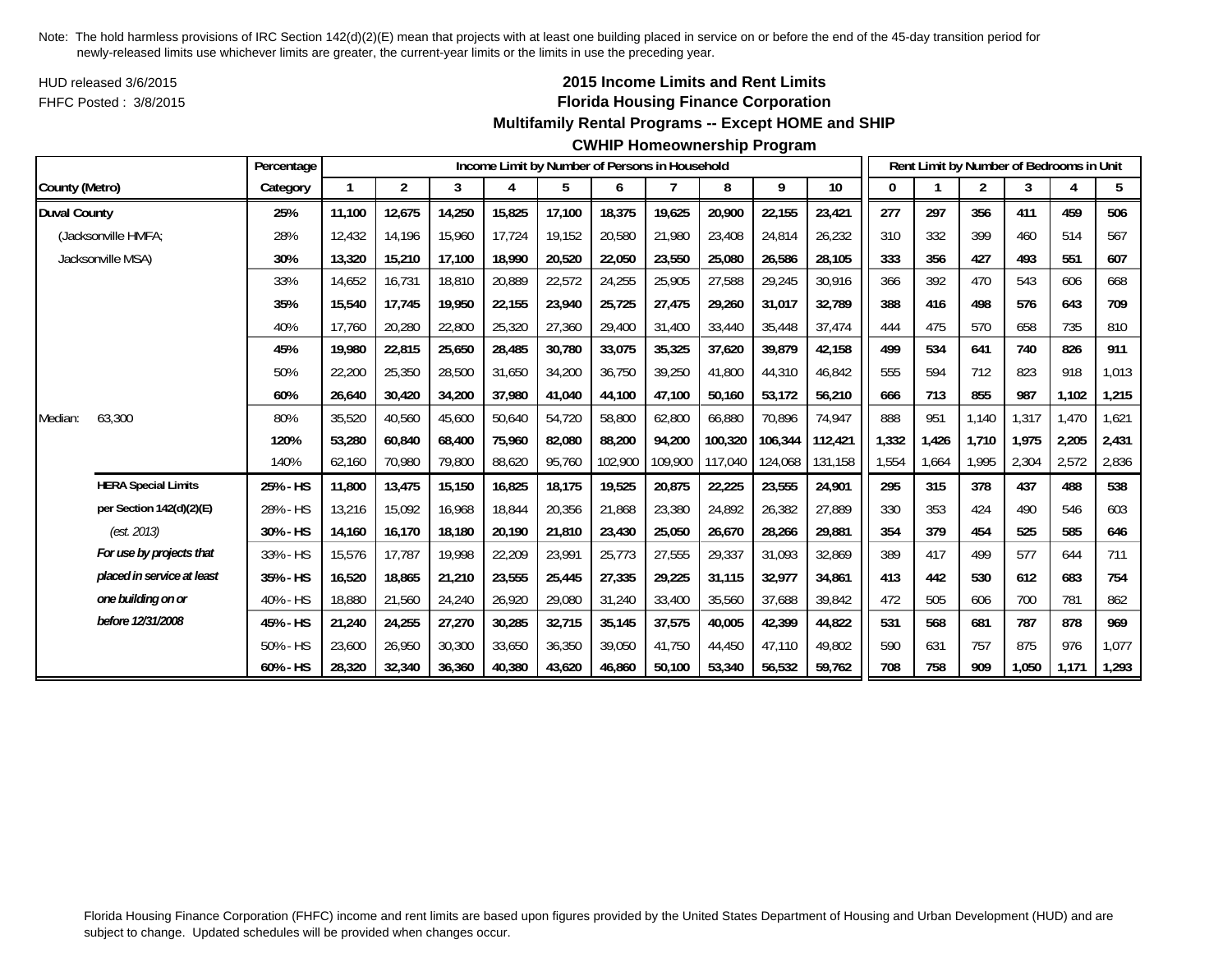HUD released 3/6/2015FHFC Posted : 3/8/2015

## **2015 Income Limits and Rent Limits Florida Housing Finance Corporation**

#### **Multifamily Rental Programs -- Except HOME and SHIP**

#### **CWHIP Homeownership Program**

|                     |                            | Percentage |        |                |        |        |        |         | Income Limit by Number of Persons in Household |         |         |         |       |       | Rent Limit by Number of Bedrooms in Unit |       |       |       |
|---------------------|----------------------------|------------|--------|----------------|--------|--------|--------|---------|------------------------------------------------|---------|---------|---------|-------|-------|------------------------------------------|-------|-------|-------|
| County (Metro)      |                            | Category   | 1      | $\overline{2}$ | 3      | 4      | 5      | 6       |                                                | 8       | 9       | 10      |       |       | $\overline{2}$                           | 3     | 4     | 5     |
| <b>Duval County</b> |                            | 25%        | 11,100 | 12,675         | 14,250 | 15,825 | 17,100 | 18,375  | 19,625                                         | 20,900  | 22,155  | 23,421  | 277   | 297   | 356                                      | 411   | 459   | 506   |
|                     | (Jacksonville HMFA;        | 28%        | 12.432 | 14,196         | 15,960 | 17,724 | 19,152 | 20,580  | 21,980                                         | 23,408  | 24,814  | 26,232  | 310   | 332   | 399                                      | 460   | 514   | 567   |
|                     | Jacksonville MSA)          | 30%        | 13,320 | 15,210         | 17,100 | 18,990 | 20,520 | 22,050  | 23,550                                         | 25,080  | 26,586  | 28,105  | 333   | 356   | 427                                      | 493   | 551   | 607   |
|                     |                            | 33%        | 14,652 | 16,731         | 18,810 | 20,889 | 22,572 | 24,255  | 25,905                                         | 27,588  | 29,245  | 30,916  | 366   | 392   | 470                                      | 543   | 606   | 668   |
|                     |                            | 35%        | 15,540 | 17,745         | 19,950 | 22,155 | 23,940 | 25,725  | 27,475                                         | 29,260  | 31,017  | 32,789  | 388   | 416   | 498                                      | 576   | 643   | 709   |
|                     |                            | 40%        | 17.760 | 20,280         | 22,800 | 25,320 | 27,360 | 29,400  | 31,400                                         | 33,440  | 35,448  | 37,474  | 444   | 475   | 570                                      | 658   | 735   | 810   |
|                     |                            | 45%        | 19,980 | 22,815         | 25,650 | 28,485 | 30,780 | 33,075  | 35,325                                         | 37,620  | 39,879  | 42,158  | 499   | 534   | 641                                      | 740   | 826   | 911   |
|                     |                            | 50%        | 22,200 | 25,350         | 28,500 | 31,650 | 34,200 | 36,750  | 39,250                                         | 41,800  | 44,310  | 46,842  | 555   | 594   | 712                                      | 823   | 918   | 1,013 |
|                     |                            | 60%        | 26,640 | 30,420         | 34,200 | 37,980 | 41,040 | 44,100  | 47,100                                         | 50,160  | 53,172  | 56,210  | 666   | 713   | 855                                      | 987   | 1,102 | 1,215 |
| Median:             | 63,300                     | 80%        | 35,520 | 40,560         | 45,600 | 50,640 | 54,720 | 58,800  | 62,800                                         | 66,880  | 70,896  | 74,947  | 888   | 951   | 1,140                                    | 1,317 | 1,470 | 1,621 |
|                     |                            | 120%       | 53,280 | 60,840         | 68,400 | 75,960 | 82,080 | 88,200  | 94,200                                         | 100,320 | 106,344 | 112,421 | 1,332 | 1,426 | 1,710                                    | 1.975 | 2,205 | 2,431 |
|                     |                            | 140%       | 62,160 | 70,980         | 79,800 | 88,620 | 95,760 | 102,900 | 109,900                                        | 117,040 | 124,068 | 131,158 | 1,554 | 1,664 | 1,995                                    | 2,304 | 2,572 | 2,836 |
|                     | <b>HERA Special Limits</b> | 25% - HS   | 11,800 | 13,475         | 15,150 | 16,825 | 18,175 | 19,525  | 20,875                                         | 22,225  | 23,555  | 24,901  | 295   | 315   | 378                                      | 437   | 488   | 538   |
|                     | per Section 142(d)(2)(E)   | 28% - HS   | 13,216 | 15,092         | 16,968 | 18,844 | 20,356 | 21,868  | 23,380                                         | 24,892  | 26,382  | 27,889  | 330   | 353   | 424                                      | 490   | 546   | 603   |
|                     | (est. 2013)                | 30% - HS   | 14,160 | 16.170         | 18.180 | 20,190 | 21,810 | 23,430  | 25,050                                         | 26,670  | 28,266  | 29,881  | 354   | 379   | 454                                      | 525   | 585   | 646   |
|                     | For use by projects that   | 33% - HS   | 15,576 | 17,787         | 19,998 | 22,209 | 23,991 | 25,773  | 27,555                                         | 29,337  | 31,093  | 32,869  | 389   | 417   | 499                                      | 577   | 644   | 711   |
|                     | placed in service at least | 35% - HS   | 16,520 | 18,865         | 21,210 | 23,555 | 25,445 | 27,335  | 29,225                                         | 31,115  | 32,977  | 34,861  | 413   | 442   | 530                                      | 612   | 683   | 754   |
|                     | one building on or         | 40% - HS   | 18,880 | 21,560         | 24,240 | 26,920 | 29,080 | 31,240  | 33,400                                         | 35,560  | 37,688  | 39,842  | 472   | 505   | 606                                      | 700   | 781   | 862   |
|                     | before 12/31/2008          | 45% - HS   | 21,240 | 24,255         | 27,270 | 30,285 | 32,715 | 35,145  | 37,575                                         | 40,005  | 42,399  | 44,822  | 531   | 568   | 681                                      | 787   | 878   | 969   |
|                     |                            | 50% - HS   | 23,600 | 26,950         | 30,300 | 33,650 | 36,350 | 39,050  | 41.750                                         | 44.450  | 47.110  | 49,802  | 590   | 631   | 757                                      | 875   | 976   | 1,077 |
|                     |                            | 60% - HS   | 28,320 | 32,340         | 36,360 | 40,380 | 43,620 | 46,860  | 50,100                                         | 53,340  | 56,532  | 59,762  | 708   | 758   | 909                                      | 1,050 | 1,171 | 1,293 |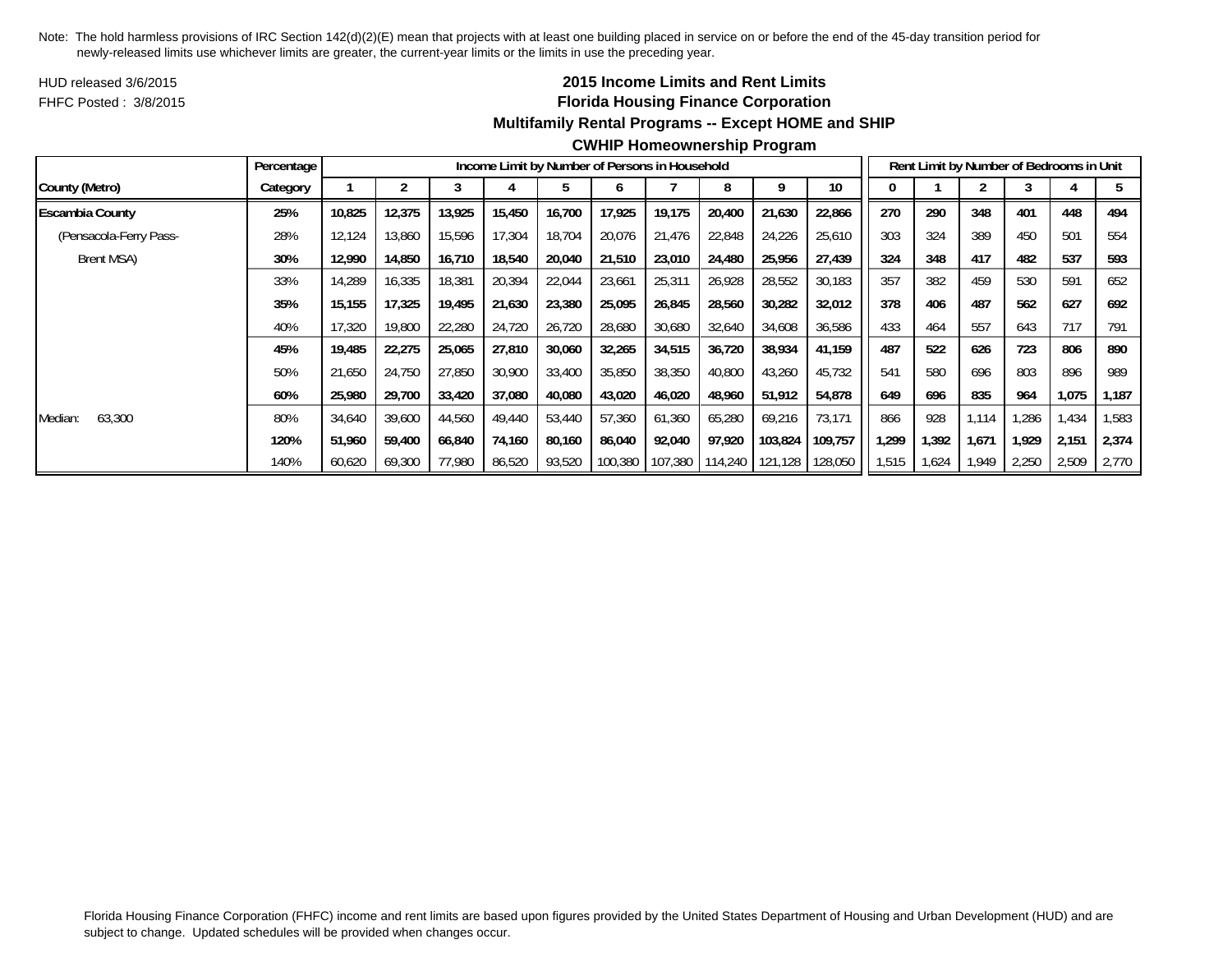HUD released 3/6/2015FHFC Posted : 3/8/2015

# **2015 Income Limits and Rent Limits Florida Housing Finance Corporation Multifamily Rental Programs -- Except HOME and SHIP**

|                        | Percentage |        |        |        | Income Limit by Number of Persons in Household |        |         |         |         |         |         |       |       | Rent Limit by Number of Bedrooms in Unit |       |       |       |
|------------------------|------------|--------|--------|--------|------------------------------------------------|--------|---------|---------|---------|---------|---------|-------|-------|------------------------------------------|-------|-------|-------|
| County (Metro)         | Category   |        |        |        |                                                |        | O       |         | 8       |         | 10      |       |       |                                          |       |       |       |
| <b>Escambia County</b> | 25%        | 10,825 | 12,375 | 13,925 | 15,450                                         | 16,700 | 17,925  | 19,175  | 20,400  | 21,630  | 22,866  | 270   | 290   | 348                                      | 401   | 448   | 494   |
| (Pensacola-Ferry Pass- | 28%        | 12,124 | 13,860 | 15,596 | 17,304                                         | 18,704 | 20,076  | 21,476  | 22,848  | 24,226  | 25,610  | 303   | 324   | 389                                      | 450   | 501   | 554   |
| Brent MSA)             | 30%        | 12,990 | 14,850 | 16,710 | 18,540                                         | 20,040 | 21,510  | 23,010  | 24,480  | 25,956  | 27,439  | 324   | 348   | 417                                      | 482   | 537   | 593   |
|                        | 33%        | 14,289 | 16,335 | 18,381 | 20,394                                         | 22,044 | 23,661  | 25,31'  | 26,928  | 28,552  | 30,183  | 357   | 382   | 459                                      | 530   | 591   | 652   |
|                        | 35%        | 15.155 | 17,325 | 19,495 | 21,630                                         | 23,380 | 25,095  | 26,845  | 28,560  | 30,282  | 32,012  | 378   | 406   | 487                                      | 562   | 627   | 692   |
|                        | 40%        | 17,320 | 19,800 | 22,280 | 24,720                                         | 26,720 | 28,680  | 30,680  | 32,640  | 34,608  | 36,586  | 433   | 464   | 557                                      | 643   | 717   | 791   |
|                        | 45%        | 19,485 | 22,275 | 25,065 | 27,810                                         | 30,060 | 32,265  | 34,515  | 36,720  | 38,934  | 41,159  | 487   | 522   | 626                                      | 723   | 806   | 890   |
|                        | 50%        | 21,650 | 24,750 | 27,850 | 30,900                                         | 33,400 | 35,850  | 38,350  | 40,800  | 43,260  | 45,732  | 541   | 580   | 696                                      | 803   | 896   | 989   |
|                        | 60%        | 25,980 | 29,700 | 33,420 | 37,080                                         | 40,080 | 43,020  | 46,020  | 48,960  | 51,912  | 54,878  | 649   | 696   | 835                                      | 964   | 1,075 | 1,187 |
| 63,300<br>Median:      | 80%        | 34,640 | 39,600 | 44,560 | 49,440                                         | 53,440 | 57,360  | 61,360  | 65,280  | 69,216  | 73,171  | 866   | 928   | 1,114                                    | .286  | 1,434 | 1,583 |
|                        | 120%       | 51,960 | 59,400 | 66,840 | 74,160                                         | 80,160 | 86,040  | 92,040  | 97,920  | 103,824 | 109,757 | 1,299 | 1,392 | 1,671                                    | 1,929 | 2,151 | 2,374 |
|                        | 140%       | 60,620 | 69,300 | 77,980 | 86,520                                         | 93,520 | 100,380 | 107,380 | 114,240 | 121,128 | 128,050 | 1,515 | 1,624 | 1.949                                    | 2,250 | 2,509 | 2,770 |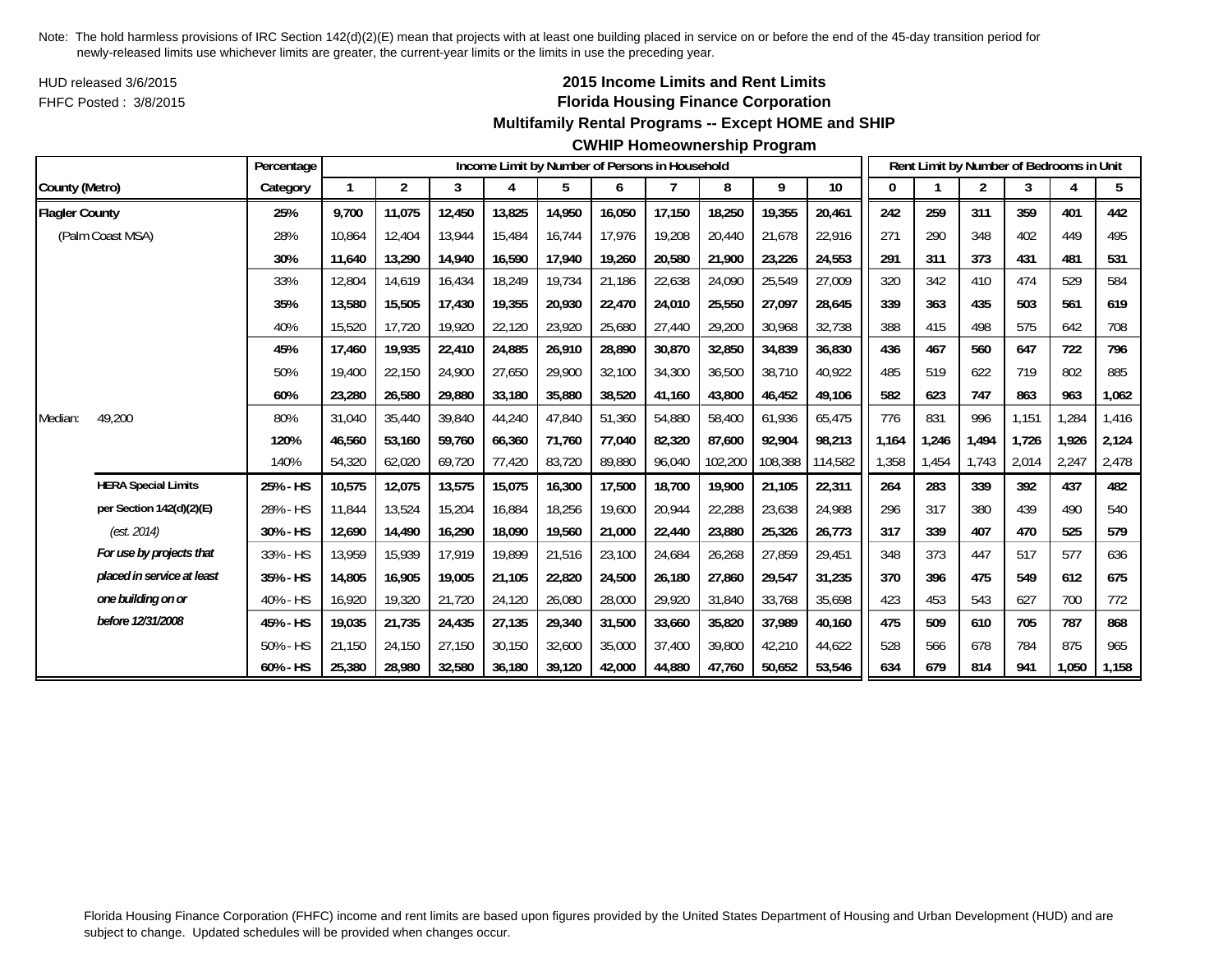HUD released 3/6/2015FHFC Posted : 3/8/2015

# **2015 Income Limits and Rent Limits Florida Housing Finance Corporation**

#### **Multifamily Rental Programs -- Except HOME and SHIP**

#### **CWHIP Homeownership Program**

|                       |                            | Percentage |        |                |        |        |        |        | Income Limit by Number of Persons in Household |         |         |         |       |       |                | Rent Limit by Number of Bedrooms in Unit |       |       |
|-----------------------|----------------------------|------------|--------|----------------|--------|--------|--------|--------|------------------------------------------------|---------|---------|---------|-------|-------|----------------|------------------------------------------|-------|-------|
| County (Metro)        |                            | Category   |        | $\overline{2}$ | 3      | 4      | 5      | 6      |                                                | 8       | 9       | 10      | 0     |       | $\overline{c}$ | 3                                        |       | 5     |
| <b>Flagler County</b> |                            | 25%        | 9,700  | 11,075         | 12,450 | 13,825 | 14,950 | 16,050 | 17,150                                         | 18,250  | 19,355  | 20,461  | 242   | 259   | 311            | 359                                      | 401   | 442   |
|                       | (Palm Coast MSA)           | 28%        | 10,864 | 12,404         | 13,944 | 15,484 | 16,744 | 17,976 | 19,208                                         | 20,440  | 21,678  | 22,916  | 271   | 290   | 348            | 402                                      | 449   | 495   |
|                       |                            | 30%        | 11,640 | 13,290         | 14,940 | 16,590 | 17,940 | 19,260 | 20,580                                         | 21,900  | 23,226  | 24,553  | 291   | 311   | 373            | 431                                      | 481   | 531   |
|                       |                            | 33%        | 12,804 | 14,619         | 16,434 | 18,249 | 19,734 | 21,186 | 22,638                                         | 24,090  | 25,549  | 27,009  | 320   | 342   | 410            | 474                                      | 529   | 584   |
|                       |                            | 35%        | 13,580 | 15,505         | 17,430 | 19,355 | 20,930 | 22,470 | 24,010                                         | 25,550  | 27.097  | 28,645  | 339   | 363   | 435            | 503                                      | 561   | 619   |
|                       |                            | 40%        | 15,520 | 17,720         | 19,920 | 22,120 | 23,920 | 25,680 | 27,440                                         | 29,200  | 30,968  | 32,738  | 388   | 415   | 498            | 575                                      | 642   | 708   |
|                       |                            | 45%        | 17.460 | 19.935         | 22,410 | 24,885 | 26,910 | 28,890 | 30,870                                         | 32,850  | 34,839  | 36,830  | 436   | 467   | 560            | 647                                      | 722   | 796   |
|                       |                            | 50%        | 19,400 | 22,150         | 24,900 | 27,650 | 29,900 | 32,100 | 34,300                                         | 36,500  | 38,710  | 40,922  | 485   | 519   | 622            | 719                                      | 802   | 885   |
|                       |                            | 60%        | 23,280 | 26,580         | 29,880 | 33,180 | 35,880 | 38,520 | 41,160                                         | 43,800  | 46,452  | 49,106  | 582   | 623   | 747            | 863                                      | 963   | 1,062 |
| Median:               | 49,200                     | 80%        | 31,040 | 35,440         | 39,840 | 44,240 | 47,840 | 51,360 | 54,880                                         | 58,400  | 61,936  | 65,475  | 776   | 831   | 996            | 1,151                                    | 1,284 | 1,416 |
|                       |                            | 120%       | 46.560 | 53,160         | 59.760 | 66,360 | 71,760 | 77.040 | 82,320                                         | 87,600  | 92.904  | 98.213  | 1.164 | 1,246 | 1.494          | 1.726                                    | 1.926 | 2,124 |
|                       |                            | 140%       | 54,320 | 62,020         | 69,720 | 77,420 | 83,720 | 89,880 | 96,040                                         | 102,200 | 108,388 | 114,582 | 1,358 | 1,454 | 1,743          | 2,014                                    | 2,247 | 2,478 |
|                       | <b>HERA Special Limits</b> | 25% - HS   | 10,575 | 12,075         | 13,575 | 15,075 | 16,300 | 17,500 | 18,700                                         | 19,900  | 21,105  | 22,311  | 264   | 283   | 339            | 392                                      | 437   | 482   |
|                       | per Section 142(d)(2)(E)   | 28% - HS   | 11,844 | 13,524         | 15,204 | 16,884 | 18,256 | 19,600 | 20,944                                         | 22,288  | 23,638  | 24,988  | 296   | 317   | 380            | 439                                      | 490   | 540   |
|                       | (est. 2014)                | 30% - HS   | 12,690 | 14,490         | 16,290 | 18,090 | 19,560 | 21,000 | 22,440                                         | 23,880  | 25,326  | 26,773  | 317   | 339   | 407            | 470                                      | 525   | 579   |
|                       | For use by projects that   | 33% - HS   | 13.959 | 15.939         | 17,919 | 19,899 | 21,516 | 23,100 | 24,684                                         | 26,268  | 27,859  | 29,451  | 348   | 373   | 447            | 517                                      | 577   | 636   |
|                       | placed in service at least | 35% - HS   | 14,805 | 16,905         | 19,005 | 21,105 | 22,820 | 24,500 | 26,180                                         | 27,860  | 29,547  | 31,235  | 370   | 396   | 475            | 549                                      | 612   | 675   |
|                       | one building on or         | 40% - HS   | 16,920 | 19,320         | 21,720 | 24,120 | 26,080 | 28,000 | 29,920                                         | 31,840  | 33,768  | 35,698  | 423   | 453   | 543            | 627                                      | 700   | 772   |
|                       | before 12/31/2008          | 45% - HS   | 19,035 | 21,735         | 24,435 | 27,135 | 29,340 | 31,500 | 33,660                                         | 35,820  | 37,989  | 40,160  | 475   | 509   | 610            | 705                                      | 787   | 868   |
|                       |                            | 50% - HS   | 21,150 | 24,150         | 27.150 | 30,150 | 32,600 | 35,000 | 37.400                                         | 39,800  | 42,210  | 44,622  | 528   | 566   | 678            | 784                                      | 875   | 965   |
|                       |                            | 60% - HS   | 25,380 | 28,980         | 32,580 | 36,180 | 39,120 | 42,000 | 44.880                                         | 47,760  | 50.652  | 53,546  | 634   | 679   | 814            | 941                                      | 1,050 | 1,158 |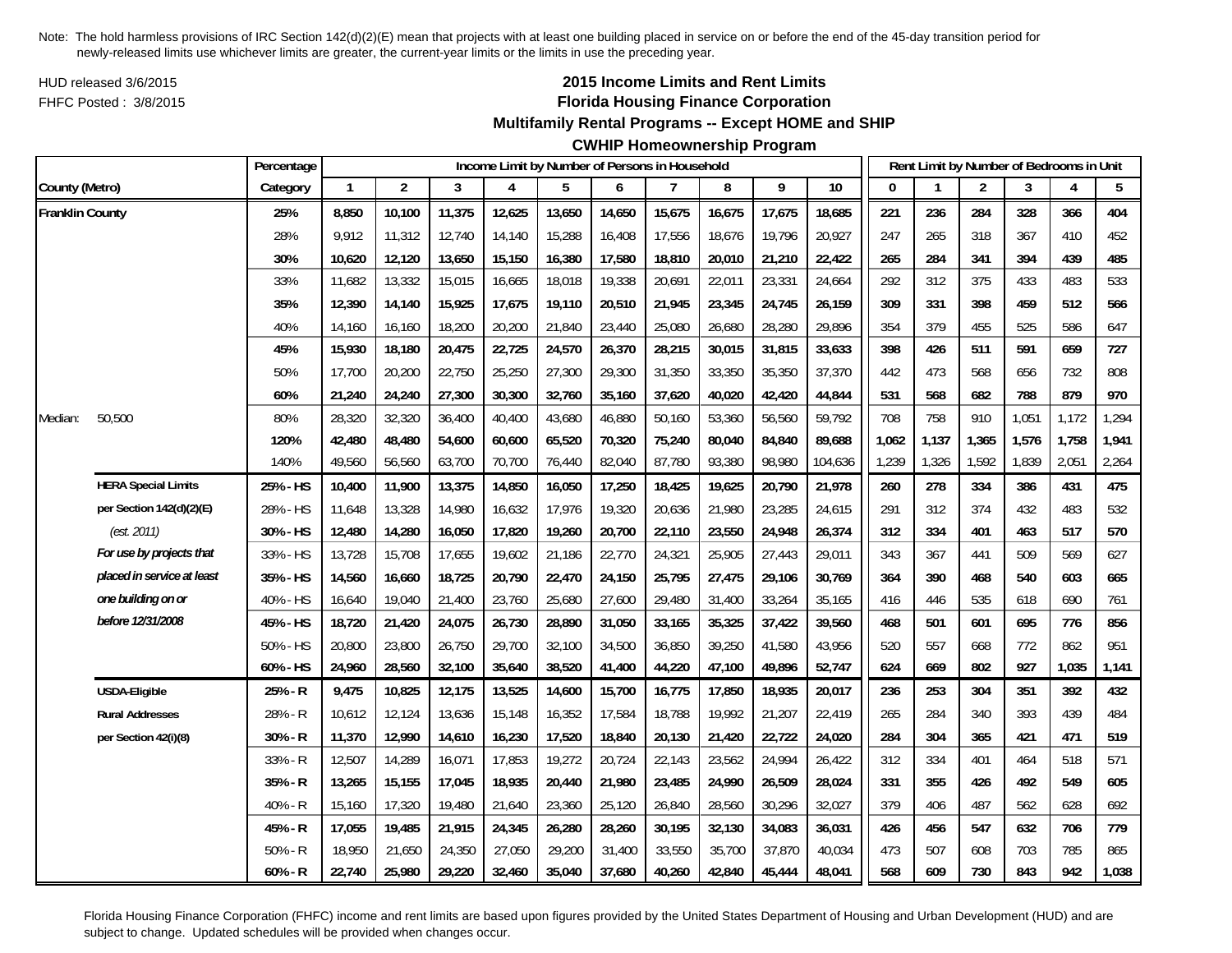HUD released 3/6/2015FHFC Posted : 3/8/2015

# **2015 Income Limits and Rent Limits Florida Housing Finance Corporation**

## **Multifamily Rental Programs -- Except HOME and SHIP**

# **CWHIP Homeownership Program**

|                 |                            | Percentage |              |                |        | Income Limit by Number of Persons in Household |        |        |        |        |        |         |       |       | Rent Limit by Number of Bedrooms in Unit |       |       |       |
|-----------------|----------------------------|------------|--------------|----------------|--------|------------------------------------------------|--------|--------|--------|--------|--------|---------|-------|-------|------------------------------------------|-------|-------|-------|
| County (Metro)  |                            | Category   | $\mathbf{1}$ | $\overline{2}$ | 3      | 4                                              | 5      | 6      | 7      | 8      | 9      | 10      | 0     |       | 2                                        | 3     | 4     | 5     |
| Franklin County |                            | 25%        | 8,850        | 10,100         | 11,375 | 12,625                                         | 13,650 | 14,650 | 15,675 | 16,675 | 17,675 | 18,685  | 221   | 236   | 284                                      | 328   | 366   | 404   |
|                 |                            | 28%        | 9,912        | 11,312         | 12,740 | 14,140                                         | 15,288 | 16,408 | 17,556 | 18,676 | 19,796 | 20,927  | 247   | 265   | 318                                      | 367   | 410   | 452   |
|                 |                            | 30%        | 10,620       | 12,120         | 13,650 | 15,150                                         | 16,380 | 17,580 | 18,810 | 20,010 | 21,210 | 22,422  | 265   | 284   | 341                                      | 394   | 439   | 485   |
|                 |                            | 33%        | 11,682       | 13,332         | 15,015 | 16,665                                         | 18,018 | 19,338 | 20,691 | 22,011 | 23,331 | 24,664  | 292   | 312   | 375                                      | 433   | 483   | 533   |
|                 |                            | 35%        | 12,390       | 14,140         | 15,925 | 17,675                                         | 19,110 | 20,510 | 21,945 | 23,345 | 24,745 | 26,159  | 309   | 331   | 398                                      | 459   | 512   | 566   |
|                 |                            | 40%        | 14,160       | 16,160         | 18,200 | 20,200                                         | 21,840 | 23,440 | 25,080 | 26,680 | 28,280 | 29,896  | 354   | 379   | 455                                      | 525   | 586   | 647   |
|                 |                            | 45%        | 15,930       | 18,180         | 20,475 | 22,725                                         | 24,570 | 26,370 | 28,215 | 30,015 | 31,815 | 33,633  | 398   | 426   | 511                                      | 591   | 659   | 727   |
|                 |                            | 50%        | 17,700       | 20,200         | 22,750 | 25,250                                         | 27,300 | 29,300 | 31,350 | 33,350 | 35,350 | 37,370  | 442   | 473   | 568                                      | 656   | 732   | 808   |
|                 |                            | 60%        | 21,240       | 24,240         | 27,300 | 30,300                                         | 32,760 | 35,160 | 37,620 | 40,020 | 42,420 | 44,844  | 531   | 568   | 682                                      | 788   | 879   | 970   |
| Median:         | 50,500                     | 80%        | 28,320       | 32,320         | 36,400 | 40,400                                         | 43,680 | 46,880 | 50,160 | 53,360 | 56,560 | 59,792  | 708   | 758   | 910                                      | 1,051 | 1,172 | 1,294 |
|                 |                            | 120%       | 42,480       | 48,480         | 54,600 | 60,600                                         | 65,520 | 70,320 | 75,240 | 80,040 | 84,840 | 89,688  | 1,062 | 1,137 | 1,365                                    | 1,576 | 1,758 | 1,941 |
|                 |                            | 140%       | 49,560       | 56,560         | 63,700 | 70,700                                         | 76,440 | 82,040 | 87,780 | 93,380 | 98,980 | 104,636 | 1,239 | 1,326 | 1,592                                    | 1,839 | 2,051 | 2,264 |
|                 | <b>HERA Special Limits</b> | 25% - HS   | 10,400       | 11,900         | 13,375 | 14,850                                         | 16,050 | 17,250 | 18,425 | 19,625 | 20,790 | 21,978  | 260   | 278   | 334                                      | 386   | 431   | 475   |
|                 | per Section 142(d)(2)(E)   | 28% - HS   | 11,648       | 13,328         | 14,980 | 16,632                                         | 17,976 | 19,320 | 20,636 | 21,980 | 23,285 | 24,615  | 291   | 312   | 374                                      | 432   | 483   | 532   |
|                 | (est. 2011)                | 30% - HS   | 12,480       | 14,280         | 16,050 | 17,820                                         | 19,260 | 20,700 | 22,110 | 23,550 | 24,948 | 26,374  | 312   | 334   | 401                                      | 463   | 517   | 570   |
|                 | For use by projects that   | 33% - HS   | 13,728       | 15,708         | 17,655 | 19,602                                         | 21,186 | 22,770 | 24,321 | 25,905 | 27,443 | 29,011  | 343   | 367   | 441                                      | 509   | 569   | 627   |
|                 | placed in service at least | 35% - HS   | 14,560       | 16,660         | 18,725 | 20,790                                         | 22,470 | 24,150 | 25,795 | 27,475 | 29,106 | 30.769  | 364   | 390   | 468                                      | 540   | 603   | 665   |
|                 | one building on or         | 40% - HS   | 16,640       | 19,040         | 21,400 | 23,760                                         | 25,680 | 27,600 | 29,480 | 31,400 | 33,264 | 35,165  | 416   | 446   | 535                                      | 618   | 690   | 761   |
|                 | before 12/31/2008          | 45% - HS   | 18,720       | 21,420         | 24,075 | 26,730                                         | 28,890 | 31,050 | 33,165 | 35,325 | 37,422 | 39,560  | 468   | 501   | 601                                      | 695   | 776   | 856   |
|                 |                            | 50% - HS   | 20,800       | 23,800         | 26,750 | 29,700                                         | 32,100 | 34,500 | 36,850 | 39,250 | 41,580 | 43,956  | 520   | 557   | 668                                      | 772   | 862   | 951   |
|                 |                            | 60% - HS   | 24,960       | 28,560         | 32,100 | 35,640                                         | 38,520 | 41,400 | 44,220 | 47,100 | 49,896 | 52,747  | 624   | 669   | 802                                      | 927   | 1,035 | 1,141 |
|                 | <b>USDA-Eligible</b>       | 25% - R    | 9,475        | 10,825         | 12,175 | 13,525                                         | 14,600 | 15,700 | 16,775 | 17,850 | 18,935 | 20,017  | 236   | 253   | 304                                      | 351   | 392   | 432   |
|                 | <b>Rural Addresses</b>     | 28% - R    | 10,612       | 12,124         | 13,636 | 15,148                                         | 16,352 | 17,584 | 18,788 | 19,992 | 21,207 | 22,419  | 265   | 284   | 340                                      | 393   | 439   | 484   |
|                 | per Section 42(i)(8)       | $30% - R$  | 11,370       | 12,990         | 14,610 | 16,230                                         | 17,520 | 18,840 | 20,130 | 21,420 | 22,722 | 24,020  | 284   | 304   | 365                                      | 421   | 471   | 519   |
|                 |                            | 33% - R    | 12,507       | 14,289         | 16,071 | 17,853                                         | 19,272 | 20,724 | 22,143 | 23,562 | 24,994 | 26,422  | 312   | 334   | 401                                      | 464   | 518   | 571   |
|                 |                            | $35% - R$  | 13,265       | 15,155         | 17,045 | 18,935                                         | 20,440 | 21,980 | 23,485 | 24,990 | 26,509 | 28,024  | 331   | 355   | 426                                      | 492   | 549   | 605   |
|                 |                            | 40% - R    | 15,160       | 17,320         | 19,480 | 21,640                                         | 23,360 | 25,120 | 26,840 | 28,560 | 30,296 | 32,027  | 379   | 406   | 487                                      | 562   | 628   | 692   |
|                 |                            | 45% - R    | 17,055       | 19,485         | 21,915 | 24,345                                         | 26,280 | 28,260 | 30,195 | 32,130 | 34,083 | 36,031  | 426   | 456   | 547                                      | 632   | 706   | 779   |
|                 |                            | $50% - R$  | 18,950       | 21,650         | 24,350 | 27,050                                         | 29,200 | 31,400 | 33,550 | 35,700 | 37,870 | 40,034  | 473   | 507   | 608                                      | 703   | 785   | 865   |
|                 |                            | $60% - R$  | 22,740       | 25,980         | 29,220 | 32,460                                         | 35,040 | 37,680 | 40,260 | 42,840 | 45,444 | 48,041  | 568   | 609   | 730                                      | 843   | 942   | 1,038 |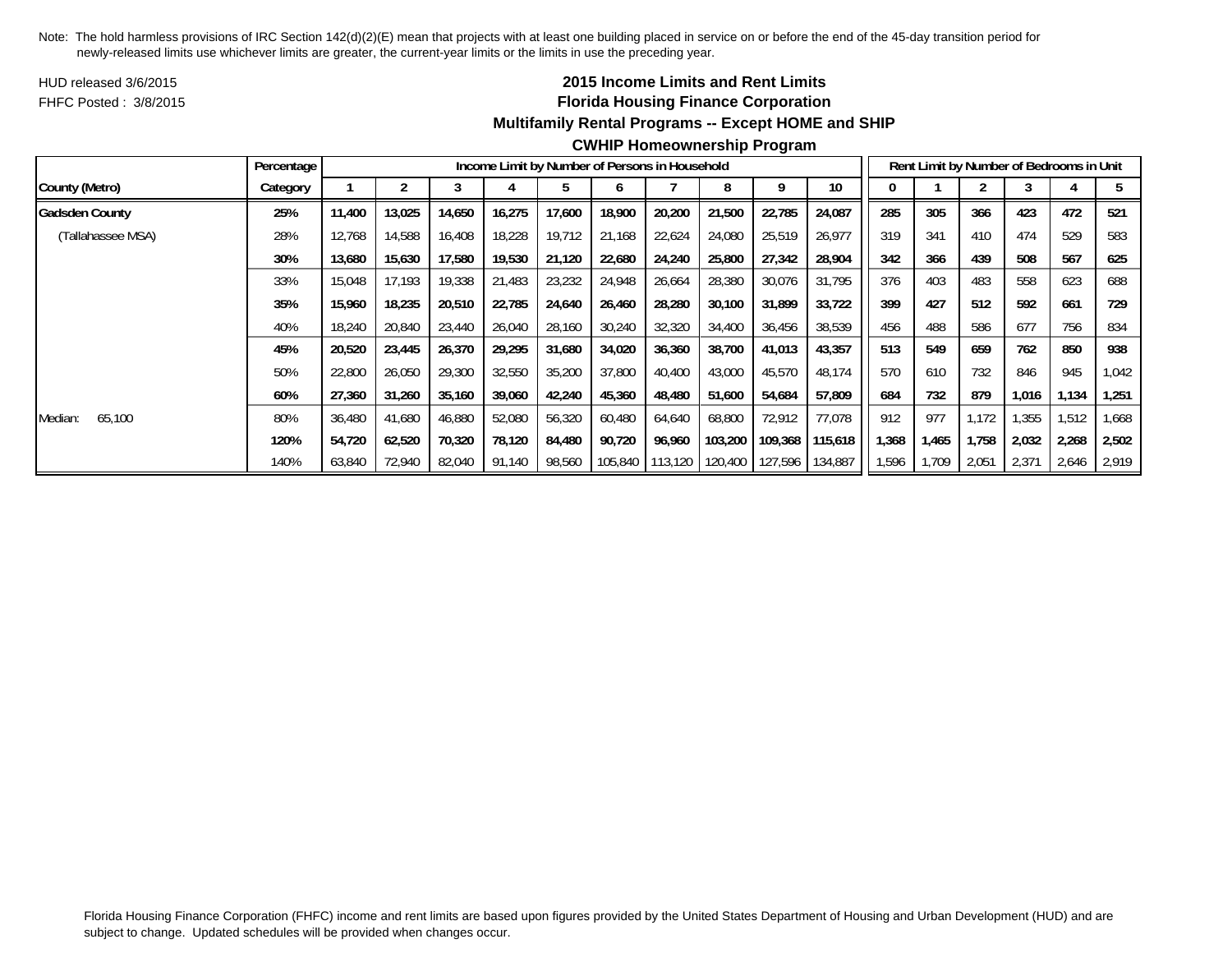HUD released 3/6/2015FHFC Posted : 3/8/2015

# **2015 Income Limits and Rent Limits Florida Housing Finance Corporation Multifamily Rental Programs -- Except HOME and SHIP**

|                       | Percentage |        |        |        |        | Income Limit by Number of Persons in Household |         |         |         |         |         |       |       | Rent Limit by Number of Bedrooms in Unit |       |       |       |
|-----------------------|------------|--------|--------|--------|--------|------------------------------------------------|---------|---------|---------|---------|---------|-------|-------|------------------------------------------|-------|-------|-------|
| County (Metro)        | Category   |        |        |        |        |                                                |         |         | 8       |         | 10      |       |       |                                          |       |       |       |
| <b>Gadsden County</b> | 25%        | 11,400 | 13,025 | 14,650 | 16,275 | 17,600                                         | 18,900  | 20,200  | 21,500  | 22,785  | 24,087  | 285   | 305   | 366                                      | 423   | 472   | 521   |
| (Tallahassee MSA)     | 28%        | 12,768 | 14,588 | 16,408 | 18,228 | 19.712                                         | 21,168  | 22,624  | 24,080  | 25,519  | 26,977  | 319   | 341   | 410                                      | 474   | 529   | 583   |
|                       | 30%        | 13,680 | 15,630 | 17,580 | 19,530 | 21,120                                         | 22,680  | 24,240  | 25,800  | 27,342  | 28,904  | 342   | 366   | 439                                      | 508   | 567   | 625   |
|                       | 33%        | 15,048 | 17,193 | 19,338 | 21,483 | 23,232                                         | 24,948  | 26,664  | 28,380  | 30,076  | 31,795  | 376   | 403   | 483                                      | 558   | 623   | 688   |
|                       | 35%        | 15,960 | 18,235 | 20,510 | 22,785 | 24,640                                         | 26,460  | 28,280  | 30,100  | 31,899  | 33,722  | 399   | 427   | 512                                      | 592   | 661   | 729   |
|                       | 40%        | 18,240 | 20,840 | 23,440 | 26,040 | 28,160                                         | 30,240  | 32,320  | 34,400  | 36,456  | 38,539  | 456   | 488   | 586                                      | 677   | 756   | 834   |
|                       | 45%        | 20,520 | 23,445 | 26,370 | 29,295 | 31,680                                         | 34,020  | 36,360  | 38,700  | 41,013  | 43,357  | 513   | 549   | 659                                      | 762   | 850   | 938   |
|                       | 50%        | 22,800 | 26,050 | 29,300 | 32,550 | 35,200                                         | 37,800  | 40,400  | 43,000  | 45,570  | 48,174  | 570   | 610   | 732                                      | 846   | 945   | 1,042 |
|                       | 60%        | 27,360 | 31,260 | 35,160 | 39,060 | 42,240                                         | 45,360  | 48,480  | 51,600  | 54,684  | 57,809  | 684   | 732   | 879                                      | 1,016 | ,134  | 251   |
| 65,100<br>Median:     | 80%        | 36,480 | 41,680 | 46,880 | 52,080 | 56,320                                         | 60,480  | 64,640  | 68,800  | 72,912  | 77,078  | 912   | 977   | 1.172                                    | .355  | 1,512 | .668  |
|                       | 120%       | 54,720 | 62,520 | 70,320 | 78,120 | 84,480                                         | 90,720  | 96,960  | 103,200 | 109,368 | 115,618 | 1,368 | 1,465 | 1,758                                    | 2,032 | 2,268 | 2,502 |
|                       | 140%       | 63,840 | 72,940 | 82,040 | 91,140 | 98,560                                         | 105,840 | 113,120 | 120,400 | 127,596 | 134,887 | 1,596 | 1,709 | 2,051                                    | 2,371 | 2,646 | 2,919 |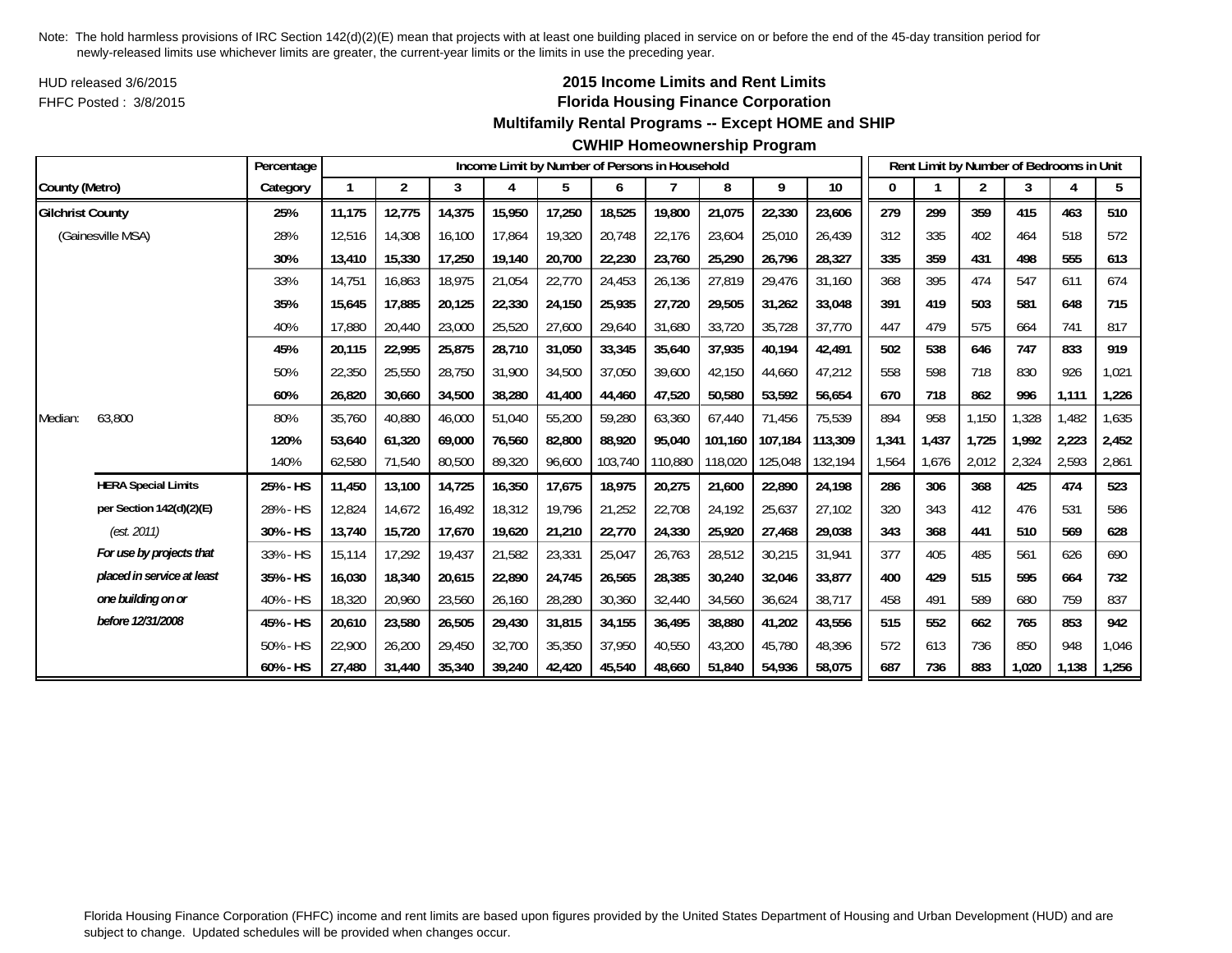HUD released 3/6/2015FHFC Posted : 3/8/2015

# **2015 Income Limits and Rent Limits Florida Housing Finance Corporation**

## **Multifamily Rental Programs -- Except HOME and SHIP**

#### **CWHIP Homeownership Program**

|                         |                            | Percentage |        |                |        |        |        |         | Income Limit by Number of Persons in Household |         |         |         |       |       | Rent Limit by Number of Bedrooms in Unit |       |       |       |
|-------------------------|----------------------------|------------|--------|----------------|--------|--------|--------|---------|------------------------------------------------|---------|---------|---------|-------|-------|------------------------------------------|-------|-------|-------|
| County (Metro)          |                            | Category   |        | $\overline{2}$ | 3      | 4      | 5      | 6       |                                                | 8       | 9       | 10      | 0     |       | $\overline{c}$                           | 3     |       | 5     |
| <b>Gilchrist County</b> |                            | 25%        | 11,175 | 12,775         | 14,375 | 15,950 | 17,250 | 18,525  | 19,800                                         | 21,075  | 22,330  | 23,606  | 279   | 299   | 359                                      | 415   | 463   | 510   |
|                         | (Gainesville MSA)          | 28%        | 12,516 | 14,308         | 16,100 | 17,864 | 19,320 | 20,748  | 22,176                                         | 23,604  | 25,010  | 26,439  | 312   | 335   | 402                                      | 464   | 518   | 572   |
|                         |                            | 30%        | 13,410 | 15,330         | 17,250 | 19,140 | 20,700 | 22,230  | 23,760                                         | 25,290  | 26,796  | 28,327  | 335   | 359   | 431                                      | 498   | 555   | 613   |
|                         |                            | 33%        | 14,751 | 16,863         | 18,975 | 21,054 | 22,770 | 24,453  | 26,136                                         | 27,819  | 29,476  | 31,160  | 368   | 395   | 474                                      | 547   | 611   | 674   |
|                         |                            | 35%        | 15,645 | 17,885         | 20,125 | 22,330 | 24,150 | 25,935  | 27.720                                         | 29,505  | 31.262  | 33,048  | 391   | 419   | 503                                      | 581   | 648   | 715   |
|                         |                            | 40%        | 17,880 | 20,440         | 23,000 | 25,520 | 27,600 | 29,640  | 31,680                                         | 33,720  | 35,728  | 37,770  | 447   | 479   | 575                                      | 664   | 741   | 817   |
|                         |                            | 45%        | 20,115 | 22,995         | 25,875 | 28,710 | 31,050 | 33,345  | 35,640                                         | 37,935  | 40,194  | 42,491  | 502   | 538   | 646                                      | 747   | 833   | 919   |
|                         |                            | 50%        | 22,350 | 25,550         | 28,750 | 31,900 | 34,500 | 37,050  | 39,600                                         | 42,150  | 44,660  | 47,212  | 558   | 598   | 718                                      | 830   | 926   | 1,021 |
|                         |                            | 60%        | 26,820 | 30,660         | 34,500 | 38,280 | 41,400 | 44,460  | 47,520                                         | 50,580  | 53,592  | 56,654  | 670   | 718   | 862                                      | 996   | 1,111 | 1,226 |
| Median:                 | 63,800                     | 80%        | 35,760 | 40,880         | 46,000 | 51,040 | 55,200 | 59,280  | 63,360                                         | 67,440  | 71,456  | 75,539  | 894   | 958   | 1,150                                    | ,328  | 1,482 | 1,635 |
|                         |                            | 120%       | 53.640 | 61.320         | 69,000 | 76,560 | 82,800 | 88.920  | 95.040                                         | 101.160 | 107.184 | 113,309 | 1,341 | 1,437 | 1.725                                    | 1.992 | 2,223 | 2,452 |
|                         |                            | 140%       | 62,580 | 71,540         | 80,500 | 89,320 | 96,600 | 103,740 | 110,880                                        | 118,020 | 125,048 | 132,194 | 1,564 | 1,676 | 2,012                                    | 2,324 | 2,593 | 2,861 |
|                         | <b>HERA Special Limits</b> | 25% - HS   | 11,450 | 13,100         | 14,725 | 16,350 | 17,675 | 18,975  | 20,275                                         | 21,600  | 22,890  | 24,198  | 286   | 306   | 368                                      | 425   | 474   | 523   |
|                         | per Section 142(d)(2)(E)   | 28% - HS   | 12,824 | 14,672         | 16,492 | 18,312 | 19,796 | 21,252  | 22,708                                         | 24,192  | 25,637  | 27,102  | 320   | 343   | 412                                      | 476   | 531   | 586   |
|                         | (est. 2011)                | 30% - HS   | 13,740 | 15,720         | 17,670 | 19,620 | 21,210 | 22,770  | 24,330                                         | 25,920  | 27,468  | 29,038  | 343   | 368   | 441                                      | 510   | 569   | 628   |
|                         | For use by projects that   | 33% - HS   | 15.114 | 17,292         | 19,437 | 21,582 | 23,331 | 25,047  | 26,763                                         | 28,512  | 30,215  | 31,941  | 377   | 405   | 485                                      | 561   | 626   | 690   |
|                         | placed in service at least | 35% - HS   | 16,030 | 18,340         | 20,615 | 22,890 | 24,745 | 26,565  | 28,385                                         | 30,240  | 32,046  | 33,877  | 400   | 429   | 515                                      | 595   | 664   | 732   |
|                         | one building on or         | 40% - HS   | 18,320 | 20,960         | 23,560 | 26,160 | 28,280 | 30,360  | 32,440                                         | 34,560  | 36,624  | 38,717  | 458   | 491   | 589                                      | 680   | 759   | 837   |
|                         | before 12/31/2008          | 45% - HS   | 20,610 | 23,580         | 26,505 | 29,430 | 31,815 | 34,155  | 36,495                                         | 38,880  | 41,202  | 43,556  | 515   | 552   | 662                                      | 765   | 853   | 942   |
|                         |                            | 50% - HS   | 22,900 | 26,200         | 29,450 | 32,700 | 35,350 | 37.950  | 40,550                                         | 43,200  | 45,780  | 48,396  | 572   | 613   | 736                                      | 850   | 948   | 1,046 |
|                         |                            | 60% - HS   | 27.480 | 31,440         | 35,340 | 39,240 | 42,420 | 45,540  | 48.660                                         | 51.840  | 54,936  | 58,075  | 687   | 736   | 883                                      | 1,020 | 1,138 | 1,256 |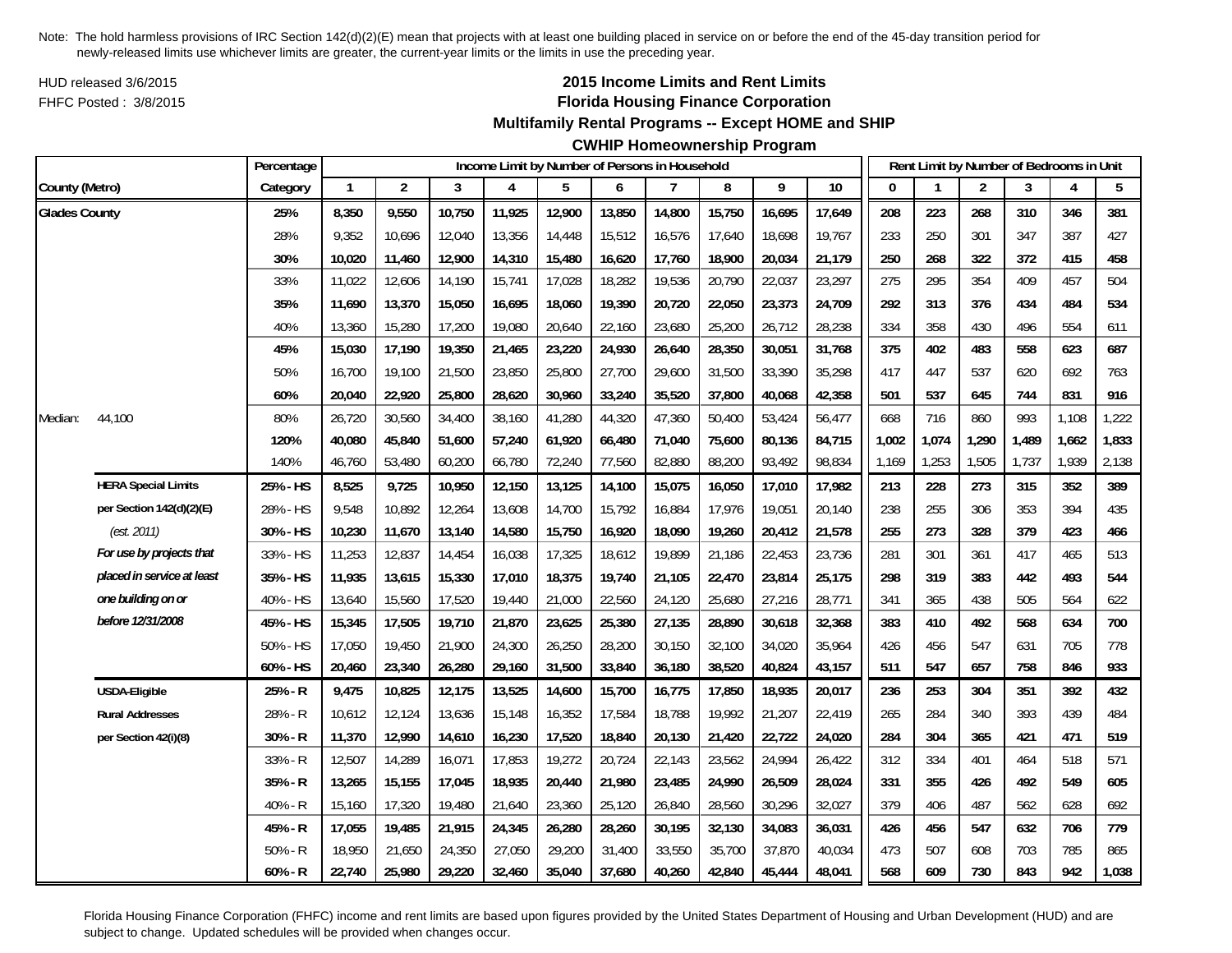HUD released 3/6/2015FHFC Posted : 3/8/2015

## **2015 Income Limits and Rent Limits Florida Housing Finance Corporation**

#### **Multifamily Rental Programs -- Except HOME and SHIP**

#### **CWHIP Homeownership Program**

|                      |                            | Percentage |              |                |        | Income Limit by Number of Persons in Household |        |        |        |        |        |        |              |       | Rent Limit by Number of Bedrooms in Unit |       |       |       |
|----------------------|----------------------------|------------|--------------|----------------|--------|------------------------------------------------|--------|--------|--------|--------|--------|--------|--------------|-------|------------------------------------------|-------|-------|-------|
| County (Metro)       |                            | Category   | $\mathbf{1}$ | $\overline{2}$ | 3      | $\overline{4}$                                 | 5      | 6      | 7      | 8      | 9      | 10     | $\mathbf{0}$ |       | $\overline{2}$                           | 3     | 4     | 5     |
| <b>Glades County</b> |                            | 25%        | 8,350        | 9,550          | 10,750 | 11,925                                         | 12,900 | 13,850 | 14,800 | 15,750 | 16,695 | 17,649 | 208          | 223   | 268                                      | 310   | 346   | 381   |
|                      |                            | 28%        | 9,352        | 10,696         | 12,040 | 13,356                                         | 14,448 | 15,512 | 16,576 | 17,640 | 18,698 | 19,767 | 233          | 250   | 301                                      | 347   | 387   | 427   |
|                      |                            | 30%        | 10,020       | 11,460         | 12,900 | 14,310                                         | 15,480 | 16,620 | 17,760 | 18,900 | 20,034 | 21,179 | 250          | 268   | 322                                      | 372   | 415   | 458   |
|                      |                            | 33%        | 11,022       | 12,606         | 14,190 | 15,741                                         | 17,028 | 18,282 | 19,536 | 20,790 | 22,037 | 23,297 | 275          | 295   | 354                                      | 409   | 457   | 504   |
|                      |                            | 35%        | 11,690       | 13,370         | 15,050 | 16,695                                         | 18,060 | 19,390 | 20,720 | 22,050 | 23,373 | 24,709 | 292          | 313   | 376                                      | 434   | 484   | 534   |
|                      |                            | 40%        | 13,360       | 15,280         | 17,200 | 19,080                                         | 20,640 | 22,160 | 23,680 | 25,200 | 26,712 | 28,238 | 334          | 358   | 430                                      | 496   | 554   | 611   |
|                      |                            | 45%        | 15,030       | 17,190         | 19,350 | 21,465                                         | 23,220 | 24,930 | 26,640 | 28,350 | 30,051 | 31,768 | 375          | 402   | 483                                      | 558   | 623   | 687   |
|                      |                            | 50%        | 16,700       | 19,100         | 21,500 | 23,850                                         | 25,800 | 27,700 | 29,600 | 31,500 | 33,390 | 35,298 | 417          | 447   | 537                                      | 620   | 692   | 763   |
|                      |                            | 60%        | 20,040       | 22,920         | 25,800 | 28,620                                         | 30,960 | 33,240 | 35,520 | 37,800 | 40,068 | 42,358 | 501          | 537   | 645                                      | 744   | 831   | 916   |
| Median:              | 44,100                     | 80%        | 26,720       | 30,560         | 34,400 | 38,160                                         | 41,280 | 44,320 | 47,360 | 50,400 | 53,424 | 56,477 | 668          | 716   | 860                                      | 993   | 1,108 | 1,222 |
|                      |                            | 120%       | 40,080       | 45,840         | 51,600 | 57,240                                         | 61,920 | 66,480 | 71,040 | 75,600 | 80,136 | 84,715 | 1,002        | 1,074 | 1,290                                    | 1,489 | 1,662 | 1,833 |
|                      |                            | 140%       | 46,760       | 53,480         | 60,200 | 66,780                                         | 72,240 | 77,560 | 82,880 | 88,200 | 93,492 | 98,834 | 1,169        | 1,253 | 1,505                                    | 1,737 | 1,939 | 2,138 |
|                      | <b>HERA Special Limits</b> | 25% - HS   | 8,525        | 9,725          | 10,950 | 12,150                                         | 13,125 | 14,100 | 15,075 | 16,050 | 17,010 | 17,982 | 213          | 228   | 273                                      | 315   | 352   | 389   |
|                      | per Section 142(d)(2)(E)   | 28% - HS   | 9,548        | 10,892         | 12,264 | 13,608                                         | 14,700 | 15,792 | 16,884 | 17,976 | 19,051 | 20,140 | 238          | 255   | 306                                      | 353   | 394   | 435   |
|                      | (est. 2011)                | 30% - HS   | 10,230       | 11,670         | 13,140 | 14,580                                         | 15,750 | 16,920 | 18,090 | 19,260 | 20,412 | 21,578 | 255          | 273   | 328                                      | 379   | 423   | 466   |
|                      | For use by projects that   | 33% - HS   | 11,253       | 12,837         | 14,454 | 16,038                                         | 17,325 | 18,612 | 19,899 | 21,186 | 22,453 | 23,736 | 281          | 301   | 361                                      | 417   | 465   | 513   |
|                      | placed in service at least | 35% - HS   | 11,935       | 13,615         | 15,330 | 17,010                                         | 18,375 | 19,740 | 21,105 | 22,470 | 23,814 | 25,175 | 298          | 319   | 383                                      | 442   | 493   | 544   |
|                      | one building on or         | 40% - HS   | 13,640       | 15,560         | 17,520 | 19,440                                         | 21,000 | 22,560 | 24,120 | 25,680 | 27,216 | 28,771 | 341          | 365   | 438                                      | 505   | 564   | 622   |
|                      | before 12/31/2008          | 45% - HS   | 15,345       | 17,505         | 19,710 | 21,870                                         | 23,625 | 25,380 | 27,135 | 28,890 | 30,618 | 32,368 | 383          | 410   | 492                                      | 568   | 634   | 700   |
|                      |                            | 50% - HS   | 17,050       | 19,450         | 21,900 | 24,300                                         | 26,250 | 28,200 | 30,150 | 32,100 | 34,020 | 35,964 | 426          | 456   | 547                                      | 631   | 705   | 778   |
|                      |                            | 60% - HS   | 20,460       | 23,340         | 26,280 | 29,160                                         | 31,500 | 33,840 | 36,180 | 38,520 | 40,824 | 43,157 | 511          | 547   | 657                                      | 758   | 846   | 933   |
|                      | <b>USDA-Eligible</b>       | 25% - R    | 9,475        | 10,825         | 12,175 | 13,525                                         | 14,600 | 15,700 | 16,775 | 17,850 | 18,935 | 20,017 | 236          | 253   | 304                                      | 351   | 392   | 432   |
|                      | <b>Rural Addresses</b>     | 28% - R    | 10,612       | 12,124         | 13,636 | 15,148                                         | 16,352 | 17,584 | 18,788 | 19,992 | 21,207 | 22,419 | 265          | 284   | 340                                      | 393   | 439   | 484   |
|                      | per Section 42(i)(8)       | 30% - R    | 11,370       | 12,990         | 14,610 | 16,230                                         | 17,520 | 18,840 | 20,130 | 21,420 | 22,722 | 24,020 | 284          | 304   | 365                                      | 421   | 471   | 519   |
|                      |                            | 33% - R    | 12,507       | 14,289         | 16,071 | 17,853                                         | 19,272 | 20,724 | 22,143 | 23,562 | 24,994 | 26,422 | 312          | 334   | 401                                      | 464   | 518   | 571   |
|                      |                            | 35% - R    | 13,265       | 15,155         | 17,045 | 18,935                                         | 20,440 | 21,980 | 23,485 | 24,990 | 26,509 | 28,024 | 331          | 355   | 426                                      | 492   | 549   | 605   |
|                      |                            | 40% - R    | 15,160       | 17,320         | 19,480 | 21,640                                         | 23,360 | 25,120 | 26,840 | 28,560 | 30,296 | 32,027 | 379          | 406   | 487                                      | 562   | 628   | 692   |
|                      |                            | 45% - R    | 17,055       | 19,485         | 21,915 | 24,345                                         | 26,280 | 28,260 | 30,195 | 32,130 | 34,083 | 36,031 | 426          | 456   | 547                                      | 632   | 706   | 779   |
|                      |                            | $50% - R$  | 18,950       | 21,650         | 24,350 | 27,050                                         | 29,200 | 31,400 | 33,550 | 35,700 | 37,870 | 40,034 | 473          | 507   | 608                                      | 703   | 785   | 865   |
|                      |                            | $60% - R$  | 22,740       | 25,980         | 29,220 | 32,460                                         | 35,040 | 37,680 | 40,260 | 42,840 | 45,444 | 48,041 | 568          | 609   | 730                                      | 843   | 942   | 1,038 |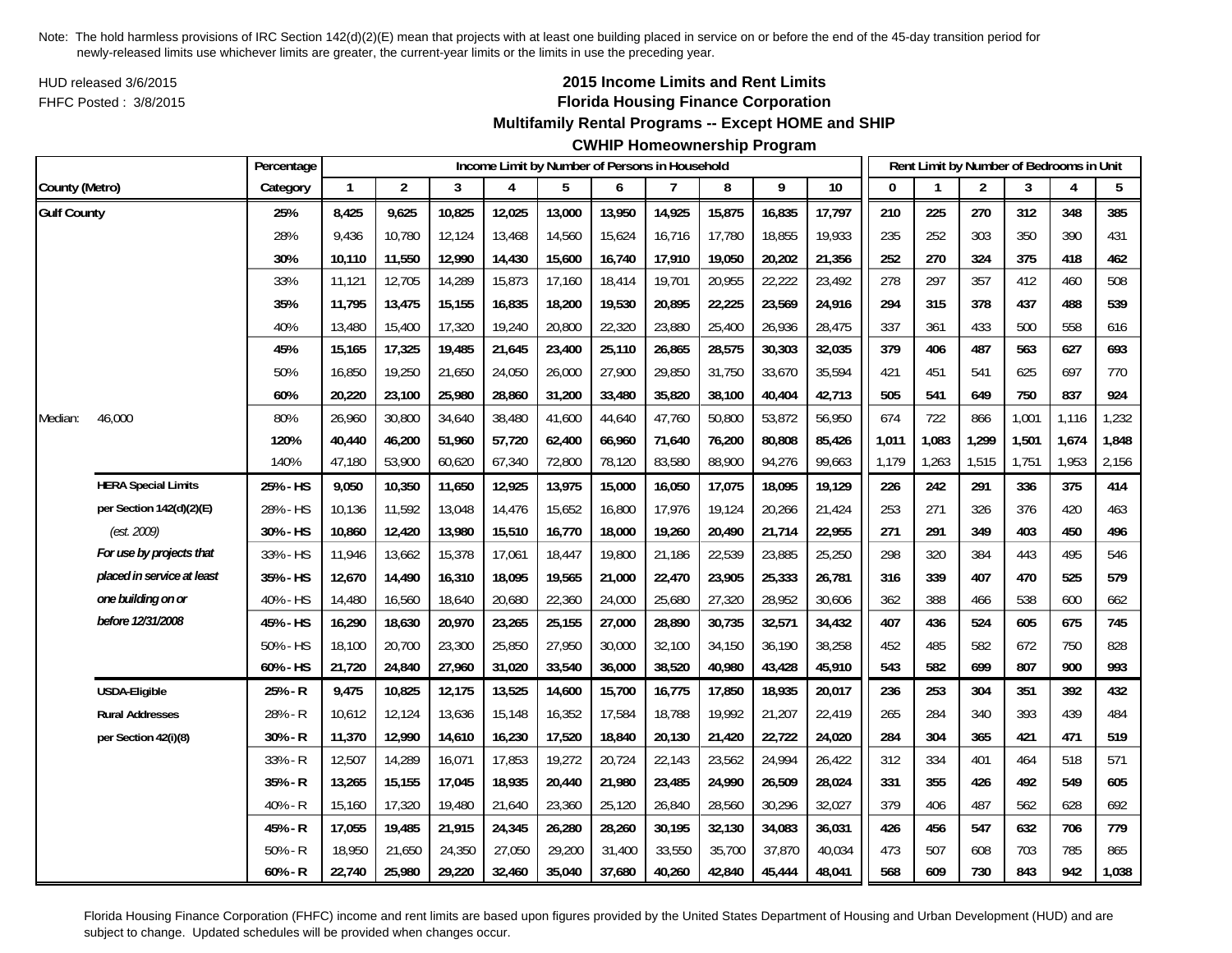HUD released 3/6/2015FHFC Posted : 3/8/2015

# **2015 Income Limits and Rent Limits Florida Housing Finance Corporation**

## **Multifamily Rental Programs -- Except HOME and SHIP**

# **CWHIP Homeownership Program**

|                    |                            | Percentage |              |                |        | Income Limit by Number of Persons in Household |        |        |        |        |        |        |       |       | Rent Limit by Number of Bedrooms in Unit |       |       |       |
|--------------------|----------------------------|------------|--------------|----------------|--------|------------------------------------------------|--------|--------|--------|--------|--------|--------|-------|-------|------------------------------------------|-------|-------|-------|
| County (Metro)     |                            | Category   | $\mathbf{1}$ | $\overline{2}$ | 3      | 4                                              | 5      | 6      | 7      | 8      | 9      | 10     | 0     |       | 2                                        | 3     | 4     | 5     |
| <b>Gulf County</b> |                            | 25%        | 8,425        | 9,625          | 10,825 | 12,025                                         | 13,000 | 13,950 | 14,925 | 15,875 | 16,835 | 17,797 | 210   | 225   | 270                                      | 312   | 348   | 385   |
|                    |                            | 28%        | 9,436        | 10,780         | 12,124 | 13,468                                         | 14,560 | 15,624 | 16,716 | 17,780 | 18,855 | 19,933 | 235   | 252   | 303                                      | 350   | 390   | 431   |
|                    |                            | 30%        | 10,110       | 11,550         | 12,990 | 14,430                                         | 15,600 | 16,740 | 17,910 | 19,050 | 20,202 | 21,356 | 252   | 270   | 324                                      | 375   | 418   | 462   |
|                    |                            | 33%        | 11,121       | 12,705         | 14,289 | 15,873                                         | 17,160 | 18,414 | 19,701 | 20,955 | 22,222 | 23,492 | 278   | 297   | 357                                      | 412   | 460   | 508   |
|                    |                            | 35%        | 11,795       | 13,475         | 15,155 | 16,835                                         | 18,200 | 19,530 | 20,895 | 22,225 | 23,569 | 24,916 | 294   | 315   | 378                                      | 437   | 488   | 539   |
|                    |                            | 40%        | 13,480       | 15,400         | 17,320 | 19,240                                         | 20,800 | 22,320 | 23,880 | 25,400 | 26,936 | 28,475 | 337   | 361   | 433                                      | 500   | 558   | 616   |
|                    |                            | 45%        | 15,165       | 17,325         | 19,485 | 21,645                                         | 23,400 | 25,110 | 26,865 | 28,575 | 30,303 | 32,035 | 379   | 406   | 487                                      | 563   | 627   | 693   |
|                    |                            | 50%        | 16,850       | 19,250         | 21,650 | 24,050                                         | 26,000 | 27,900 | 29,850 | 31,750 | 33,670 | 35,594 | 421   | 451   | 541                                      | 625   | 697   | 770   |
|                    |                            | 60%        | 20,220       | 23,100         | 25,980 | 28,860                                         | 31,200 | 33,480 | 35,820 | 38,100 | 40,404 | 42,713 | 505   | 541   | 649                                      | 750   | 837   | 924   |
| Median:            | 46,000                     | 80%        | 26,960       | 30,800         | 34,640 | 38,480                                         | 41,600 | 44,640 | 47,760 | 50,800 | 53,872 | 56,950 | 674   | 722   | 866                                      | 1,001 | 1,116 | 1,232 |
|                    |                            | 120%       | 40,440       | 46,200         | 51,960 | 57,720                                         | 62,400 | 66,960 | 71,640 | 76,200 | 80,808 | 85,426 | 1,011 | 1,083 | 1,299                                    | 1,501 | 1,674 | 1,848 |
|                    |                            | 140%       | 47,180       | 53,900         | 60,620 | 67,340                                         | 72,800 | 78,120 | 83,580 | 88,900 | 94,276 | 99,663 | 1,179 | 1,263 | 1,515                                    | 1,751 | 1,953 | 2,156 |
|                    | <b>HERA Special Limits</b> | 25% - HS   | 9,050        | 10,350         | 11,650 | 12,925                                         | 13,975 | 15,000 | 16,050 | 17,075 | 18,095 | 19,129 | 226   | 242   | 291                                      | 336   | 375   | 414   |
|                    | per Section 142(d)(2)(E)   | 28% - HS   | 10,136       | 11,592         | 13,048 | 14,476                                         | 15,652 | 16,800 | 17,976 | 19,124 | 20,266 | 21,424 | 253   | 271   | 326                                      | 376   | 420   | 463   |
|                    | (est. 2009)                | 30% - HS   | 10,860       | 12,420         | 13,980 | 15,510                                         | 16,770 | 18,000 | 19,260 | 20,490 | 21,714 | 22,955 | 271   | 291   | 349                                      | 403   | 450   | 496   |
|                    | For use by projects that   | 33% - HS   | 11,946       | 13,662         | 15,378 | 17,061                                         | 18,447 | 19,800 | 21,186 | 22,539 | 23,885 | 25,250 | 298   | 320   | 384                                      | 443   | 495   | 546   |
|                    | placed in service at least | 35% - HS   | 12,670       | 14,490         | 16,310 | 18,095                                         | 19,565 | 21,000 | 22,470 | 23,905 | 25,333 | 26,781 | 316   | 339   | 407                                      | 470   | 525   | 579   |
|                    | one building on or         | 40% - HS   | 14,480       | 16,560         | 18,640 | 20,680                                         | 22,360 | 24,000 | 25,680 | 27,320 | 28,952 | 30,606 | 362   | 388   | 466                                      | 538   | 600   | 662   |
|                    | before 12/31/2008          | 45% - HS   | 16,290       | 18,630         | 20,970 | 23,265                                         | 25,155 | 27,000 | 28,890 | 30,735 | 32,571 | 34,432 | 407   | 436   | 524                                      | 605   | 675   | 745   |
|                    |                            | 50% - HS   | 18,100       | 20,700         | 23,300 | 25,850                                         | 27,950 | 30,000 | 32,100 | 34,150 | 36,190 | 38,258 | 452   | 485   | 582                                      | 672   | 750   | 828   |
|                    |                            | 60% - HS   | 21,720       | 24,840         | 27,960 | 31,020                                         | 33,540 | 36,000 | 38,520 | 40,980 | 43,428 | 45,910 | 543   | 582   | 699                                      | 807   | 900   | 993   |
|                    | <b>USDA-Eligible</b>       | 25% - R    | 9,475        | 10,825         | 12,175 | 13,525                                         | 14,600 | 15,700 | 16,775 | 17,850 | 18,935 | 20,017 | 236   | 253   | 304                                      | 351   | 392   | 432   |
|                    | <b>Rural Addresses</b>     | 28% - R    | 10,612       | 12,124         | 13,636 | 15,148                                         | 16,352 | 17,584 | 18,788 | 19,992 | 21,207 | 22,419 | 265   | 284   | 340                                      | 393   | 439   | 484   |
|                    | per Section 42(i)(8)       | $30% - R$  | 11,370       | 12,990         | 14,610 | 16,230                                         | 17,520 | 18,840 | 20,130 | 21,420 | 22,722 | 24,020 | 284   | 304   | 365                                      | 421   | 471   | 519   |
|                    |                            | 33% - R    | 12,507       | 14,289         | 16,071 | 17,853                                         | 19,272 | 20,724 | 22,143 | 23,562 | 24,994 | 26,422 | 312   | 334   | 401                                      | 464   | 518   | 571   |
|                    |                            | 35% - R    | 13,265       | 15,155         | 17,045 | 18,935                                         | 20,440 | 21,980 | 23,485 | 24,990 | 26,509 | 28,024 | 331   | 355   | 426                                      | 492   | 549   | 605   |
|                    |                            | 40% - R    | 15,160       | 17,320         | 19,480 | 21,640                                         | 23,360 | 25,120 | 26,840 | 28,560 | 30,296 | 32,027 | 379   | 406   | 487                                      | 562   | 628   | 692   |
|                    |                            | 45% - R    | 17,055       | 19,485         | 21,915 | 24,345                                         | 26,280 | 28,260 | 30,195 | 32,130 | 34,083 | 36,031 | 426   | 456   | 547                                      | 632   | 706   | 779   |
|                    |                            | $50% - R$  | 18,950       | 21,650         | 24,350 | 27,050                                         | 29,200 | 31,400 | 33,550 | 35,700 | 37,870 | 40,034 | 473   | 507   | 608                                      | 703   | 785   | 865   |
|                    |                            | $60% - R$  | 22,740       | 25,980         | 29,220 | 32,460                                         | 35,040 | 37,680 | 40,260 | 42,840 | 45,444 | 48,041 | 568   | 609   | 730                                      | 843   | 942   | 1,038 |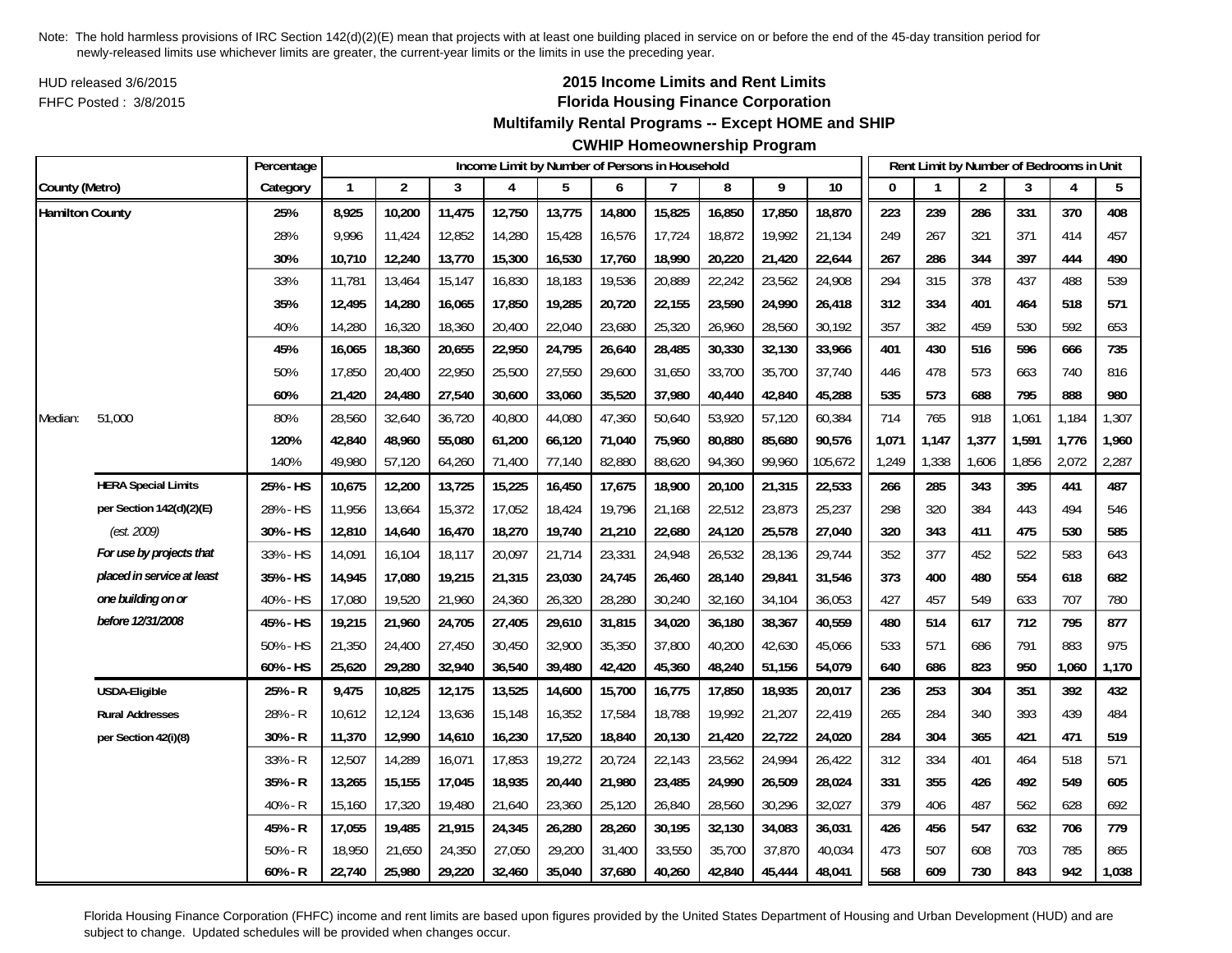HUD released 3/6/2015FHFC Posted : 3/8/2015

# **2015 Income Limits and Rent Limits Florida Housing Finance Corporation**

**Multifamily Rental Programs -- Except HOME and SHIP**

**CWHIP Homeownership Program**

|                        |                            | Percentage |              |                |        |        |        |        | Income Limit by Number of Persons in Household |        |        |         |       | Rent Limit by Number of Bedrooms in Unit |                |       |       |       |
|------------------------|----------------------------|------------|--------------|----------------|--------|--------|--------|--------|------------------------------------------------|--------|--------|---------|-------|------------------------------------------|----------------|-------|-------|-------|
| County (Metro)         |                            | Category   | $\mathbf{1}$ | $\overline{2}$ | 3      | Δ      | 5      | 6      | 7                                              | 8      | 9      | 10      | O     |                                          | $\overline{2}$ | 3     | 4     | 5     |
| <b>Hamilton County</b> |                            | 25%        | 8,925        | 10,200         | 11,475 | 12,750 | 13,775 | 14,800 | 15,825                                         | 16,850 | 17,850 | 18,870  | 223   | 239                                      | 286            | 331   | 370   | 408   |
|                        |                            | 28%        | 9,996        | 11,424         | 12,852 | 14,280 | 15,428 | 16,576 | 17,724                                         | 18,872 | 19,992 | 21,134  | 249   | 267                                      | 321            | 371   | 414   | 457   |
|                        |                            | 30%        | 10,710       | 12,240         | 13,770 | 15,300 | 16,530 | 17,760 | 18,990                                         | 20,220 | 21,420 | 22,644  | 267   | 286                                      | 344            | 397   | 444   | 490   |
|                        |                            | 33%        | 11,781       | 13,464         | 15,147 | 16,830 | 18,183 | 19,536 | 20,889                                         | 22,242 | 23,562 | 24,908  | 294   | 315                                      | 378            | 437   | 488   | 539   |
|                        |                            | 35%        | 12,495       | 14,280         | 16,065 | 17,850 | 19,285 | 20,720 | 22,155                                         | 23,590 | 24,990 | 26,418  | 312   | 334                                      | 401            | 464   | 518   | 571   |
|                        |                            | 40%        | 14,280       | 16,320         | 18,360 | 20,400 | 22,040 | 23,680 | 25,320                                         | 26,960 | 28,560 | 30,192  | 357   | 382                                      | 459            | 530   | 592   | 653   |
|                        |                            | 45%        | 16,065       | 18,360         | 20,655 | 22,950 | 24,795 | 26,640 | 28,485                                         | 30,330 | 32,130 | 33,966  | 401   | 430                                      | 516            | 596   | 666   | 735   |
|                        |                            | 50%        | 17,850       | 20,400         | 22,950 | 25,500 | 27,550 | 29,600 | 31,650                                         | 33,700 | 35,700 | 37,740  | 446   | 478                                      | 573            | 663   | 740   | 816   |
|                        |                            | 60%        | 21,420       | 24,480         | 27,540 | 30,600 | 33,060 | 35,520 | 37,980                                         | 40,440 | 42,840 | 45,288  | 535   | 573                                      | 688            | 795   | 888   | 980   |
| Median:                | 51,000                     | 80%        | 28,560       | 32,640         | 36,720 | 40,800 | 44,080 | 47,360 | 50,640                                         | 53,920 | 57,120 | 60,384  | 714   | 765                                      | 918            | 1,061 | 1,184 | 1,307 |
|                        |                            | 120%       | 42,840       | 48,960         | 55,080 | 61,200 | 66,120 | 71,040 | 75,960                                         | 80,880 | 85,680 | 90,576  | 1,071 | 1,147                                    | 1,377          | 1,591 | 1,776 | 1,960 |
|                        |                            | 140%       | 49,980       | 57,120         | 64,260 | 71,400 | 77,140 | 82,880 | 88,620                                         | 94,360 | 99,960 | 105,672 | 1,249 | 1,338                                    | 1,606          | 1,856 | 2,072 | 2,287 |
|                        | <b>HERA Special Limits</b> | 25% - HS   | 10,675       | 12,200         | 13,725 | 15,225 | 16,450 | 17,675 | 18,900                                         | 20,100 | 21,315 | 22,533  | 266   | 285                                      | 343            | 395   | 441   | 487   |
|                        | per Section 142(d)(2)(E)   | 28% - HS   | 11,956       | 13,664         | 15,372 | 17,052 | 18,424 | 19,796 | 21,168                                         | 22,512 | 23,873 | 25,237  | 298   | 320                                      | 384            | 443   | 494   | 546   |
|                        | (est. 2009)                | 30% - HS   | 12,810       | 14,640         | 16,470 | 18,270 | 19,740 | 21,210 | 22,680                                         | 24,120 | 25,578 | 27,040  | 320   | 343                                      | 411            | 475   | 530   | 585   |
|                        | For use by projects that   | 33% - HS   | 14,091       | 16,104         | 18,117 | 20,097 | 21,714 | 23,331 | 24,948                                         | 26,532 | 28,136 | 29,744  | 352   | 377                                      | 452            | 522   | 583   | 643   |
|                        | placed in service at least | 35% - HS   | 14,945       | 17,080         | 19,215 | 21,315 | 23,030 | 24,745 | 26,460                                         | 28,140 | 29,841 | 31,546  | 373   | 400                                      | 480            | 554   | 618   | 682   |
|                        | one building on or         | 40% - HS   | 17,080       | 19,520         | 21,960 | 24,360 | 26,320 | 28,280 | 30,240                                         | 32,160 | 34,104 | 36,053  | 427   | 457                                      | 549            | 633   | 707   | 780   |
|                        | before 12/31/2008          | 45% - HS   | 19,215       | 21,960         | 24,705 | 27,405 | 29,610 | 31,815 | 34,020                                         | 36,180 | 38,367 | 40,559  | 480   | 514                                      | 617            | 712   | 795   | 877   |
|                        |                            | 50% - HS   | 21,350       | 24,400         | 27,450 | 30,450 | 32,900 | 35,350 | 37,800                                         | 40,200 | 42,630 | 45,066  | 533   | 571                                      | 686            | 791   | 883   | 975   |
|                        |                            | 60% - HS   | 25,620       | 29,280         | 32,940 | 36,540 | 39,480 | 42,420 | 45,360                                         | 48,240 | 51,156 | 54,079  | 640   | 686                                      | 823            | 950   | 1,060 | 1,170 |
|                        | USDA-Eligible              | 25% - R    | 9,475        | 10,825         | 12,175 | 13,525 | 14,600 | 15,700 | 16,775                                         | 17,850 | 18,935 | 20,017  | 236   | 253                                      | 304            | 351   | 392   | 432   |
|                        | <b>Rural Addresses</b>     | 28% - R    | 10,612       | 12,124         | 13,636 | 15,148 | 16,352 | 17,584 | 18,788                                         | 19,992 | 21,207 | 22,419  | 265   | 284                                      | 340            | 393   | 439   | 484   |
|                        | per Section 42(i)(8)       | 30% - R    | 11,370       | 12,990         | 14,610 | 16,230 | 17,520 | 18,840 | 20,130                                         | 21,420 | 22,722 | 24,020  | 284   | 304                                      | 365            | 421   | 471   | 519   |
|                        |                            | 33% - R    | 12,507       | 14,289         | 16,071 | 17,853 | 19,272 | 20,724 | 22,143                                         | 23,562 | 24,994 | 26,422  | 312   | 334                                      | 401            | 464   | 518   | 571   |
|                        |                            | 35% - R    | 13,265       | 15,155         | 17,045 | 18,935 | 20,440 | 21,980 | 23,485                                         | 24,990 | 26,509 | 28,024  | 331   | 355                                      | 426            | 492   | 549   | 605   |
|                        |                            | 40% - R    | 15,160       | 17,320         | 19,480 | 21,640 | 23,360 | 25,120 | 26,840                                         | 28,560 | 30,296 | 32,027  | 379   | 406                                      | 487            | 562   | 628   | 692   |
|                        |                            | 45% - R    | 17,055       | 19,485         | 21,915 | 24,345 | 26,280 | 28,260 | 30,195                                         | 32,130 | 34,083 | 36,031  | 426   | 456                                      | 547            | 632   | 706   | 779   |
|                        |                            | $50% - R$  | 18,950       | 21,650         | 24,350 | 27,050 | 29,200 | 31,400 | 33,550                                         | 35,700 | 37,870 | 40,034  | 473   | 507                                      | 608            | 703   | 785   | 865   |
|                        |                            | $60% - R$  | 22,740       | 25,980         | 29,220 | 32,460 | 35,040 | 37,680 | 40,260                                         | 42,840 | 45,444 | 48,041  | 568   | 609                                      | 730            | 843   | 942   | 1,038 |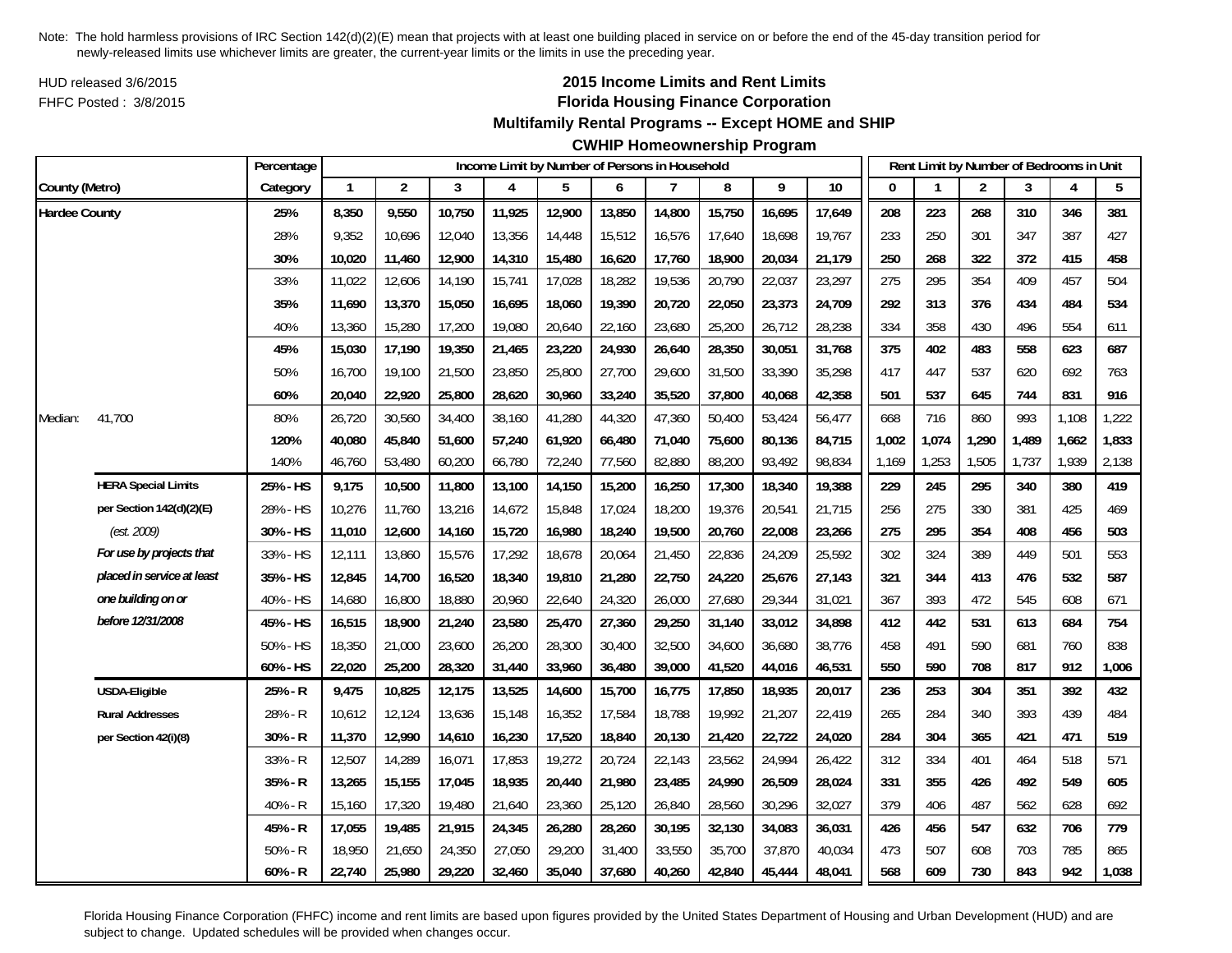HUD released 3/6/2015FHFC Posted : 3/8/2015

# **2015 Income Limits and Rent Limits Florida Housing Finance Corporation**

**Multifamily Rental Programs -- Except HOME and SHIP**

**CWHIP Homeownership Program**

|                      |                            | Percentage |              |                |        |        | Income Limit by Number of Persons in Household |        |        |        |        |        |       | Rent Limit by Number of Bedrooms in Unit |                |       |       |       |
|----------------------|----------------------------|------------|--------------|----------------|--------|--------|------------------------------------------------|--------|--------|--------|--------|--------|-------|------------------------------------------|----------------|-------|-------|-------|
| County (Metro)       |                            | Category   | $\mathbf{1}$ | $\overline{2}$ | 3      | Δ      | 5                                              | 6      | 7      | 8      | 9      | 10     | O     |                                          | $\overline{2}$ | 3     | 4     | 5     |
| <b>Hardee County</b> |                            | 25%        | 8,350        | 9,550          | 10,750 | 11,925 | 12,900                                         | 13,850 | 14,800 | 15,750 | 16,695 | 17,649 | 208   | 223                                      | 268            | 310   | 346   | 381   |
|                      |                            | 28%        | 9,352        | 10,696         | 12,040 | 13,356 | 14,448                                         | 15,512 | 16,576 | 17,640 | 18,698 | 19,767 | 233   | 250                                      | 301            | 347   | 387   | 427   |
|                      |                            | 30%        | 10,020       | 11,460         | 12,900 | 14,310 | 15,480                                         | 16,620 | 17,760 | 18,900 | 20,034 | 21,179 | 250   | 268                                      | 322            | 372   | 415   | 458   |
|                      |                            | 33%        | 11,022       | 12,606         | 14,190 | 15,741 | 17,028                                         | 18,282 | 19,536 | 20,790 | 22,037 | 23,297 | 275   | 295                                      | 354            | 409   | 457   | 504   |
|                      |                            | 35%        | 11,690       | 13,370         | 15,050 | 16,695 | 18,060                                         | 19,390 | 20,720 | 22,050 | 23,373 | 24,709 | 292   | 313                                      | 376            | 434   | 484   | 534   |
|                      |                            | 40%        | 13,360       | 15,280         | 17,200 | 19,080 | 20,640                                         | 22,160 | 23,680 | 25,200 | 26,712 | 28,238 | 334   | 358                                      | 430            | 496   | 554   | 611   |
|                      |                            | 45%        | 15,030       | 17,190         | 19,350 | 21,465 | 23,220                                         | 24,930 | 26,640 | 28,350 | 30,051 | 31,768 | 375   | 402                                      | 483            | 558   | 623   | 687   |
|                      |                            | 50%        | 16,700       | 19,100         | 21,500 | 23,850 | 25,800                                         | 27,700 | 29,600 | 31,500 | 33,390 | 35,298 | 417   | 447                                      | 537            | 620   | 692   | 763   |
|                      |                            | 60%        | 20,040       | 22,920         | 25,800 | 28,620 | 30,960                                         | 33,240 | 35,520 | 37,800 | 40,068 | 42,358 | 501   | 537                                      | 645            | 744   | 831   | 916   |
| Median:              | 41,700                     | 80%        | 26,720       | 30,560         | 34,400 | 38,160 | 41,280                                         | 44,320 | 47,360 | 50,400 | 53,424 | 56,477 | 668   | 716                                      | 860            | 993   | 1,108 | 1,222 |
|                      |                            | 120%       | 40,080       | 45,840         | 51,600 | 57,240 | 61,920                                         | 66,480 | 71,040 | 75,600 | 80,136 | 84,715 | 1,002 | 1,074                                    | 1,290          | 1,489 | 1,662 | 1,833 |
|                      |                            | 140%       | 46,760       | 53,480         | 60,200 | 66,780 | 72,240                                         | 77,560 | 82,880 | 88,200 | 93,492 | 98,834 | 1,169 | 1,253                                    | 1,505          | 1,737 | 1,939 | 2,138 |
|                      | <b>HERA Special Limits</b> | 25% - HS   | 9,175        | 10,500         | 11,800 | 13,100 | 14,150                                         | 15,200 | 16,250 | 17,300 | 18,340 | 19,388 | 229   | 245                                      | 295            | 340   | 380   | 419   |
|                      | per Section 142(d)(2)(E)   | 28% - HS   | 10,276       | 11,760         | 13,216 | 14,672 | 15,848                                         | 17,024 | 18,200 | 19,376 | 20,541 | 21,715 | 256   | 275                                      | 330            | 381   | 425   | 469   |
|                      | (est. 2009)                | 30% - HS   | 11,010       | 12,600         | 14,160 | 15,720 | 16,980                                         | 18,240 | 19,500 | 20,760 | 22,008 | 23,266 | 275   | 295                                      | 354            | 408   | 456   | 503   |
|                      | For use by projects that   | 33% - HS   | 12,111       | 13,860         | 15,576 | 17,292 | 18,678                                         | 20,064 | 21,450 | 22,836 | 24,209 | 25,592 | 302   | 324                                      | 389            | 449   | 501   | 553   |
|                      | placed in service at least | 35% - HS   | 12,845       | 14,700         | 16,520 | 18,340 | 19,810                                         | 21,280 | 22,750 | 24,220 | 25,676 | 27,143 | 321   | 344                                      | 413            | 476   | 532   | 587   |
|                      | one building on or         | 40% - HS   | 14,680       | 16,800         | 18,880 | 20,960 | 22,640                                         | 24,320 | 26,000 | 27,680 | 29,344 | 31,021 | 367   | 393                                      | 472            | 545   | 608   | 671   |
|                      | before 12/31/2008          | 45% - HS   | 16,515       | 18,900         | 21,240 | 23,580 | 25,470                                         | 27,360 | 29,250 | 31,140 | 33,012 | 34,898 | 412   | 442                                      | 531            | 613   | 684   | 754   |
|                      |                            | 50% - HS   | 18,350       | 21,000         | 23,600 | 26,200 | 28,300                                         | 30,400 | 32,500 | 34,600 | 36,680 | 38,776 | 458   | 491                                      | 590            | 681   | 760   | 838   |
|                      |                            | 60% - HS   | 22,020       | 25,200         | 28,320 | 31,440 | 33,960                                         | 36,480 | 39,000 | 41,520 | 44,016 | 46,531 | 550   | 590                                      | 708            | 817   | 912   | 1,006 |
|                      | USDA-Eligible              | 25% - R    | 9,475        | 10,825         | 12,175 | 13,525 | 14,600                                         | 15,700 | 16,775 | 17,850 | 18,935 | 20,017 | 236   | 253                                      | 304            | 351   | 392   | 432   |
|                      | <b>Rural Addresses</b>     | 28% - R    | 10,612       | 12,124         | 13,636 | 15,148 | 16,352                                         | 17,584 | 18,788 | 19,992 | 21,207 | 22,419 | 265   | 284                                      | 340            | 393   | 439   | 484   |
|                      | per Section 42(i)(8)       | 30% - R    | 11,370       | 12,990         | 14,610 | 16,230 | 17,520                                         | 18,840 | 20,130 | 21,420 | 22,722 | 24,020 | 284   | 304                                      | 365            | 421   | 471   | 519   |
|                      |                            | 33% - R    | 12,507       | 14,289         | 16,071 | 17,853 | 19,272                                         | 20,724 | 22,143 | 23,562 | 24,994 | 26,422 | 312   | 334                                      | 401            | 464   | 518   | 571   |
|                      |                            | 35% - R    | 13,265       | 15,155         | 17,045 | 18,935 | 20,440                                         | 21,980 | 23,485 | 24,990 | 26,509 | 28,024 | 331   | 355                                      | 426            | 492   | 549   | 605   |
|                      |                            | 40% - R    | 15,160       | 17,320         | 19,480 | 21,640 | 23,360                                         | 25,120 | 26,840 | 28,560 | 30,296 | 32,027 | 379   | 406                                      | 487            | 562   | 628   | 692   |
|                      |                            | 45% - R    | 17,055       | 19,485         | 21,915 | 24,345 | 26,280                                         | 28,260 | 30,195 | 32,130 | 34,083 | 36,031 | 426   | 456                                      | 547            | 632   | 706   | 779   |
|                      |                            | $50% - R$  | 18,950       | 21,650         | 24,350 | 27,050 | 29,200                                         | 31,400 | 33,550 | 35,700 | 37,870 | 40,034 | 473   | 507                                      | 608            | 703   | 785   | 865   |
|                      |                            | $60% - R$  | 22,740       | 25,980         | 29,220 | 32,460 | 35,040                                         | 37,680 | 40,260 | 42,840 | 45,444 | 48,041 | 568   | 609                                      | 730            | 843   | 942   | 1,038 |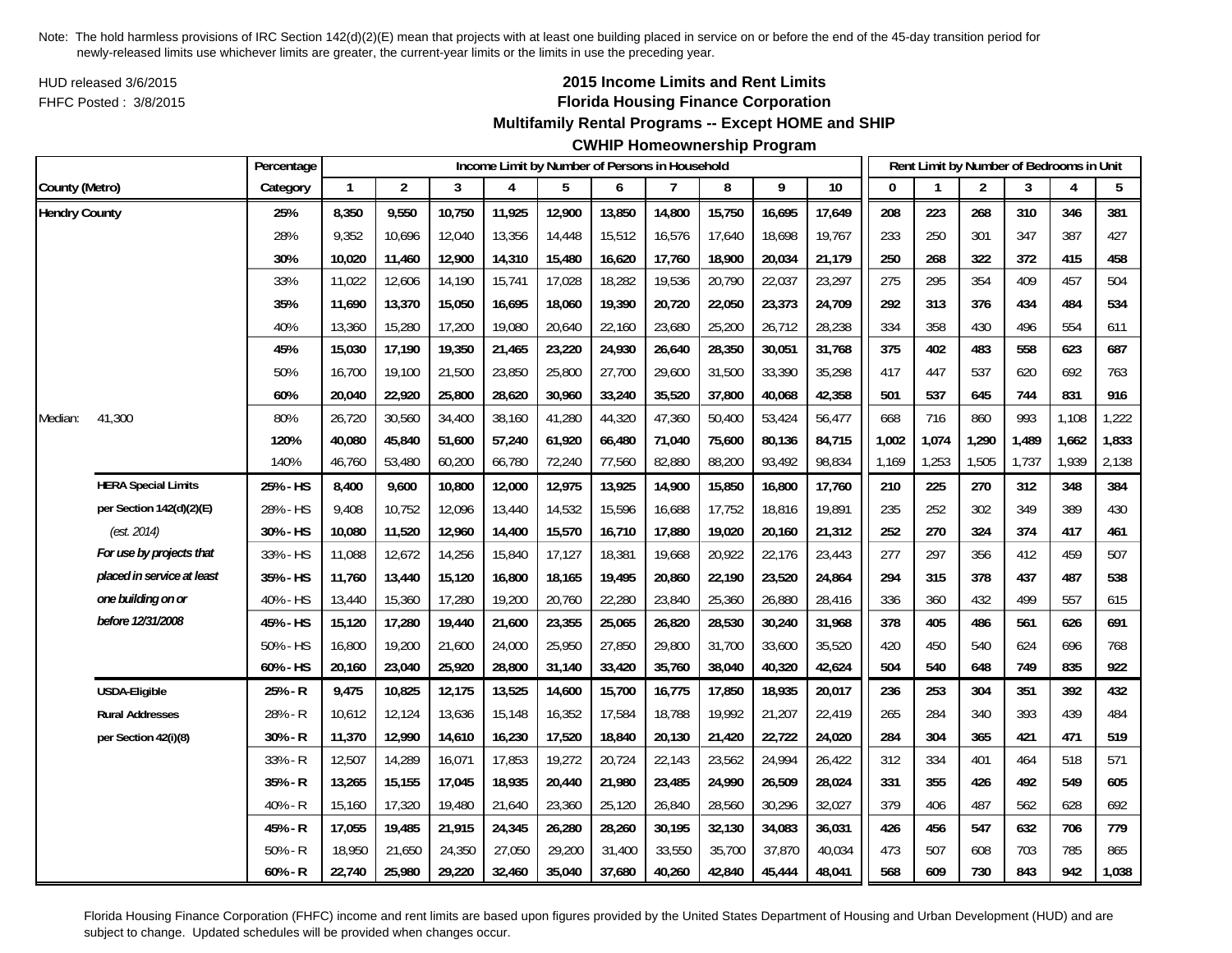HUD released 3/6/2015FHFC Posted : 3/8/2015

# **2015 Income Limits and Rent Limits Florida Housing Finance Corporation**

## **Multifamily Rental Programs -- Except HOME and SHIP**

# **CWHIP Homeownership Program**

|                      |                            | Percentage |              |                |        | Income Limit by Number of Persons in Household |        |        |        |        |        |        |          |       | Rent Limit by Number of Bedrooms in Unit |       |       |       |
|----------------------|----------------------------|------------|--------------|----------------|--------|------------------------------------------------|--------|--------|--------|--------|--------|--------|----------|-------|------------------------------------------|-------|-------|-------|
| County (Metro)       |                            | Category   | $\mathbf{1}$ | $\overline{2}$ | 3      | 4                                              | 5      | 6      | 7      | 8      | 9      | 10     | $\Omega$ |       | $\overline{2}$                           | 3     | 4     | 5     |
| <b>Hendry County</b> |                            | 25%        | 8,350        | 9,550          | 10,750 | 11,925                                         | 12,900 | 13,850 | 14,800 | 15,750 | 16,695 | 17,649 | 208      | 223   | 268                                      | 310   | 346   | 381   |
|                      |                            | 28%        | 9,352        | 10,696         | 12,040 | 13,356                                         | 14,448 | 15,512 | 16,576 | 17,640 | 18,698 | 19,767 | 233      | 250   | 301                                      | 347   | 387   | 427   |
|                      |                            | 30%        | 10,020       | 11,460         | 12,900 | 14,310                                         | 15,480 | 16,620 | 17,760 | 18,900 | 20,034 | 21,179 | 250      | 268   | 322                                      | 372   | 415   | 458   |
|                      |                            | 33%        | 11,022       | 12,606         | 14,190 | 15,741                                         | 17,028 | 18,282 | 19,536 | 20,790 | 22,037 | 23,297 | 275      | 295   | 354                                      | 409   | 457   | 504   |
|                      |                            | 35%        | 11,690       | 13,370         | 15,050 | 16,695                                         | 18,060 | 19,390 | 20,720 | 22,050 | 23,373 | 24,709 | 292      | 313   | 376                                      | 434   | 484   | 534   |
|                      |                            | 40%        | 13,360       | 15,280         | 17,200 | 19,080                                         | 20,640 | 22,160 | 23,680 | 25,200 | 26,712 | 28,238 | 334      | 358   | 430                                      | 496   | 554   | 611   |
|                      |                            | 45%        | 15,030       | 17,190         | 19,350 | 21,465                                         | 23,220 | 24,930 | 26,640 | 28,350 | 30,051 | 31,768 | 375      | 402   | 483                                      | 558   | 623   | 687   |
|                      |                            | 50%        | 16,700       | 19,100         | 21,500 | 23,850                                         | 25,800 | 27,700 | 29,600 | 31,500 | 33,390 | 35,298 | 417      | 447   | 537                                      | 620   | 692   | 763   |
|                      |                            | 60%        | 20,040       | 22,920         | 25,800 | 28,620                                         | 30,960 | 33,240 | 35,520 | 37,800 | 40,068 | 42,358 | 501      | 537   | 645                                      | 744   | 831   | 916   |
| Median:              | 41,300                     | 80%        | 26,720       | 30,560         | 34,400 | 38,160                                         | 41,280 | 44,320 | 47,360 | 50,400 | 53,424 | 56,477 | 668      | 716   | 860                                      | 993   | 1,108 | 1,222 |
|                      |                            | 120%       | 40,080       | 45,840         | 51,600 | 57,240                                         | 61,920 | 66,480 | 71,040 | 75,600 | 80,136 | 84,715 | 1,002    | 1,074 | 1,290                                    | 1,489 | 1,662 | 1,833 |
|                      |                            | 140%       | 46,760       | 53,480         | 60,200 | 66,780                                         | 72,240 | 77,560 | 82,880 | 88,200 | 93,492 | 98,834 | 1,169    | 1,253 | 1,505                                    | 1,737 | 1,939 | 2,138 |
|                      | <b>HERA Special Limits</b> | 25% - HS   | 8,400        | 9,600          | 10,800 | 12,000                                         | 12,975 | 13,925 | 14,900 | 15,850 | 16,800 | 17,760 | 210      | 225   | 270                                      | 312   | 348   | 384   |
|                      | per Section 142(d)(2)(E)   | 28% - HS   | 9,408        | 10,752         | 12,096 | 13,440                                         | 14,532 | 15,596 | 16,688 | 17,752 | 18,816 | 19,891 | 235      | 252   | 302                                      | 349   | 389   | 430   |
|                      | (est. 2014)                | 30% - HS   | 10,080       | 11,520         | 12,960 | 14,400                                         | 15,570 | 16,710 | 17,880 | 19,020 | 20,160 | 21,312 | 252      | 270   | 324                                      | 374   | 417   | 461   |
|                      | For use by projects that   | 33% - HS   | 11,088       | 12,672         | 14,256 | 15,840                                         | 17,127 | 18,381 | 19,668 | 20,922 | 22,176 | 23,443 | 277      | 297   | 356                                      | 412   | 459   | 507   |
|                      | placed in service at least | 35% - HS   | 11,760       | 13,440         | 15,120 | 16,800                                         | 18,165 | 19,495 | 20,860 | 22,190 | 23,520 | 24,864 | 294      | 315   | 378                                      | 437   | 487   | 538   |
|                      | one building on or         | 40% - HS   | 13,440       | 15,360         | 17,280 | 19,200                                         | 20,760 | 22,280 | 23,840 | 25,360 | 26,880 | 28,416 | 336      | 360   | 432                                      | 499   | 557   | 615   |
|                      | before 12/31/2008          | 45% - HS   | 15,120       | 17,280         | 19,440 | 21,600                                         | 23,355 | 25,065 | 26,820 | 28,530 | 30,240 | 31,968 | 378      | 405   | 486                                      | 561   | 626   | 691   |
|                      |                            | 50% - HS   | 16,800       | 19,200         | 21,600 | 24,000                                         | 25,950 | 27,850 | 29,800 | 31,700 | 33,600 | 35,520 | 420      | 450   | 540                                      | 624   | 696   | 768   |
|                      |                            | 60% - HS   | 20,160       | 23,040         | 25,920 | 28,800                                         | 31,140 | 33,420 | 35,760 | 38,040 | 40,320 | 42,624 | 504      | 540   | 648                                      | 749   | 835   | 922   |
|                      | USDA-Eligible              | 25% - R    | 9,475        | 10,825         | 12,175 | 13,525                                         | 14,600 | 15,700 | 16,775 | 17,850 | 18,935 | 20,017 | 236      | 253   | 304                                      | 351   | 392   | 432   |
|                      | <b>Rural Addresses</b>     | 28% - R    | 10,612       | 12,124         | 13,636 | 15,148                                         | 16,352 | 17,584 | 18,788 | 19,992 | 21,207 | 22,419 | 265      | 284   | 340                                      | 393   | 439   | 484   |
|                      | per Section 42(i)(8)       | 30% - R    | 11,370       | 12,990         | 14,610 | 16,230                                         | 17,520 | 18,840 | 20,130 | 21,420 | 22,722 | 24,020 | 284      | 304   | 365                                      | 421   | 471   | 519   |
|                      |                            | 33% - R    | 12,507       | 14,289         | 16,071 | 17,853                                         | 19,272 | 20,724 | 22,143 | 23,562 | 24,994 | 26,422 | 312      | 334   | 401                                      | 464   | 518   | 571   |
|                      |                            | 35% - R    | 13,265       | 15,155         | 17,045 | 18,935                                         | 20,440 | 21,980 | 23,485 | 24,990 | 26,509 | 28,024 | 331      | 355   | 426                                      | 492   | 549   | 605   |
|                      |                            | 40% - R    | 15,160       | 17,320         | 19,480 | 21,640                                         | 23,360 | 25,120 | 26,840 | 28,560 | 30,296 | 32,027 | 379      | 406   | 487                                      | 562   | 628   | 692   |
|                      |                            | 45% - R    | 17,055       | 19,485         | 21,915 | 24,345                                         | 26,280 | 28,260 | 30,195 | 32,130 | 34,083 | 36,031 | 426      | 456   | 547                                      | 632   | 706   | 779   |
|                      |                            | $50% - R$  | 18,950       | 21,650         | 24,350 | 27,050                                         | 29,200 | 31,400 | 33,550 | 35,700 | 37,870 | 40,034 | 473      | 507   | 608                                      | 703   | 785   | 865   |
|                      |                            | $60% - R$  | 22,740       | 25,980         | 29,220 | 32,460                                         | 35,040 | 37,680 | 40,260 | 42,840 | 45,444 | 48,041 | 568      | 609   | 730                                      | 843   | 942   | 1,038 |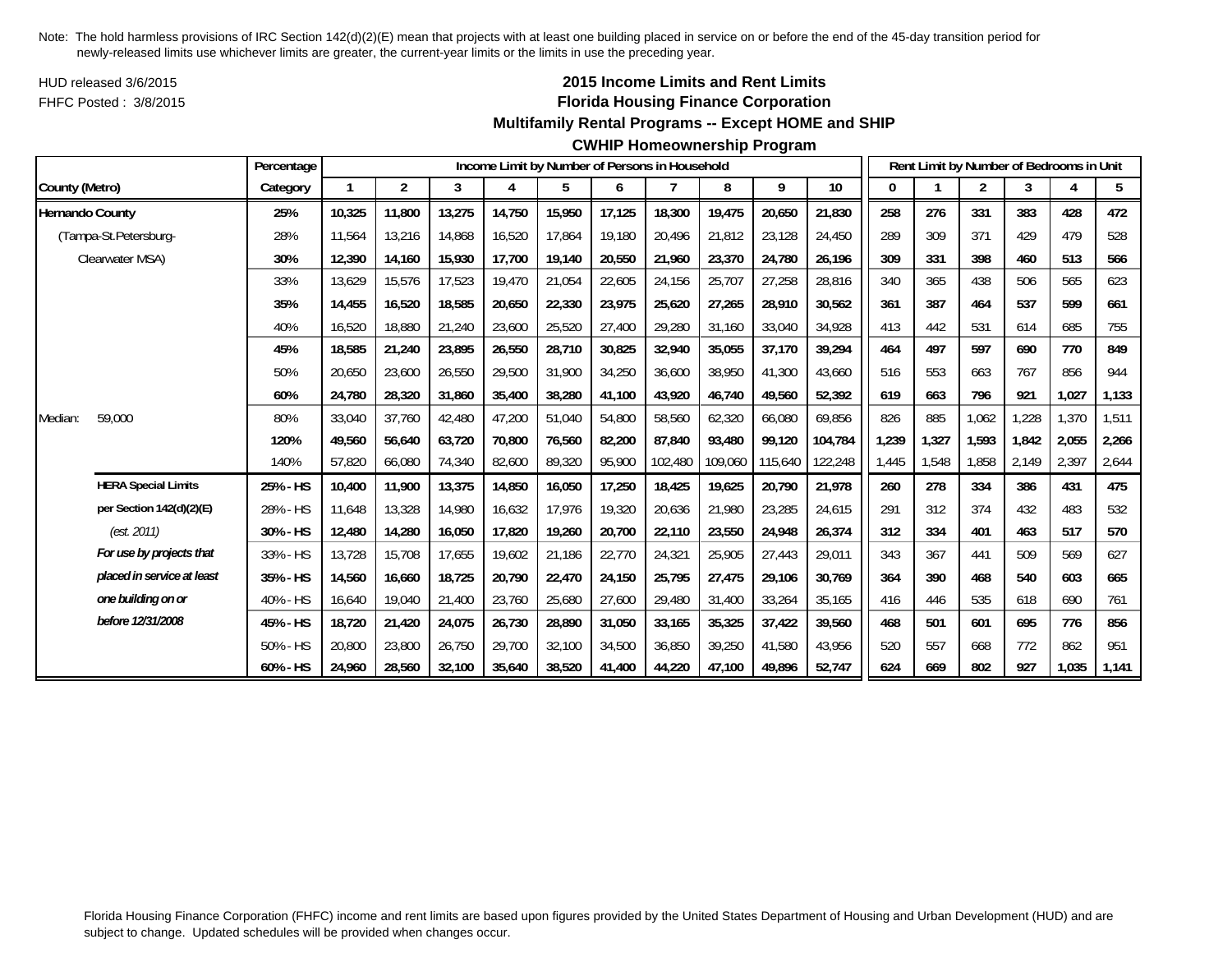HUD released 3/6/2015FHFC Posted : 3/8/2015

# **2015 Income Limits and Rent Limits Florida Housing Finance Corporation**

#### **Multifamily Rental Programs -- Except HOME and SHIP**

#### **CWHIP Homeownership Program**

|                        |                            | Percentage |        |        |        |        |        |        | Income Limit by Number of Persons in Household |         |         |         |       |       | Rent Limit by Number of Bedrooms in Unit |       |       |       |
|------------------------|----------------------------|------------|--------|--------|--------|--------|--------|--------|------------------------------------------------|---------|---------|---------|-------|-------|------------------------------------------|-------|-------|-------|
| County (Metro)         |                            | Category   |        | 2      | 3      | 4      | 5      | 6      | 7                                              | 8       | 9       | 10      | 0     |       | $\overline{2}$                           | 3     |       | 5     |
| <b>Hernando County</b> |                            | 25%        | 10,325 | 11,800 | 13,275 | 14,750 | 15,950 | 17,125 | 18,300                                         | 19,475  | 20,650  | 21,830  | 258   | 276   | 331                                      | 383   | 428   | 472   |
|                        | (Tampa-St.Petersburg-      | 28%        | 11,564 | 13,216 | 14,868 | 16,520 | 17,864 | 19,180 | 20,496                                         | 21,812  | 23,128  | 24,450  | 289   | 309   | 371                                      | 429   | 479   | 528   |
|                        | Clearwater MSA)            | 30%        | 12,390 | 14,160 | 15,930 | 17,700 | 19,140 | 20,550 | 21,960                                         | 23,370  | 24,780  | 26,196  | 309   | 331   | 398                                      | 460   | 513   | 566   |
|                        |                            | 33%        | 13,629 | 15,576 | 17,523 | 19,470 | 21,054 | 22,605 | 24,156                                         | 25,707  | 27,258  | 28,816  | 340   | 365   | 438                                      | 506   | 565   | 623   |
|                        |                            | 35%        | 14.455 | 16,520 | 18,585 | 20,650 | 22,330 | 23,975 | 25,620                                         | 27.265  | 28,910  | 30,562  | 361   | 387   | 464                                      | 537   | 599   | 661   |
|                        |                            | 40%        | 16,520 | 18,880 | 21,240 | 23,600 | 25,520 | 27,400 | 29,280                                         | 31,160  | 33,040  | 34,928  | 413   | 442   | 531                                      | 614   | 685   | 755   |
|                        |                            | 45%        | 18,585 | 21,240 | 23,895 | 26,550 | 28,710 | 30,825 | 32,940                                         | 35,055  | 37,170  | 39,294  | 464   | 497   | 597                                      | 690   | 770   | 849   |
|                        |                            | 50%        | 20,650 | 23,600 | 26,550 | 29,500 | 31,900 | 34,250 | 36,600                                         | 38,950  | 41,300  | 43,660  | 516   | 553   | 663                                      | 767   | 856   | 944   |
|                        |                            | 60%        | 24,780 | 28,320 | 31,860 | 35,400 | 38,280 | 41,100 | 43,920                                         | 46,740  | 49,560  | 52,392  | 619   | 663   | 796                                      | 921   | 1,027 | 1,133 |
| Median:                | 59,000                     | 80%        | 33,040 | 37,760 | 42,480 | 47,200 | 51,040 | 54,800 | 58,560                                         | 62,320  | 66,080  | 69,856  | 826   | 885   | 1,062                                    | ,228  | 1,370 | 1,511 |
|                        |                            | 120%       | 49.560 | 56.640 | 63.720 | 70.800 | 76,560 | 82,200 | 87.840                                         | 93,480  | 99.120  | 104,784 | 1.239 | 1,327 | 1,593                                    | 1,842 | 2,055 | 2,266 |
|                        |                            | 140%       | 57,820 | 66,080 | 74,340 | 82,600 | 89,320 | 95,900 | 102,480                                        | 109,060 | 115,640 | 122,248 | 1,445 | 1,548 | ,858                                     | 2,149 | 2,397 | 2,644 |
|                        | <b>HERA Special Limits</b> | 25% - HS   | 10,400 | 11,900 | 13,375 | 14,850 | 16,050 | 17,250 | 18,425                                         | 19,625  | 20,790  | 21,978  | 260   | 278   | 334                                      | 386   | 431   | 475   |
|                        | per Section 142(d)(2)(E)   | 28% - HS   | 11,648 | 13,328 | 14,980 | 16,632 | 17,976 | 19,320 | 20,636                                         | 21,980  | 23,285  | 24,615  | 291   | 312   | 374                                      | 432   | 483   | 532   |
|                        | (est. 2011)                | 30% - HS   | 12,480 | 14,280 | 16,050 | 17,820 | 19,260 | 20,700 | 22,110                                         | 23,550  | 24,948  | 26,374  | 312   | 334   | 401                                      | 463   | 517   | 570   |
|                        | For use by projects that   | 33% - HS   | 13.728 | 15,708 | 17.655 | 19.602 | 21,186 | 22,770 | 24,321                                         | 25,905  | 27,443  | 29,011  | 343   | 367   | 441                                      | 509   | 569   | 627   |
|                        | placed in service at least | 35% - HS   | 14,560 | 16,660 | 18,725 | 20,790 | 22,470 | 24,150 | 25,795                                         | 27,475  | 29,106  | 30,769  | 364   | 390   | 468                                      | 540   | 603   | 665   |
|                        | one building on or         | 40% - HS   | 16,640 | 19,040 | 21,400 | 23,760 | 25,680 | 27,600 | 29,480                                         | 31,400  | 33,264  | 35,165  | 416   | 446   | 535                                      | 618   | 690   | 761   |
|                        | before 12/31/2008          | 45% - HS   | 18,720 | 21,420 | 24,075 | 26,730 | 28,890 | 31,050 | 33,165                                         | 35,325  | 37,422  | 39,560  | 468   | 501   | 601                                      | 695   | 776   | 856   |
|                        |                            | 50% - HS   | 20,800 | 23,800 | 26,750 | 29,700 | 32,100 | 34,500 | 36,850                                         | 39.250  | 41,580  | 43,956  | 520   | 557   | 668                                      | 772   | 862   | 951   |
|                        |                            | 60% - HS   | 24,960 | 28,560 | 32,100 | 35,640 | 38,520 | 41.400 | 44,220                                         | 47,100  | 49,896  | 52,747  | 624   | 669   | 802                                      | 927   | 1,035 | 1,141 |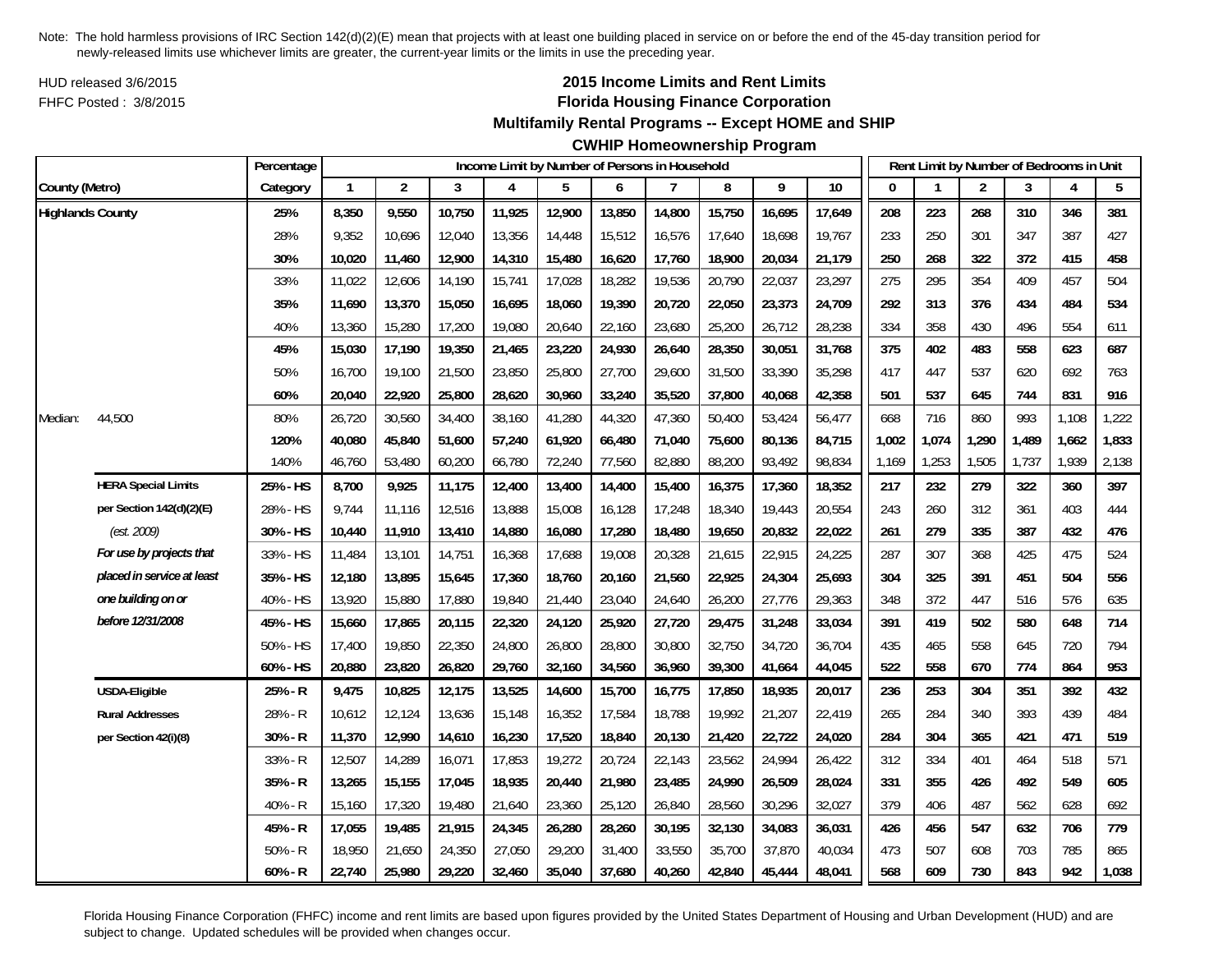HUD released 3/6/2015FHFC Posted : 3/8/2015

## **2015 Income Limits and Rent Limits Florida Housing Finance Corporation**

#### **Multifamily Rental Programs -- Except HOME and SHIP**

## **CWHIP Homeownership Program**

|                         |                            | Percentage |              |                |        | Income Limit by Number of Persons in Household |        |        |        |        |        |        |       |       | Rent Limit by Number of Bedrooms in Unit |       |       |       |
|-------------------------|----------------------------|------------|--------------|----------------|--------|------------------------------------------------|--------|--------|--------|--------|--------|--------|-------|-------|------------------------------------------|-------|-------|-------|
| County (Metro)          |                            | Category   | $\mathbf{1}$ | $\overline{2}$ | 3      | 4                                              | 5      | 6      | 7      | 8      | 9      | 10     | 0     |       | 2                                        | 3     | 4     | 5     |
| <b>Highlands County</b> |                            | 25%        | 8,350        | 9,550          | 10,750 | 11,925                                         | 12,900 | 13,850 | 14,800 | 15,750 | 16,695 | 17,649 | 208   | 223   | 268                                      | 310   | 346   | 381   |
|                         |                            | 28%        | 9,352        | 10,696         | 12,040 | 13,356                                         | 14,448 | 15,512 | 16,576 | 17,640 | 18,698 | 19,767 | 233   | 250   | 301                                      | 347   | 387   | 427   |
|                         |                            | 30%        | 10,020       | 11,460         | 12,900 | 14,310                                         | 15,480 | 16,620 | 17,760 | 18,900 | 20,034 | 21,179 | 250   | 268   | 322                                      | 372   | 415   | 458   |
|                         |                            | 33%        | 11,022       | 12,606         | 14,190 | 15,741                                         | 17,028 | 18,282 | 19,536 | 20,790 | 22,037 | 23,297 | 275   | 295   | 354                                      | 409   | 457   | 504   |
|                         |                            | 35%        | 11,690       | 13,370         | 15,050 | 16,695                                         | 18,060 | 19,390 | 20,720 | 22,050 | 23,373 | 24,709 | 292   | 313   | 376                                      | 434   | 484   | 534   |
|                         |                            | 40%        | 13,360       | 15,280         | 17,200 | 19,080                                         | 20,640 | 22,160 | 23,680 | 25,200 | 26,712 | 28,238 | 334   | 358   | 430                                      | 496   | 554   | 611   |
|                         |                            | 45%        | 15,030       | 17,190         | 19,350 | 21,465                                         | 23,220 | 24,930 | 26,640 | 28,350 | 30,051 | 31,768 | 375   | 402   | 483                                      | 558   | 623   | 687   |
|                         |                            | 50%        | 16,700       | 19,100         | 21,500 | 23,850                                         | 25,800 | 27,700 | 29,600 | 31,500 | 33,390 | 35,298 | 417   | 447   | 537                                      | 620   | 692   | 763   |
|                         |                            | 60%        | 20,040       | 22,920         | 25,800 | 28,620                                         | 30,960 | 33,240 | 35,520 | 37,800 | 40,068 | 42,358 | 501   | 537   | 645                                      | 744   | 831   | 916   |
| Median:                 | 44,500                     | 80%        | 26,720       | 30,560         | 34,400 | 38,160                                         | 41,280 | 44,320 | 47,360 | 50,400 | 53,424 | 56,477 | 668   | 716   | 860                                      | 993   | 1,108 | 1,222 |
|                         |                            | 120%       | 40,080       | 45,840         | 51,600 | 57,240                                         | 61,920 | 66,480 | 71,040 | 75,600 | 80,136 | 84,715 | 1,002 | 1,074 | 1,290                                    | 1,489 | 1,662 | 1,833 |
|                         |                            | 140%       | 46,760       | 53,480         | 60,200 | 66,780                                         | 72,240 | 77,560 | 82,880 | 88,200 | 93,492 | 98,834 | 1,169 | 1,253 | 1,505                                    | 1,737 | 1,939 | 2,138 |
|                         | <b>HERA Special Limits</b> | 25% - HS   | 8,700        | 9,925          | 11,175 | 12,400                                         | 13,400 | 14,400 | 15,400 | 16,375 | 17,360 | 18,352 | 217   | 232   | 279                                      | 322   | 360   | 397   |
|                         | per Section 142(d)(2)(E)   | 28% - HS   | 9,744        | 11,116         | 12,516 | 13,888                                         | 15,008 | 16,128 | 17,248 | 18,340 | 19,443 | 20,554 | 243   | 260   | 312                                      | 361   | 403   | 444   |
|                         | (est. 2009)                | 30% - HS   | 10,440       | 11,910         | 13,410 | 14,880                                         | 16,080 | 17,280 | 18,480 | 19,650 | 20,832 | 22,022 | 261   | 279   | 335                                      | 387   | 432   | 476   |
|                         | For use by projects that   | 33% - HS   | 11,484       | 13,101         | 14,751 | 16,368                                         | 17,688 | 19,008 | 20,328 | 21,615 | 22,915 | 24,225 | 287   | 307   | 368                                      | 425   | 475   | 524   |
|                         | placed in service at least | 35% - HS   | 12,180       | 13,895         | 15,645 | 17,360                                         | 18,760 | 20,160 | 21,560 | 22,925 | 24,304 | 25,693 | 304   | 325   | 391                                      | 451   | 504   | 556   |
|                         | one building on or         | 40% - HS   | 13,920       | 15,880         | 17,880 | 19,840                                         | 21,440 | 23,040 | 24,640 | 26,200 | 27,776 | 29,363 | 348   | 372   | 447                                      | 516   | 576   | 635   |
|                         | before 12/31/2008          | 45% - HS   | 15,660       | 17,865         | 20,115 | 22,320                                         | 24,120 | 25,920 | 27,720 | 29,475 | 31,248 | 33,034 | 391   | 419   | 502                                      | 580   | 648   | 714   |
|                         |                            | 50% - HS   | 17,400       | 19,850         | 22,350 | 24,800                                         | 26,800 | 28,800 | 30,800 | 32,750 | 34,720 | 36,704 | 435   | 465   | 558                                      | 645   | 720   | 794   |
|                         |                            | 60% - HS   | 20,880       | 23,820         | 26,820 | 29,760                                         | 32,160 | 34,560 | 36,960 | 39,300 | 41,664 | 44,045 | 522   | 558   | 670                                      | 774   | 864   | 953   |
|                         | <b>USDA-Eligible</b>       | 25% - R    | 9,475        | 10,825         | 12,175 | 13,525                                         | 14,600 | 15,700 | 16,775 | 17,850 | 18,935 | 20,017 | 236   | 253   | 304                                      | 351   | 392   | 432   |
|                         | <b>Rural Addresses</b>     | 28% - R    | 10,612       | 12,124         | 13,636 | 15,148                                         | 16,352 | 17,584 | 18,788 | 19,992 | 21,207 | 22,419 | 265   | 284   | 340                                      | 393   | 439   | 484   |
|                         | per Section 42(i)(8)       | 30% - R    | 11,370       | 12,990         | 14,610 | 16,230                                         | 17,520 | 18,840 | 20,130 | 21,420 | 22,722 | 24,020 | 284   | 304   | 365                                      | 421   | 471   | 519   |
|                         |                            | 33% - R    | 12,507       | 14,289         | 16,071 | 17,853                                         | 19,272 | 20,724 | 22,143 | 23,562 | 24,994 | 26,422 | 312   | 334   | 401                                      | 464   | 518   | 571   |
|                         |                            | 35% - R    | 13,265       | 15,155         | 17,045 | 18,935                                         | 20,440 | 21,980 | 23,485 | 24,990 | 26,509 | 28,024 | 331   | 355   | 426                                      | 492   | 549   | 605   |
|                         |                            | 40% - R    | 15,160       | 17,320         | 19,480 | 21,640                                         | 23,360 | 25,120 | 26,840 | 28,560 | 30,296 | 32,027 | 379   | 406   | 487                                      | 562   | 628   | 692   |
|                         |                            | 45% - R    | 17,055       | 19,485         | 21,915 | 24,345                                         | 26,280 | 28,260 | 30,195 | 32,130 | 34,083 | 36,031 | 426   | 456   | 547                                      | 632   | 706   | 779   |
|                         |                            | $50% - R$  | 18,950       | 21,650         | 24,350 | 27,050                                         | 29,200 | 31,400 | 33,550 | 35,700 | 37,870 | 40,034 | 473   | 507   | 608                                      | 703   | 785   | 865   |
|                         |                            | $60% - R$  | 22,740       | 25,980         | 29,220 | 32,460                                         | 35,040 | 37,680 | 40,260 | 42,840 | 45,444 | 48,041 | 568   | 609   | 730                                      | 843   | 942   | 1,038 |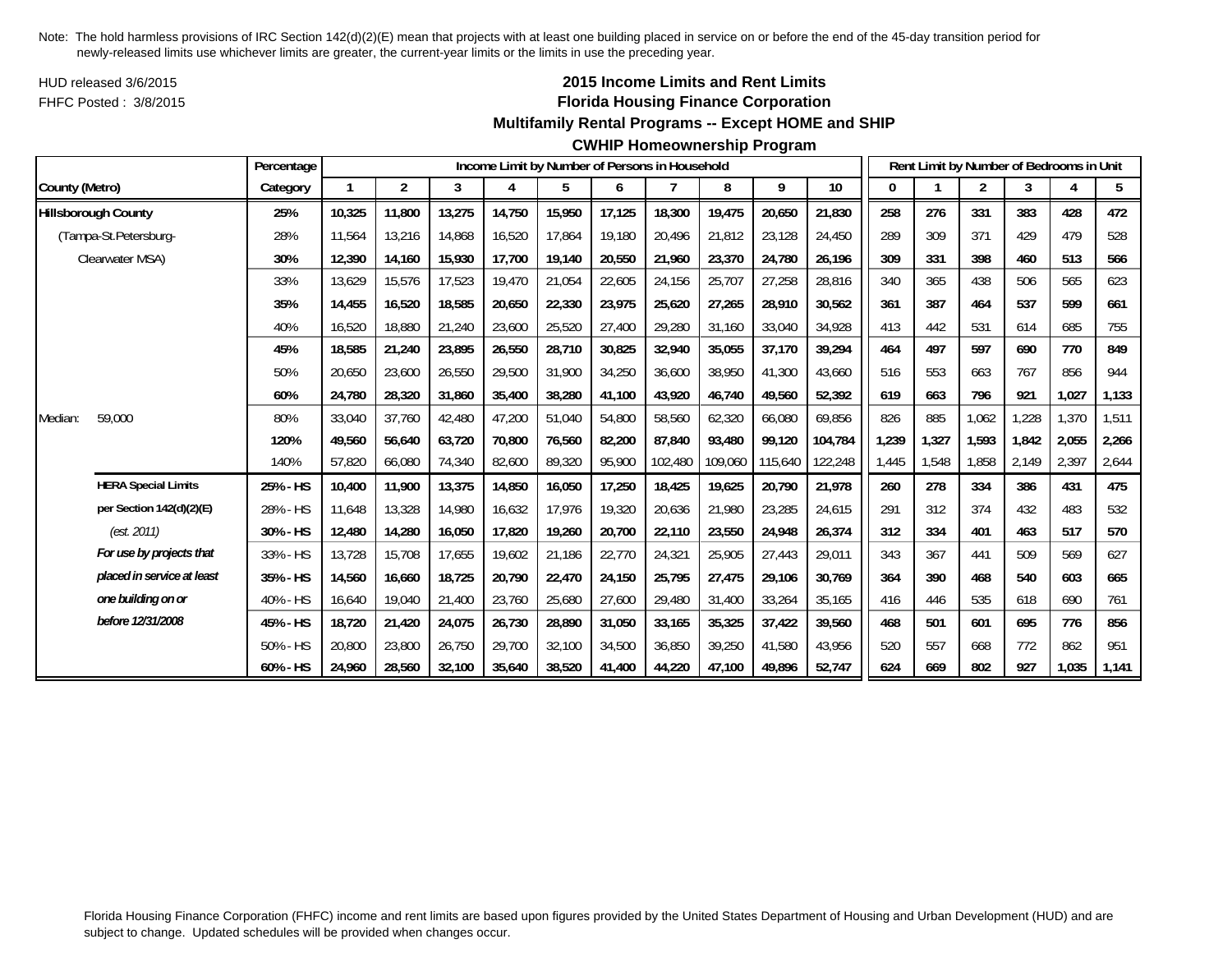HUD released 3/6/2015FHFC Posted : 3/8/2015

## **2015 Income Limits and Rent Limits Florida Housing Finance Corporation**

#### **Multifamily Rental Programs -- Except HOME and SHIP**

#### **CWHIP Homeownership Program**

|                |                            | Percentage |        |                |        |        |        |        | Income Limit by Number of Persons in Household |         |         |                 |       |       | Rent Limit by Number of Bedrooms in Unit |       |       |       |
|----------------|----------------------------|------------|--------|----------------|--------|--------|--------|--------|------------------------------------------------|---------|---------|-----------------|-------|-------|------------------------------------------|-------|-------|-------|
| County (Metro) |                            | Category   |        | $\overline{2}$ | 3      | 4      | 5      | 6      | $\overline{7}$                                 | 8       | 9       | 10 <sup>°</sup> | 0     |       | $\overline{2}$                           | 3     | 4     | 5     |
|                | <b>Hillsborough County</b> | 25%        | 10,325 | 11,800         | 13,275 | 14,750 | 15,950 | 17,125 | 18,300                                         | 19,475  | 20,650  | 21,830          | 258   | 276   | 331                                      | 383   | 428   | 472   |
|                | (Tampa-St.Petersburg-      | 28%        | 11.564 | 13,216         | 14.868 | 16,520 | 17,864 | 19.180 | 20.496                                         | 21,812  | 23,128  | 24.450          | 289   | 309   | 371                                      | 429   | 479   | 528   |
|                | Clearwater MSA)            | 30%        | 12,390 | 14,160         | 15,930 | 17,700 | 19,140 | 20,550 | 21,960                                         | 23,370  | 24,780  | 26,196          | 309   | 331   | 398                                      | 460   | 513   | 566   |
|                |                            | 33%        | 13,629 | 15,576         | 17,523 | 19,470 | 21,054 | 22,605 | 24,156                                         | 25,707  | 27,258  | 28,816          | 340   | 365   | 438                                      | 506   | 565   | 623   |
|                |                            | 35%        | 14,455 | 16,520         | 18,585 | 20,650 | 22,330 | 23,975 | 25,620                                         | 27,265  | 28,910  | 30,562          | 361   | 387   | 464                                      | 537   | 599   | 661   |
|                |                            | 40%        | 16,520 | 18,880         | 21,240 | 23,600 | 25,520 | 27,400 | 29,280                                         | 31,160  | 33,040  | 34,928          | 413   | 442   | 531                                      | 614   | 685   | 755   |
|                |                            | 45%        | 18,585 | 21,240         | 23,895 | 26,550 | 28,710 | 30,825 | 32,940                                         | 35,055  | 37,170  | 39,294          | 464   | 497   | 597                                      | 690   | 770   | 849   |
|                |                            | 50%        | 20,650 | 23,600         | 26,550 | 29,500 | 31,900 | 34,250 | 36,600                                         | 38,950  | 41,300  | 43,660          | 516   | 553   | 663                                      | 767   | 856   | 944   |
|                |                            | 60%        | 24,780 | 28,320         | 31,860 | 35,400 | 38,280 | 41,100 | 43,920                                         | 46,740  | 49,560  | 52,392          | 619   | 663   | 796                                      | 921   | 1,027 | 1,133 |
| Median:        | 59,000                     | 80%        | 33,040 | 37,760         | 42,480 | 47,200 | 51,040 | 54,800 | 58,560                                         | 62,320  | 66,080  | 69,856          | 826   | 885   | 1,062                                    | ,228  | 1,370 | 1,511 |
|                |                            | 120%       | 49,560 | 56,640         | 63,720 | 70,800 | 76,560 | 82,200 | 87,840                                         | 93,480  | 99.120  | 104,784         | 1,239 | 1,327 | 1,593                                    | 1,842 | 2,055 | 2,266 |
|                |                            | 140%       | 57,820 | 66,080         | 74,340 | 82,600 | 89,320 | 95,900 | 102,480                                        | 109,060 | 115,640 | 122,248         | 1,445 | 1,548 | 1,858                                    | 2,149 | 2,397 | 2,644 |
|                | <b>HERA Special Limits</b> | 25% - HS   | 10,400 | 11,900         | 13,375 | 14,850 | 16,050 | 17,250 | 18,425                                         | 19,625  | 20,790  | 21,978          | 260   | 278   | 334                                      | 386   | 431   | 475   |
|                | per Section 142(d)(2)(E)   | 28% - HS   | 11,648 | 13,328         | 14,980 | 16,632 | 17,976 | 19,320 | 20,636                                         | 21,980  | 23,285  | 24,615          | 291   | 312   | 374                                      | 432   | 483   | 532   |
|                | (est. 2011)                | 30% - HS   | 12,480 | 14,280         | 16,050 | 17,820 | 19,260 | 20,700 | 22,110                                         | 23,550  | 24,948  | 26,374          | 312   | 334   | 401                                      | 463   | 517   | 570   |
|                | For use by projects that   | 33% - HS   | 13,728 | 15,708         | 17,655 | 19,602 | 21,186 | 22,770 | 24,321                                         | 25,905  | 27,443  | 29,011          | 343   | 367   | 441                                      | 509   | 569   | 627   |
|                | placed in service at least | 35% - HS   | 14,560 | 16,660         | 18,725 | 20,790 | 22,470 | 24,150 | 25,795                                         | 27,475  | 29,106  | 30,769          | 364   | 390   | 468                                      | 540   | 603   | 665   |
|                | one building on or         | 40% - HS   | 16,640 | 19,040         | 21,400 | 23,760 | 25,680 | 27,600 | 29,480                                         | 31,400  | 33,264  | 35,165          | 416   | 446   | 535                                      | 618   | 690   | 761   |
|                | before 12/31/2008          | 45% - HS   | 18,720 | 21,420         | 24,075 | 26,730 | 28,890 | 31,050 | 33,165                                         | 35,325  | 37,422  | 39,560          | 468   | 501   | 601                                      | 695   | 776   | 856   |
|                |                            | 50% - HS   | 20,800 | 23,800         | 26,750 | 29,700 | 32,100 | 34,500 | 36,850                                         | 39,250  | 41,580  | 43,956          | 520   | 557   | 668                                      | 772   | 862   | 951   |
|                |                            | 60% - HS   | 24,960 | 28,560         | 32,100 | 35,640 | 38,520 | 41,400 | 44,220                                         | 47,100  | 49,896  | 52,747          | 624   | 669   | 802                                      | 927   | 1,035 | 1,141 |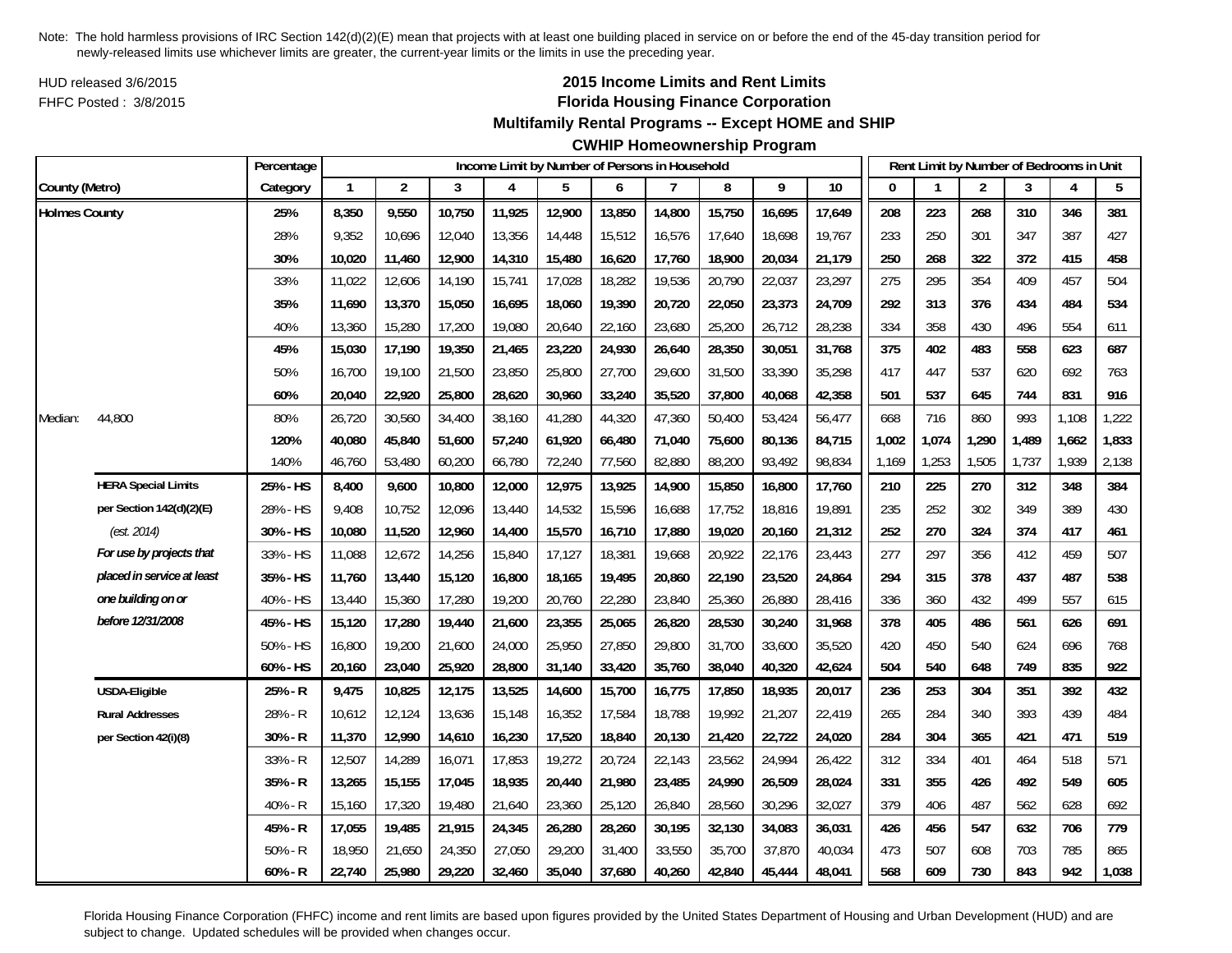HUD released 3/6/2015FHFC Posted : 3/8/2015

# **2015 Income Limits and Rent Limits Florida Housing Finance Corporation**

## **Multifamily Rental Programs -- Except HOME and SHIP**

# **CWHIP Homeownership Program**

|                      |                            | Percentage |              |                |        | Income Limit by Number of Persons in Household |        |        |        |        |        |        |          |       | Rent Limit by Number of Bedrooms in Unit |       |       |       |
|----------------------|----------------------------|------------|--------------|----------------|--------|------------------------------------------------|--------|--------|--------|--------|--------|--------|----------|-------|------------------------------------------|-------|-------|-------|
| County (Metro)       |                            | Category   | $\mathbf{1}$ | $\overline{2}$ | 3      | 4                                              | 5      | 6      | 7      | 8      | 9      | 10     | $\Omega$ |       | $\overline{2}$                           | 3     | 4     | 5     |
| <b>Holmes County</b> |                            | 25%        | 8,350        | 9,550          | 10,750 | 11,925                                         | 12,900 | 13,850 | 14,800 | 15,750 | 16,695 | 17,649 | 208      | 223   | 268                                      | 310   | 346   | 381   |
|                      |                            | 28%        | 9,352        | 10,696         | 12,040 | 13,356                                         | 14,448 | 15,512 | 16,576 | 17,640 | 18,698 | 19,767 | 233      | 250   | 301                                      | 347   | 387   | 427   |
|                      |                            | 30%        | 10,020       | 11,460         | 12,900 | 14,310                                         | 15,480 | 16,620 | 17,760 | 18,900 | 20,034 | 21,179 | 250      | 268   | 322                                      | 372   | 415   | 458   |
|                      |                            | 33%        | 11,022       | 12,606         | 14,190 | 15,741                                         | 17,028 | 18,282 | 19,536 | 20,790 | 22,037 | 23,297 | 275      | 295   | 354                                      | 409   | 457   | 504   |
|                      |                            | 35%        | 11,690       | 13,370         | 15,050 | 16,695                                         | 18,060 | 19,390 | 20,720 | 22,050 | 23,373 | 24,709 | 292      | 313   | 376                                      | 434   | 484   | 534   |
|                      |                            | 40%        | 13,360       | 15,280         | 17,200 | 19,080                                         | 20,640 | 22,160 | 23,680 | 25,200 | 26,712 | 28,238 | 334      | 358   | 430                                      | 496   | 554   | 611   |
|                      |                            | 45%        | 15,030       | 17,190         | 19,350 | 21,465                                         | 23,220 | 24,930 | 26,640 | 28,350 | 30,051 | 31,768 | 375      | 402   | 483                                      | 558   | 623   | 687   |
|                      |                            | 50%        | 16,700       | 19,100         | 21,500 | 23,850                                         | 25,800 | 27,700 | 29,600 | 31,500 | 33,390 | 35,298 | 417      | 447   | 537                                      | 620   | 692   | 763   |
|                      |                            | 60%        | 20,040       | 22,920         | 25,800 | 28,620                                         | 30,960 | 33,240 | 35,520 | 37,800 | 40,068 | 42,358 | 501      | 537   | 645                                      | 744   | 831   | 916   |
| Median:              | 44,800                     | 80%        | 26,720       | 30,560         | 34,400 | 38,160                                         | 41,280 | 44,320 | 47,360 | 50,400 | 53,424 | 56,477 | 668      | 716   | 860                                      | 993   | 1,108 | 1,222 |
|                      |                            | 120%       | 40,080       | 45,840         | 51,600 | 57,240                                         | 61,920 | 66,480 | 71,040 | 75,600 | 80,136 | 84,715 | 1,002    | 1,074 | 1,290                                    | 1,489 | 1,662 | 1,833 |
|                      |                            | 140%       | 46,760       | 53,480         | 60,200 | 66,780                                         | 72,240 | 77,560 | 82,880 | 88,200 | 93,492 | 98,834 | 1,169    | 1,253 | 1,505                                    | 1,737 | 1,939 | 2,138 |
|                      | <b>HERA Special Limits</b> | 25% - HS   | 8,400        | 9,600          | 10,800 | 12,000                                         | 12,975 | 13,925 | 14,900 | 15,850 | 16,800 | 17,760 | 210      | 225   | 270                                      | 312   | 348   | 384   |
|                      | per Section 142(d)(2)(E)   | 28% - HS   | 9,408        | 10,752         | 12,096 | 13,440                                         | 14,532 | 15,596 | 16,688 | 17,752 | 18,816 | 19,891 | 235      | 252   | 302                                      | 349   | 389   | 430   |
|                      | (est. 2014)                | 30% - HS   | 10,080       | 11,520         | 12,960 | 14,400                                         | 15,570 | 16,710 | 17,880 | 19,020 | 20,160 | 21,312 | 252      | 270   | 324                                      | 374   | 417   | 461   |
|                      | For use by projects that   | 33% - HS   | 11,088       | 12,672         | 14,256 | 15,840                                         | 17,127 | 18,381 | 19,668 | 20,922 | 22,176 | 23,443 | 277      | 297   | 356                                      | 412   | 459   | 507   |
|                      | placed in service at least | 35% - HS   | 11,760       | 13,440         | 15,120 | 16,800                                         | 18,165 | 19,495 | 20,860 | 22,190 | 23,520 | 24,864 | 294      | 315   | 378                                      | 437   | 487   | 538   |
|                      | one building on or         | 40% - HS   | 13,440       | 15,360         | 17,280 | 19,200                                         | 20,760 | 22,280 | 23,840 | 25,360 | 26,880 | 28,416 | 336      | 360   | 432                                      | 499   | 557   | 615   |
|                      | before 12/31/2008          | 45% - HS   | 15,120       | 17,280         | 19,440 | 21,600                                         | 23,355 | 25,065 | 26,820 | 28,530 | 30,240 | 31,968 | 378      | 405   | 486                                      | 561   | 626   | 691   |
|                      |                            | 50% - HS   | 16,800       | 19,200         | 21,600 | 24,000                                         | 25,950 | 27,850 | 29,800 | 31,700 | 33,600 | 35,520 | 420      | 450   | 540                                      | 624   | 696   | 768   |
|                      |                            | 60% - HS   | 20,160       | 23,040         | 25,920 | 28,800                                         | 31,140 | 33,420 | 35,760 | 38,040 | 40,320 | 42,624 | 504      | 540   | 648                                      | 749   | 835   | 922   |
|                      | <b>USDA-Eligible</b>       | 25% - R    | 9,475        | 10,825         | 12,175 | 13,525                                         | 14,600 | 15,700 | 16,775 | 17,850 | 18,935 | 20,017 | 236      | 253   | 304                                      | 351   | 392   | 432   |
|                      | <b>Rural Addresses</b>     | 28% - R    | 10,612       | 12,124         | 13,636 | 15,148                                         | 16,352 | 17,584 | 18,788 | 19,992 | 21,207 | 22,419 | 265      | 284   | 340                                      | 393   | 439   | 484   |
|                      | per Section 42(i)(8)       | 30% - R    | 11,370       | 12,990         | 14,610 | 16,230                                         | 17,520 | 18,840 | 20,130 | 21,420 | 22,722 | 24,020 | 284      | 304   | 365                                      | 421   | 471   | 519   |
|                      |                            | 33% - R    | 12,507       | 14,289         | 16,071 | 17,853                                         | 19,272 | 20,724 | 22,143 | 23,562 | 24,994 | 26,422 | 312      | 334   | 401                                      | 464   | 518   | 571   |
|                      |                            | 35% - R    | 13,265       | 15,155         | 17,045 | 18,935                                         | 20,440 | 21,980 | 23,485 | 24,990 | 26,509 | 28,024 | 331      | 355   | 426                                      | 492   | 549   | 605   |
|                      |                            | 40% - R    | 15,160       | 17,320         | 19,480 | 21,640                                         | 23,360 | 25,120 | 26,840 | 28,560 | 30,296 | 32,027 | 379      | 406   | 487                                      | 562   | 628   | 692   |
|                      |                            | 45% - R    | 17,055       | 19,485         | 21,915 | 24,345                                         | 26,280 | 28,260 | 30,195 | 32,130 | 34,083 | 36,031 | 426      | 456   | 547                                      | 632   | 706   | 779   |
|                      |                            | $50% - R$  | 18,950       | 21,650         | 24,350 | 27,050                                         | 29,200 | 31,400 | 33,550 | 35,700 | 37,870 | 40,034 | 473      | 507   | 608                                      | 703   | 785   | 865   |
|                      |                            | $60% - R$  | 22,740       | 25,980         | 29,220 | 32,460                                         | 35,040 | 37,680 | 40,260 | 42,840 | 45,444 | 48,041 | 568      | 609   | 730                                      | 843   | 942   | 1,038 |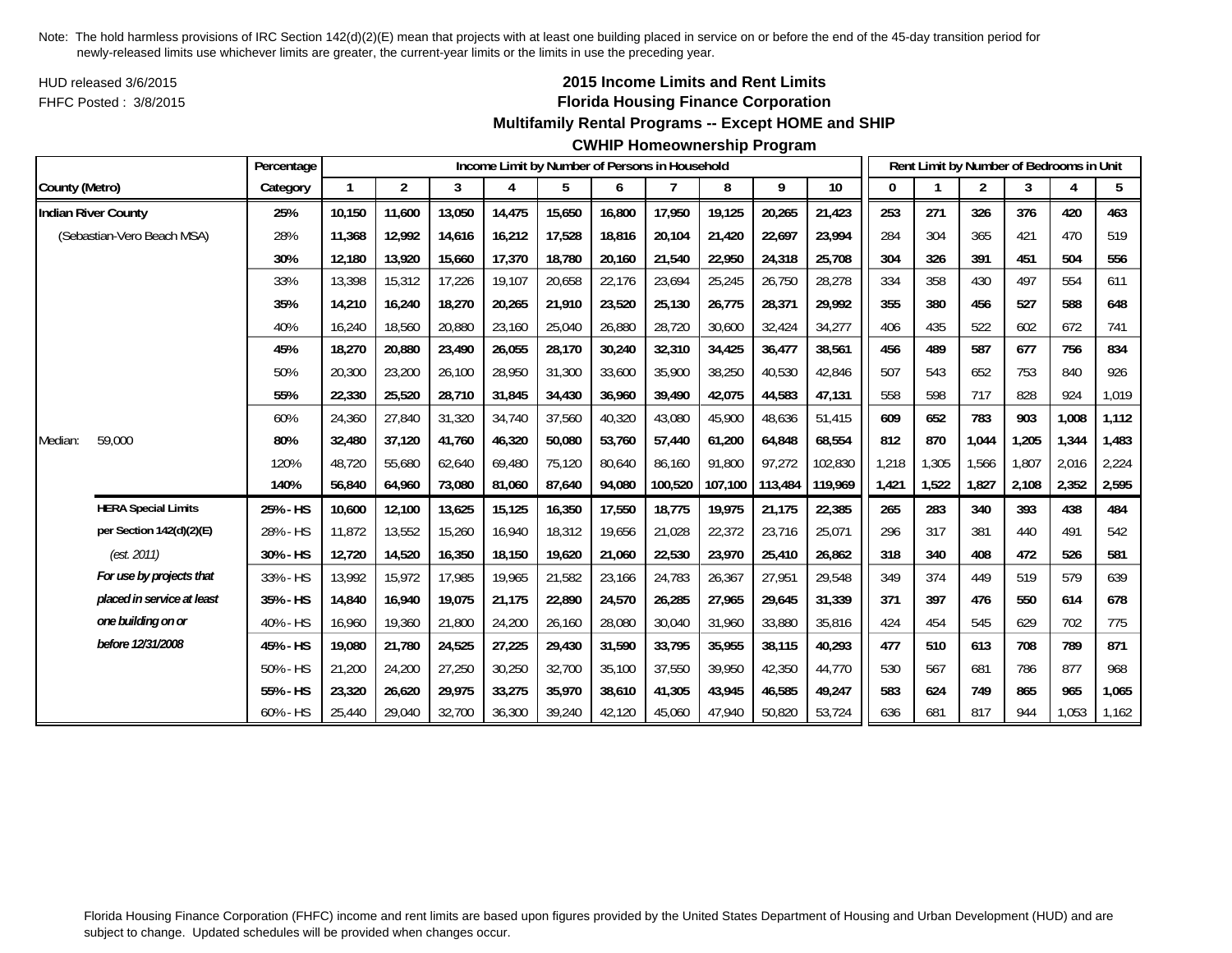HUD released 3/6/2015FHFC Posted : 3/8/2015

## **2015 Income Limits and Rent Limits Florida Housing Finance Corporation**

#### **Multifamily Rental Programs -- Except HOME and SHIP**

|                |                            | Percentage  |              |                |        |        |        |        | Income Limit by Number of Persons in Household |         |         |         |       |       | Rent Limit by Number of Bedrooms in Unit |       |       |       |
|----------------|----------------------------|-------------|--------------|----------------|--------|--------|--------|--------|------------------------------------------------|---------|---------|---------|-------|-------|------------------------------------------|-------|-------|-------|
| County (Metro) |                            | Category    | $\mathbf{1}$ | $\overline{2}$ | 3      | 4      | 5      | 6      | 7                                              | 8       | 9       | 10      | 0     |       | $\overline{2}$                           | 3     | 4     | 5     |
|                | <b>Indian River County</b> | 25%         | 10.150       | 11,600         | 13,050 | 14,475 | 15,650 | 16,800 | 17,950                                         | 19,125  | 20,265  | 21,423  | 253   | 271   | 326                                      | 376   | 420   | 463   |
|                | (Sebastian-Vero Beach MSA) | 28%         | 11,368       | 12,992         | 14,616 | 16,212 | 17,528 | 18,816 | 20,104                                         | 21,420  | 22,697  | 23,994  | 284   | 304   | 365                                      | 421   | 470   | 519   |
|                |                            | 30%         | 12,180       | 13,920         | 15,660 | 17,370 | 18,780 | 20,160 | 21,540                                         | 22,950  | 24,318  | 25,708  | 304   | 326   | 391                                      | 451   | 504   | 556   |
|                |                            | 33%         | 13,398       | 15,312         | 17,226 | 19,107 | 20,658 | 22,176 | 23,694                                         | 25,245  | 26,750  | 28,278  | 334   | 358   | 430                                      | 497   | 554   | 611   |
|                |                            | 35%         | 14,210       | 16,240         | 18,270 | 20,265 | 21,910 | 23,520 | 25,130                                         | 26,775  | 28,371  | 29,992  | 355   | 380   | 456                                      | 527   | 588   | 648   |
|                |                            | 40%         | 16,240       | 18,560         | 20,880 | 23,160 | 25,040 | 26,880 | 28,720                                         | 30,600  | 32,424  | 34,277  | 406   | 435   | 522                                      | 602   | 672   | 741   |
|                |                            | 45%         | 18,270       | 20,880         | 23,490 | 26,055 | 28,170 | 30,240 | 32,310                                         | 34,425  | 36,477  | 38,561  | 456   | 489   | 587                                      | 677   | 756   | 834   |
|                |                            | 50%         | 20,300       | 23,200         | 26,100 | 28,950 | 31,300 | 33,600 | 35,900                                         | 38,250  | 40,530  | 42,846  | 507   | 543   | 652                                      | 753   | 840   | 926   |
|                |                            | 55%         | 22,330       | 25,520         | 28,710 | 31,845 | 34,430 | 36,960 | 39,490                                         | 42,075  | 44,583  | 47,131  | 558   | 598   | 717                                      | 828   | 924   | 1,019 |
|                |                            | 60%         | 24,360       | 27,840         | 31,320 | 34,740 | 37,560 | 40,320 | 43,080                                         | 45,900  | 48,636  | 51,415  | 609   | 652   | 783                                      | 903   | 1,008 | 1,112 |
| Median:        | 59,000                     | 80%         | 32,480       | 37,120         | 41.760 | 46,320 | 50,080 | 53,760 | 57.440                                         | 61,200  | 64,848  | 68,554  | 812   | 870   | 1,044                                    | 1.205 | 1,344 | 1,483 |
|                |                            | 120%        | 48,720       | 55,680         | 62,640 | 69,480 | 75,120 | 80,640 | 86,160                                         | 91,800  | 97,272  | 102,830 | 1,218 | 1,305 | 1,566                                    | 1,807 | 2,016 | 2,224 |
|                |                            | 140%        | 56,840       | 64,960         | 73,080 | 81,060 | 87,640 | 94,080 | 100,520                                        | 107,100 | 113,484 | 119,969 | 1,421 | 1,522 | 1,827                                    | 2,108 | 2,352 | 2,595 |
|                | <b>HERA Special Limits</b> | 25% - HS    | 10,600       | 12,100         | 13,625 | 15,125 | 16,350 | 17,550 | 18,775                                         | 19,975  | 21,175  | 22,385  | 265   | 283   | 340                                      | 393   | 438   | 484   |
|                | per Section 142(d)(2)(E)   | 28% - HS    | 11,872       | 13,552         | 15,260 | 16,940 | 18,312 | 19,656 | 21,028                                         | 22,372  | 23,716  | 25,071  | 296   | 317   | 381                                      | 440   | 491   | 542   |
|                | (est. 2011)                | 30% - HS    | 12,720       | 14,520         | 16,350 | 18,150 | 19,620 | 21,060 | 22,530                                         | 23,970  | 25,410  | 26,862  | 318   | 340   | 408                                      | 472   | 526   | 581   |
|                | For use by projects that   | 33% - HS    | 13,992       | 15,972         | 17,985 | 19,965 | 21,582 | 23,166 | 24,783                                         | 26,367  | 27,951  | 29,548  | 349   | 374   | 449                                      | 519   | 579   | 639   |
|                | placed in service at least | 35% - HS    | 14,840       | 16,940         | 19,075 | 21,175 | 22,890 | 24,570 | 26,285                                         | 27,965  | 29,645  | 31,339  | 371   | 397   | 476                                      | 550   | 614   | 678   |
|                | one building on or         | 40% - HS    | 16,960       | 19,360         | 21,800 | 24,200 | 26,160 | 28,080 | 30,040                                         | 31,960  | 33,880  | 35,816  | 424   | 454   | 545                                      | 629   | 702   | 775   |
|                | before 12/31/2008          | 45% - HS    | 19,080       | 21,780         | 24,525 | 27,225 | 29,430 | 31,590 | 33,795                                         | 35,955  | 38,115  | 40,293  | 477   | 510   | 613                                      | 708   | 789   | 871   |
|                |                            | 50% - HS    | 21,200       | 24,200         | 27,250 | 30,250 | 32,700 | 35,100 | 37,550                                         | 39,950  | 42,350  | 44,770  | 530   | 567   | 681                                      | 786   | 877   | 968   |
|                |                            | 55% - HS    | 23,320       | 26,620         | 29,975 | 33,275 | 35,970 | 38,610 | 41,305                                         | 43,945  | 46,585  | 49,247  | 583   | 624   | 749                                      | 865   | 965   | 1,065 |
|                |                            | $60\% - HS$ | 25.440       | 29,040         | 32,700 | 36,300 | 39,240 | 42,120 | 45,060                                         | 47.940  | 50,820  | 53,724  | 636   | 681   | 817                                      | 944   | 1,053 | 1,162 |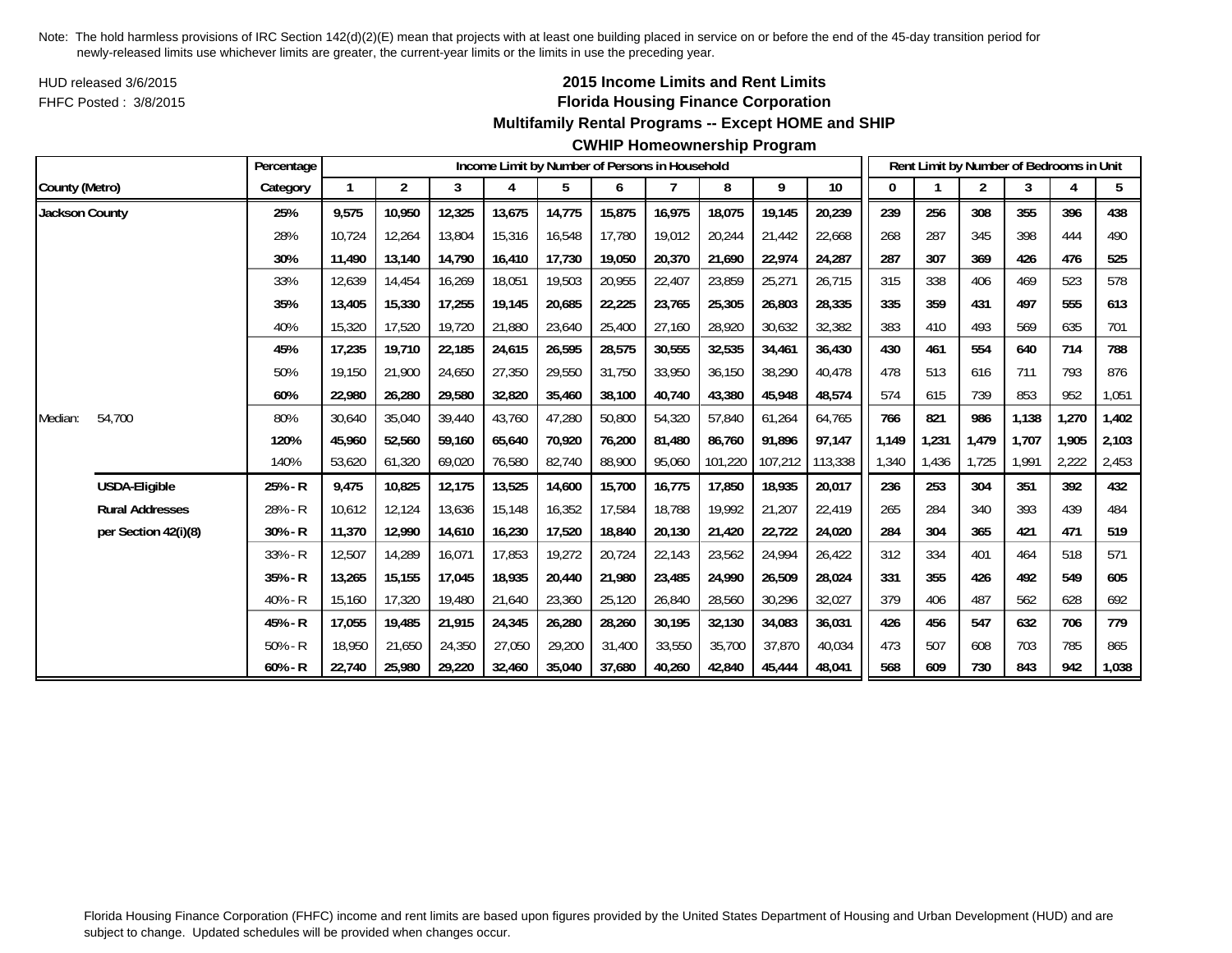HUD released 3/6/2015FHFC Posted : 3/8/2015

# **2015 Income Limits and Rent Limits Florida Housing Finance Corporation**

#### **Multifamily Rental Programs -- Except HOME and SHIP**

#### **CWHIP Homeownership Program**

|                |                        | Percentage |        |                |        |        |        |        | Income Limit by Number of Persons in Household |         |         |         |       |       | Rent Limit by Number of Bedrooms in Unit |       |       |       |
|----------------|------------------------|------------|--------|----------------|--------|--------|--------|--------|------------------------------------------------|---------|---------|---------|-------|-------|------------------------------------------|-------|-------|-------|
| County (Metro) |                        | Category   | 1      | $\overline{2}$ | 3      | 4      | 5      | 6      | 7                                              | 8       | 9       | 10      | 0     |       | 2                                        | 3     | 4     | 5     |
| Jackson County |                        | 25%        | 9,575  | 10,950         | 12,325 | 13,675 | 14,775 | 15,875 | 16,975                                         | 18,075  | 19,145  | 20,239  | 239   | 256   | 308                                      | 355   | 396   | 438   |
|                |                        | 28%        | 10.724 | 12.264         | 13,804 | 15,316 | 16,548 | 17.780 | 19,012                                         | 20,244  | 21.442  | 22,668  | 268   | 287   | 345                                      | 398   | 444   | 490   |
|                |                        | 30%        | 11,490 | 13,140         | 14,790 | 16,410 | 17,730 | 19,050 | 20,370                                         | 21,690  | 22,974  | 24,287  | 287   | 307   | 369                                      | 426   | 476   | 525   |
|                |                        | 33%        | 12,639 | 14,454         | 16,269 | 18,051 | 19,503 | 20,955 | 22,407                                         | 23,859  | 25,271  | 26,715  | 315   | 338   | 406                                      | 469   | 523   | 578   |
|                |                        | 35%        | 13,405 | 15,330         | 17,255 | 19,145 | 20,685 | 22,225 | 23,765                                         | 25,305  | 26,803  | 28,335  | 335   | 359   | 431                                      | 497   | 555   | 613   |
|                |                        | 40%        | 15,320 | 17,520         | 19,720 | 21,880 | 23,640 | 25,400 | 27,160                                         | 28,920  | 30,632  | 32,382  | 383   | 410   | 493                                      | 569   | 635   | 701   |
|                |                        | 45%        | 17,235 | 19,710         | 22,185 | 24,615 | 26,595 | 28,575 | 30,555                                         | 32,535  | 34,461  | 36,430  | 430   | 461   | 554                                      | 640   | 714   | 788   |
|                |                        | 50%        | 19,150 | 21,900         | 24,650 | 27,350 | 29,550 | 31,750 | 33,950                                         | 36,150  | 38,290  | 40,478  | 478   | 513   | 616                                      | 711   | 793   | 876   |
|                |                        | 60%        | 22,980 | 26,280         | 29,580 | 32,820 | 35,460 | 38,100 | 40,740                                         | 43,380  | 45,948  | 48,574  | 574   | 615   | 739                                      | 853   | 952   | 1,051 |
| Median:        | 54,700                 | 80%        | 30,640 | 35,040         | 39,440 | 43,760 | 47,280 | 50,800 | 54,320                                         | 57,840  | 61,264  | 64,765  | 766   | 821   | 986                                      | 1,138 | 1,270 | 1,402 |
|                |                        | 120%       | 45.960 | 52,560         | 59.160 | 65,640 | 70,920 | 76,200 | 81.480                                         | 86,760  | 91.896  | 97.147  | 1.149 | 1,231 | 1.479                                    | 1.707 | 1,905 | 2,103 |
|                |                        | 140%       | 53,620 | 61,320         | 69,020 | 76,580 | 82,740 | 88,900 | 95,060                                         | 101,220 | 107,212 | 113,338 | 1,340 | 1,436 | 1,725                                    | 1,991 | 2,222 | 2,453 |
|                | <b>USDA-Eligible</b>   | 25% - R    | 9,475  | 10,825         | 12,175 | 13,525 | 14,600 | 15,700 | 16,775                                         | 17,850  | 18,935  | 20,017  | 236   | 253   | 304                                      | 351   | 392   | 432   |
|                | <b>Rural Addresses</b> | 28% - R    | 10,612 | 12,124         | 13,636 | 15,148 | 16,352 | 17,584 | 18,788                                         | 19,992  | 21,207  | 22,419  | 265   | 284   | 340                                      | 393   | 439   | 484   |
|                | per Section 42(i)(8)   | $30% - R$  | 11,370 | 12.990         | 14,610 | 16,230 | 17,520 | 18,840 | 20,130                                         | 21,420  | 22,722  | 24,020  | 284   | 304   | 365                                      | 421   | 471   | 519   |
|                |                        | $33% - R$  | 12,507 | 14,289         | 16,071 | 17,853 | 19,272 | 20,724 | 22,143                                         | 23,562  | 24,994  | 26,422  | 312   | 334   | 401                                      | 464   | 518   | 571   |
|                |                        | $35% - R$  | 13,265 | 15,155         | 17,045 | 18,935 | 20,440 | 21,980 | 23,485                                         | 24,990  | 26,509  | 28,024  | 331   | 355   | 426                                      | 492   | 549   | 605   |
|                |                        | $40% - R$  | 15,160 | 17,320         | 19,480 | 21,640 | 23,360 | 25,120 | 26,840                                         | 28,560  | 30,296  | 32,027  | 379   | 406   | 487                                      | 562   | 628   | 692   |
|                |                        | 45% - R    | 17,055 | 19,485         | 21,915 | 24,345 | 26,280 | 28,260 | 30,195                                         | 32,130  | 34,083  | 36,031  | 426   | 456   | 547                                      | 632   | 706   | 779   |
|                |                        | $50% - R$  | 18,950 | 21,650         | 24,350 | 27,050 | 29,200 | 31,400 | 33,550                                         | 35,700  | 37,870  | 40,034  | 473   | 507   | 608                                      | 703   | 785   | 865   |
|                |                        | $60% - R$  | 22,740 | 25,980         | 29,220 | 32,460 | 35,040 | 37,680 | 40,260                                         | 42,840  | 45,444  | 48,041  | 568   | 609   | 730                                      | 843   | 942   | 1,038 |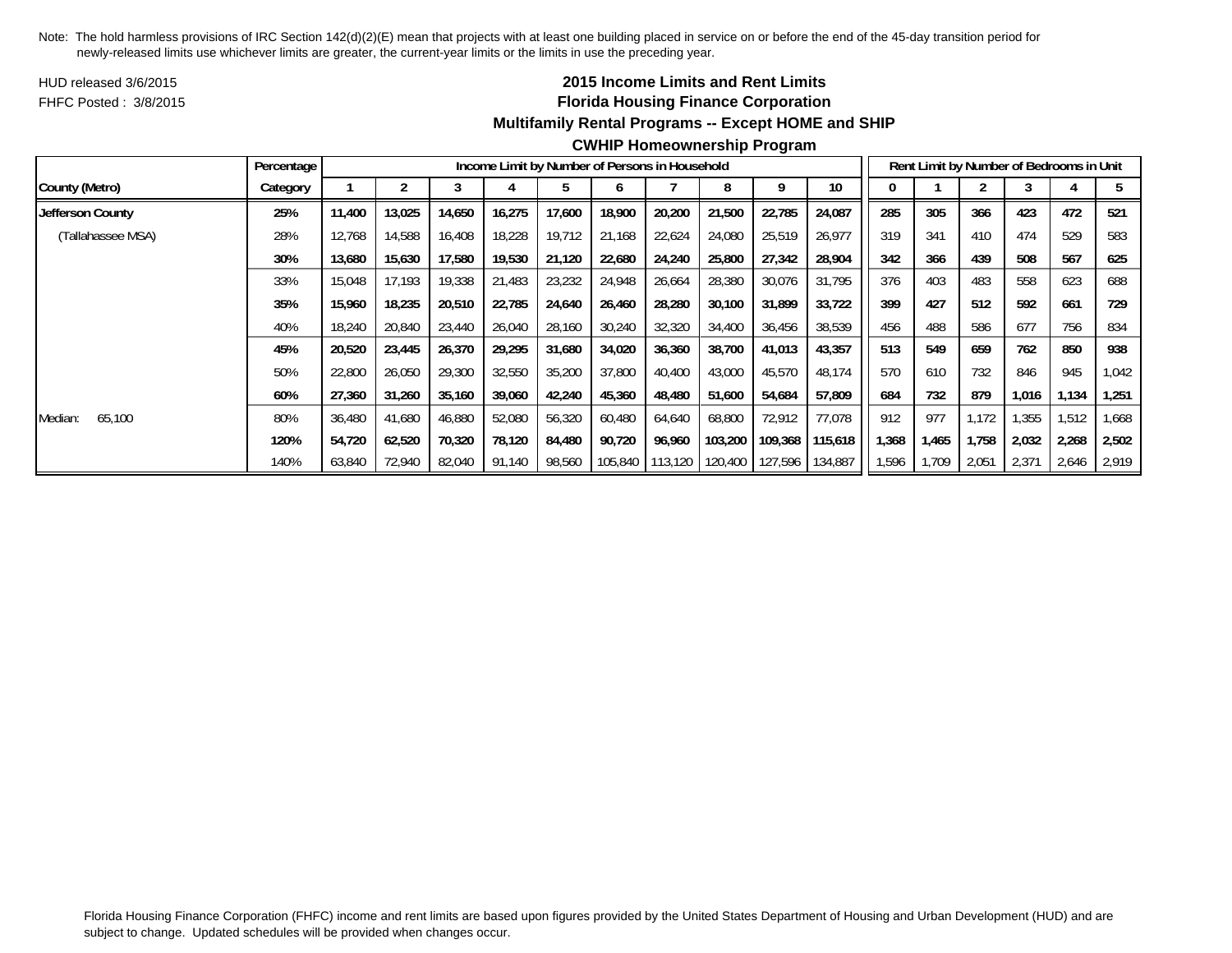HUD released 3/6/2015FHFC Posted : 3/8/2015

# **2015 Income Limits and Rent Limits Florida Housing Finance Corporation Multifamily Rental Programs -- Except HOME and SHIP**

|                   | Percentage |        |        |        |        | Income Limit by Number of Persons in Household |         |         |         |         |         |      |       |       | Rent Limit by Number of Bedrooms in Unit |       |        |
|-------------------|------------|--------|--------|--------|--------|------------------------------------------------|---------|---------|---------|---------|---------|------|-------|-------|------------------------------------------|-------|--------|
| County (Metro)    | Category   |        |        |        |        |                                                | o       |         |         | a       | 10      |      |       |       |                                          |       |        |
| Jefferson County  | 25%        | 11,400 | 13,025 | 14,650 | 16,275 | 17.600                                         | 18,900  | 20,200  | 21,500  | 22,785  | 24,087  | 285  | 305   | 366   | 423                                      | 472   | 521    |
| (Tallahassee MSA) | 28%        | 12,768 | 14,588 | 16,408 | 18,228 | 19,712                                         | 21,168  | 22,624  | 24,080  | 25,519  | 26,977  | 319  | 341   | 410   | 474                                      | 529   | 583    |
|                   | 30%        | 13,680 | 15,630 | 17,580 | 19,530 | 21,120                                         | 22,680  | 24,240  | 25,800  | 27,342  | 28,904  | 342  | 366   | 439   | 508                                      | 567   | 625    |
|                   | 33%        | 15,048 | 17.193 | 19,338 | 21,483 | 23,232                                         | 24,948  | 26,664  | 28,380  | 30,076  | 31,795  | 376  | 403   | 483   | 558                                      | 623   | 688    |
|                   | 35%        | 15,960 | 18,235 | 20,510 | 22,785 | 24,640                                         | 26,460  | 28,280  | 30,100  | 31,899  | 33,722  | 399  | 427   | 512   | 592                                      | 661   | 729    |
|                   | 40%        | 18,240 | 20,840 | 23,440 | 26,040 | 28,160                                         | 30,240  | 32,320  | 34,400  | 36,456  | 38,539  | 456  | 488   | 586   | 677                                      | 756   | 834    |
|                   | 45%        | 20,520 | 23,445 | 26,370 | 29,295 | 31,680                                         | 34,020  | 36,360  | 38,700  | 41,013  | 43,357  | 513  | 549   | 659   | 762                                      | 850   | 938    |
|                   | 50%        | 22,800 | 26,050 | 29,300 | 32,550 | 35,200                                         | 37,800  | 40,400  | 43,000  | 45,570  | 48,174  | 570  | 610   | 732   | 846                                      | 945   | 042, ا |
|                   | 60%        | 27,360 | 31,260 | 35.160 | 39,060 | 42,240                                         | 45,360  | 48.480  | 51,600  | 54,684  | 57,809  | 684  | 732   | 879   | 1,016                                    | 1,134 | 1,251  |
| 65,100<br>Median: | 80%        | 36,480 | 41,680 | 46,880 | 52,080 | 56,320                                         | 60,480  | 64,640  | 68,800  | 72,912  | 77,078  | 912  | 977   | 1.172 | .355                                     | 1,512 | 668, ا |
|                   | 120%       | 54,720 | 62,520 | 70,320 | 78,120 | 84,480                                         | 90,720  | 96,960  | 103,200 | 109,368 | 115,618 | .368 | 1,465 | 1,758 | 2,032                                    | 2,268 | 2,502  |
|                   | 140%       | 63,840 | 72,940 | 82,040 | 91,140 | 98,560                                         | 105,840 | 113,120 | 120,400 | 127,596 | 134,887 | .596 | 1,709 | 2,051 | 2,371                                    | 2,646 | 2,919  |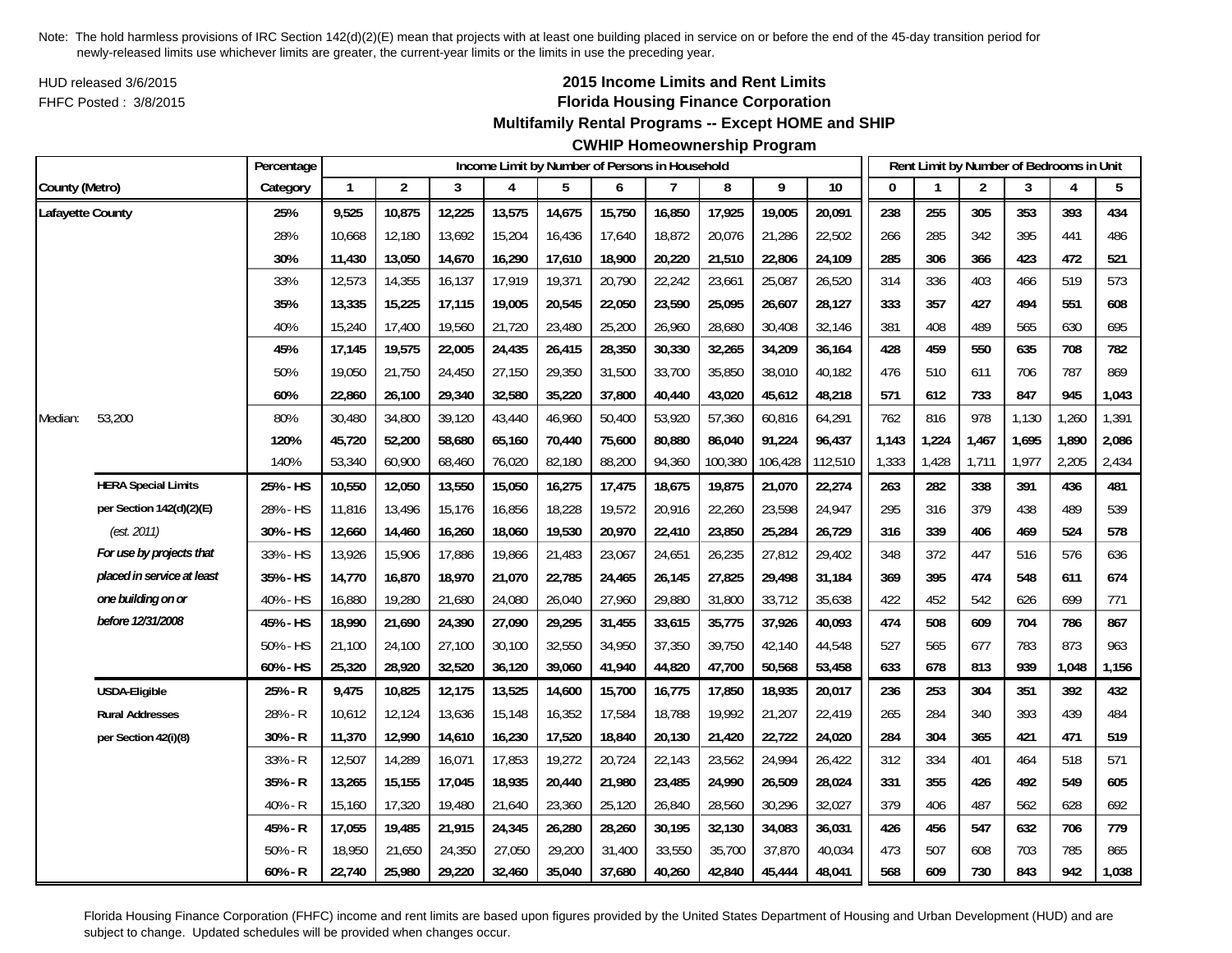HUD released 3/6/2015FHFC Posted : 3/8/2015

# **2015 Income Limits and Rent Limits Florida Housing Finance Corporation**

**Multifamily Rental Programs -- Except HOME and SHIP**

**CWHIP Homeownership Program**

|                  |                            | Percentage |              |                |        |        | Income Limit by Number of Persons in Household |        |        |         |         |         |       | Rent Limit by Number of Bedrooms in Unit |                |       |       |       |
|------------------|----------------------------|------------|--------------|----------------|--------|--------|------------------------------------------------|--------|--------|---------|---------|---------|-------|------------------------------------------|----------------|-------|-------|-------|
| County (Metro)   |                            | Category   | $\mathbf{1}$ | $\overline{2}$ | 3      | 4      | 5                                              | 6      | 7      | 8       | 9       | 10      | O     |                                          | $\overline{2}$ | 3     | 4     | 5     |
| Lafayette County |                            | 25%        | 9,525        | 10,875         | 12,225 | 13,575 | 14,675                                         | 15,750 | 16,850 | 17,925  | 19,005  | 20,091  | 238   | 255                                      | 305            | 353   | 393   | 434   |
|                  |                            | 28%        | 10,668       | 12,180         | 13,692 | 15,204 | 16,436                                         | 17,640 | 18,872 | 20,076  | 21,286  | 22,502  | 266   | 285                                      | 342            | 395   | 441   | 486   |
|                  |                            | 30%        | 11,430       | 13,050         | 14,670 | 16,290 | 17,610                                         | 18,900 | 20,220 | 21,510  | 22,806  | 24,109  | 285   | 306                                      | 366            | 423   | 472   | 521   |
|                  |                            | 33%        | 12,573       | 14,355         | 16,137 | 17,919 | 19,371                                         | 20,790 | 22,242 | 23,661  | 25,087  | 26,520  | 314   | 336                                      | 403            | 466   | 519   | 573   |
|                  |                            | 35%        | 13,335       | 15,225         | 17,115 | 19,005 | 20,545                                         | 22,050 | 23,590 | 25,095  | 26,607  | 28,127  | 333   | 357                                      | 427            | 494   | 551   | 608   |
|                  |                            | 40%        | 15,240       | 17,400         | 19,560 | 21,720 | 23,480                                         | 25,200 | 26,960 | 28,680  | 30,408  | 32,146  | 381   | 408                                      | 489            | 565   | 630   | 695   |
|                  |                            | 45%        | 17,145       | 19,575         | 22,005 | 24,435 | 26,415                                         | 28,350 | 30,330 | 32,265  | 34,209  | 36,164  | 428   | 459                                      | 550            | 635   | 708   | 782   |
|                  |                            | 50%        | 19,050       | 21,750         | 24,450 | 27,150 | 29,350                                         | 31,500 | 33,700 | 35,850  | 38,010  | 40,182  | 476   | 510                                      | 611            | 706   | 787   | 869   |
|                  |                            | 60%        | 22,860       | 26,100         | 29,340 | 32,580 | 35,220                                         | 37,800 | 40,440 | 43,020  | 45,612  | 48,218  | 571   | 612                                      | 733            | 847   | 945   | 1,043 |
| Median:          | 53,200                     | 80%        | 30,480       | 34,800         | 39,120 | 43,440 | 46,960                                         | 50,400 | 53,920 | 57,360  | 60,816  | 64,291  | 762   | 816                                      | 978            | 1,130 | 1,260 | 1,391 |
|                  |                            | 120%       | 45,720       | 52,200         | 58,680 | 65,160 | 70,440                                         | 75,600 | 80,880 | 86,040  | 91,224  | 96,437  | 1,143 | 1,224                                    | 1,467          | 1,695 | 1,890 | 2,086 |
|                  |                            | 140%       | 53,340       | 60,900         | 68,460 | 76,020 | 82,180                                         | 88,200 | 94,360 | 100,380 | 106,428 | 112,510 | 1,333 | 1,428                                    | 1,711          | 1,977 | 2,205 | 2,434 |
|                  | <b>HERA Special Limits</b> | 25% - HS   | 10,550       | 12,050         | 13,550 | 15,050 | 16,275                                         | 17,475 | 18,675 | 19,875  | 21,070  | 22,274  | 263   | 282                                      | 338            | 391   | 436   | 481   |
|                  | per Section 142(d)(2)(E)   | 28% - HS   | 11,816       | 13,496         | 15,176 | 16,856 | 18,228                                         | 19,572 | 20,916 | 22,260  | 23,598  | 24,947  | 295   | 316                                      | 379            | 438   | 489   | 539   |
|                  | (est. 2011)                | 30% - HS   | 12,660       | 14,460         | 16,260 | 18,060 | 19,530                                         | 20,970 | 22,410 | 23,850  | 25,284  | 26,729  | 316   | 339                                      | 406            | 469   | 524   | 578   |
|                  | For use by projects that   | 33% - HS   | 13,926       | 15,906         | 17,886 | 19,866 | 21,483                                         | 23,067 | 24,651 | 26,235  | 27,812  | 29,402  | 348   | 372                                      | 447            | 516   | 576   | 636   |
|                  | placed in service at least | 35% - HS   | 14,770       | 16,870         | 18,970 | 21,070 | 22,785                                         | 24,465 | 26,145 | 27,825  | 29,498  | 31,184  | 369   | 395                                      | 474            | 548   | 611   | 674   |
|                  | one building on or         | 40% - HS   | 16,880       | 19,280         | 21,680 | 24,080 | 26,040                                         | 27,960 | 29,880 | 31,800  | 33,712  | 35,638  | 422   | 452                                      | 542            | 626   | 699   | 771   |
|                  | before 12/31/2008          | 45% - HS   | 18,990       | 21,690         | 24,390 | 27,090 | 29,295                                         | 31,455 | 33,615 | 35,775  | 37,926  | 40,093  | 474   | 508                                      | 609            | 704   | 786   | 867   |
|                  |                            | 50% - HS   | 21,100       | 24,100         | 27,100 | 30,100 | 32,550                                         | 34,950 | 37,350 | 39,750  | 42,140  | 44,548  | 527   | 565                                      | 677            | 783   | 873   | 963   |
|                  |                            | 60% - HS   | 25,320       | 28,920         | 32,520 | 36,120 | 39,060                                         | 41,940 | 44,820 | 47,700  | 50,568  | 53,458  | 633   | 678                                      | 813            | 939   | 1,048 | 1,156 |
|                  | <b>USDA-Eligible</b>       | 25% - R    | 9,475        | 10,825         | 12,175 | 13,525 | 14,600                                         | 15,700 | 16,775 | 17,850  | 18,935  | 20,017  | 236   | 253                                      | 304            | 351   | 392   | 432   |
|                  | <b>Rural Addresses</b>     | 28% - R    | 10,612       | 12,124         | 13,636 | 15,148 | 16,352                                         | 17,584 | 18,788 | 19,992  | 21,207  | 22,419  | 265   | 284                                      | 340            | 393   | 439   | 484   |
|                  | per Section 42(i)(8)       | 30% - R    | 11,370       | 12,990         | 14,610 | 16,230 | 17,520                                         | 18,840 | 20,130 | 21,420  | 22,722  | 24,020  | 284   | 304                                      | 365            | 421   | 471   | 519   |
|                  |                            | 33% - R    | 12,507       | 14,289         | 16,071 | 17,853 | 19,272                                         | 20,724 | 22,143 | 23,562  | 24,994  | 26,422  | 312   | 334                                      | 401            | 464   | 518   | 571   |
|                  |                            | 35% - R    | 13,265       | 15,155         | 17,045 | 18,935 | 20,440                                         | 21,980 | 23,485 | 24,990  | 26,509  | 28,024  | 331   | 355                                      | 426            | 492   | 549   | 605   |
|                  |                            | 40% - R    | 15,160       | 17,320         | 19,480 | 21,640 | 23,360                                         | 25,120 | 26,840 | 28,560  | 30,296  | 32,027  | 379   | 406                                      | 487            | 562   | 628   | 692   |
|                  |                            | 45% - R    | 17,055       | 19,485         | 21,915 | 24,345 | 26,280                                         | 28,260 | 30,195 | 32,130  | 34,083  | 36,031  | 426   | 456                                      | 547            | 632   | 706   | 779   |
|                  |                            | $50% - R$  | 18,950       | 21,650         | 24,350 | 27,050 | 29,200                                         | 31,400 | 33,550 | 35,700  | 37,870  | 40,034  | 473   | 507                                      | 608            | 703   | 785   | 865   |
|                  |                            | $60% - R$  | 22,740       | 25,980         | 29,220 | 32,460 | 35,040                                         | 37,680 | 40,260 | 42,840  | 45,444  | 48,041  | 568   | 609                                      | 730            | 843   | 942   | 1,038 |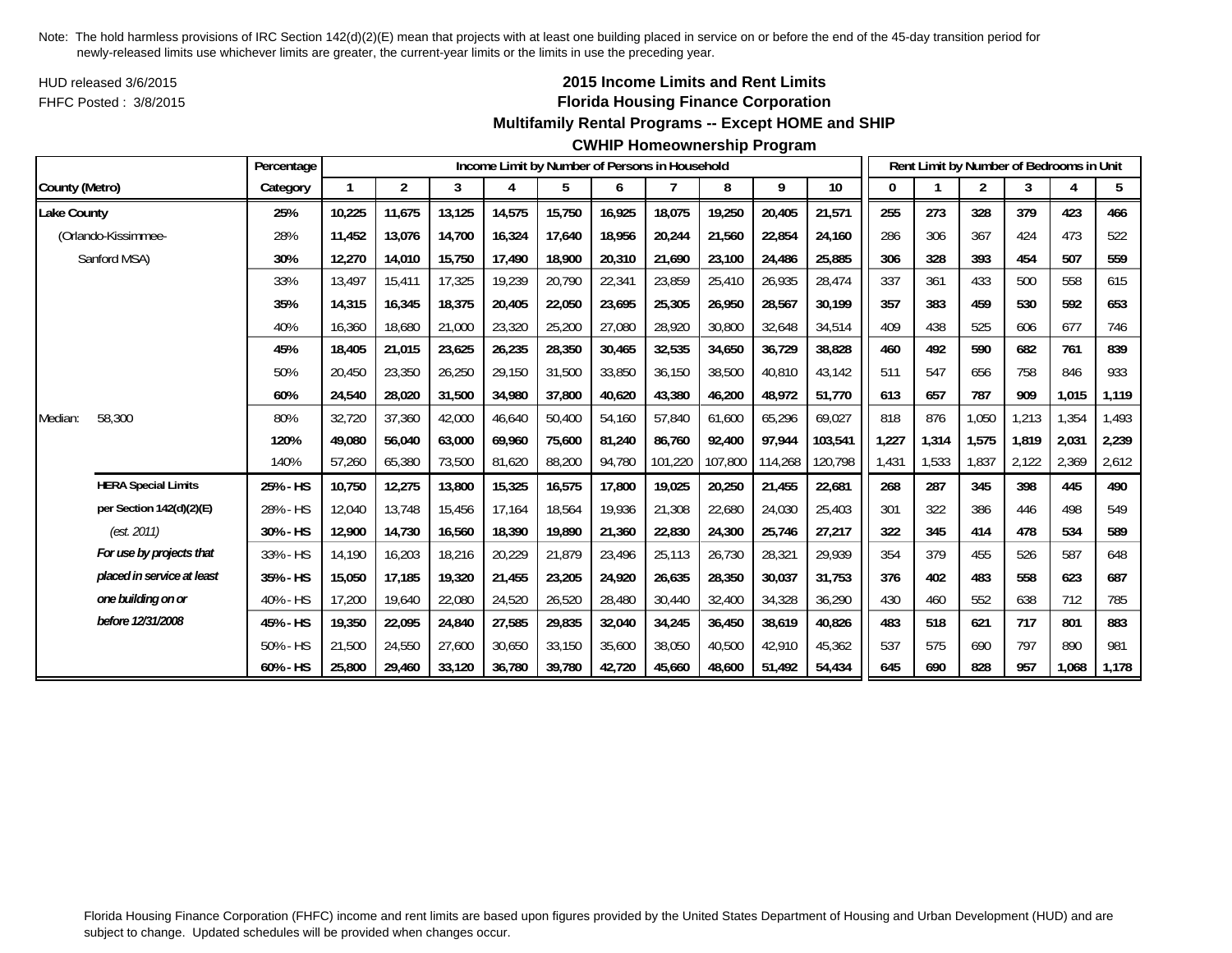HUD released 3/6/2015FHFC Posted : 3/8/2015

# **2015 Income Limits and Rent Limits Florida Housing Finance Corporation**

## **Multifamily Rental Programs -- Except HOME and SHIP**

#### **CWHIP Homeownership Program**

|                    |                            | Percentage |        |                |        |        |        |        | Income Limit by Number of Persons in Household |         |         |         |       |       | Rent Limit by Number of Bedrooms in Unit |       |       |       |
|--------------------|----------------------------|------------|--------|----------------|--------|--------|--------|--------|------------------------------------------------|---------|---------|---------|-------|-------|------------------------------------------|-------|-------|-------|
| County (Metro)     |                            | Category   |        | $\overline{2}$ | 3      | 4      | 5      | 6      |                                                | 8       | 9       | 10      | 0     |       | 2                                        | 3     | 4     | 5     |
| <b>Lake County</b> |                            | 25%        | 10,225 | 11,675         | 13,125 | 14,575 | 15,750 | 16,925 | 18,075                                         | 19,250  | 20,405  | 21,571  | 255   | 273   | 328                                      | 379   | 423   | 466   |
|                    | (Orlando-Kissimmee-        | 28%        | 11,452 | 13,076         | 14,700 | 16,324 | 17,640 | 18,956 | 20,244                                         | 21,560  | 22,854  | 24,160  | 286   | 306   | 367                                      | 424   | 473   | 522   |
|                    | Sanford MSA)               | 30%        | 12,270 | 14,010         | 15,750 | 17,490 | 18,900 | 20,310 | 21,690                                         | 23,100  | 24,486  | 25,885  | 306   | 328   | 393                                      | 454   | 507   | 559   |
|                    |                            | 33%        | 13,497 | 15,411         | 17,325 | 19,239 | 20,790 | 22,341 | 23,859                                         | 25,410  | 26,935  | 28,474  | 337   | 361   | 433                                      | 500   | 558   | 615   |
|                    |                            | 35%        | 14,315 | 16,345         | 18,375 | 20,405 | 22,050 | 23,695 | 25,305                                         | 26,950  | 28,567  | 30,199  | 357   | 383   | 459                                      | 530   | 592   | 653   |
|                    |                            | 40%        | 16,360 | 18,680         | 21,000 | 23,320 | 25,200 | 27,080 | 28,920                                         | 30,800  | 32,648  | 34,514  | 409   | 438   | 525                                      | 606   | 677   | 746   |
|                    |                            | 45%        | 18,405 | 21,015         | 23,625 | 26,235 | 28,350 | 30,465 | 32,535                                         | 34,650  | 36,729  | 38,828  | 460   | 492   | 590                                      | 682   | 761   | 839   |
|                    |                            | 50%        | 20,450 | 23,350         | 26,250 | 29,150 | 31,500 | 33,850 | 36,150                                         | 38,500  | 40,810  | 43,142  | 511   | 547   | 656                                      | 758   | 846   | 933   |
|                    |                            | 60%        | 24,540 | 28,020         | 31,500 | 34,980 | 37,800 | 40,620 | 43,380                                         | 46,200  | 48,972  | 51,770  | 613   | 657   | 787                                      | 909   | 1,015 | 1,119 |
| Median:            | 58,300                     | 80%        | 32,720 | 37,360         | 42,000 | 46,640 | 50,400 | 54,160 | 57,840                                         | 61,600  | 65,296  | 69,027  | 818   | 876   | 1,050                                    | 1,213 | 1,354 | 1,493 |
|                    |                            | 120%       | 49,080 | 56,040         | 63,000 | 69,960 | 75,600 | 81,240 | 86,760                                         | 92,400  | 97,944  | 103,541 | 1,227 | 1,314 | 1,575                                    | 1,819 | 2,031 | 2,239 |
|                    |                            | 140%       | 57,260 | 65,380         | 73,500 | 81,620 | 88,200 | 94,780 | 101,220                                        | 107,800 | 114,268 | 120,798 | 1,431 | 1,533 | 1,837                                    | 2,122 | 2,369 | 2,612 |
|                    | <b>HERA Special Limits</b> | 25% - HS   | 10,750 | 12,275         | 13,800 | 15,325 | 16,575 | 17,800 | 19,025                                         | 20,250  | 21,455  | 22,681  | 268   | 287   | 345                                      | 398   | 445   | 490   |
|                    | per Section 142(d)(2)(E)   | 28% - HS   | 12,040 | 13,748         | 15,456 | 17,164 | 18,564 | 19,936 | 21,308                                         | 22,680  | 24,030  | 25,403  | 301   | 322   | 386                                      | 446   | 498   | 549   |
|                    | (est. 2011)                | 30% - HS   | 12,900 | 14.730         | 16,560 | 18,390 | 19,890 | 21,360 | 22,830                                         | 24,300  | 25,746  | 27,217  | 322   | 345   | 414                                      | 478   | 534   | 589   |
|                    | For use by projects that   | 33% - HS   | 14.190 | 16,203         | 18,216 | 20,229 | 21,879 | 23,496 | 25,113                                         | 26,730  | 28,321  | 29,939  | 354   | 379   | 455                                      | 526   | 587   | 648   |
|                    | placed in service at least | 35% - HS   | 15,050 | 17,185         | 19,320 | 21,455 | 23,205 | 24,920 | 26,635                                         | 28,350  | 30,037  | 31,753  | 376   | 402   | 483                                      | 558   | 623   | 687   |
|                    | one building on or         | 40% - HS   | 17,200 | 19,640         | 22,080 | 24,520 | 26,520 | 28,480 | 30,440                                         | 32,400  | 34,328  | 36,290  | 430   | 460   | 552                                      | 638   | 712   | 785   |
|                    | before 12/31/2008          | 45% - HS   | 19,350 | 22,095         | 24,840 | 27,585 | 29,835 | 32,040 | 34,245                                         | 36,450  | 38,619  | 40,826  | 483   | 518   | 621                                      | 717   | 801   | 883   |
|                    |                            | 50% - HS   | 21,500 | 24,550         | 27,600 | 30,650 | 33,150 | 35,600 | 38,050                                         | 40.500  | 42,910  | 45,362  | 537   | 575   | 690                                      | 797   | 890   | 981   |
|                    |                            | 60% - HS   | 25,800 | 29,460         | 33,120 | 36,780 | 39,780 | 42,720 | 45.660                                         | 48,600  | 51,492  | 54,434  | 645   | 690   | 828                                      | 957   | 1,068 | 1,178 |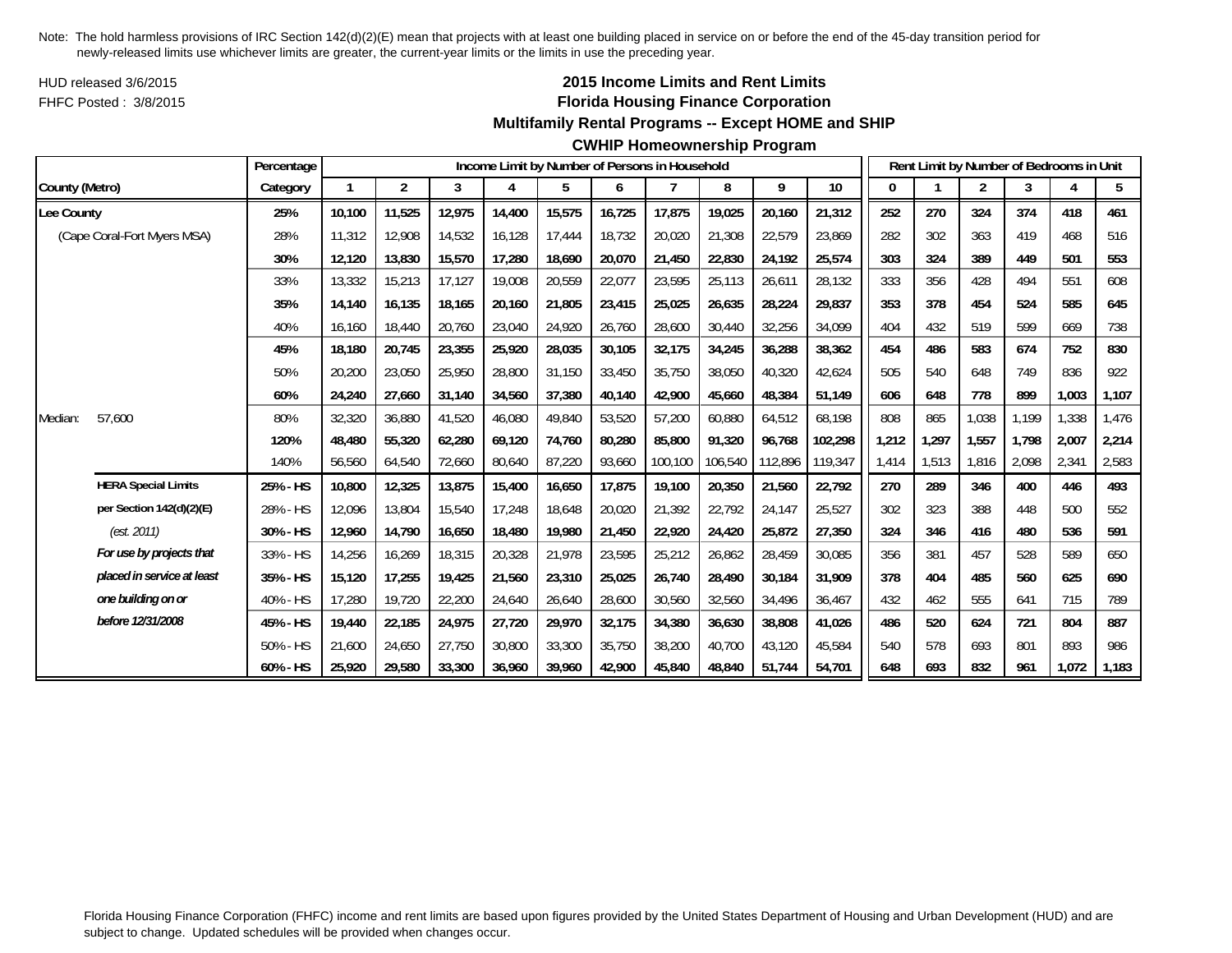HUD released 3/6/2015FHFC Posted : 3/8/2015

# **2015 Income Limits and Rent Limits Florida Housing Finance Corporation**

#### **Multifamily Rental Programs -- Except HOME and SHIP**

#### **CWHIP Homeownership Program**

|                |                             | Percentage |        |        |        |        |        |        | Income Limit by Number of Persons in Household |         |         |         |       |       | Rent Limit by Number of Bedrooms in Unit |       |       |       |
|----------------|-----------------------------|------------|--------|--------|--------|--------|--------|--------|------------------------------------------------|---------|---------|---------|-------|-------|------------------------------------------|-------|-------|-------|
| County (Metro) |                             | Category   |        | 2      | 3      | 4      | 5      | 6      |                                                | 8       | 9       | 10      | 0     |       | $\overline{c}$                           | 3     |       | 5     |
| Lee County     |                             | 25%        | 10,100 | 11,525 | 12,975 | 14,400 | 15,575 | 16,725 | 17,875                                         | 19,025  | 20,160  | 21,312  | 252   | 270   | 324                                      | 374   | 418   | 461   |
|                | (Cape Coral-Fort Myers MSA) | 28%        | 11,312 | 12,908 | 14,532 | 16,128 | 17,444 | 18,732 | 20,020                                         | 21,308  | 22,579  | 23,869  | 282   | 302   | 363                                      | 419   | 468   | 516   |
|                |                             | 30%        | 12,120 | 13,830 | 15,570 | 17,280 | 18,690 | 20,070 | 21,450                                         | 22,830  | 24,192  | 25,574  | 303   | 324   | 389                                      | 449   | 501   | 553   |
|                |                             | 33%        | 13,332 | 15,213 | 17,127 | 19,008 | 20,559 | 22,077 | 23,595                                         | 25,113  | 26,611  | 28,132  | 333   | 356   | 428                                      | 494   | 551   | 608   |
|                |                             | 35%        | 14.140 | 16.135 | 18.165 | 20.160 | 21,805 | 23,415 | 25,025                                         | 26,635  | 28,224  | 29,837  | 353   | 378   | 454                                      | 524   | 585   | 645   |
|                |                             | 40%        | 16.160 | 18,440 | 20,760 | 23,040 | 24,920 | 26,760 | 28,600                                         | 30,440  | 32,256  | 34,099  | 404   | 432   | 519                                      | 599   | 669   | 738   |
|                |                             | 45%        | 18.180 | 20,745 | 23,355 | 25,920 | 28,035 | 30,105 | 32,175                                         | 34,245  | 36,288  | 38,362  | 454   | 486   | 583                                      | 674   | 752   | 830   |
|                |                             | 50%        | 20,200 | 23,050 | 25,950 | 28,800 | 31,150 | 33,450 | 35,750                                         | 38,050  | 40,320  | 42,624  | 505   | 540   | 648                                      | 749   | 836   | 922   |
|                |                             | 60%        | 24,240 | 27,660 | 31,140 | 34,560 | 37,380 | 40,140 | 42,900                                         | 45,660  | 48,384  | 51,149  | 606   | 648   | 778                                      | 899   | 1,003 | 1,107 |
| Median:        | 57,600                      | 80%        | 32,320 | 36,880 | 41,520 | 46,080 | 49,840 | 53,520 | 57,200                                         | 60,880  | 64,512  | 68,198  | 808   | 865   | 1,038                                    | 1,199 | 1,338 | 1,476 |
|                |                             | 120%       | 48.480 | 55,320 | 62,280 | 69,120 | 74,760 | 80,280 | 85,800                                         | 91,320  | 96.768  | 102,298 | 1,212 | 1,297 | 1.557                                    | 1.798 | 2,007 | 2,214 |
|                |                             | 140%       | 56,560 | 64,540 | 72,660 | 80,640 | 87,220 | 93,660 | 100,100                                        | 106,540 | 112,896 | 119,347 | 1,414 | 1,513 | 1,816                                    | 2,098 | 2,341 | 2,583 |
|                | <b>HERA Special Limits</b>  | 25% - HS   | 10,800 | 12,325 | 13,875 | 15,400 | 16,650 | 17,875 | 19,100                                         | 20,350  | 21,560  | 22,792  | 270   | 289   | 346                                      | 400   | 446   | 493   |
|                | per Section 142(d)(2)(E)    | 28% - HS   | 12,096 | 13,804 | 15,540 | 17,248 | 18,648 | 20,020 | 21,392                                         | 22,792  | 24,147  | 25,527  | 302   | 323   | 388                                      | 448   | 500   | 552   |
|                | (est. 2011)                 | 30% - HS   | 12,960 | 14,790 | 16,650 | 18,480 | 19,980 | 21,450 | 22,920                                         | 24,420  | 25,872  | 27,350  | 324   | 346   | 416                                      | 480   | 536   | 591   |
|                | For use by projects that    | 33% - HS   | 14,256 | 16.269 | 18,315 | 20,328 | 21,978 | 23,595 | 25,212                                         | 26,862  | 28,459  | 30.085  | 356   | 381   | 457                                      | 528   | 589   | 650   |
|                | placed in service at least  | 35% - HS   | 15,120 | 17,255 | 19,425 | 21,560 | 23,310 | 25,025 | 26,740                                         | 28,490  | 30,184  | 31,909  | 378   | 404   | 485                                      | 560   | 625   | 690   |
|                | one building on or          | 40% - HS   | 17,280 | 19,720 | 22,200 | 24,640 | 26,640 | 28,600 | 30,560                                         | 32,560  | 34,496  | 36,467  | 432   | 462   | 555                                      | 641   | 715   | 789   |
|                | before 12/31/2008           | 45% - HS   | 19,440 | 22,185 | 24,975 | 27,720 | 29,970 | 32,175 | 34,380                                         | 36,630  | 38,808  | 41,026  | 486   | 520   | 624                                      | 721   | 804   | 887   |
|                |                             | 50% - HS   | 21,600 | 24,650 | 27,750 | 30,800 | 33,300 | 35,750 | 38,200                                         | 40.700  | 43,120  | 45,584  | 540   | 578   | 693                                      | 801   | 893   | 986   |
|                |                             | 60% - HS   | 25,920 | 29.580 | 33,300 | 36,960 | 39,960 | 42,900 | 45.840                                         | 48.840  | 51,744  | 54,701  | 648   | 693   | 832                                      | 961   | 1,072 | 1,183 |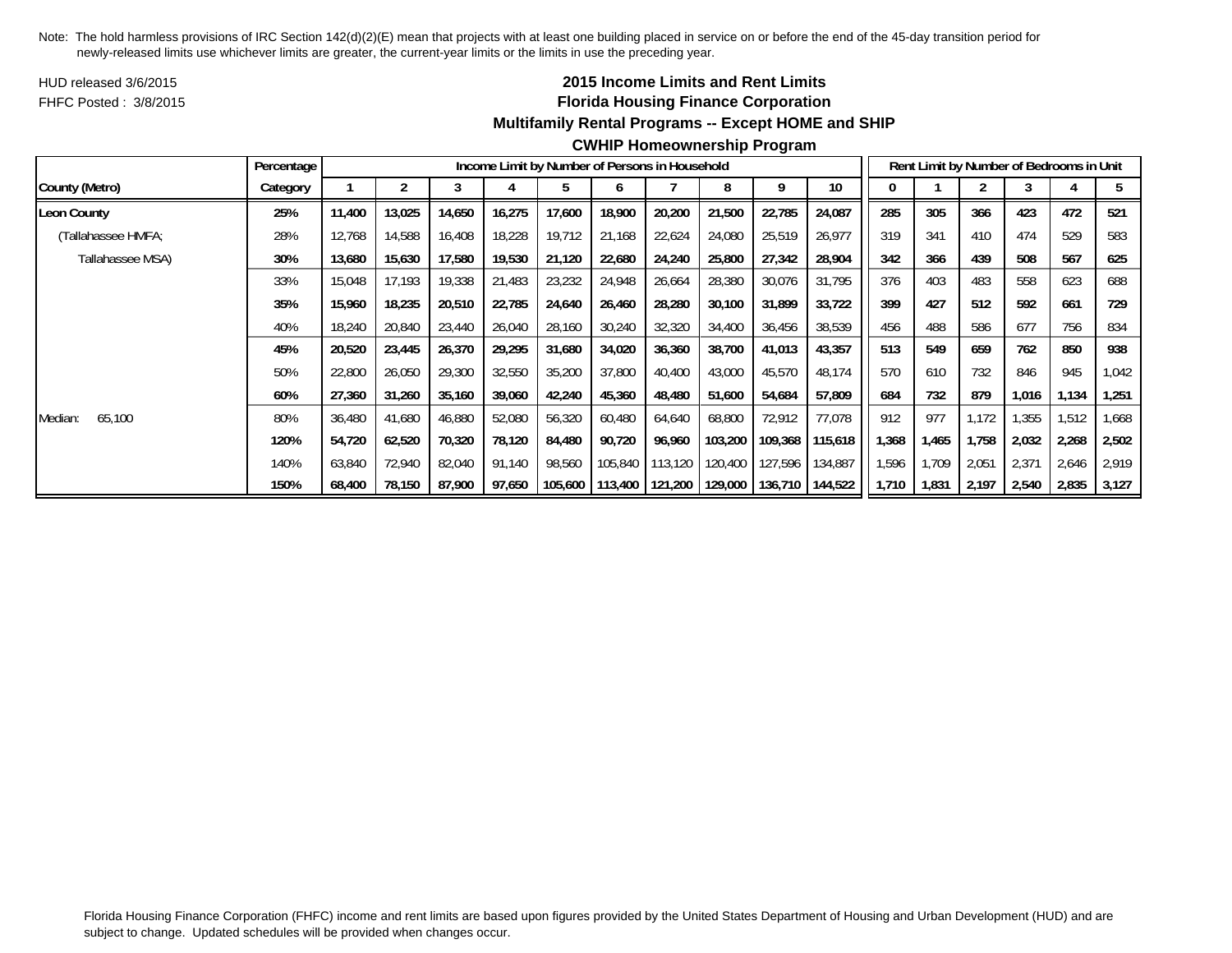HUD released 3/6/2015FHFC Posted : 3/8/2015

# **2015 Income Limits and Rent Limits Florida Housing Finance Corporation Multifamily Rental Programs -- Except HOME and SHIP**

|                    | Percentage |        |        |        |        |         |         | Income Limit by Number of Persons in Household |                   |         |                 |       |       |       | Rent Limit by Number of Bedrooms in Unit |       |       |
|--------------------|------------|--------|--------|--------|--------|---------|---------|------------------------------------------------|-------------------|---------|-----------------|-------|-------|-------|------------------------------------------|-------|-------|
| County (Metro)     | Category   |        |        |        |        |         | o       |                                                | 8                 | q       | 10 <sup>°</sup> |       |       |       |                                          |       |       |
| <b>Leon County</b> | 25%        | 11,400 | 13,025 | 14,650 | 16,275 | 17,600  | 18,900  | 20,200                                         | 21,500            | 22,785  | 24,087          | 285   | 305   | 366   | 423                                      | 472   | 521   |
| (Tallahassee HMFA; | 28%        | 12,768 | 14,588 | 16,408 | 18,228 | 19,712  | 21,168  | 22,624                                         | 24,080            | 25,519  | 26,977          | 319   | 341   | 410   | 474                                      | 529   | 583   |
| Tallahassee MSA)   | 30%        | 13,680 | 15,630 | 17,580 | 19,530 | 21,120  | 22,680  | 24,240                                         | 25,800            | 27,342  | 28,904          | 342   | 366   | 439   | 508                                      | 567   | 625   |
|                    | 33%        | 15,048 | 17.193 | 19,338 | 21,483 | 23,232  | 24,948  | 26,664                                         | 28,380            | 30,076  | 31,795          | 376   | 403   | 483   | 558                                      | 623   | 688   |
|                    | 35%        | 15,960 | 18,235 | 20,510 | 22,785 | 24,640  | 26,460  | 28,280                                         | 30,100            | 31,899  | 33,722          | 399   | 427   | 512   | 592                                      | 661   | 729   |
|                    | 40%        | 18,240 | 20,840 | 23,440 | 26,040 | 28,160  | 30,240  | 32,320                                         | 34,400            | 36,456  | 38,539          | 456   | 488   | 586   | 677                                      | 756   | 834   |
|                    | 45%        | 20,520 | 23,445 | 26,370 | 29,295 | 31,680  | 34,020  | 36,360                                         | 38,700            | 41,013  | 43,357          | 513   | 549   | 659   | 762                                      | 850   | 938   |
|                    | 50%        | 22,800 | 26,050 | 29,300 | 32,550 | 35,200  | 37,800  | 40,400                                         | 43,000            | 45,570  | 48,174          | 570   | 610   | 732   | 846                                      | 945   | 1,042 |
|                    | 60%        | 27,360 | 31,260 | 35,160 | 39,060 | 42,240  | 45,360  | 48,480                                         | 51,600            | 54,684  | 57,809          | 684   | 732   | 879   | 1,016                                    | 1,134 | 1,251 |
| 65,100<br>Median:  | 80%        | 36,480 | 41,680 | 46,880 | 52,080 | 56,320  | 60,480  | 64,640                                         | 68,800            | 72,912  | 77,078          | 912   | 977   | 1,172 | .355                                     | 1,512 | 668,  |
|                    | 120%       | 54,720 | 62,520 | 70,320 | 78,120 | 84,480  | 90,720  | 96,960                                         | 103,200           | 109,368 | 115,618         | .368  | 1,465 | 1,758 | 2,032                                    | 2,268 | 2,502 |
|                    | 140%       | 63,840 | 72,940 | 82,040 | 91,140 | 98,560  | 105,840 | 113,120                                        | 120,400           | 127,596 | 134,887         | .596  | 1,709 | 2,051 | 2,371                                    | 2,646 | 2,919 |
|                    | 150%       | 68,400 | 78,150 | 87,900 | 97,650 | 105,600 | 113,400 |                                                | 121,200   129,000 | 136,710 | 144,522         | 1,710 | 1,831 | 2,197 | 2,540                                    | 2,835 | 3,127 |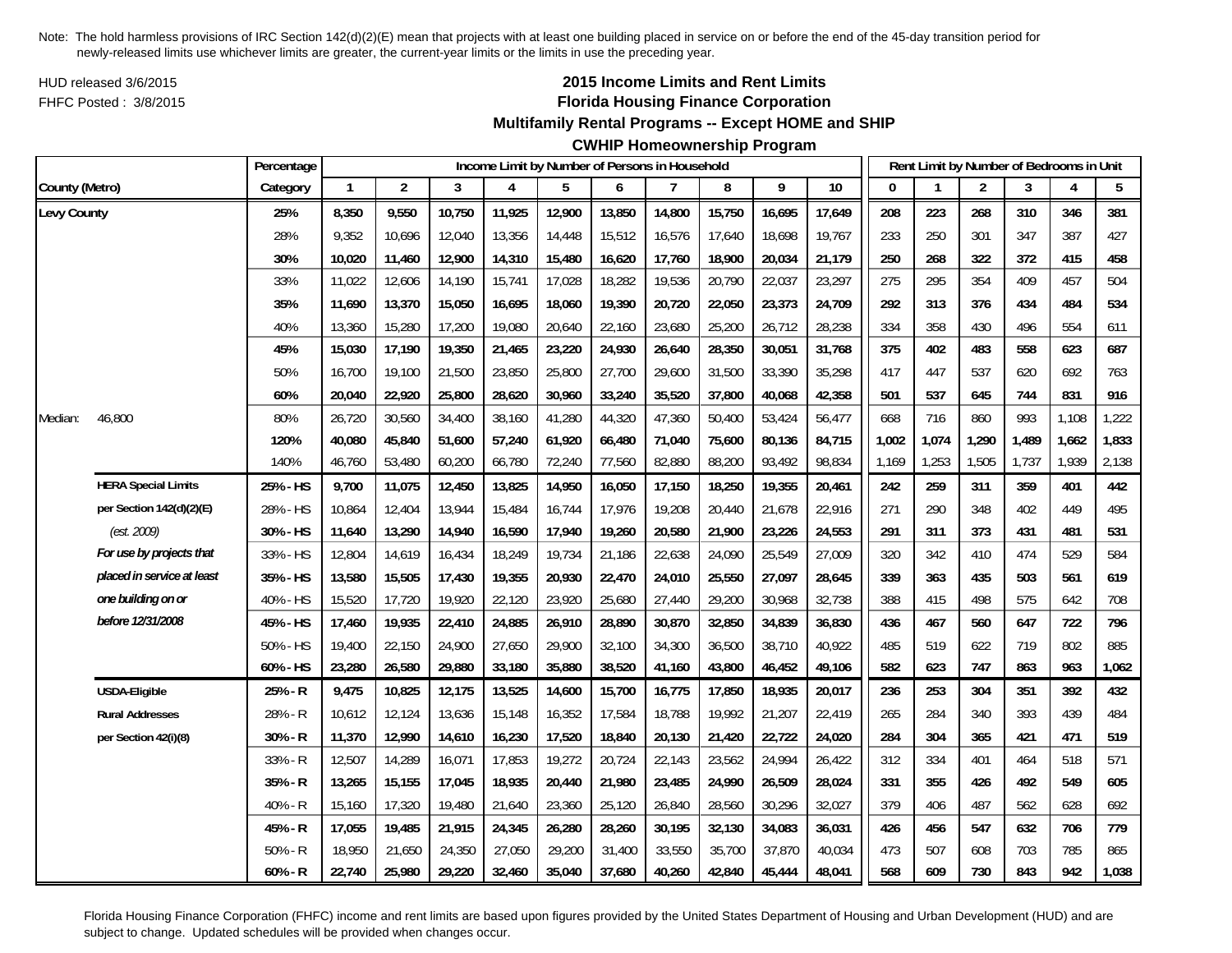HUD released 3/6/2015FHFC Posted : 3/8/2015

# **2015 Income Limits and Rent Limits Florida Housing Finance Corporation**

## **Multifamily Rental Programs -- Except HOME and SHIP**

# **CWHIP Homeownership Program**

|                |                            | Percentage |              |                |        | Income Limit by Number of Persons in Household |        |        |        |        |        |        |       |       | Rent Limit by Number of Bedrooms in Unit |       |       |       |
|----------------|----------------------------|------------|--------------|----------------|--------|------------------------------------------------|--------|--------|--------|--------|--------|--------|-------|-------|------------------------------------------|-------|-------|-------|
| County (Metro) |                            | Category   | $\mathbf{1}$ | $\overline{2}$ | 3      | $\overline{4}$                                 | 5      | 6      | 7      | 8      | 9      | 10     |       |       | $\overline{2}$                           | 3     | 4     | 5     |
| Levy County    |                            | 25%        | 8,350        | 9,550          | 10,750 | 11,925                                         | 12,900 | 13,850 | 14,800 | 15,750 | 16,695 | 17,649 | 208   | 223   | 268                                      | 310   | 346   | 381   |
|                |                            | 28%        | 9,352        | 10,696         | 12,040 | 13,356                                         | 14,448 | 15,512 | 16,576 | 17,640 | 18,698 | 19,767 | 233   | 250   | 301                                      | 347   | 387   | 427   |
|                |                            | 30%        | 10,020       | 11,460         | 12,900 | 14,310                                         | 15,480 | 16,620 | 17,760 | 18,900 | 20,034 | 21.179 | 250   | 268   | 322                                      | 372   | 415   | 458   |
|                |                            | 33%        | 11,022       | 12,606         | 14,190 | 15,741                                         | 17,028 | 18,282 | 19,536 | 20,790 | 22,037 | 23,297 | 275   | 295   | 354                                      | 409   | 457   | 504   |
|                |                            | 35%        | 11,690       | 13,370         | 15,050 | 16,695                                         | 18,060 | 19,390 | 20,720 | 22,050 | 23,373 | 24,709 | 292   | 313   | 376                                      | 434   | 484   | 534   |
|                |                            | 40%        | 13,360       | 15,280         | 17,200 | 19,080                                         | 20,640 | 22,160 | 23,680 | 25,200 | 26,712 | 28,238 | 334   | 358   | 430                                      | 496   | 554   | 611   |
|                |                            | 45%        | 15,030       | 17,190         | 19,350 | 21,465                                         | 23,220 | 24,930 | 26,640 | 28,350 | 30,051 | 31,768 | 375   | 402   | 483                                      | 558   | 623   | 687   |
|                |                            | 50%        | 16,700       | 19,100         | 21,500 | 23,850                                         | 25,800 | 27,700 | 29,600 | 31,500 | 33,390 | 35,298 | 417   | 447   | 537                                      | 620   | 692   | 763   |
|                |                            | 60%        | 20,040       | 22,920         | 25,800 | 28,620                                         | 30,960 | 33,240 | 35,520 | 37,800 | 40,068 | 42,358 | 501   | 537   | 645                                      | 744   | 831   | 916   |
| Median:        | 46,800                     | 80%        | 26,720       | 30,560         | 34,400 | 38,160                                         | 41,280 | 44,320 | 47,360 | 50,400 | 53,424 | 56,477 | 668   | 716   | 860                                      | 993   | 1,108 | 1,222 |
|                |                            | 120%       | 40,080       | 45,840         | 51,600 | 57,240                                         | 61,920 | 66,480 | 71,040 | 75,600 | 80,136 | 84,715 | 1,002 | 1,074 | 1,290                                    | 1,489 | 1,662 | 1,833 |
|                |                            | 140%       | 46,760       | 53,480         | 60,200 | 66,780                                         | 72,240 | 77,560 | 82,880 | 88,200 | 93,492 | 98,834 | 1,169 | 1,253 | 1,505                                    | 1,737 | 1,939 | 2,138 |
|                | <b>HERA Special Limits</b> | 25% - HS   | 9,700        | 11,075         | 12,450 | 13,825                                         | 14,950 | 16,050 | 17,150 | 18,250 | 19,355 | 20,461 | 242   | 259   | 311                                      | 359   | 401   | 442   |
|                | per Section 142(d)(2)(E)   | 28% - HS   | 10,864       | 12,404         | 13,944 | 15,484                                         | 16,744 | 17,976 | 19,208 | 20,440 | 21,678 | 22,916 | 271   | 290   | 348                                      | 402   | 449   | 495   |
|                | (est. 2009)                | 30% - HS   | 11,640       | 13,290         | 14,940 | 16,590                                         | 17,940 | 19,260 | 20,580 | 21,900 | 23,226 | 24,553 | 291   | 311   | 373                                      | 431   | 481   | 531   |
|                | For use by projects that   | 33% - HS   | 12,804       | 14,619         | 16,434 | 18,249                                         | 19,734 | 21,186 | 22,638 | 24,090 | 25,549 | 27,009 | 320   | 342   | 410                                      | 474   | 529   | 584   |
|                | placed in service at least | 35% - HS   | 13,580       | 15,505         | 17,430 | 19,355                                         | 20,930 | 22,470 | 24,010 | 25,550 | 27,097 | 28,645 | 339   | 363   | 435                                      | 503   | 561   | 619   |
|                | one building on or         | 40% - HS   | 15,520       | 17,720         | 19,920 | 22,120                                         | 23,920 | 25,680 | 27,440 | 29,200 | 30,968 | 32,738 | 388   | 415   | 498                                      | 575   | 642   | 708   |
|                | before 12/31/2008          | 45% - HS   | 17,460       | 19,935         | 22,410 | 24,885                                         | 26,910 | 28,890 | 30,870 | 32,850 | 34,839 | 36,830 | 436   | 467   | 560                                      | 647   | 722   | 796   |
|                |                            | 50% - HS   | 19,400       | 22,150         | 24,900 | 27,650                                         | 29,900 | 32,100 | 34,300 | 36,500 | 38,710 | 40,922 | 485   | 519   | 622                                      | 719   | 802   | 885   |
|                |                            | 60% - HS   | 23,280       | 26,580         | 29,880 | 33,180                                         | 35,880 | 38,520 | 41,160 | 43,800 | 46,452 | 49,106 | 582   | 623   | 747                                      | 863   | 963   | 1,062 |
|                | <b>USDA-Eligible</b>       | 25% - R    | 9,475        | 10,825         | 12,175 | 13,525                                         | 14,600 | 15,700 | 16,775 | 17,850 | 18,935 | 20,017 | 236   | 253   | 304                                      | 351   | 392   | 432   |
|                | <b>Rural Addresses</b>     | 28% - R    | 10,612       | 12,124         | 13,636 | 15,148                                         | 16,352 | 17,584 | 18,788 | 19,992 | 21,207 | 22,419 | 265   | 284   | 340                                      | 393   | 439   | 484   |
|                | per Section 42(i)(8)       | 30% - R    | 11,370       | 12,990         | 14,610 | 16,230                                         | 17,520 | 18,840 | 20,130 | 21,420 | 22,722 | 24,020 | 284   | 304   | 365                                      | 421   | 471   | 519   |
|                |                            | 33% - R    | 12,507       | 14,289         | 16,071 | 17,853                                         | 19,272 | 20,724 | 22,143 | 23,562 | 24,994 | 26,422 | 312   | 334   | 401                                      | 464   | 518   | 571   |
|                |                            | 35% - R    | 13,265       | 15,155         | 17,045 | 18,935                                         | 20,440 | 21,980 | 23,485 | 24,990 | 26,509 | 28,024 | 331   | 355   | 426                                      | 492   | 549   | 605   |
|                |                            | 40% - R    | 15,160       | 17,320         | 19,480 | 21,640                                         | 23,360 | 25,120 | 26,840 | 28,560 | 30,296 | 32,027 | 379   | 406   | 487                                      | 562   | 628   | 692   |
|                |                            | 45% - R    | 17,055       | 19,485         | 21,915 | 24,345                                         | 26,280 | 28,260 | 30,195 | 32,130 | 34,083 | 36,031 | 426   | 456   | 547                                      | 632   | 706   | 779   |
|                |                            | $50% - R$  | 18,950       | 21,650         | 24,350 | 27,050                                         | 29,200 | 31,400 | 33,550 | 35,700 | 37,870 | 40,034 | 473   | 507   | 608                                      | 703   | 785   | 865   |
|                |                            | $60% - R$  | 22,740       | 25,980         | 29,220 | 32,460                                         | 35,040 | 37,680 | 40,260 | 42,840 | 45,444 | 48,041 | 568   | 609   | 730                                      | 843   | 942   | 1,038 |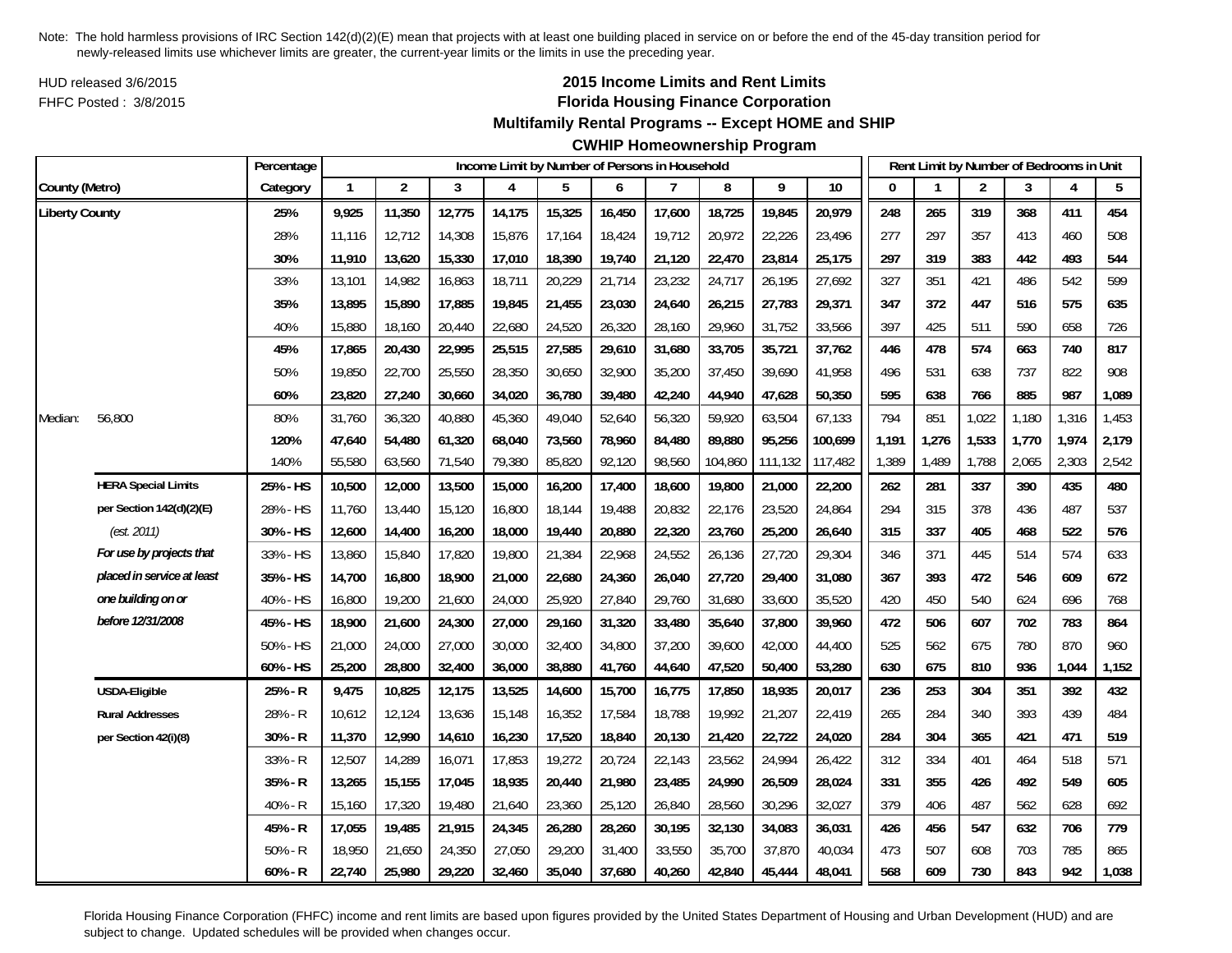HUD released 3/6/2015FHFC Posted : 3/8/2015

# **2015 Income Limits and Rent Limits Florida Housing Finance Corporation**

**Multifamily Rental Programs -- Except HOME and SHIP**

**CWHIP Homeownership Program**

|                       |                            | Percentage |        |                |        |        |        |        | Income Limit by Number of Persons in Household |         |         |                 |       | Rent Limit by Number of Bedrooms in Unit |                |       |       |       |
|-----------------------|----------------------------|------------|--------|----------------|--------|--------|--------|--------|------------------------------------------------|---------|---------|-----------------|-------|------------------------------------------|----------------|-------|-------|-------|
| County (Metro)        |                            | Category   | 1      | $\overline{2}$ | 3      | 4      | 5      | 6      | $\overline{7}$                                 | 8       | 9       | $\overline{10}$ | 0     |                                          | $\overline{2}$ | 3     | 4     | 5     |
| <b>Liberty County</b> |                            | 25%        | 9,925  | 11,350         | 12,775 | 14,175 | 15,325 | 16,450 | 17,600                                         | 18,725  | 19,845  | 20,979          | 248   | 265                                      | 319            | 368   | 411   | 454   |
|                       |                            | 28%        | 11,116 | 12,712         | 14,308 | 15,876 | 17,164 | 18,424 | 19,712                                         | 20,972  | 22,226  | 23,496          | 277   | 297                                      | 357            | 413   | 460   | 508   |
|                       |                            | 30%        | 11,910 | 13,620         | 15,330 | 17,010 | 18,390 | 19,740 | 21,120                                         | 22,470  | 23,814  | 25,175          | 297   | 319                                      | 383            | 442   | 493   | 544   |
|                       |                            | 33%        | 13,101 | 14,982         | 16,863 | 18,711 | 20,229 | 21,714 | 23,232                                         | 24,717  | 26,195  | 27,692          | 327   | 351                                      | 421            | 486   | 542   | 599   |
|                       |                            | 35%        | 13,895 | 15,890         | 17,885 | 19,845 | 21,455 | 23,030 | 24,640                                         | 26,215  | 27,783  | 29,371          | 347   | 372                                      | 447            | 516   | 575   | 635   |
|                       |                            | 40%        | 15,880 | 18,160         | 20,440 | 22,680 | 24,520 | 26,320 | 28,160                                         | 29,960  | 31,752  | 33,566          | 397   | 425                                      | 511            | 590   | 658   | 726   |
|                       |                            | 45%        | 17,865 | 20,430         | 22,995 | 25,515 | 27,585 | 29,610 | 31,680                                         | 33,705  | 35,721  | 37,762          | 446   | 478                                      | 574            | 663   | 740   | 817   |
|                       |                            | 50%        | 19,850 | 22,700         | 25,550 | 28,350 | 30,650 | 32,900 | 35,200                                         | 37,450  | 39,690  | 41,958          | 496   | 531                                      | 638            | 737   | 822   | 908   |
|                       |                            | 60%        | 23,820 | 27,240         | 30,660 | 34,020 | 36,780 | 39,480 | 42,240                                         | 44,940  | 47,628  | 50,350          | 595   | 638                                      | 766            | 885   | 987   | 1,089 |
| Median:               | 56,800                     | 80%        | 31,760 | 36,320         | 40,880 | 45,360 | 49,040 | 52,640 | 56,320                                         | 59,920  | 63,504  | 67,133          | 794   | 851                                      | 1,022          | 1,180 | 1,316 | 1,453 |
|                       |                            | 120%       | 47,640 | 54,480         | 61,320 | 68,040 | 73,560 | 78,960 | 84,480                                         | 89,880  | 95,256  | 100,699         | 1,191 | 1,276                                    | 1,533          | 1,770 | 1,974 | 2,179 |
|                       |                            | 140%       | 55,580 | 63,560         | 71,540 | 79,380 | 85,820 | 92,120 | 98,560                                         | 104,860 | 111,132 | 117,482         | 1,389 | 1,489                                    | 1,788          | 2,065 | 2,303 | 2,542 |
|                       | <b>HERA Special Limits</b> | 25% - HS   | 10,500 | 12,000         | 13,500 | 15,000 | 16,200 | 17,400 | 18,600                                         | 19,800  | 21,000  | 22,200          | 262   | 281                                      | 337            | 390   | 435   | 480   |
|                       | per Section 142(d)(2)(E)   | 28% - HS   | 11,760 | 13,440         | 15,120 | 16,800 | 18,144 | 19,488 | 20,832                                         | 22,176  | 23,520  | 24,864          | 294   | 315                                      | 378            | 436   | 487   | 537   |
|                       | (est. 2011)                | 30% - HS   | 12,600 | 14,400         | 16,200 | 18,000 | 19,440 | 20,880 | 22,320                                         | 23,760  | 25,200  | 26,640          | 315   | 337                                      | 405            | 468   | 522   | 576   |
|                       | For use by projects that   | 33% - HS   | 13,860 | 15,840         | 17,820 | 19,800 | 21,384 | 22,968 | 24,552                                         | 26,136  | 27,720  | 29,304          | 346   | 371                                      | 445            | 514   | 574   | 633   |
|                       | placed in service at least | 35% - HS   | 14,700 | 16,800         | 18,900 | 21,000 | 22,680 | 24,360 | 26,040                                         | 27,720  | 29,400  | 31,080          | 367   | 393                                      | 472            | 546   | 609   | 672   |
|                       | one building on or         | 40% - HS   | 16,800 | 19,200         | 21,600 | 24,000 | 25,920 | 27,840 | 29,760                                         | 31,680  | 33,600  | 35,520          | 420   | 450                                      | 540            | 624   | 696   | 768   |
|                       | before 12/31/2008          | 45% - HS   | 18,900 | 21,600         | 24,300 | 27,000 | 29,160 | 31,320 | 33,480                                         | 35,640  | 37,800  | 39,960          | 472   | 506                                      | 607            | 702   | 783   | 864   |
|                       |                            | 50% - HS   | 21,000 | 24,000         | 27,000 | 30,000 | 32,400 | 34,800 | 37,200                                         | 39,600  | 42,000  | 44,400          | 525   | 562                                      | 675            | 780   | 870   | 960   |
|                       |                            | 60% - HS   | 25,200 | 28,800         | 32,400 | 36,000 | 38,880 | 41,760 | 44,640                                         | 47,520  | 50,400  | 53,280          | 630   | 675                                      | 810            | 936   | 1,044 | 1,152 |
|                       | USDA-Eligible              | 25% - R    | 9,475  | 10,825         | 12,175 | 13,525 | 14,600 | 15,700 | 16,775                                         | 17,850  | 18,935  | 20,017          | 236   | 253                                      | 304            | 351   | 392   | 432   |
|                       | <b>Rural Addresses</b>     | 28% - R    | 10,612 | 12,124         | 13,636 | 15,148 | 16,352 | 17,584 | 18,788                                         | 19,992  | 21,207  | 22,419          | 265   | 284                                      | 340            | 393   | 439   | 484   |
|                       | per Section 42(i)(8)       | 30% - R    | 11,370 | 12,990         | 14,610 | 16,230 | 17,520 | 18,840 | 20,130                                         | 21,420  | 22,722  | 24,020          | 284   | 304                                      | 365            | 421   | 471   | 519   |
|                       |                            | 33% - R    | 12,507 | 14,289         | 16,071 | 17,853 | 19,272 | 20,724 | 22,143                                         | 23,562  | 24,994  | 26,422          | 312   | 334                                      | 401            | 464   | 518   | 571   |
|                       |                            | 35% - R    | 13,265 | 15,155         | 17,045 | 18,935 | 20,440 | 21,980 | 23,485                                         | 24,990  | 26,509  | 28,024          | 331   | 355                                      | 426            | 492   | 549   | 605   |
|                       |                            | 40% - R    | 15,160 | 17,320         | 19,480 | 21,640 | 23,360 | 25,120 | 26,840                                         | 28,560  | 30,296  | 32,027          | 379   | 406                                      | 487            | 562   | 628   | 692   |
|                       |                            | 45% - R    | 17,055 | 19,485         | 21,915 | 24,345 | 26,280 | 28,260 | 30,195                                         | 32,130  | 34,083  | 36,031          | 426   | 456                                      | 547            | 632   | 706   | 779   |
|                       |                            | $50% - R$  | 18,950 | 21,650         | 24,350 | 27,050 | 29,200 | 31,400 | 33,550                                         | 35,700  | 37,870  | 40,034          | 473   | 507                                      | 608            | 703   | 785   | 865   |
|                       |                            | $60% - R$  | 22,740 | 25,980         | 29,220 | 32,460 | 35,040 | 37,680 | 40,260                                         | 42,840  | 45,444  | 48,041          | 568   | 609                                      | 730            | 843   | 942   | 1,038 |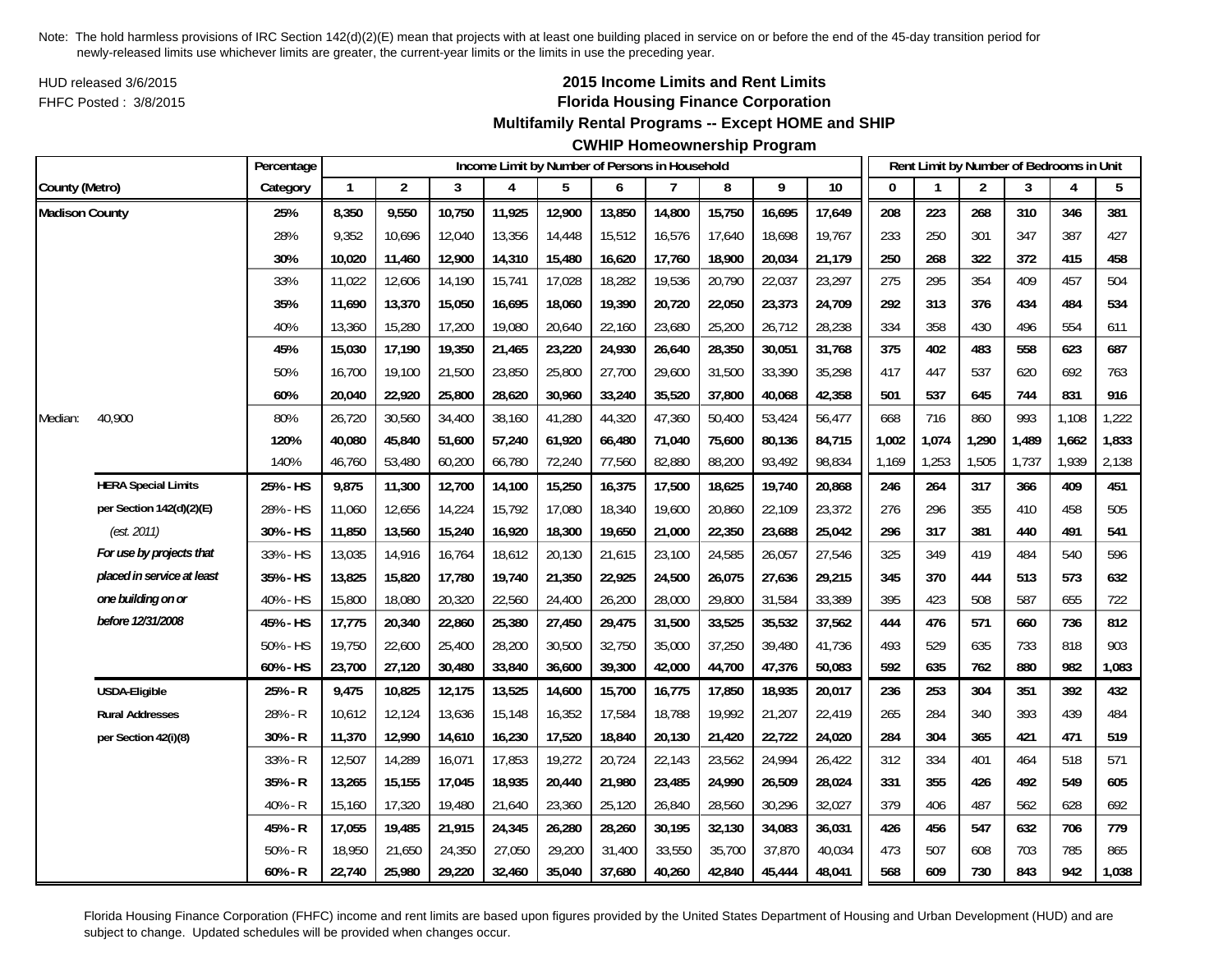HUD released 3/6/2015FHFC Posted : 3/8/2015

## **2015 Income Limits and Rent Limits Florida Housing Finance Corporation**

**Multifamily Rental Programs -- Except HOME and SHIP**

**CWHIP Homeownership Program**

|                       |                            | Percentage |              |                |        | Income Limit by Number of Persons in Household |        |        |        |        |        |        |       | Rent Limit by Number of Bedrooms in Unit |       |       |       |       |
|-----------------------|----------------------------|------------|--------------|----------------|--------|------------------------------------------------|--------|--------|--------|--------|--------|--------|-------|------------------------------------------|-------|-------|-------|-------|
| County (Metro)        |                            | Category   | $\mathbf{1}$ | $\overline{2}$ | 3      | 4                                              | 5      | 6      | 7      | 8      | 9      | 10     | O     |                                          | 2     | 3     | 4     | 5     |
| <b>Madison County</b> |                            | 25%        | 8,350        | 9,550          | 10,750 | 11,925                                         | 12,900 | 13,850 | 14,800 | 15,750 | 16,695 | 17,649 | 208   | 223                                      | 268   | 310   | 346   | 381   |
|                       |                            | 28%        | 9,352        | 10,696         | 12,040 | 13,356                                         | 14,448 | 15,512 | 16,576 | 17,640 | 18,698 | 19,767 | 233   | 250                                      | 301   | 347   | 387   | 427   |
|                       |                            | 30%        | 10,020       | 11,460         | 12,900 | 14,310                                         | 15,480 | 16,620 | 17,760 | 18,900 | 20,034 | 21,179 | 250   | 268                                      | 322   | 372   | 415   | 458   |
|                       |                            | 33%        | 11,022       | 12,606         | 14,190 | 15,741                                         | 17,028 | 18,282 | 19,536 | 20,790 | 22,037 | 23,297 | 275   | 295                                      | 354   | 409   | 457   | 504   |
|                       |                            | 35%        | 11,690       | 13,370         | 15,050 | 16,695                                         | 18,060 | 19,390 | 20,720 | 22,050 | 23,373 | 24,709 | 292   | 313                                      | 376   | 434   | 484   | 534   |
|                       |                            | 40%        | 13,360       | 15,280         | 17,200 | 19,080                                         | 20,640 | 22,160 | 23,680 | 25,200 | 26,712 | 28,238 | 334   | 358                                      | 430   | 496   | 554   | 611   |
|                       |                            | 45%        | 15,030       | 17,190         | 19,350 | 21,465                                         | 23,220 | 24,930 | 26,640 | 28,350 | 30,051 | 31,768 | 375   | 402                                      | 483   | 558   | 623   | 687   |
|                       |                            | 50%        | 16,700       | 19,100         | 21,500 | 23,850                                         | 25,800 | 27,700 | 29,600 | 31,500 | 33,390 | 35,298 | 417   | 447                                      | 537   | 620   | 692   | 763   |
|                       |                            | 60%        | 20,040       | 22,920         | 25,800 | 28,620                                         | 30,960 | 33,240 | 35,520 | 37,800 | 40,068 | 42,358 | 501   | 537                                      | 645   | 744   | 831   | 916   |
| Median:               | 40,900                     | 80%        | 26,720       | 30,560         | 34,400 | 38,160                                         | 41,280 | 44,320 | 47,360 | 50,400 | 53,424 | 56,477 | 668   | 716                                      | 860   | 993   | 1,108 | 1,222 |
|                       |                            | 120%       | 40,080       | 45,840         | 51,600 | 57,240                                         | 61,920 | 66,480 | 71,040 | 75,600 | 80,136 | 84,715 | 1,002 | 1,074                                    | 1,290 | 1,489 | 1,662 | 1,833 |
|                       |                            | 140%       | 46,760       | 53,480         | 60,200 | 66,780                                         | 72,240 | 77,560 | 82,880 | 88,200 | 93,492 | 98,834 | 1,169 | 1,253                                    | 1,505 | 1,737 | 1,939 | 2,138 |
|                       | <b>HERA Special Limits</b> | 25% - HS   | 9,875        | 11,300         | 12,700 | 14,100                                         | 15,250 | 16,375 | 17,500 | 18,625 | 19,740 | 20,868 | 246   | 264                                      | 317   | 366   | 409   | 451   |
|                       | per Section 142(d)(2)(E)   | 28% - HS   | 11,060       | 12,656         | 14,224 | 15,792                                         | 17,080 | 18,340 | 19,600 | 20,860 | 22,109 | 23,372 | 276   | 296                                      | 355   | 410   | 458   | 505   |
|                       | (est. 2011)                | 30% - HS   | 11,850       | 13,560         | 15,240 | 16,920                                         | 18,300 | 19,650 | 21,000 | 22,350 | 23,688 | 25,042 | 296   | 317                                      | 381   | 440   | 491   | 541   |
|                       | For use by projects that   | 33% - HS   | 13,035       | 14,916         | 16,764 | 18,612                                         | 20,130 | 21,615 | 23,100 | 24,585 | 26,057 | 27,546 | 325   | 349                                      | 419   | 484   | 540   | 596   |
|                       | placed in service at least | 35% - HS   | 13,825       | 15,820         | 17,780 | 19,740                                         | 21,350 | 22,925 | 24,500 | 26,075 | 27,636 | 29,215 | 345   | 370                                      | 444   | 513   | 573   | 632   |
|                       | one building on or         | 40% - HS   | 15,800       | 18,080         | 20,320 | 22,560                                         | 24,400 | 26,200 | 28,000 | 29,800 | 31,584 | 33,389 | 395   | 423                                      | 508   | 587   | 655   | 722   |
|                       | before 12/31/2008          | 45% - HS   | 17,775       | 20,340         | 22,860 | 25,380                                         | 27,450 | 29,475 | 31,500 | 33,525 | 35,532 | 37,562 | 444   | 476                                      | 571   | 660   | 736   | 812   |
|                       |                            | 50% - HS   | 19,750       | 22,600         | 25,400 | 28,200                                         | 30,500 | 32,750 | 35,000 | 37,250 | 39,480 | 41,736 | 493   | 529                                      | 635   | 733   | 818   | 903   |
|                       |                            | 60% - HS   | 23,700       | 27,120         | 30,480 | 33,840                                         | 36,600 | 39,300 | 42,000 | 44,700 | 47,376 | 50,083 | 592   | 635                                      | 762   | 880   | 982   | 1,083 |
|                       | <b>USDA-Eligible</b>       | 25% - R    | 9,475        | 10,825         | 12,175 | 13,525                                         | 14,600 | 15,700 | 16,775 | 17,850 | 18,935 | 20,017 | 236   | 253                                      | 304   | 351   | 392   | 432   |
|                       | <b>Rural Addresses</b>     | 28% - R    | 10,612       | 12,124         | 13,636 | 15,148                                         | 16,352 | 17,584 | 18,788 | 19,992 | 21,207 | 22,419 | 265   | 284                                      | 340   | 393   | 439   | 484   |
|                       | per Section 42(i)(8)       | 30% - R    | 11,370       | 12,990         | 14,610 | 16,230                                         | 17,520 | 18,840 | 20,130 | 21,420 | 22,722 | 24,020 | 284   | 304                                      | 365   | 421   | 471   | 519   |
|                       |                            | 33% - R    | 12,507       | 14,289         | 16,071 | 17,853                                         | 19,272 | 20,724 | 22,143 | 23,562 | 24,994 | 26,422 | 312   | 334                                      | 401   | 464   | 518   | 571   |
|                       |                            | 35% - R    | 13,265       | 15,155         | 17,045 | 18,935                                         | 20,440 | 21,980 | 23,485 | 24,990 | 26,509 | 28,024 | 331   | 355                                      | 426   | 492   | 549   | 605   |
|                       |                            | 40% - R    | 15,160       | 17,320         | 19,480 | 21,640                                         | 23,360 | 25,120 | 26,840 | 28,560 | 30,296 | 32,027 | 379   | 406                                      | 487   | 562   | 628   | 692   |
|                       |                            | 45% - R    | 17,055       | 19,485         | 21,915 | 24,345                                         | 26,280 | 28,260 | 30,195 | 32,130 | 34,083 | 36,031 | 426   | 456                                      | 547   | 632   | 706   | 779   |
|                       |                            | $50% - R$  | 18,950       | 21,650         | 24,350 | 27,050                                         | 29,200 | 31,400 | 33,550 | 35,700 | 37,870 | 40,034 | 473   | 507                                      | 608   | 703   | 785   | 865   |
|                       |                            | $60% - R$  | 22,740       | 25,980         | 29,220 | 32,460                                         | 35,040 | 37,680 | 40,260 | 42,840 | 45,444 | 48,041 | 568   | 609                                      | 730   | 843   | 942   | 1,038 |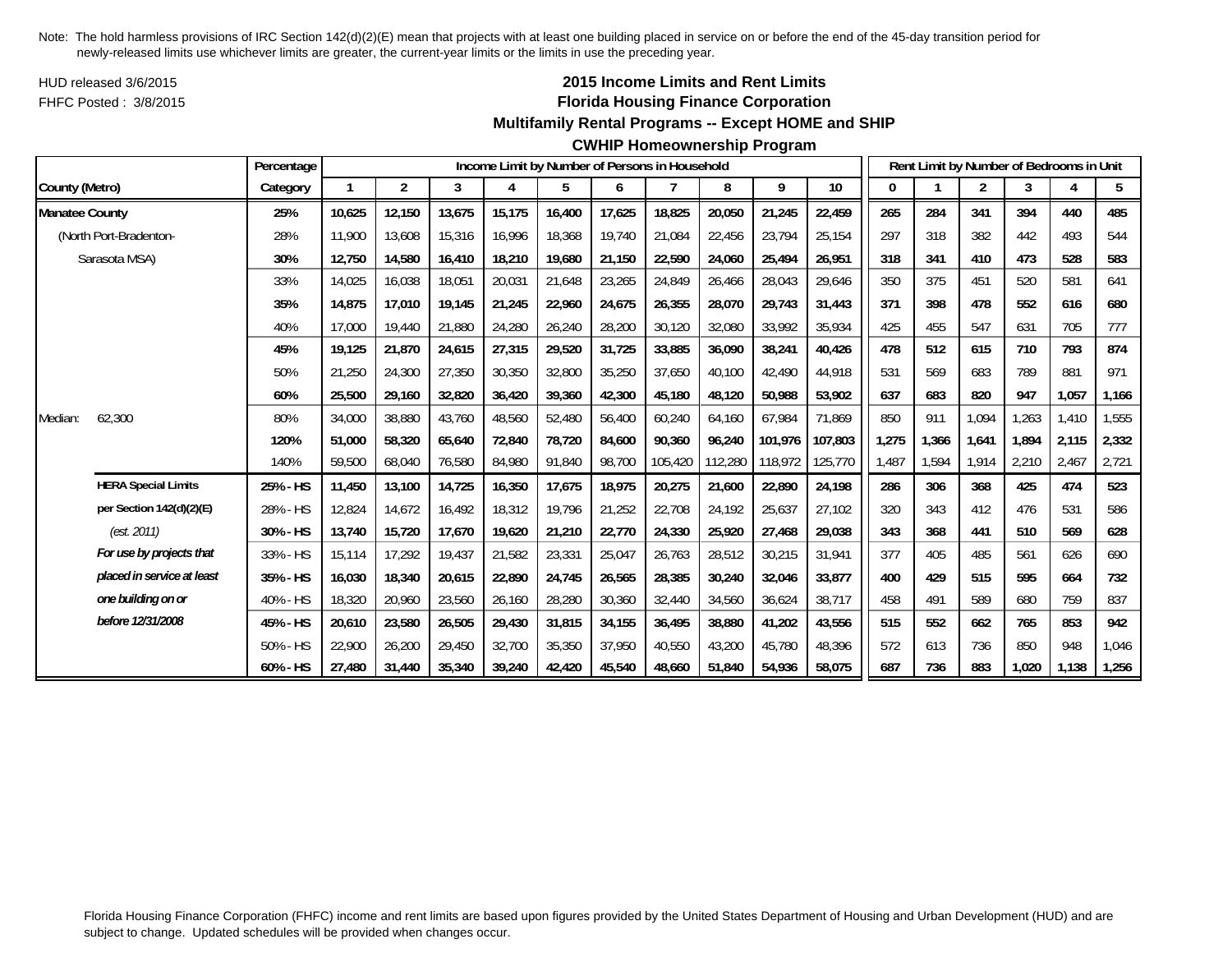HUD released 3/6/2015FHFC Posted : 3/8/2015

# **2015 Income Limits and Rent Limits Florida Housing Finance Corporation**

## **Multifamily Rental Programs -- Except HOME and SHIP**

#### **CWHIP Homeownership Program**

|                       |                            | Percentage |        |        |        |        | Income Limit by Number of Persons in Household |        |         |         |         |         |       |       | Rent Limit by Number of Bedrooms in Unit |       |       |       |
|-----------------------|----------------------------|------------|--------|--------|--------|--------|------------------------------------------------|--------|---------|---------|---------|---------|-------|-------|------------------------------------------|-------|-------|-------|
| County (Metro)        |                            | Category   |        | 2      | 3      | 4      | 5                                              | 6      |         | 8       | 9       | 10      | 0     |       | $\overline{c}$                           | 3     | 4     | 5     |
| <b>Manatee County</b> |                            | 25%        | 10,625 | 12,150 | 13,675 | 15,175 | 16,400                                         | 17,625 | 18,825  | 20,050  | 21,245  | 22,459  | 265   | 284   | 341                                      | 394   | 440   | 485   |
|                       | (North Port-Bradenton-     | 28%        | 11,900 | 13,608 | 15,316 | 16,996 | 18,368                                         | 19,740 | 21,084  | 22,456  | 23,794  | 25,154  | 297   | 318   | 382                                      | 442   | 493   | 544   |
|                       | Sarasota MSA)              | 30%        | 12,750 | 14,580 | 16,410 | 18,210 | 19,680                                         | 21,150 | 22,590  | 24,060  | 25,494  | 26,951  | 318   | 341   | 410                                      | 473   | 528   | 583   |
|                       |                            | 33%        | 14,025 | 16,038 | 18,051 | 20,031 | 21,648                                         | 23,265 | 24,849  | 26,466  | 28,043  | 29,646  | 350   | 375   | 451                                      | 520   | 581   | 641   |
|                       |                            | 35%        | 14.875 | 17.010 | 19.145 | 21,245 | 22,960                                         | 24,675 | 26.355  | 28,070  | 29,743  | 31,443  | 371   | 398   | 478                                      | 552   | 616   | 680   |
|                       |                            | 40%        | 17,000 | 19,440 | 21,880 | 24,280 | 26,240                                         | 28,200 | 30,120  | 32,080  | 33,992  | 35,934  | 425   | 455   | 547                                      | 631   | 705   | 777   |
|                       |                            | 45%        | 19.125 | 21,870 | 24,615 | 27,315 | 29,520                                         | 31,725 | 33,885  | 36,090  | 38,241  | 40,426  | 478   | 512   | 615                                      | 710   | 793   | 874   |
|                       |                            | 50%        | 21,250 | 24,300 | 27,350 | 30,350 | 32,800                                         | 35,250 | 37,650  | 40,100  | 42,490  | 44,918  | 531   | 569   | 683                                      | 789   | 881   | 971   |
|                       |                            | 60%        | 25,500 | 29,160 | 32,820 | 36,420 | 39,360                                         | 42,300 | 45,180  | 48,120  | 50,988  | 53,902  | 637   | 683   | 820                                      | 947   | 1,057 | 1,166 |
| Median:               | 62,300                     | 80%        | 34,000 | 38,880 | 43,760 | 48,560 | 52,480                                         | 56,400 | 60,240  | 64,160  | 67,984  | 71,869  | 850   | 911   | 1,094                                    | 1,263 | 1,410 | 1,555 |
|                       |                            | 120%       | 51.000 | 58,320 | 65,640 | 72,840 | 78,720                                         | 84.600 | 90.360  | 96,240  | 101.976 | 107.803 | 1,275 | 1.366 | 1,641                                    | 1.894 | 2,115 | 2,332 |
|                       |                            | 140%       | 59,500 | 68,040 | 76,580 | 84,980 | 91,840                                         | 98,700 | 105,420 | 112,280 | 118,972 | 125,770 | 1,487 | 1,594 | 1,914                                    | 2,210 | 2,467 | 2,721 |
|                       | <b>HERA Special Limits</b> | 25% - HS   | 11,450 | 13,100 | 14,725 | 16,350 | 17,675                                         | 18,975 | 20,275  | 21,600  | 22,890  | 24,198  | 286   | 306   | 368                                      | 425   | 474   | 523   |
|                       | per Section 142(d)(2)(E)   | 28% - HS   | 12,824 | 14,672 | 16,492 | 18,312 | 19,796                                         | 21,252 | 22,708  | 24,192  | 25,637  | 27,102  | 320   | 343   | 412                                      | 476   | 531   | 586   |
|                       | (est. 2011)                | 30% - HS   | 13,740 | 15,720 | 17,670 | 19,620 | 21,210                                         | 22,770 | 24,330  | 25,920  | 27,468  | 29,038  | 343   | 368   | 441                                      | 510   | 569   | 628   |
|                       | For use by projects that   | 33% - HS   | 15.114 | 17.292 | 19,437 | 21,582 | 23,331                                         | 25,047 | 26,763  | 28,512  | 30,215  | 31,941  | 377   | 405   | 485                                      | 561   | 626   | 690   |
|                       | placed in service at least | 35% - HS   | 16,030 | 18,340 | 20,615 | 22,890 | 24,745                                         | 26,565 | 28,385  | 30,240  | 32,046  | 33,877  | 400   | 429   | 515                                      | 595   | 664   | 732   |
|                       | one building on or         | 40% - HS   | 18,320 | 20,960 | 23,560 | 26,160 | 28,280                                         | 30,360 | 32,440  | 34,560  | 36,624  | 38,717  | 458   | 491   | 589                                      | 680   | 759   | 837   |
|                       | before 12/31/2008          | 45% - HS   | 20,610 | 23,580 | 26,505 | 29,430 | 31,815                                         | 34,155 | 36,495  | 38,880  | 41,202  | 43,556  | 515   | 552   | 662                                      | 765   | 853   | 942   |
|                       |                            | 50% - HS   | 22,900 | 26,200 | 29,450 | 32,700 | 35,350                                         | 37,950 | 40,550  | 43,200  | 45,780  | 48,396  | 572   | 613   | 736                                      | 850   | 948   | 1,046 |
|                       |                            | 60% - HS   | 27.480 | 31,440 | 35,340 | 39,240 | 42,420                                         | 45,540 | 48.660  | 51,840  | 54,936  | 58,075  | 687   | 736   | 883                                      | 1.020 | 1,138 | 1,256 |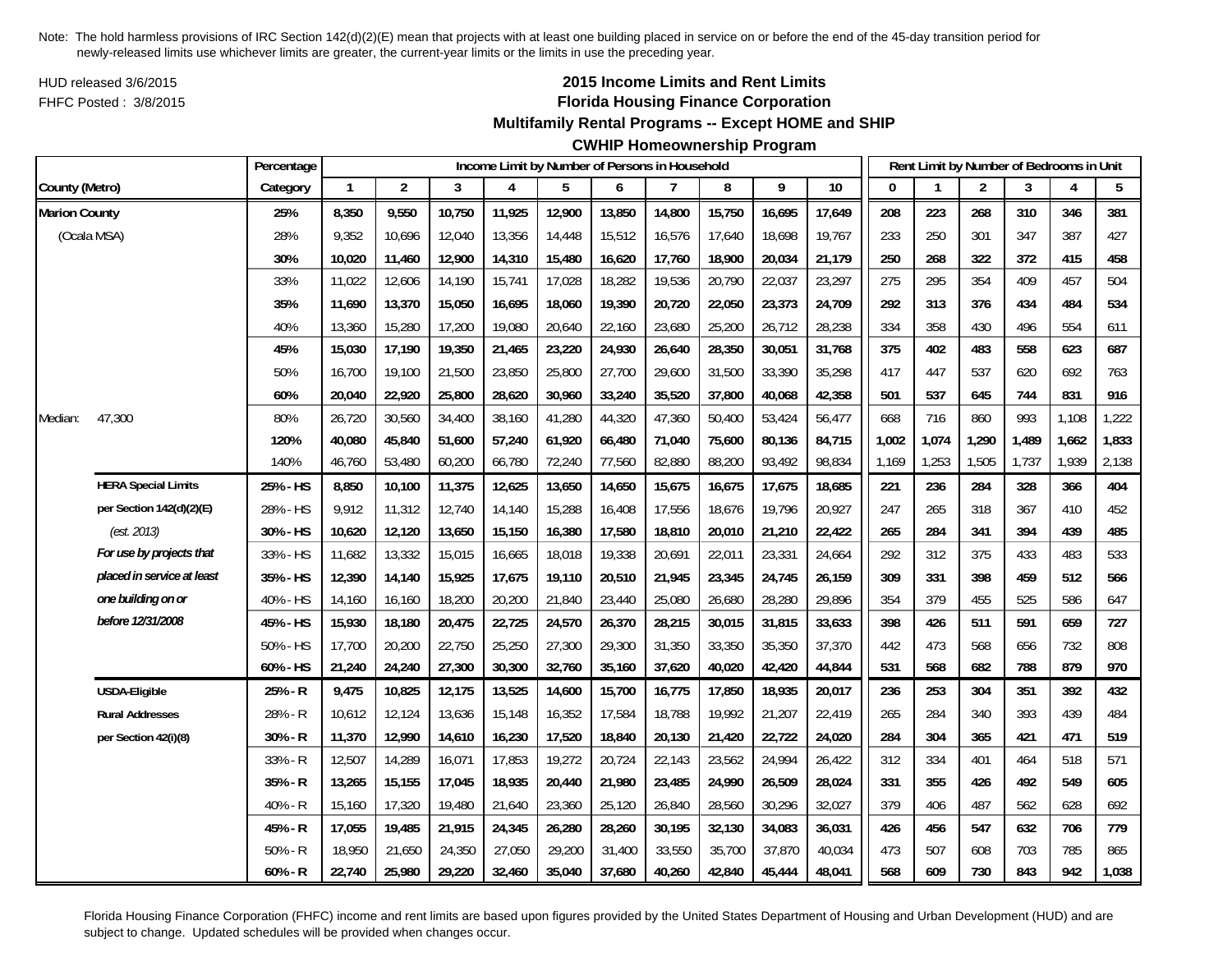HUD released 3/6/2015FHFC Posted : 3/8/2015

# **2015 Income Limits and Rent Limits Florida Housing Finance Corporation**

#### **Multifamily Rental Programs -- Except HOME and SHIP**

# **CWHIP Homeownership Program**

|                      |                            | Percentage |              |                |        | Income Limit by Number of Persons in Household |        |        |        |        |        |        |              |       | Rent Limit by Number of Bedrooms in Unit |       |       |       |
|----------------------|----------------------------|------------|--------------|----------------|--------|------------------------------------------------|--------|--------|--------|--------|--------|--------|--------------|-------|------------------------------------------|-------|-------|-------|
| County (Metro)       |                            | Category   | $\mathbf{1}$ | $\overline{2}$ | 3      | 4                                              | 5      | 6      | 7      | 8      | 9      | 10     | $\mathbf{0}$ |       | $\overline{2}$                           | 3     | 4     | 5     |
| <b>Marion County</b> |                            | 25%        | 8,350        | 9,550          | 10,750 | 11,925                                         | 12,900 | 13,850 | 14,800 | 15,750 | 16,695 | 17,649 | 208          | 223   | 268                                      | 310   | 346   | 381   |
| (Ocala MSA)          |                            | 28%        | 9,352        | 10,696         | 12,040 | 13,356                                         | 14,448 | 15,512 | 16,576 | 17,640 | 18,698 | 19,767 | 233          | 250   | 301                                      | 347   | 387   | 427   |
|                      |                            | 30%        | 10,020       | 11,460         | 12,900 | 14,310                                         | 15,480 | 16,620 | 17,760 | 18,900 | 20,034 | 21,179 | 250          | 268   | 322                                      | 372   | 415   | 458   |
|                      |                            | 33%        | 11,022       | 12,606         | 14,190 | 15,741                                         | 17,028 | 18,282 | 19,536 | 20,790 | 22,037 | 23,297 | 275          | 295   | 354                                      | 409   | 457   | 504   |
|                      |                            | 35%        | 11,690       | 13,370         | 15,050 | 16,695                                         | 18,060 | 19,390 | 20,720 | 22,050 | 23,373 | 24,709 | 292          | 313   | 376                                      | 434   | 484   | 534   |
|                      |                            | 40%        | 13,360       | 15,280         | 17,200 | 19,080                                         | 20,640 | 22,160 | 23,680 | 25,200 | 26,712 | 28,238 | 334          | 358   | 430                                      | 496   | 554   | 611   |
|                      |                            | 45%        | 15,030       | 17,190         | 19,350 | 21,465                                         | 23,220 | 24,930 | 26,640 | 28,350 | 30,051 | 31,768 | 375          | 402   | 483                                      | 558   | 623   | 687   |
|                      |                            | 50%        | 16,700       | 19,100         | 21,500 | 23,850                                         | 25,800 | 27,700 | 29,600 | 31,500 | 33,390 | 35,298 | 417          | 447   | 537                                      | 620   | 692   | 763   |
|                      |                            | 60%        | 20,040       | 22,920         | 25,800 | 28,620                                         | 30,960 | 33,240 | 35,520 | 37,800 | 40,068 | 42,358 | 501          | 537   | 645                                      | 744   | 831   | 916   |
| Median:              | 47,300                     | 80%        | 26,720       | 30,560         | 34,400 | 38,160                                         | 41,280 | 44,320 | 47,360 | 50,400 | 53,424 | 56,477 | 668          | 716   | 860                                      | 993   | 1,108 | 1,222 |
|                      |                            | 120%       | 40,080       | 45,840         | 51,600 | 57,240                                         | 61,920 | 66,480 | 71,040 | 75,600 | 80,136 | 84,715 | 1,002        | 1,074 | 1,290                                    | 1,489 | 1,662 | 1,833 |
|                      |                            | 140%       | 46,760       | 53,480         | 60,200 | 66,780                                         | 72,240 | 77,560 | 82,880 | 88,200 | 93,492 | 98,834 | 1,169        | 1,253 | 1,505                                    | 1,737 | 1,939 | 2,138 |
|                      | <b>HERA Special Limits</b> | 25% - HS   | 8,850        | 10,100         | 11,375 | 12,625                                         | 13,650 | 14,650 | 15,675 | 16,675 | 17,675 | 18,685 | 221          | 236   | 284                                      | 328   | 366   | 404   |
|                      | per Section 142(d)(2)(E)   | 28% - HS   | 9,912        | 11,312         | 12,740 | 14,140                                         | 15,288 | 16,408 | 17,556 | 18,676 | 19,796 | 20,927 | 247          | 265   | 318                                      | 367   | 410   | 452   |
|                      | (est. 2013)                | 30% - HS   | 10,620       | 12,120         | 13,650 | 15,150                                         | 16,380 | 17,580 | 18,810 | 20,010 | 21,210 | 22,422 | 265          | 284   | 341                                      | 394   | 439   | 485   |
|                      | For use by projects that   | 33% - HS   | 11,682       | 13,332         | 15,015 | 16,665                                         | 18,018 | 19,338 | 20,691 | 22,011 | 23,331 | 24,664 | 292          | 312   | 375                                      | 433   | 483   | 533   |
|                      | placed in service at least | 35% - HS   | 12,390       | 14,140         | 15,925 | 17,675                                         | 19,110 | 20,510 | 21,945 | 23,345 | 24,745 | 26,159 | 309          | 331   | 398                                      | 459   | 512   | 566   |
|                      | one building on or         | 40% - HS   | 14,160       | 16,160         | 18,200 | 20,200                                         | 21,840 | 23,440 | 25,080 | 26,680 | 28,280 | 29,896 | 354          | 379   | 455                                      | 525   | 586   | 647   |
|                      | before 12/31/2008          | 45% - HS   | 15,930       | 18,180         | 20,475 | 22,725                                         | 24,570 | 26,370 | 28,215 | 30,015 | 31,815 | 33,633 | 398          | 426   | 511                                      | 591   | 659   | 727   |
|                      |                            | 50% - HS   | 17,700       | 20,200         | 22,750 | 25,250                                         | 27,300 | 29,300 | 31,350 | 33,350 | 35,350 | 37,370 | 442          | 473   | 568                                      | 656   | 732   | 808   |
|                      |                            | 60% - HS   | 21,240       | 24,240         | 27,300 | 30,300                                         | 32,760 | 35,160 | 37,620 | 40,020 | 42,420 | 44,844 | 531          | 568   | 682                                      | 788   | 879   | 970   |
|                      | <b>USDA-Eligible</b>       | 25% - R    | 9,475        | 10,825         | 12,175 | 13,525                                         | 14,600 | 15,700 | 16,775 | 17,850 | 18,935 | 20,017 | 236          | 253   | 304                                      | 351   | 392   | 432   |
|                      | <b>Rural Addresses</b>     | 28% - R    | 10,612       | 12,124         | 13,636 | 15,148                                         | 16,352 | 17,584 | 18,788 | 19,992 | 21,207 | 22,419 | 265          | 284   | 340                                      | 393   | 439   | 484   |
|                      | per Section 42(i)(8)       | 30% - R    | 11,370       | 12,990         | 14,610 | 16,230                                         | 17,520 | 18,840 | 20,130 | 21,420 | 22,722 | 24,020 | 284          | 304   | 365                                      | 421   | 471   | 519   |
|                      |                            | 33% - R    | 12,507       | 14,289         | 16,071 | 17,853                                         | 19,272 | 20,724 | 22,143 | 23,562 | 24,994 | 26,422 | 312          | 334   | 401                                      | 464   | 518   | 571   |
|                      |                            | 35% - R    | 13,265       | 15,155         | 17,045 | 18,935                                         | 20,440 | 21,980 | 23,485 | 24,990 | 26,509 | 28,024 | 331          | 355   | 426                                      | 492   | 549   | 605   |
|                      |                            | 40% - R    | 15,160       | 17,320         | 19,480 | 21,640                                         | 23,360 | 25,120 | 26,840 | 28,560 | 30,296 | 32,027 | 379          | 406   | 487                                      | 562   | 628   | 692   |
|                      |                            | 45% - R    | 17,055       | 19,485         | 21,915 | 24,345                                         | 26,280 | 28,260 | 30,195 | 32,130 | 34,083 | 36,031 | 426          | 456   | 547                                      | 632   | 706   | 779   |
|                      |                            | $50% - R$  | 18,950       | 21,650         | 24,350 | 27,050                                         | 29,200 | 31,400 | 33,550 | 35,700 | 37,870 | 40,034 | 473          | 507   | 608                                      | 703   | 785   | 865   |
|                      |                            | 60% - R    | 22,740       | 25,980         | 29,220 | 32,460                                         | 35,040 | 37,680 | 40,260 | 42,840 | 45,444 | 48,041 | 568          | 609   | 730                                      | 843   | 942   | 1,038 |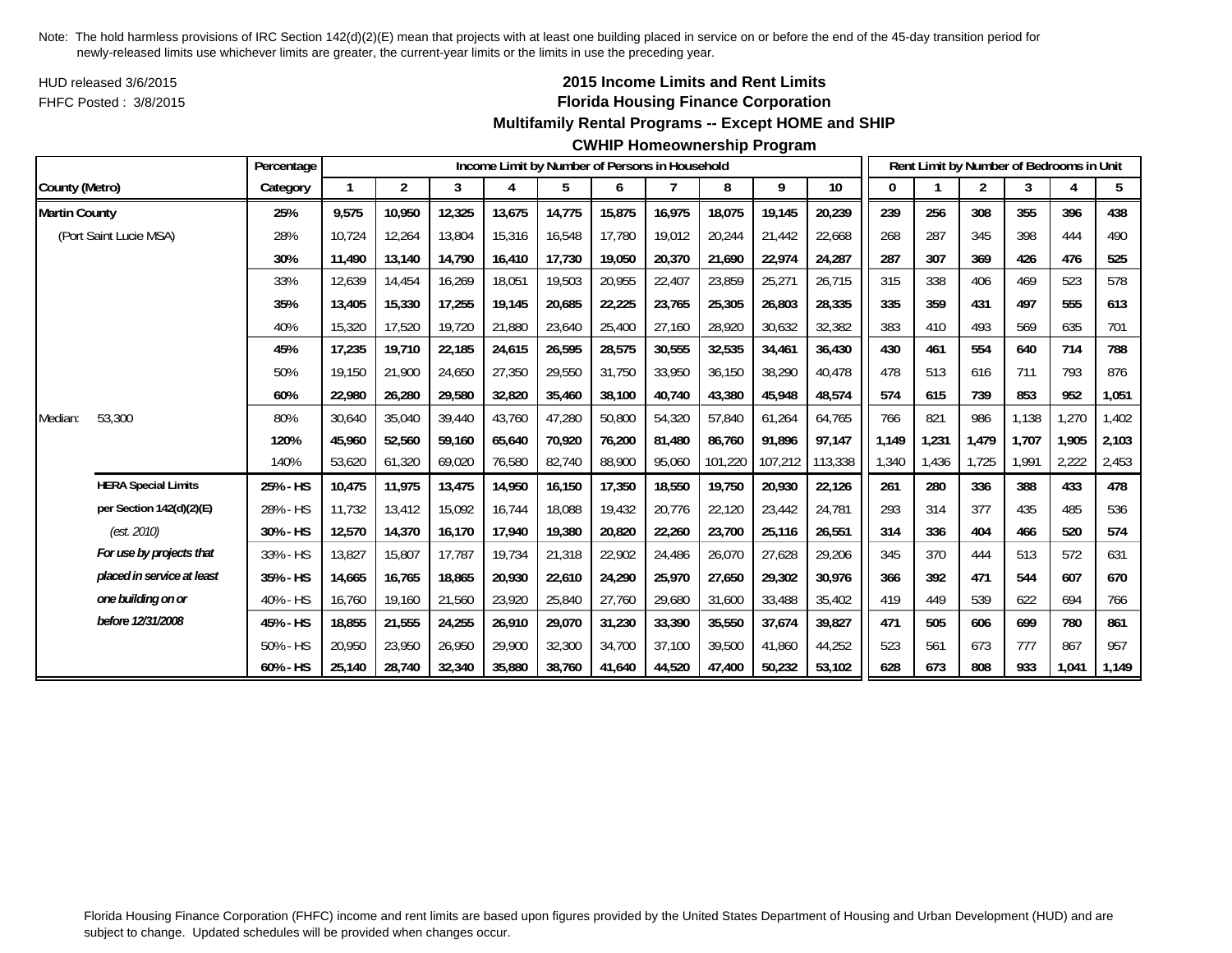HUD released 3/6/2015FHFC Posted : 3/8/2015

# **2015 Income Limits and Rent Limits Florida Housing Finance Corporation**

#### **Multifamily Rental Programs -- Except HOME and SHIP**

#### **CWHIP Homeownership Program**

|                      |                            | Percentage |        |                |        |        |        |        | Income Limit by Number of Persons in Household |         |         |         |       |       | Rent Limit by Number of Bedrooms in Unit |       |       |       |
|----------------------|----------------------------|------------|--------|----------------|--------|--------|--------|--------|------------------------------------------------|---------|---------|---------|-------|-------|------------------------------------------|-------|-------|-------|
| County (Metro)       |                            | Category   | 1      | $\overline{2}$ | 3      | 4      | 5      | 6      |                                                | 8       | 9       | $10$    |       |       | $\overline{2}$                           | 3     | 4     | 5     |
| <b>Martin County</b> |                            | 25%        | 9,575  | 10,950         | 12,325 | 13,675 | 14,775 | 15,875 | 16,975                                         | 18,075  | 19,145  | 20,239  | 239   | 256   | 308                                      | 355   | 396   | 438   |
|                      | (Port Saint Lucie MSA)     | 28%        | 10.724 | 12,264         | 13,804 | 15,316 | 16,548 | 17,780 | 19,012                                         | 20,244  | 21,442  | 22,668  | 268   | 287   | 345                                      | 398   | 444   | 490   |
|                      |                            | 30%        | 11,490 | 13,140         | 14,790 | 16,410 | 17,730 | 19,050 | 20,370                                         | 21,690  | 22,974  | 24,287  | 287   | 307   | 369                                      | 426   | 476   | 525   |
|                      |                            | 33%        | 12,639 | 14,454         | 16,269 | 18,051 | 19,503 | 20,955 | 22,407                                         | 23,859  | 25,271  | 26,715  | 315   | 338   | 406                                      | 469   | 523   | 578   |
|                      |                            | 35%        | 13,405 | 15,330         | 17,255 | 19,145 | 20,685 | 22,225 | 23,765                                         | 25,305  | 26,803  | 28,335  | 335   | 359   | 431                                      | 497   | 555   | 613   |
|                      |                            | 40%        | 15,320 | 17,520         | 19,720 | 21,880 | 23,640 | 25,400 | 27,160                                         | 28,920  | 30,632  | 32,382  | 383   | 410   | 493                                      | 569   | 635   | 701   |
|                      |                            | 45%        | 17,235 | 19,710         | 22,185 | 24,615 | 26,595 | 28,575 | 30,555                                         | 32,535  | 34,461  | 36,430  | 430   | 461   | 554                                      | 640   | 714   | 788   |
|                      |                            | 50%        | 19,150 | 21,900         | 24,650 | 27,350 | 29,550 | 31,750 | 33,950                                         | 36,150  | 38,290  | 40,478  | 478   | 513   | 616                                      | 711   | 793   | 876   |
|                      |                            | 60%        | 22,980 | 26,280         | 29,580 | 32,820 | 35,460 | 38,100 | 40,740                                         | 43,380  | 45,948  | 48,574  | 574   | 615   | 739                                      | 853   | 952   | 1,051 |
| Median:              | 53,300                     | 80%        | 30,640 | 35,040         | 39,440 | 43,760 | 47,280 | 50,800 | 54,320                                         | 57.840  | 61,264  | 64,765  | 766   | 821   | 986                                      | 1,138 | 1,270 | 1,402 |
|                      |                            | 120%       | 45,960 | 52,560         | 59,160 | 65,640 | 70,920 | 76,200 | 81,480                                         | 86,760  | 91,896  | 97,147  | 1,149 | 1,231 | 1,479                                    | 1.707 | 1,905 | 2,103 |
|                      |                            | 140%       | 53,620 | 61,320         | 69,020 | 76,580 | 82,740 | 88,900 | 95,060                                         | 101,220 | 107,212 | 113,338 | 1,340 | 1,436 | 1,725                                    | 1.991 | 2,222 | 2,453 |
|                      | <b>HERA Special Limits</b> | 25% - HS   | 10,475 | 11,975         | 13,475 | 14,950 | 16,150 | 17,350 | 18,550                                         | 19,750  | 20,930  | 22,126  | 261   | 280   | 336                                      | 388   | 433   | 478   |
|                      | per Section 142(d)(2)(E)   | 28% - HS   | 11,732 | 13,412         | 15,092 | 16,744 | 18,088 | 19,432 | 20,776                                         | 22,120  | 23,442  | 24,781  | 293   | 314   | 377                                      | 435   | 485   | 536   |
|                      | (est. 2010)                | 30% - HS   | 12,570 | 14.370         | 16.170 | 17,940 | 19,380 | 20,820 | 22,260                                         | 23,700  | 25,116  | 26,551  | 314   | 336   | 404                                      | 466   | 520   | 574   |
|                      | For use by projects that   | 33% - HS   | 13,827 | 15,807         | 17.787 | 19,734 | 21,318 | 22,902 | 24,486                                         | 26,070  | 27,628  | 29,206  | 345   | 370   | 444                                      | 513   | 572   | 631   |
|                      | placed in service at least | 35% - HS   | 14,665 | 16,765         | 18,865 | 20,930 | 22,610 | 24,290 | 25,970                                         | 27,650  | 29,302  | 30,976  | 366   | 392   | 471                                      | 544   | 607   | 670   |
|                      | one building on or         | 40% - HS   | 16,760 | 19,160         | 21,560 | 23,920 | 25,840 | 27,760 | 29,680                                         | 31,600  | 33,488  | 35,402  | 419   | 449   | 539                                      | 622   | 694   | 766   |
|                      | before 12/31/2008          | 45% - HS   | 18,855 | 21,555         | 24,255 | 26,910 | 29,070 | 31,230 | 33,390                                         | 35,550  | 37,674  | 39,827  | 471   | 505   | 606                                      | 699   | 780   | 861   |
|                      |                            | 50% - HS   | 20,950 | 23,950         | 26,950 | 29,900 | 32,300 | 34,700 | 37.100                                         | 39,500  | 41,860  | 44,252  | 523   | 561   | 673                                      | 777   | 867   | 957   |
|                      |                            | 60% - HS   | 25,140 | 28,740         | 32,340 | 35,880 | 38,760 | 41.640 | 44,520                                         | 47,400  | 50,232  | 53,102  | 628   | 673   | 808                                      | 933   | 1,041 | 1,149 |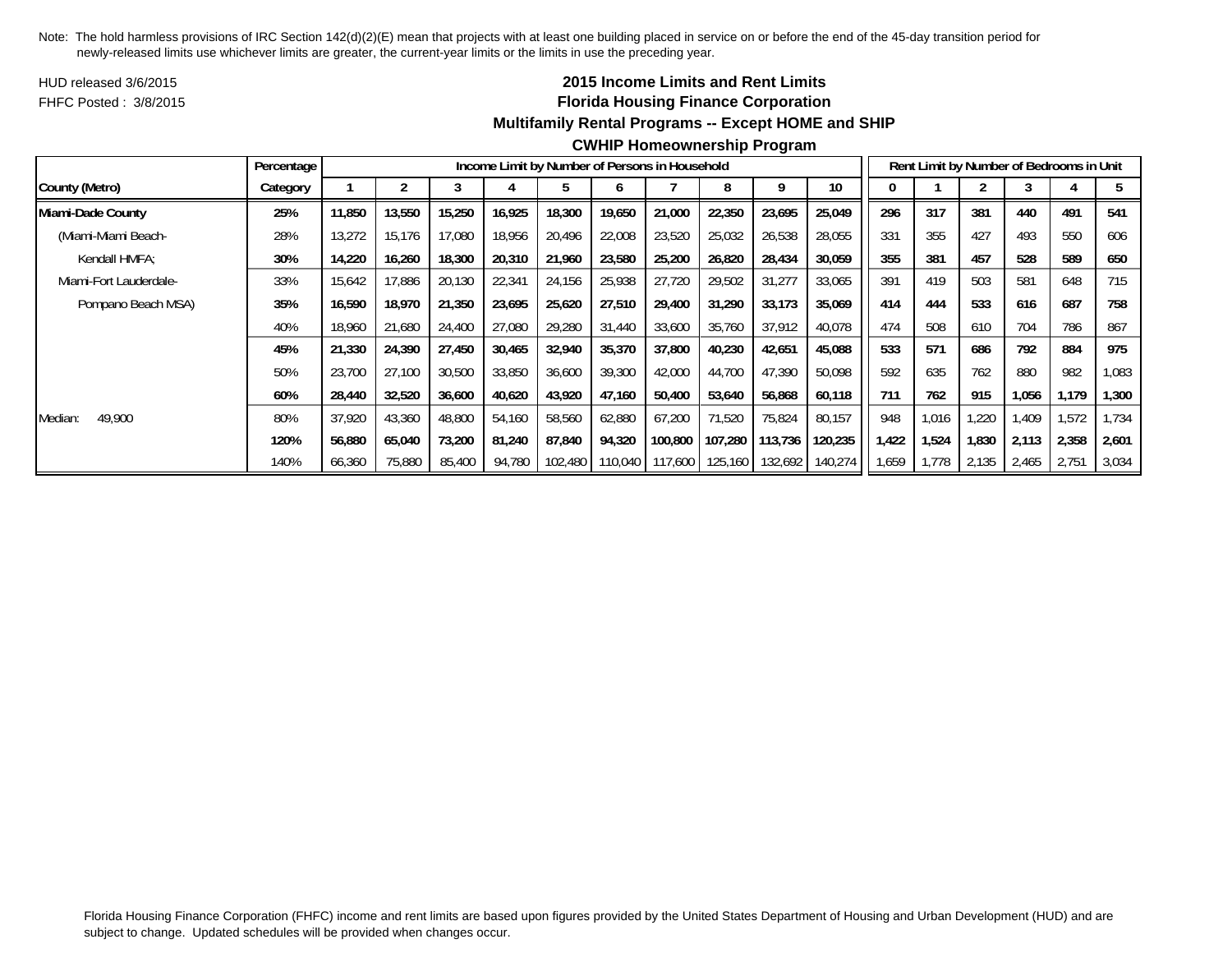HUD released 3/6/2015FHFC Posted : 3/8/2015

## **2015 Income Limits and Rent Limits Florida Housing Finance Corporation Multifamily Rental Programs -- Except HOME and SHIP**

|                        | Percentage |        |        |        |        |         |         | Income Limit by Number of Persons in Household |         |         |                 |       |       |       | Rent Limit by Number of Bedrooms in Unit |       |       |
|------------------------|------------|--------|--------|--------|--------|---------|---------|------------------------------------------------|---------|---------|-----------------|-------|-------|-------|------------------------------------------|-------|-------|
| County (Metro)         | Category   |        |        |        |        |         | n       |                                                |         | q       | 10 <sup>°</sup> |       |       |       |                                          |       |       |
| Miami-Dade County      | 25%        | 11,850 | 13,550 | 15,250 | 16,925 | 18,300  | 19,650  | 21,000                                         | 22,350  | 23,695  | 25,049          | 296   | 317   | 381   | 440                                      | 491   | 541   |
| (Miami-Miami Beach-    | 28%        | 13,272 | 15.176 | 17,080 | 18.956 | 20.496  | 22,008  | 23,520                                         | 25,032  | 26,538  | 28,055          | 331   | 355   | 427   | 493                                      | 550   | 606   |
| Kendall HMFA:          | 30%        | 14,220 | 16,260 | 18,300 | 20,310 | 21,960  | 23,580  | 25,200                                         | 26,820  | 28,434  | 30,059          | 355   | 381   | 457   | 528                                      | 589   | 650   |
| Miami-Fort Lauderdale- | 33%        | 15,642 | 17.886 | 20,130 | 22,341 | 24,156  | 25,938  | 27,720                                         | 29,502  | 31,277  | 33,065          | 391   | 419   | 503   | 581                                      | 648   | 715   |
| Pompano Beach MSA)     | 35%        | 16,590 | 18,970 | 21,350 | 23,695 | 25,620  | 27,510  | 29,400                                         | 31,290  | 33,173  | 35,069          | 414   | 444   | 533   | 616                                      | 687   | 758   |
|                        | 40%        | 18,960 | 21,680 | 24,400 | 27,080 | 29,280  | 31,440  | 33,600                                         | 35,760  | 37,912  | 40,078          | 474   | 508   | 610   | 704                                      | 786   | 867   |
|                        | 45%        | 21,330 | 24,390 | 27,450 | 30,465 | 32,940  | 35,370  | 37,800                                         | 40,230  | 42,651  | 45,088          | 533   | 571   | 686   | 792                                      | 884   | 975   |
|                        | 50%        | 23,700 | 27,100 | 30,500 | 33,850 | 36,600  | 39,300  | 42,000                                         | 44,700  | 47,390  | 50,098          | 592   | 635   | 762   | 880                                      | 982   | 1,083 |
|                        | 60%        | 28,440 | 32,520 | 36,600 | 40,620 | 43,920  | 47,160  | 50,400                                         | 53,640  | 56,868  | 60,118          | 711   | 762   | 915   | 1,056                                    | 1,179 | 1,300 |
| 49,900<br>Median:      | 80%        | 37,920 | 43,360 | 48,800 | 54,160 | 58,560  | 62,880  | 67.200                                         | 71,520  | 75,824  | 80,157          | 948   | 1,016 | 1,220 | .409                                     | 1,572 | 1,734 |
|                        | 120%       | 56,880 | 65,040 | 73,200 | 81,240 | 87,840  | 94,320  | 100,800                                        | 107,280 | 113,736 | 120,235         | 1,422 | 1,524 | 1,830 | 2,113                                    | 2,358 | 2,601 |
|                        | 140%       | 66,360 | 75,880 | 85,400 | 94,780 | 102,480 | 110,040 | 117,600                                        | 125,160 | 132,692 | 140,274         | .659  | 1.778 | 2,135 | 2.465                                    | 2,751 | 3,034 |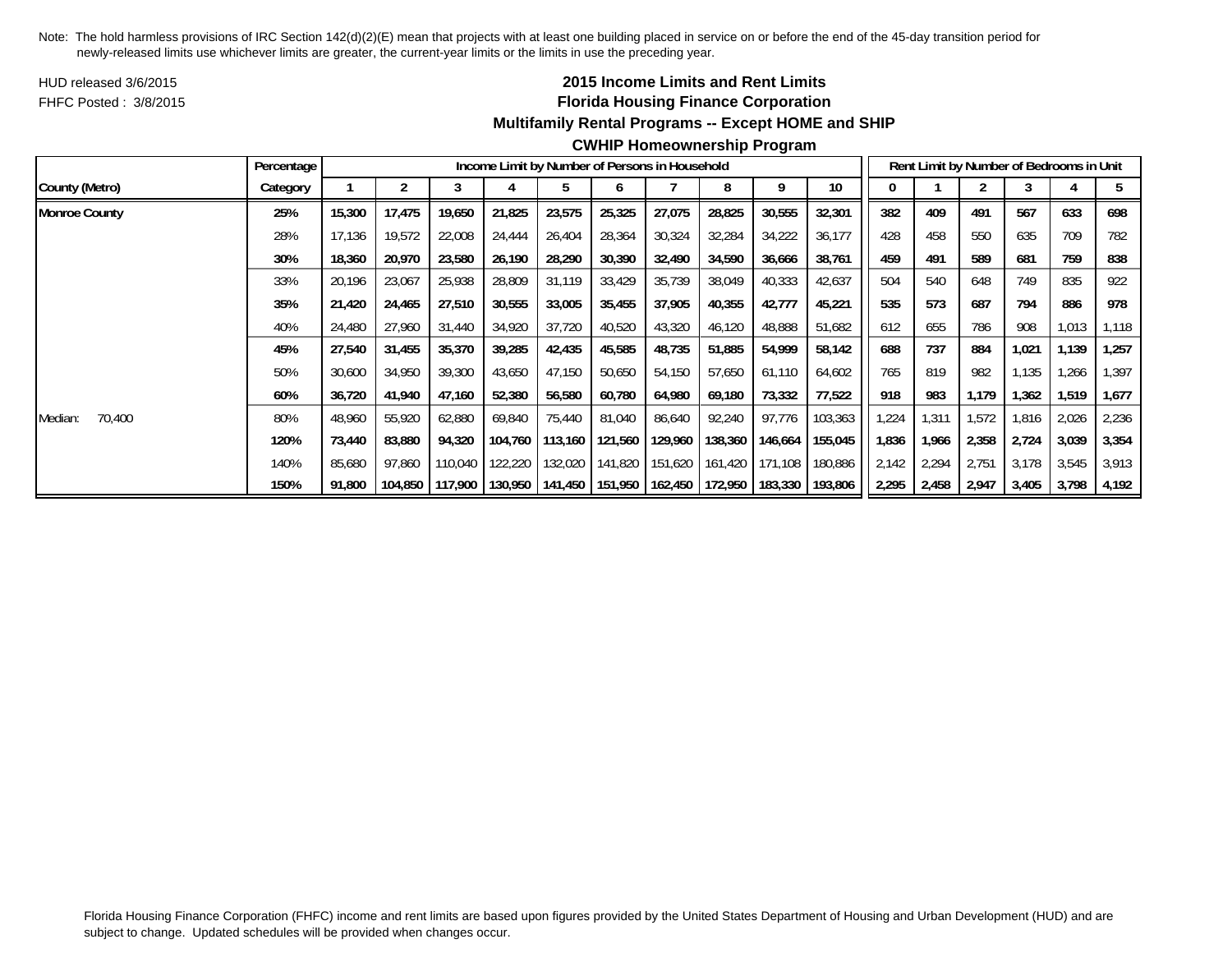HUD released 3/6/2015FHFC Posted : 3/8/2015

# **2015 Income Limits and Rent Limits Florida Housing Finance Corporation Multifamily Rental Programs -- Except HOME and SHIP**

# **CWHIP Homeownership Program**

|                      | Percentage |        |         |         |         |         |                 | Income Limit by Number of Persons in Household |                         |         |         |       |       |       | Rent Limit by Number of Bedrooms in Unit |       |       |
|----------------------|------------|--------|---------|---------|---------|---------|-----------------|------------------------------------------------|-------------------------|---------|---------|-------|-------|-------|------------------------------------------|-------|-------|
| County (Metro)       | Category   |        |         |         | 4       |         | <sub>0</sub>    |                                                | 8                       | 9       | 10      |       |       |       | 3                                        |       |       |
| <b>Monroe County</b> | 25%        | 15,300 | 17,475  | 19,650  | 21,825  | 23,575  | 25,325          | 27,075                                         | 28,825                  | 30,555  | 32,301  | 382   | 409   | 491   | 567                                      | 633   | 698   |
|                      | 28%        | 17,136 | 19,572  | 22,008  | 24,444  | 26,404  | 28,364          | 30,324                                         | 32,284                  | 34,222  | 36,177  | 428   | 458   | 550   | 635                                      | 709   | 782   |
|                      | 30%        | 18,360 | 20,970  | 23,580  | 26,190  | 28,290  | 30,390          | 32,490                                         | 34,590                  | 36,666  | 38,761  | 459   | 491   | 589   | 681                                      | 759   | 838   |
|                      | 33%        | 20,196 | 23,067  | 25,938  | 28,809  | 31,119  | 33,429          | 35,739                                         | 38,049                  | 40,333  | 42,637  | 504   | 540   | 648   | 749                                      | 835   | 922   |
|                      | 35%        | 21,420 | 24,465  | 27,510  | 30,555  | 33,005  | 35,455          | 37,905                                         | 40,355                  | 42,777  | 45,221  | 535   | 573   | 687   | 794                                      | 886   | 978   |
|                      | 40%        | 24,480 | 27,960  | 31,440  | 34,920  | 37,720  | 40,520          | 43,320                                         | 46,120                  | 48,888  | 51,682  | 612   | 655   | 786   | 908                                      | 1,013 | 1,118 |
|                      | 45%        | 27,540 | 31,455  | 35,370  | 39,285  | 42,435  | 45,585          | 48,735                                         | 51,885                  | 54,999  | 58,142  | 688   | 737   | 884   | 1,021                                    | 1,139 | 1,257 |
|                      | 50%        | 30,600 | 34,950  | 39,300  | 43,650  | 47,150  | 50,650          | 54,150                                         | 57,650                  | 61,110  | 64,602  | 765   | 819   | 982   | .135                                     | ,266  | ,397  |
|                      | 60%        | 36,720 | 41,940  | 47,160  | 52,380  | 56,580  | 60,780          | 64,980                                         | 69,180                  | 73,332  | 77,522  | 918   | 983   | 1,179 | 1,362                                    | 1,519 | 1,677 |
| 70,400<br>Median:    | 80%        | 48,960 | 55,920  | 62,880  | 69,840  | 75,440  | 81,040          | 86,640                                         | 92,240                  | 97,776  | 103,363 | 1,224 | 1,311 | 1,572 | 1,816                                    | 2,026 | 2,236 |
|                      | 120%       | 73,440 | 83,880  | 94,320  | 104.760 | 113,160 | 121,560         | 129,960                                        | 138,360                 | 146,664 | 155,045 | 1,836 | 1,966 | 2,358 | 2,724                                    | 3,039 | 3,354 |
|                      | 140%       | 85,680 | 97,860  | 110,040 | 122,220 | 132,020 | 141,820         |                                                | 151,620 161,420         | 171,108 | 180,886 | 2,142 | 2,294 | 2,751 | 3,178                                    | 3,545 | 3,913 |
|                      | 150%       | 91,800 | 104,850 | 117,900 | 130,950 |         | 141,450 151,950 |                                                | 162,450 172,950 183,330 |         | 193,806 | 2,295 | 2,458 | 2,947 | 3,405                                    | 3,798 | 4,192 |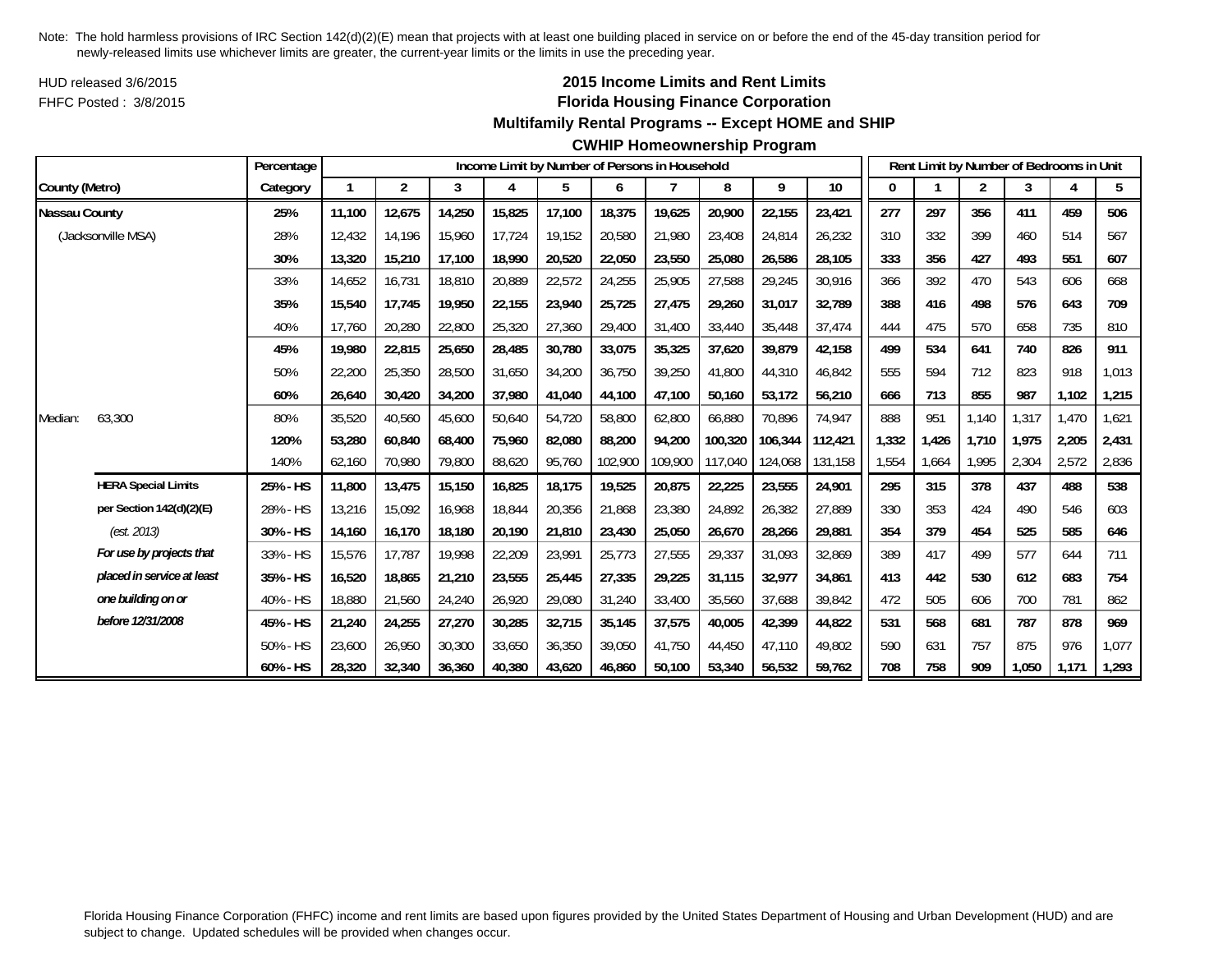HUD released 3/6/2015FHFC Posted : 3/8/2015

# **2015 Income Limits and Rent Limits Florida Housing Finance Corporation**

#### **Multifamily Rental Programs -- Except HOME and SHIP**

#### **CWHIP Homeownership Program**

|                      |                            | Percentage |        |                |        |        |        |         | Income Limit by Number of Persons in Household |         |         |         |       |       | Rent Limit by Number of Bedrooms in Unit |       |       |       |
|----------------------|----------------------------|------------|--------|----------------|--------|--------|--------|---------|------------------------------------------------|---------|---------|---------|-------|-------|------------------------------------------|-------|-------|-------|
| County (Metro)       |                            | Category   |        | $\overline{2}$ | 3      | 4      | 5      | 6       |                                                | 8       | 9       | 10      | 0     |       | 2                                        | 3     | 4     | 5     |
| <b>Nassau County</b> |                            | 25%        | 11,100 | 12,675         | 14,250 | 15,825 | 17,100 | 18,375  | 19,625                                         | 20,900  | 22,155  | 23,421  | 277   | 297   | 356                                      | 411   | 459   | 506   |
|                      | (Jacksonville MSA)         | 28%        | 12.432 | 14,196         | 15,960 | 17,724 | 19,152 | 20,580  | 21,980                                         | 23,408  | 24,814  | 26,232  | 310   | 332   | 399                                      | 460   | 514   | 567   |
|                      |                            | 30%        | 13,320 | 15,210         | 17,100 | 18,990 | 20,520 | 22,050  | 23,550                                         | 25,080  | 26,586  | 28,105  | 333   | 356   | 427                                      | 493   | 551   | 607   |
|                      |                            | 33%        | 14,652 | 16,731         | 18,810 | 20,889 | 22,572 | 24,255  | 25,905                                         | 27,588  | 29,245  | 30,916  | 366   | 392   | 470                                      | 543   | 606   | 668   |
|                      |                            | 35%        | 15,540 | 17,745         | 19,950 | 22,155 | 23,940 | 25,725  | 27,475                                         | 29,260  | 31,017  | 32,789  | 388   | 416   | 498                                      | 576   | 643   | 709   |
|                      |                            | 40%        | 17.760 | 20,280         | 22,800 | 25,320 | 27,360 | 29,400  | 31,400                                         | 33,440  | 35,448  | 37,474  | 444   | 475   | 570                                      | 658   | 735   | 810   |
|                      |                            | 45%        | 19,980 | 22,815         | 25,650 | 28,485 | 30,780 | 33,075  | 35,325                                         | 37,620  | 39,879  | 42,158  | 499   | 534   | 641                                      | 740   | 826   | 911   |
|                      |                            | 50%        | 22,200 | 25,350         | 28,500 | 31,650 | 34,200 | 36,750  | 39,250                                         | 41,800  | 44,310  | 46,842  | 555   | 594   | 712                                      | 823   | 918   | 1,013 |
|                      |                            | 60%        | 26,640 | 30,420         | 34,200 | 37,980 | 41,040 | 44,100  | 47,100                                         | 50,160  | 53,172  | 56,210  | 666   | 713   | 855                                      | 987   | 1,102 | 1,215 |
| Median:              | 63,300                     | 80%        | 35,520 | 40,560         | 45,600 | 50,640 | 54,720 | 58,800  | 62,800                                         | 66,880  | 70,896  | 74,947  | 888   | 951   | 1,140                                    | 1,317 | 1,470 | 1,621 |
|                      |                            | 120%       | 53,280 | 60,840         | 68,400 | 75,960 | 82,080 | 88,200  | 94,200                                         | 100,320 | 106,344 | 112,421 | 1,332 | 1,426 | 1,710                                    | 1.975 | 2,205 | 2,431 |
|                      |                            | 140%       | 62,160 | 70,980         | 79,800 | 88,620 | 95,760 | 102,900 | 109,900                                        | 117,040 | 124,068 | 131,158 | 1,554 | 1,664 | 1,995                                    | 2,304 | 2,572 | 2,836 |
|                      | <b>HERA Special Limits</b> | 25% - HS   | 11,800 | 13,475         | 15,150 | 16,825 | 18,175 | 19,525  | 20,875                                         | 22,225  | 23,555  | 24,901  | 295   | 315   | 378                                      | 437   | 488   | 538   |
|                      | per Section 142(d)(2)(E)   | 28% - HS   | 13,216 | 15,092         | 16,968 | 18,844 | 20,356 | 21,868  | 23,380                                         | 24,892  | 26,382  | 27,889  | 330   | 353   | 424                                      | 490   | 546   | 603   |
|                      | (est. 2013)                | 30% - HS   | 14.160 | 16.170         | 18,180 | 20,190 | 21,810 | 23,430  | 25,050                                         | 26,670  | 28,266  | 29,881  | 354   | 379   | 454                                      | 525   | 585   | 646   |
|                      | For use by projects that   | 33% - HS   | 15,576 | 17,787         | 19,998 | 22,209 | 23,991 | 25,773  | 27,555                                         | 29,337  | 31,093  | 32,869  | 389   | 417   | 499                                      | 577   | 644   | 711   |
|                      | placed in service at least | 35% - HS   | 16,520 | 18,865         | 21,210 | 23,555 | 25,445 | 27,335  | 29,225                                         | 31,115  | 32,977  | 34,861  | 413   | 442   | 530                                      | 612   | 683   | 754   |
|                      | one building on or         | 40% - HS   | 18,880 | 21,560         | 24,240 | 26,920 | 29,080 | 31,240  | 33,400                                         | 35,560  | 37,688  | 39,842  | 472   | 505   | 606                                      | 700   | 781   | 862   |
|                      | before 12/31/2008          | 45% - HS   | 21,240 | 24,255         | 27,270 | 30,285 | 32,715 | 35,145  | 37,575                                         | 40,005  | 42,399  | 44,822  | 531   | 568   | 681                                      | 787   | 878   | 969   |
|                      |                            | 50% - HS   | 23,600 | 26,950         | 30,300 | 33,650 | 36,350 | 39,050  | 41.750                                         | 44.450  | 47.110  | 49,802  | 590   | 631   | 757                                      | 875   | 976   | 1,077 |
|                      |                            | 60% - HS   | 28,320 | 32,340         | 36,360 | 40,380 | 43,620 | 46.860  | 50.100                                         | 53,340  | 56,532  | 59,762  | 708   | 758   | 909                                      | 1,050 | 1,171 | 1,293 |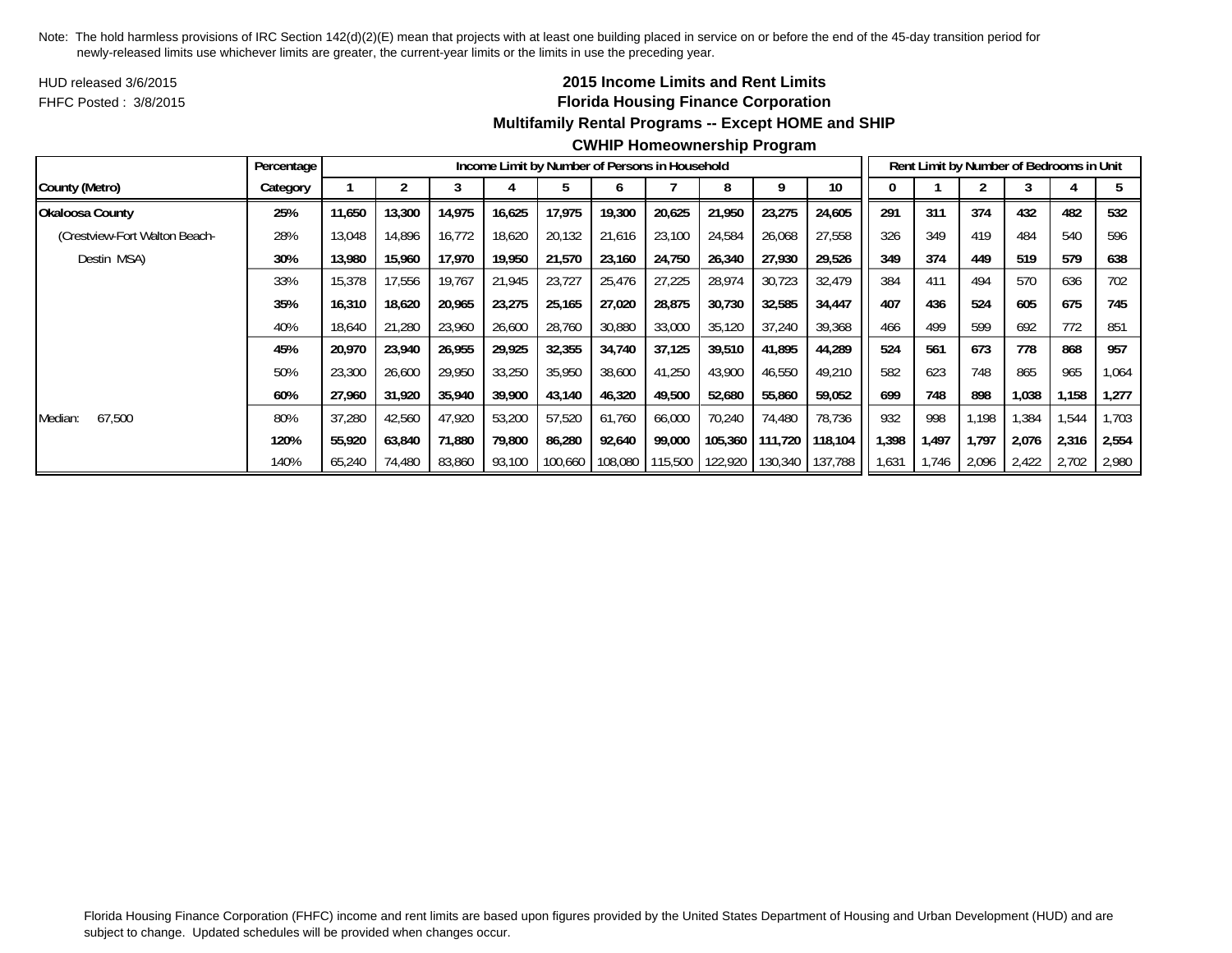HUD released 3/6/2015FHFC Posted : 3/8/2015

# **2015 Income Limits and Rent Limits Florida Housing Finance Corporation**

# **Multifamily Rental Programs -- Except HOME and SHIP**

|                               | Percentage |        |        |        |        | Income Limit by Number of Persons in Household |         |         |         |         |         |      |       |       | Rent Limit by Number of Bedrooms in Unit |       |        |
|-------------------------------|------------|--------|--------|--------|--------|------------------------------------------------|---------|---------|---------|---------|---------|------|-------|-------|------------------------------------------|-------|--------|
| County (Metro)                | Category   |        |        |        |        |                                                |         |         |         |         | 10      |      |       |       |                                          |       |        |
| Okaloosa County               | 25%        | 11,650 | 13,300 | 14,975 | 16,625 | 17,975                                         | 19,300  | 20,625  | 21,950  | 23,275  | 24,605  | 291  | 311   | 374   | 432                                      | 482   | 532    |
| (Crestview-Fort Walton Beach- | 28%        | 13,048 | 14,896 | 16,772 | 18,620 | 20,132                                         | 21,616  | 23,100  | 24,584  | 26,068  | 27,558  | 326  | 349   | 419   | 484                                      | 540   | 596    |
| Destin MSA)                   | 30%        | 13,980 | 15,960 | 17,970 | 19,950 | 21,570                                         | 23,160  | 24,750  | 26,340  | 27,930  | 29,526  | 349  | 374   | 449   | 519                                      | 579   | 638    |
|                               | 33%        | 15,378 | 17,556 | 19,767 | 21,945 | 23,727                                         | 25,476  | 27,225  | 28,974  | 30,723  | 32,479  | 384  | 411   | 494   | 570                                      | 636   | 702    |
|                               | 35%        | 16,310 | 18,620 | 20,965 | 23,275 | 25,165                                         | 27,020  | 28,875  | 30,730  | 32,585  | 34,447  | 407  | 436   | 524   | 605                                      | 675   | 745    |
|                               | 40%        | 18,640 | 21.280 | 23,960 | 26,600 | 28,760                                         | 30,880  | 33,000  | 35,120  | 37,240  | 39,368  | 466  | 499   | 599   | 692                                      | 772   | 851    |
|                               | 45%        | 20,970 | 23,940 | 26,955 | 29,925 | 32,355                                         | 34,740  | 37,125  | 39,510  | 41,895  | 44,289  | 524  | 561   | 673   | 778                                      | 868   | 957    |
|                               | 50%        | 23,300 | 26,600 | 29,950 | 33,250 | 35,950                                         | 38,600  | 41,250  | 43,900  | 46,550  | 49,210  | 582  | 623   | 748   | 865                                      | 965   | 064, ا |
|                               | 60%        | 27,960 | 31,920 | 35,940 | 39,900 | 43,140                                         | 46,320  | 49,500  | 52,680  | 55,860  | 59,052  | 699  | 748   | 898   | 1,038                                    | 1,158 | 1,277  |
| 67.500<br>Median:             | 80%        | 37,280 | 42,560 | 47,920 | 53,200 | 57,520                                         | 61.760  | 66,000  | 70.240  | 74,480  | 78,736  | 932  | 998   | 1.198 | .384                                     | 1,544 | 1,703  |
|                               | 120%       | 55,920 | 63,840 | 71,880 | 79,800 | 86,280                                         | 92,640  | 99,000  | 105,360 | 111.720 | 118,104 | ,398 | 1,497 | 1.797 | 2,076                                    | 2,316 | 2,554  |
|                               | 140%       | 65,240 | 74,480 | 83,860 | 93,100 | 100,660                                        | 108,080 | 115,500 | 122,920 | 130,340 | 137,788 | ,631 | 1,746 | 2,096 | 2,422                                    | 2,702 | 2,980  |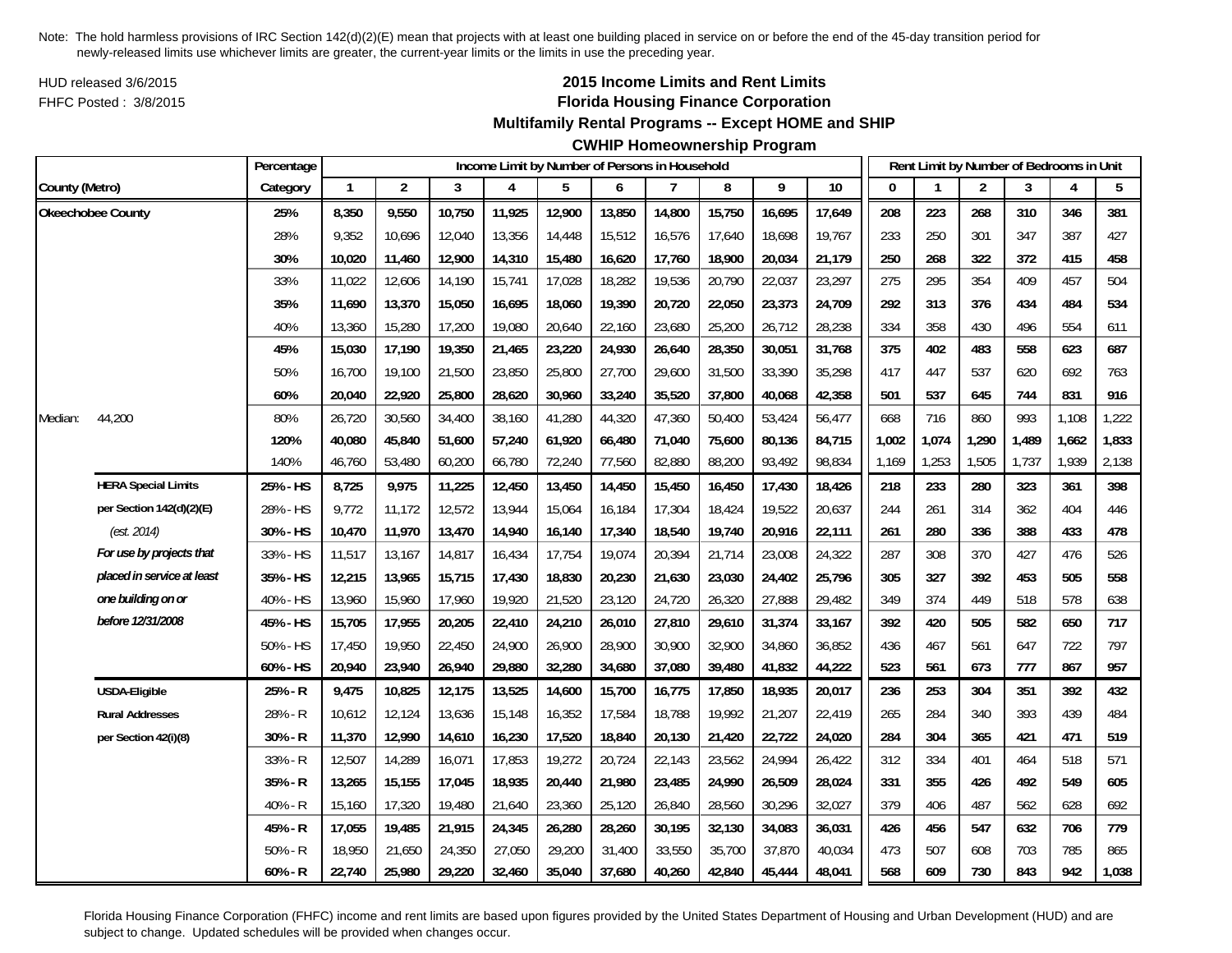HUD released 3/6/2015FHFC Posted : 3/8/2015

# **2015 Income Limits and Rent Limits Florida Housing Finance Corporation**

## **Multifamily Rental Programs -- Except HOME and SHIP**

# **CWHIP Homeownership Program**

|                |                            | Percentage |              |                |        |        | Income Limit by Number of Persons in Household |        |        |        |        |        |              |       | Rent Limit by Number of Bedrooms in Unit |       |       |       |
|----------------|----------------------------|------------|--------------|----------------|--------|--------|------------------------------------------------|--------|--------|--------|--------|--------|--------------|-------|------------------------------------------|-------|-------|-------|
| County (Metro) |                            | Category   | $\mathbf{1}$ | $\overline{c}$ | 3      | 4      | 5                                              | 6      | 7      | 8      | 9      | 10     | $\mathbf{0}$ |       | $\overline{2}$                           | 3     | 4     | 5     |
|                | Okeechobee County          | 25%        | 8,350        | 9,550          | 10,750 | 11,925 | 12,900                                         | 13,850 | 14,800 | 15,750 | 16,695 | 17,649 | 208          | 223   | 268                                      | 310   | 346   | 381   |
|                |                            | 28%        | 9,352        | 10,696         | 12,040 | 13,356 | 14,448                                         | 15,512 | 16,576 | 17,640 | 18,698 | 19,767 | 233          | 250   | 301                                      | 347   | 387   | 427   |
|                |                            | 30%        | 10,020       | 11,460         | 12,900 | 14,310 | 15,480                                         | 16,620 | 17,760 | 18,900 | 20,034 | 21,179 | 250          | 268   | 322                                      | 372   | 415   | 458   |
|                |                            | 33%        | 11,022       | 12,606         | 14,190 | 15,741 | 17,028                                         | 18,282 | 19,536 | 20,790 | 22,037 | 23,297 | 275          | 295   | 354                                      | 409   | 457   | 504   |
|                |                            | 35%        | 11,690       | 13,370         | 15,050 | 16,695 | 18,060                                         | 19,390 | 20,720 | 22,050 | 23,373 | 24,709 | 292          | 313   | 376                                      | 434   | 484   | 534   |
|                |                            | 40%        | 13,360       | 15,280         | 17,200 | 19,080 | 20,640                                         | 22,160 | 23,680 | 25,200 | 26,712 | 28,238 | 334          | 358   | 430                                      | 496   | 554   | 611   |
|                |                            | 45%        | 15,030       | 17,190         | 19,350 | 21,465 | 23,220                                         | 24,930 | 26,640 | 28,350 | 30,051 | 31,768 | 375          | 402   | 483                                      | 558   | 623   | 687   |
|                |                            | 50%        | 16,700       | 19,100         | 21,500 | 23,850 | 25,800                                         | 27,700 | 29,600 | 31,500 | 33,390 | 35,298 | 417          | 447   | 537                                      | 620   | 692   | 763   |
|                |                            | 60%        | 20,040       | 22,920         | 25,800 | 28,620 | 30,960                                         | 33,240 | 35,520 | 37,800 | 40,068 | 42,358 | 501          | 537   | 645                                      | 744   | 831   | 916   |
| Median:        | 44,200                     | 80%        | 26,720       | 30,560         | 34,400 | 38,160 | 41,280                                         | 44,320 | 47,360 | 50,400 | 53,424 | 56,477 | 668          | 716   | 860                                      | 993   | 1,108 | 1,222 |
|                |                            | 120%       | 40,080       | 45,840         | 51,600 | 57,240 | 61,920                                         | 66,480 | 71,040 | 75,600 | 80,136 | 84,715 | 1,002        | 1,074 | 1,290                                    | 1,489 | 1,662 | 1,833 |
|                |                            | 140%       | 46,760       | 53,480         | 60,200 | 66,780 | 72,240                                         | 77,560 | 82,880 | 88,200 | 93,492 | 98,834 | 1,169        | 1,253 | 1,505                                    | 1,737 | 1,939 | 2,138 |
|                | <b>HERA Special Limits</b> | 25% - HS   | 8,725        | 9,975          | 11,225 | 12,450 | 13,450                                         | 14,450 | 15,450 | 16,450 | 17,430 | 18,426 | 218          | 233   | 280                                      | 323   | 361   | 398   |
|                | per Section 142(d)(2)(E)   | 28% - HS   | 9,772        | 11,172         | 12,572 | 13,944 | 15,064                                         | 16,184 | 17,304 | 18,424 | 19,522 | 20,637 | 244          | 261   | 314                                      | 362   | 404   | 446   |
|                | (est. 2014)                | 30% - HS   | 10,470       | 11,970         | 13,470 | 14,940 | 16,140                                         | 17,340 | 18,540 | 19,740 | 20,916 | 22,111 | 261          | 280   | 336                                      | 388   | 433   | 478   |
|                | For use by projects that   | 33% - HS   | 11,517       | 13,167         | 14,817 | 16,434 | 17,754                                         | 19,074 | 20,394 | 21,714 | 23,008 | 24,322 | 287          | 308   | 370                                      | 427   | 476   | 526   |
|                | placed in service at least | 35% - HS   | 12,215       | 13,965         | 15,715 | 17,430 | 18,830                                         | 20,230 | 21,630 | 23,030 | 24,402 | 25,796 | 305          | 327   | 392                                      | 453   | 505   | 558   |
|                | one building on or         | 40% - HS   | 13,960       | 15,960         | 17,960 | 19,920 | 21,520                                         | 23,120 | 24,720 | 26,320 | 27,888 | 29,482 | 349          | 374   | 449                                      | 518   | 578   | 638   |
|                | before 12/31/2008          | 45% - HS   | 15,705       | 17,955         | 20,205 | 22,410 | 24,210                                         | 26,010 | 27,810 | 29,610 | 31,374 | 33,167 | 392          | 420   | 505                                      | 582   | 650   | 717   |
|                |                            | 50% - HS   | 17,450       | 19,950         | 22,450 | 24,900 | 26,900                                         | 28,900 | 30,900 | 32,900 | 34,860 | 36,852 | 436          | 467   | 561                                      | 647   | 722   | 797   |
|                |                            | 60% - HS   | 20,940       | 23,940         | 26,940 | 29,880 | 32,280                                         | 34,680 | 37,080 | 39,480 | 41,832 | 44,222 | 523          | 561   | 673                                      | 777   | 867   | 957   |
|                | USDA-Eligible              | 25% - R    | 9,475        | 10,825         | 12,175 | 13,525 | 14,600                                         | 15,700 | 16,775 | 17,850 | 18,935 | 20,017 | 236          | 253   | 304                                      | 351   | 392   | 432   |
|                | <b>Rural Addresses</b>     | 28% - R    | 10,612       | 12,124         | 13,636 | 15,148 | 16,352                                         | 17,584 | 18,788 | 19,992 | 21,207 | 22,419 | 265          | 284   | 340                                      | 393   | 439   | 484   |
|                | per Section 42(i)(8)       | $30% - R$  | 11,370       | 12,990         | 14,610 | 16,230 | 17,520                                         | 18,840 | 20,130 | 21,420 | 22,722 | 24,020 | 284          | 304   | 365                                      | 421   | 471   | 519   |
|                |                            | 33% - R    | 12,507       | 14,289         | 16,071 | 17,853 | 19,272                                         | 20,724 | 22,143 | 23,562 | 24,994 | 26,422 | 312          | 334   | 401                                      | 464   | 518   | 571   |
|                |                            | $35% - R$  | 13,265       | 15,155         | 17,045 | 18,935 | 20,440                                         | 21,980 | 23,485 | 24,990 | 26,509 | 28,024 | 331          | 355   | 426                                      | 492   | 549   | 605   |
|                |                            | 40% - R    | 15,160       | 17,320         | 19,480 | 21,640 | 23,360                                         | 25,120 | 26,840 | 28,560 | 30,296 | 32,027 | 379          | 406   | 487                                      | 562   | 628   | 692   |
|                |                            | 45% - R    | 17,055       | 19,485         | 21,915 | 24,345 | 26,280                                         | 28,260 | 30,195 | 32,130 | 34,083 | 36,031 | 426          | 456   | 547                                      | 632   | 706   | 779   |
|                |                            | $50% - R$  | 18,950       | 21,650         | 24,350 | 27,050 | 29,200                                         | 31,400 | 33,550 | 35,700 | 37,870 | 40,034 | 473          | 507   | 608                                      | 703   | 785   | 865   |
|                |                            | $60% - R$  | 22,740       | 25,980         | 29,220 | 32,460 | 35,040                                         | 37,680 | 40,260 | 42,840 | 45,444 | 48,041 | 568          | 609   | 730                                      | 843   | 942   | 1,038 |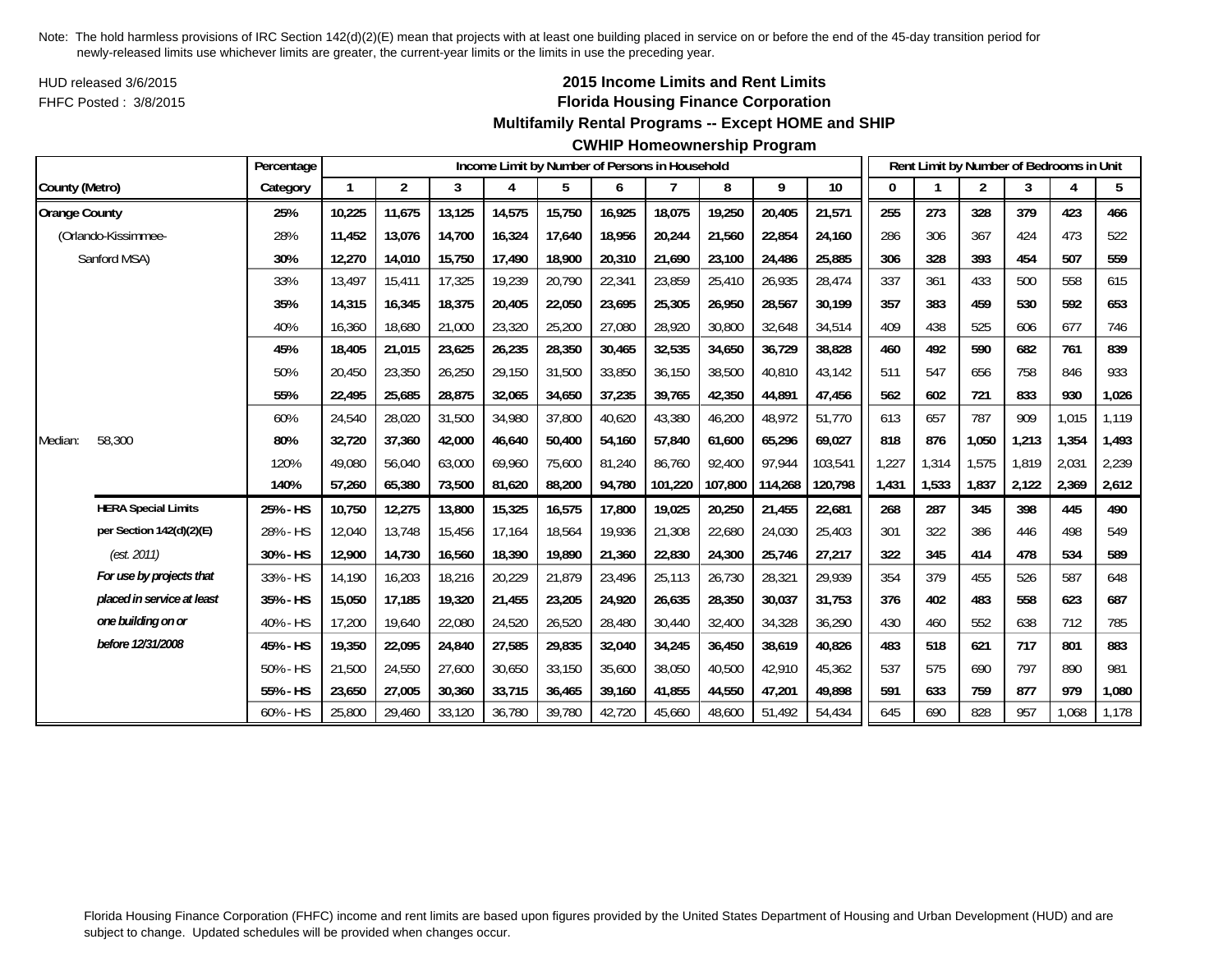HUD released 3/6/2015FHFC Posted : 3/8/2015

# **2015 Income Limits and Rent Limits Florida Housing Finance Corporation**

## **Multifamily Rental Programs -- Except HOME and SHIP**

**CWHIP Homeownership Program**

|                      |                            | Percentage |              |        |        |        |        |        | Income Limit by Number of Persons in Household |         |         |         |       | Rent Limit by Number of Bedrooms in Unit |       |       |       |       |
|----------------------|----------------------------|------------|--------------|--------|--------|--------|--------|--------|------------------------------------------------|---------|---------|---------|-------|------------------------------------------|-------|-------|-------|-------|
| County (Metro)       |                            | Category   | $\mathbf{1}$ | 2      | 3      | 4      | 5      | 6      | 7                                              | 8       | 9       | $10$    | 0     |                                          | 2     | 3     | 4     | 5     |
| <b>Orange County</b> |                            | 25%        | 10,225       | 11,675 | 13,125 | 14,575 | 15,750 | 16,925 | 18,075                                         | 19,250  | 20,405  | 21,571  | 255   | 273                                      | 328   | 379   | 423   | 466   |
|                      | (Orlando-Kissimmee-        | 28%        | 11.452       | 13,076 | 14,700 | 16,324 | 17,640 | 18,956 | 20,244                                         | 21,560  | 22,854  | 24.160  | 286   | 306                                      | 367   | 424   | 473   | 522   |
|                      | Sanford MSA)               | 30%        | 12,270       | 14,010 | 15,750 | 17,490 | 18,900 | 20,310 | 21,690                                         | 23,100  | 24,486  | 25,885  | 306   | 328                                      | 393   | 454   | 507   | 559   |
|                      |                            | 33%        | 13.497       | 15,411 | 17,325 | 19,239 | 20,790 | 22,341 | 23,859                                         | 25,410  | 26,935  | 28,474  | 337   | 361                                      | 433   | 500   | 558   | 615   |
|                      |                            | 35%        | 14,315       | 16,345 | 18,375 | 20,405 | 22,050 | 23,695 | 25,305                                         | 26,950  | 28,567  | 30,199  | 357   | 383                                      | 459   | 530   | 592   | 653   |
|                      |                            | 40%        | 16,360       | 18,680 | 21,000 | 23,320 | 25,200 | 27,080 | 28,920                                         | 30,800  | 32,648  | 34,514  | 409   | 438                                      | 525   | 606   | 677   | 746   |
|                      |                            | 45%        | 18,405       | 21,015 | 23,625 | 26,235 | 28,350 | 30,465 | 32,535                                         | 34,650  | 36,729  | 38,828  | 460   | 492                                      | 590   | 682   | 761   | 839   |
|                      |                            | 50%        | 20,450       | 23,350 | 26,250 | 29,150 | 31,500 | 33,850 | 36,150                                         | 38,500  | 40,810  | 43,142  | 511   | 547                                      | 656   | 758   | 846   | 933   |
|                      |                            | 55%        | 22,495       | 25,685 | 28,875 | 32,065 | 34,650 | 37,235 | 39,765                                         | 42,350  | 44,891  | 47,456  | 562   | 602                                      | 721   | 833   | 930   | 1,026 |
|                      |                            | 60%        | 24,540       | 28,020 | 31,500 | 34,980 | 37,800 | 40,620 | 43,380                                         | 46,200  | 48,972  | 51,770  | 613   | 657                                      | 787   | 909   | 1,015 | 1,119 |
| Median:              | 58,300                     | 80%        | 32,720       | 37,360 | 42,000 | 46,640 | 50,400 | 54,160 | 57,840                                         | 61,600  | 65,296  | 69,027  | 818   | 876                                      | 1,050 | 1,213 | 1,354 | 1,493 |
|                      |                            | 120%       | 49.080       | 56.040 | 63,000 | 69,960 | 75,600 | 81,240 | 86,760                                         | 92,400  | 97,944  | 103,541 | 1,227 | 1,314                                    | 1,575 | 1.819 | 2,031 | 2,239 |
|                      |                            | 140%       | 57,260       | 65,380 | 73,500 | 81,620 | 88,200 | 94,780 | 101,220                                        | 107,800 | 114,268 | 120,798 | 1,431 | 1,533                                    | 1,837 | 2,122 | 2,369 | 2,612 |
|                      | <b>HERA Special Limits</b> | 25% - HS   | 10,750       | 12,275 | 13,800 | 15,325 | 16,575 | 17,800 | 19,025                                         | 20,250  | 21,455  | 22,681  | 268   | 287                                      | 345   | 398   | 445   | 490   |
|                      | per Section 142(d)(2)(E)   | 28% - HS   | 12,040       | 13.748 | 15.456 | 17,164 | 18,564 | 19,936 | 21,308                                         | 22,680  | 24,030  | 25,403  | 301   | 322                                      | 386   | 446   | 498   | 549   |
|                      | (est. 2011)                | 30% - HS   | 12,900       | 14,730 | 16,560 | 18,390 | 19,890 | 21,360 | 22,830                                         | 24,300  | 25,746  | 27,217  | 322   | 345                                      | 414   | 478   | 534   | 589   |
|                      | For use by projects that   | 33% - HS   | 14,190       | 16,203 | 18,216 | 20,229 | 21,879 | 23,496 | 25,113                                         | 26,730  | 28,321  | 29,939  | 354   | 379                                      | 455   | 526   | 587   | 648   |
|                      | placed in service at least | 35% - HS   | 15,050       | 17,185 | 19,320 | 21,455 | 23,205 | 24,920 | 26,635                                         | 28,350  | 30,037  | 31,753  | 376   | 402                                      | 483   | 558   | 623   | 687   |
|                      | one building on or         | 40% - HS   | 17,200       | 19,640 | 22,080 | 24,520 | 26,520 | 28,480 | 30,440                                         | 32,400  | 34,328  | 36,290  | 430   | 460                                      | 552   | 638   | 712   | 785   |
|                      | before 12/31/2008          | 45% - HS   | 19,350       | 22,095 | 24,840 | 27,585 | 29,835 | 32,040 | 34,245                                         | 36,450  | 38,619  | 40,826  | 483   | 518                                      | 621   | 717   | 801   | 883   |
|                      |                            | 50% - HS   | 21,500       | 24,550 | 27,600 | 30,650 | 33,150 | 35,600 | 38,050                                         | 40,500  | 42,910  | 45,362  | 537   | 575                                      | 690   | 797   | 890   | 981   |
|                      |                            | 55% - HS   | 23,650       | 27,005 | 30,360 | 33,715 | 36,465 | 39,160 | 41,855                                         | 44,550  | 47,201  | 49,898  | 591   | 633                                      | 759   | 877   | 979   | 1,080 |
|                      |                            | 60% - HS   | 25,800       | 29,460 | 33,120 | 36,780 | 39,780 | 42,720 | 45,660                                         | 48,600  | 51.492  | 54,434  | 645   | 690                                      | 828   | 957   | 1,068 | 1,178 |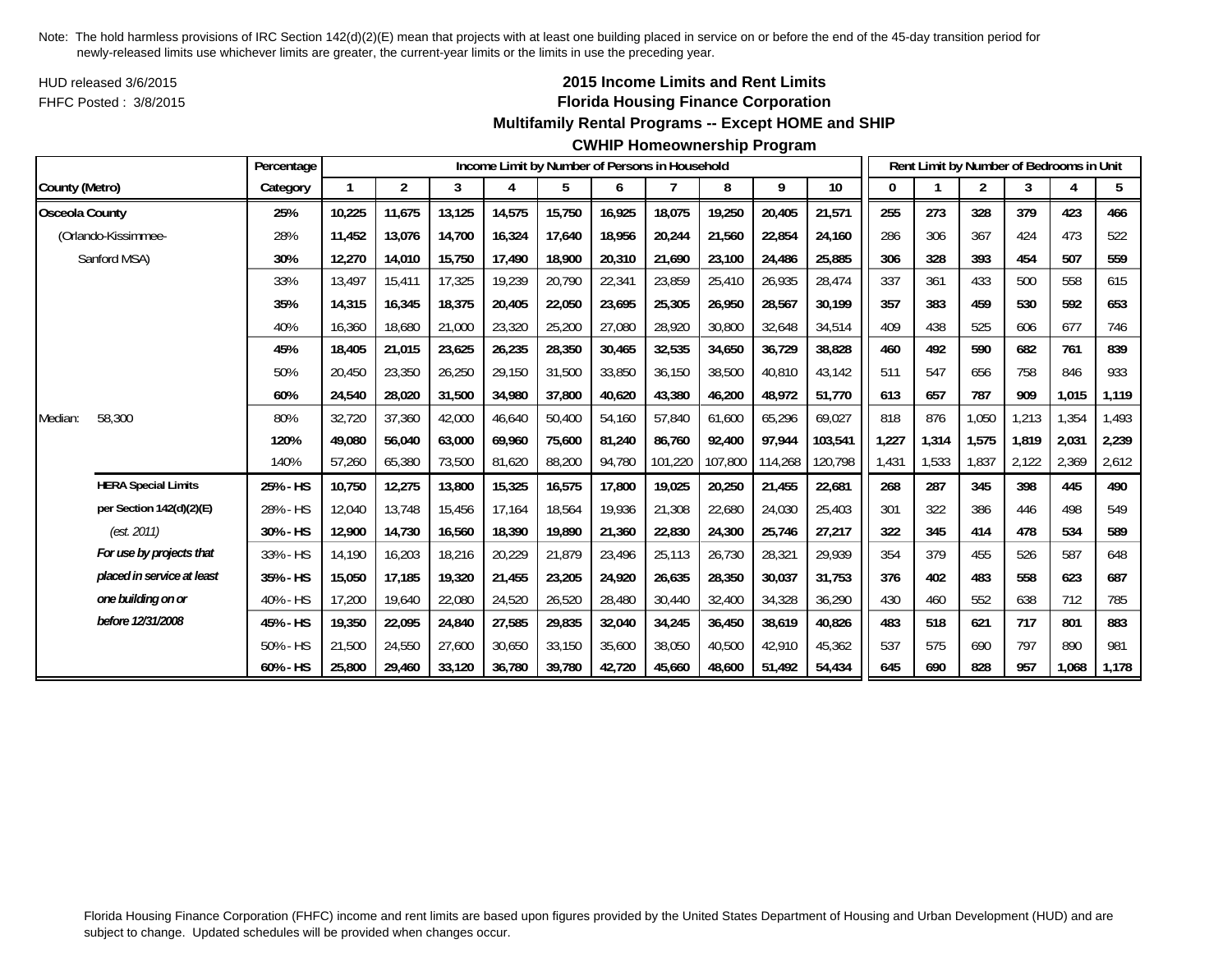HUD released 3/6/2015FHFC Posted : 3/8/2015

# **2015 Income Limits and Rent Limits Florida Housing Finance Corporation**

## **Multifamily Rental Programs -- Except HOME and SHIP**

#### **CWHIP Homeownership Program**

|                       |                            | Percentage |        |                |        |        |        |        | Income Limit by Number of Persons in Household |         |         |         |       |       | Rent Limit by Number of Bedrooms in Unit |       |       |       |
|-----------------------|----------------------------|------------|--------|----------------|--------|--------|--------|--------|------------------------------------------------|---------|---------|---------|-------|-------|------------------------------------------|-------|-------|-------|
| County (Metro)        |                            | Category   |        | $\overline{2}$ | 3      | 4      | 5      | 6      |                                                | 8       | 9       | 10      | 0     |       | 2                                        | 3     | 4     | 5     |
| <b>Osceola County</b> |                            | 25%        | 10,225 | 11,675         | 13,125 | 14,575 | 15,750 | 16,925 | 18,075                                         | 19,250  | 20,405  | 21,571  | 255   | 273   | 328                                      | 379   | 423   | 466   |
|                       | (Orlando-Kissimmee-        | 28%        | 11,452 | 13,076         | 14,700 | 16,324 | 17,640 | 18,956 | 20,244                                         | 21,560  | 22,854  | 24,160  | 286   | 306   | 367                                      | 424   | 473   | 522   |
|                       | Sanford MSA)               | 30%        | 12,270 | 14,010         | 15,750 | 17,490 | 18,900 | 20,310 | 21,690                                         | 23,100  | 24,486  | 25,885  | 306   | 328   | 393                                      | 454   | 507   | 559   |
|                       |                            | 33%        | 13,497 | 15,411         | 17,325 | 19,239 | 20,790 | 22,341 | 23,859                                         | 25,410  | 26,935  | 28,474  | 337   | 361   | 433                                      | 500   | 558   | 615   |
|                       |                            | 35%        | 14,315 | 16,345         | 18,375 | 20,405 | 22,050 | 23,695 | 25,305                                         | 26,950  | 28,567  | 30,199  | 357   | 383   | 459                                      | 530   | 592   | 653   |
|                       |                            | 40%        | 16,360 | 18,680         | 21,000 | 23,320 | 25,200 | 27,080 | 28,920                                         | 30,800  | 32,648  | 34,514  | 409   | 438   | 525                                      | 606   | 677   | 746   |
|                       |                            | 45%        | 18,405 | 21,015         | 23,625 | 26,235 | 28,350 | 30,465 | 32,535                                         | 34,650  | 36,729  | 38,828  | 460   | 492   | 590                                      | 682   | 761   | 839   |
|                       |                            | 50%        | 20,450 | 23,350         | 26,250 | 29,150 | 31,500 | 33,850 | 36,150                                         | 38,500  | 40,810  | 43,142  | 511   | 547   | 656                                      | 758   | 846   | 933   |
|                       |                            | 60%        | 24,540 | 28,020         | 31,500 | 34,980 | 37,800 | 40,620 | 43,380                                         | 46,200  | 48,972  | 51,770  | 613   | 657   | 787                                      | 909   | 1,015 | 1,119 |
| Median:               | 58,300                     | 80%        | 32,720 | 37,360         | 42,000 | 46,640 | 50,400 | 54,160 | 57,840                                         | 61,600  | 65,296  | 69,027  | 818   | 876   | 1,050                                    | 1,213 | 1,354 | 1,493 |
|                       |                            | 120%       | 49,080 | 56,040         | 63,000 | 69,960 | 75,600 | 81,240 | 86,760                                         | 92,400  | 97,944  | 103,541 | 1,227 | 1,314 | 1,575                                    | 1,819 | 2,031 | 2,239 |
|                       |                            | 140%       | 57,260 | 65,380         | 73,500 | 81,620 | 88,200 | 94,780 | 101,220                                        | 107,800 | 114,268 | 120,798 | 1,431 | 1,533 | 1,837                                    | 2,122 | 2,369 | 2,612 |
|                       | <b>HERA Special Limits</b> | 25% - HS   | 10,750 | 12,275         | 13,800 | 15,325 | 16,575 | 17,800 | 19,025                                         | 20,250  | 21,455  | 22,681  | 268   | 287   | 345                                      | 398   | 445   | 490   |
|                       | per Section 142(d)(2)(E)   | 28% - HS   | 12,040 | 13,748         | 15,456 | 17,164 | 18,564 | 19,936 | 21,308                                         | 22,680  | 24,030  | 25,403  | 301   | 322   | 386                                      | 446   | 498   | 549   |
|                       | (est. 2011)                | 30% - HS   | 12,900 | 14.730         | 16,560 | 18,390 | 19,890 | 21,360 | 22,830                                         | 24,300  | 25,746  | 27,217  | 322   | 345   | 414                                      | 478   | 534   | 589   |
|                       | For use by projects that   | 33% - HS   | 14.190 | 16,203         | 18,216 | 20,229 | 21,879 | 23,496 | 25,113                                         | 26,730  | 28,321  | 29,939  | 354   | 379   | 455                                      | 526   | 587   | 648   |
|                       | placed in service at least | 35% - HS   | 15,050 | 17,185         | 19,320 | 21,455 | 23,205 | 24,920 | 26,635                                         | 28,350  | 30,037  | 31,753  | 376   | 402   | 483                                      | 558   | 623   | 687   |
|                       | one building on or         | 40% - HS   | 17,200 | 19,640         | 22,080 | 24,520 | 26,520 | 28,480 | 30,440                                         | 32,400  | 34,328  | 36,290  | 430   | 460   | 552                                      | 638   | 712   | 785   |
|                       | before 12/31/2008          | 45% - HS   | 19,350 | 22,095         | 24,840 | 27,585 | 29,835 | 32,040 | 34,245                                         | 36,450  | 38,619  | 40,826  | 483   | 518   | 621                                      | 717   | 801   | 883   |
|                       |                            | 50% - HS   | 21,500 | 24,550         | 27,600 | 30,650 | 33,150 | 35,600 | 38,050                                         | 40.500  | 42,910  | 45,362  | 537   | 575   | 690                                      | 797   | 890   | 981   |
|                       |                            | 60% - HS   | 25,800 | 29,460         | 33,120 | 36,780 | 39,780 | 42,720 | 45.660                                         | 48,600  | 51,492  | 54,434  | 645   | 690   | 828                                      | 957   | 1,068 | 1,178 |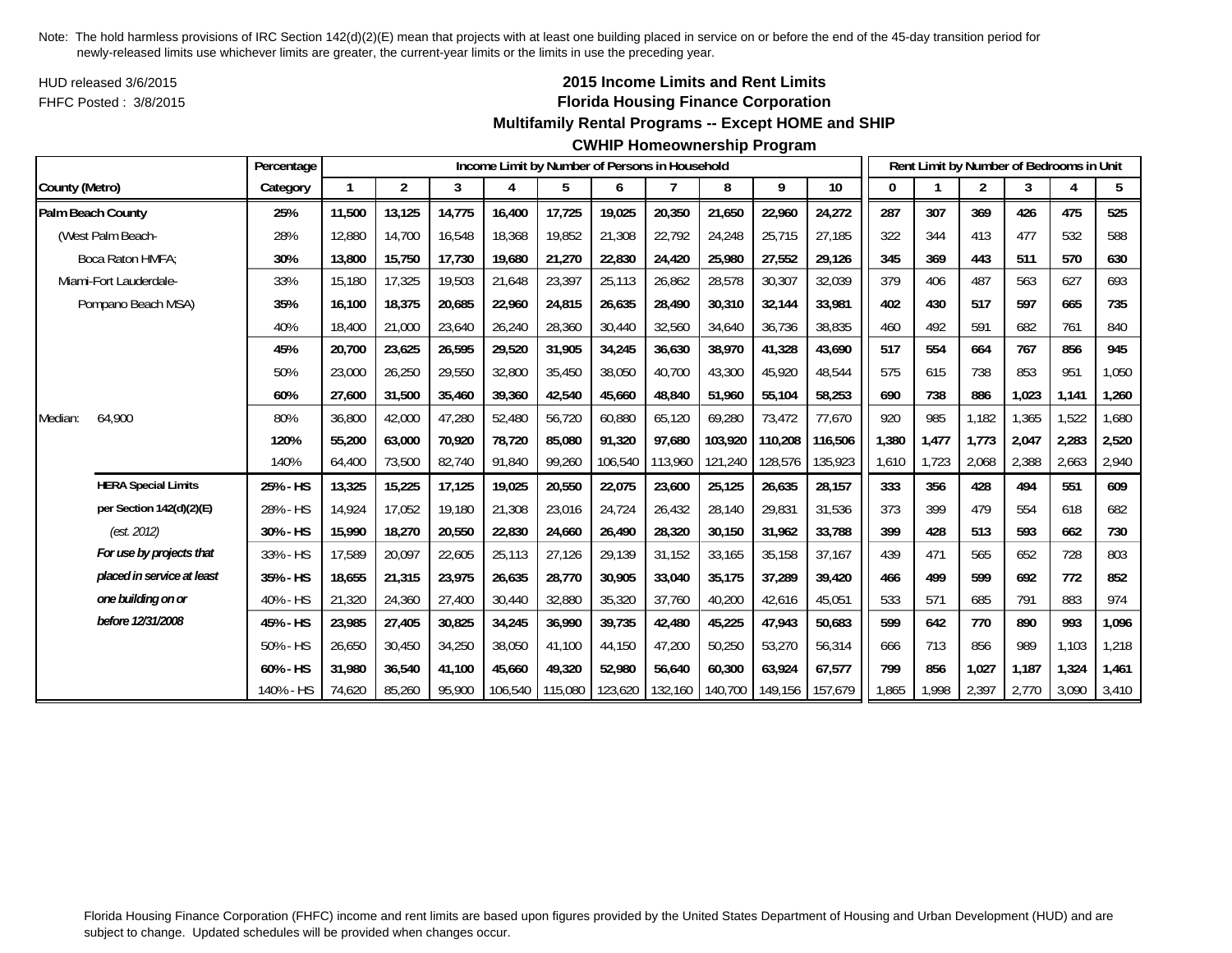HUD released 3/6/2015FHFC Posted : 3/8/2015

# **2015 Income Limits and Rent Limits Florida Housing Finance Corporation**

# **Multifamily Rental Programs -- Except HOME and SHIP**

|                            | Percentage |        |                |        |         |         |         | Income Limit by Number of Persons in Household |         |         |         |       |       |                | Rent Limit by Number of Bedrooms in Unit |       |       |
|----------------------------|------------|--------|----------------|--------|---------|---------|---------|------------------------------------------------|---------|---------|---------|-------|-------|----------------|------------------------------------------|-------|-------|
| County (Metro)             | Category   |        | $\overline{2}$ | 3      | 4       | 5       | 6       | 7                                              | 8       | 9       | $10$    | 0     |       | $\overline{2}$ | 3                                        | 4     | 5     |
| Palm Beach County          | 25%        | 11,500 | 13,125         | 14,775 | 16,400  | 17,725  | 19,025  | 20,350                                         | 21,650  | 22,960  | 24,272  | 287   | 307   | 369            | 426                                      | 475   | 525   |
| (West Palm Beach-          | 28%        | 12,880 | 14,700         | 16,548 | 18,368  | 19,852  | 21,308  | 22,792                                         | 24,248  | 25,715  | 27,185  | 322   | 344   | 413            | 477                                      | 532   | 588   |
| Boca Raton HMFA:           | 30%        | 13,800 | 15,750         | 17,730 | 19,680  | 21,270  | 22,830  | 24,420                                         | 25,980  | 27,552  | 29,126  | 345   | 369   | 443            | 511                                      | 570   | 630   |
| Miami-Fort Lauderdale-     | 33%        | 15,180 | 17,325         | 19,503 | 21,648  | 23,397  | 25,113  | 26,862                                         | 28,578  | 30,307  | 32,039  | 379   | 406   | 487            | 563                                      | 627   | 693   |
| Pompano Beach MSA)         | 35%        | 16.100 | 18,375         | 20,685 | 22,960  | 24,815  | 26,635  | 28,490                                         | 30,310  | 32,144  | 33,981  | 402   | 430   | 517            | 597                                      | 665   | 735   |
|                            | 40%        | 18,400 | 21,000         | 23,640 | 26,240  | 28,360  | 30,440  | 32,560                                         | 34,640  | 36,736  | 38,835  | 460   | 492   | 591            | 682                                      | 761   | 840   |
|                            | 45%        | 20,700 | 23,625         | 26,595 | 29,520  | 31,905  | 34,245  | 36,630                                         | 38,970  | 41,328  | 43,690  | 517   | 554   | 664            | 767                                      | 856   | 945   |
|                            | 50%        | 23,000 | 26,250         | 29,550 | 32,800  | 35,450  | 38,050  | 40,700                                         | 43,300  | 45,920  | 48,544  | 575   | 615   | 738            | 853                                      | 951   | 1,050 |
|                            | 60%        | 27.600 | 31,500         | 35,460 | 39,360  | 42,540  | 45,660  | 48.840                                         | 51,960  | 55,104  | 58,253  | 690   | 738   | 886            | 1.023                                    | 1,141 | 1,260 |
| 64,900<br>Median:          | 80%        | 36,800 | 42,000         | 47,280 | 52,480  | 56,720  | 60,880  | 65,120                                         | 69,280  | 73,472  | 77,670  | 920   | 985   | 1,182          | ,365                                     | 1,522 | 1,680 |
|                            | 120%       | 55,200 | 63,000         | 70,920 | 78,720  | 85,080  | 91,320  | 97,680                                         | 103,920 | 110,208 | 116,506 | 1,380 | 1,477 | 1,773          | 2,047                                    | 2,283 | 2,520 |
|                            | 140%       | 64,400 | 73,500         | 82,740 | 91,840  | 99,260  | 106,540 | 113,960                                        | 121,240 | 128,576 | 135,923 | 1,610 | 1,723 | 2,068          | 2,388                                    | 2,663 | 2,940 |
| <b>HERA Special Limits</b> | 25% - HS   | 13,325 | 15,225         | 17,125 | 19,025  | 20,550  | 22,075  | 23,600                                         | 25,125  | 26,635  | 28,157  | 333   | 356   | 428            | 494                                      | 551   | 609   |
| per Section 142(d)(2)(E)   | 28% - HS   | 14.924 | 17.052         | 19.180 | 21,308  | 23,016  | 24,724  | 26,432                                         | 28,140  | 29,831  | 31,536  | 373   | 399   | 479            | 554                                      | 618   | 682   |
| (est. 2012)                | 30% - HS   | 15,990 | 18,270         | 20,550 | 22,830  | 24,660  | 26,490  | 28,320                                         | 30,150  | 31,962  | 33,788  | 399   | 428   | 513            | 593                                      | 662   | 730   |
| For use by projects that   | 33% - HS   | 17,589 | 20,097         | 22,605 | 25,113  | 27,126  | 29,139  | 31,152                                         | 33,165  | 35,158  | 37,167  | 439   | 471   | 565            | 652                                      | 728   | 803   |
| placed in service at least | 35% - HS   | 18,655 | 21,315         | 23.975 | 26,635  | 28,770  | 30,905  | 33,040                                         | 35.175  | 37,289  | 39,420  | 466   | 499   | 599            | 692                                      | 772   | 852   |
| one building on or         | 40% - HS   | 21,320 | 24,360         | 27,400 | 30,440  | 32,880  | 35,320  | 37,760                                         | 40,200  | 42,616  | 45,051  | 533   | 571   | 685            | 791                                      | 883   | 974   |
| before 12/31/2008          | 45% - HS   | 23,985 | 27,405         | 30,825 | 34,245  | 36,990  | 39,735  | 42,480                                         | 45,225  | 47,943  | 50,683  | 599   | 642   | 770            | 890                                      | 993   | 1,096 |
|                            | 50% - HS   | 26,650 | 30,450         | 34,250 | 38,050  | 41,100  | 44,150  | 47,200                                         | 50,250  | 53,270  | 56,314  | 666   | 713   | 856            | 989                                      | 1,103 | 1,218 |
|                            | 60% - HS   | 31,980 | 36,540         | 41,100 | 45,660  | 49,320  | 52,980  | 56,640                                         | 60,300  | 63,924  | 67,577  | 799   | 856   | 1,027          | 1.187                                    | 1,324 | 1,461 |
|                            | 140% - HS  | 74,620 | 85,260         | 95,900 | 106,540 | 115,080 | 123,620 | 132,160                                        | 140,700 | 149,156 | 157,679 | 1,865 | 1,998 | 2,397          | 2,770                                    | 3,090 | 3,410 |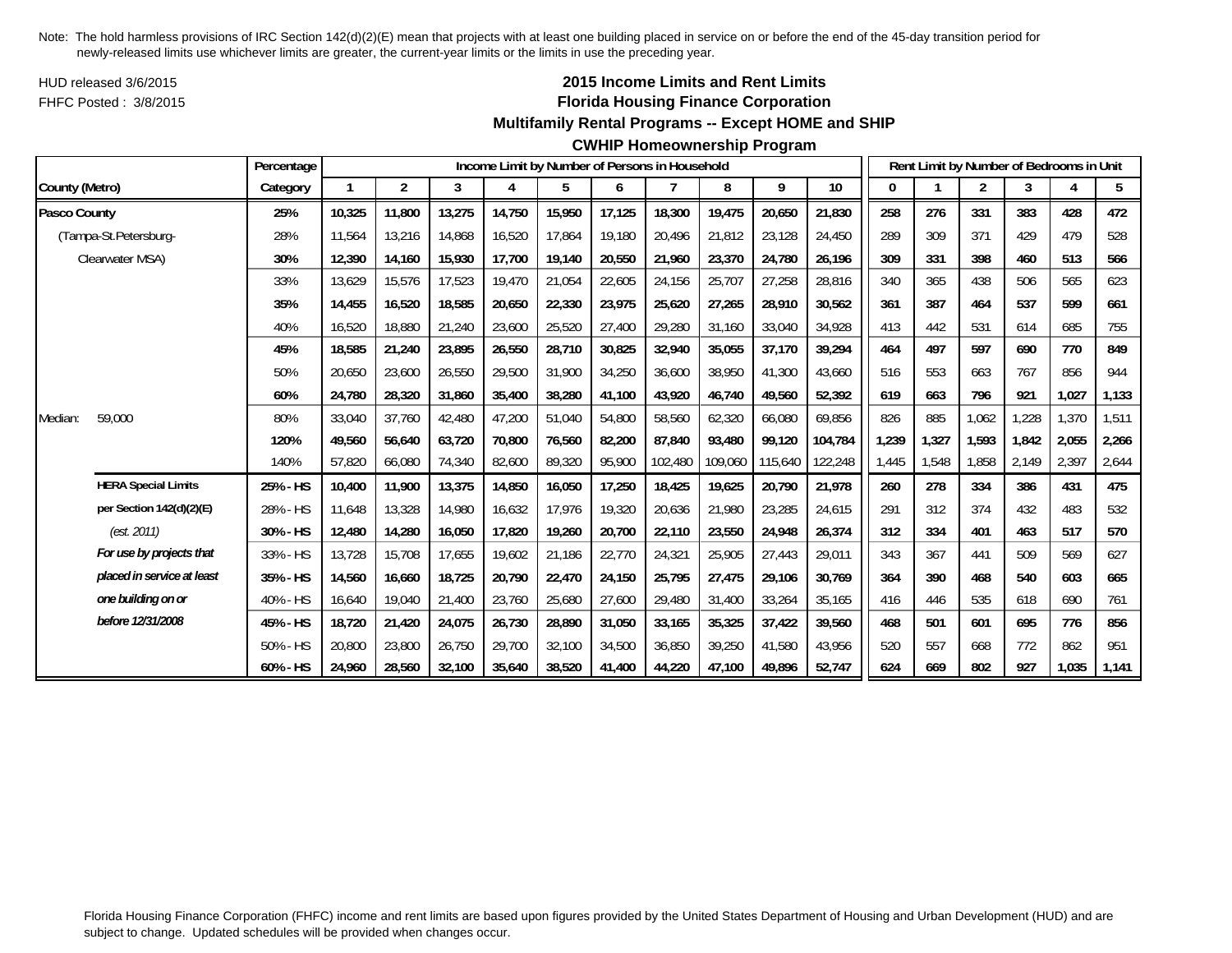HUD released 3/6/2015FHFC Posted : 3/8/2015

# **2015 Income Limits and Rent Limits Florida Housing Finance Corporation**

#### **Multifamily Rental Programs -- Except HOME and SHIP**

#### **CWHIP Homeownership Program**

|                |                            | Percentage |        |        |        |        |        |        | Income Limit by Number of Persons in Household |         |         |         |       |       | Rent Limit by Number of Bedrooms in Unit |       |       |       |
|----------------|----------------------------|------------|--------|--------|--------|--------|--------|--------|------------------------------------------------|---------|---------|---------|-------|-------|------------------------------------------|-------|-------|-------|
| County (Metro) |                            | Category   |        | 2      | 3      | 4      | 5      | 6      |                                                | 8       | 9       | 10      | 0     |       | $\overline{2}$                           | 3     | 4     | 5     |
| Pasco County   |                            | 25%        | 10,325 | 11,800 | 13,275 | 14,750 | 15,950 | 17,125 | 18,300                                         | 19,475  | 20,650  | 21,830  | 258   | 276   | 331                                      | 383   | 428   | 472   |
|                | (Tampa-St.Petersburg-      | 28%        | 11,564 | 13,216 | 14,868 | 16,520 | 17,864 | 19,180 | 20,496                                         | 21,812  | 23,128  | 24,450  | 289   | 309   | 371                                      | 429   | 479   | 528   |
|                | Clearwater MSA)            | 30%        | 12,390 | 14,160 | 15,930 | 17,700 | 19,140 | 20,550 | 21,960                                         | 23,370  | 24,780  | 26,196  | 309   | 331   | 398                                      | 460   | 513   | 566   |
|                |                            | 33%        | 13,629 | 15,576 | 17,523 | 19,470 | 21,054 | 22,605 | 24,156                                         | 25,707  | 27,258  | 28,816  | 340   | 365   | 438                                      | 506   | 565   | 623   |
|                |                            | 35%        | 14.455 | 16,520 | 18.585 | 20.650 | 22,330 | 23,975 | 25,620                                         | 27.265  | 28,910  | 30,562  | 361   | 387   | 464                                      | 537   | 599   | 661   |
|                |                            | 40%        | 16,520 | 18,880 | 21,240 | 23,600 | 25,520 | 27,400 | 29,280                                         | 31,160  | 33,040  | 34,928  | 413   | 442   | 531                                      | 614   | 685   | 755   |
|                |                            | 45%        | 18,585 | 21,240 | 23,895 | 26,550 | 28,710 | 30,825 | 32,940                                         | 35,055  | 37,170  | 39,294  | 464   | 497   | 597                                      | 690   | 770   | 849   |
|                |                            | 50%        | 20,650 | 23,600 | 26,550 | 29,500 | 31,900 | 34,250 | 36,600                                         | 38,950  | 41,300  | 43,660  | 516   | 553   | 663                                      | 767   | 856   | 944   |
|                |                            | 60%        | 24,780 | 28,320 | 31,860 | 35,400 | 38,280 | 41,100 | 43,920                                         | 46,740  | 49,560  | 52,392  | 619   | 663   | 796                                      | 921   | 1,027 | 1,133 |
| Median:        | 59,000                     | 80%        | 33,040 | 37,760 | 42,480 | 47,200 | 51,040 | 54,800 | 58,560                                         | 62,320  | 66,080  | 69,856  | 826   | 885   | 1,062                                    | 1,228 | 1,370 | 1,511 |
|                |                            | 120%       | 49.560 | 56.640 | 63,720 | 70,800 | 76,560 | 82,200 | 87.840                                         | 93,480  | 99.120  | 104,784 | 1,239 | 1,327 | 1,593                                    | 1.842 | 2,055 | 2,266 |
|                |                            | 140%       | 57,820 | 66,080 | 74,340 | 82,600 | 89,320 | 95,900 | 102,480                                        | 109,060 | 115,640 | 122,248 | 1,445 | 1,548 | 1,858                                    | 2,149 | 2,397 | 2,644 |
|                | <b>HERA Special Limits</b> | 25% - HS   | 10,400 | 11,900 | 13,375 | 14,850 | 16,050 | 17,250 | 18,425                                         | 19,625  | 20,790  | 21,978  | 260   | 278   | 334                                      | 386   | 431   | 475   |
|                | per Section 142(d)(2)(E)   | 28% - HS   | 11,648 | 13,328 | 14,980 | 16,632 | 17,976 | 19,320 | 20,636                                         | 21,980  | 23,285  | 24,615  | 291   | 312   | 374                                      | 432   | 483   | 532   |
|                | (est. 2011)                | 30% - HS   | 12,480 | 14,280 | 16,050 | 17,820 | 19,260 | 20,700 | 22,110                                         | 23,550  | 24,948  | 26,374  | 312   | 334   | 401                                      | 463   | 517   | 570   |
|                | For use by projects that   | 33% - HS   | 13.728 | 15,708 | 17.655 | 19.602 | 21,186 | 22,770 | 24,321                                         | 25,905  | 27,443  | 29,011  | 343   | 367   | 441                                      | 509   | 569   | 627   |
|                | placed in service at least | 35% - HS   | 14,560 | 16,660 | 18,725 | 20,790 | 22,470 | 24,150 | 25,795                                         | 27,475  | 29,106  | 30,769  | 364   | 390   | 468                                      | 540   | 603   | 665   |
|                | one building on or         | 40% - HS   | 16,640 | 19,040 | 21,400 | 23,760 | 25,680 | 27,600 | 29,480                                         | 31,400  | 33,264  | 35,165  | 416   | 446   | 535                                      | 618   | 690   | 761   |
|                | before 12/31/2008          | 45% - HS   | 18,720 | 21,420 | 24,075 | 26,730 | 28,890 | 31,050 | 33,165                                         | 35,325  | 37,422  | 39,560  | 468   | 501   | 601                                      | 695   | 776   | 856   |
|                |                            | 50% - HS   | 20,800 | 23,800 | 26,750 | 29,700 | 32,100 | 34,500 | 36,850                                         | 39,250  | 41,580  | 43,956  | 520   | 557   | 668                                      | 772   | 862   | 951   |
|                |                            | 60% - HS   | 24,960 | 28,560 | 32,100 | 35,640 | 38,520 | 41,400 | 44,220                                         | 47,100  | 49,896  | 52,747  | 624   | 669   | 802                                      | 927   | 1,035 | 1,141 |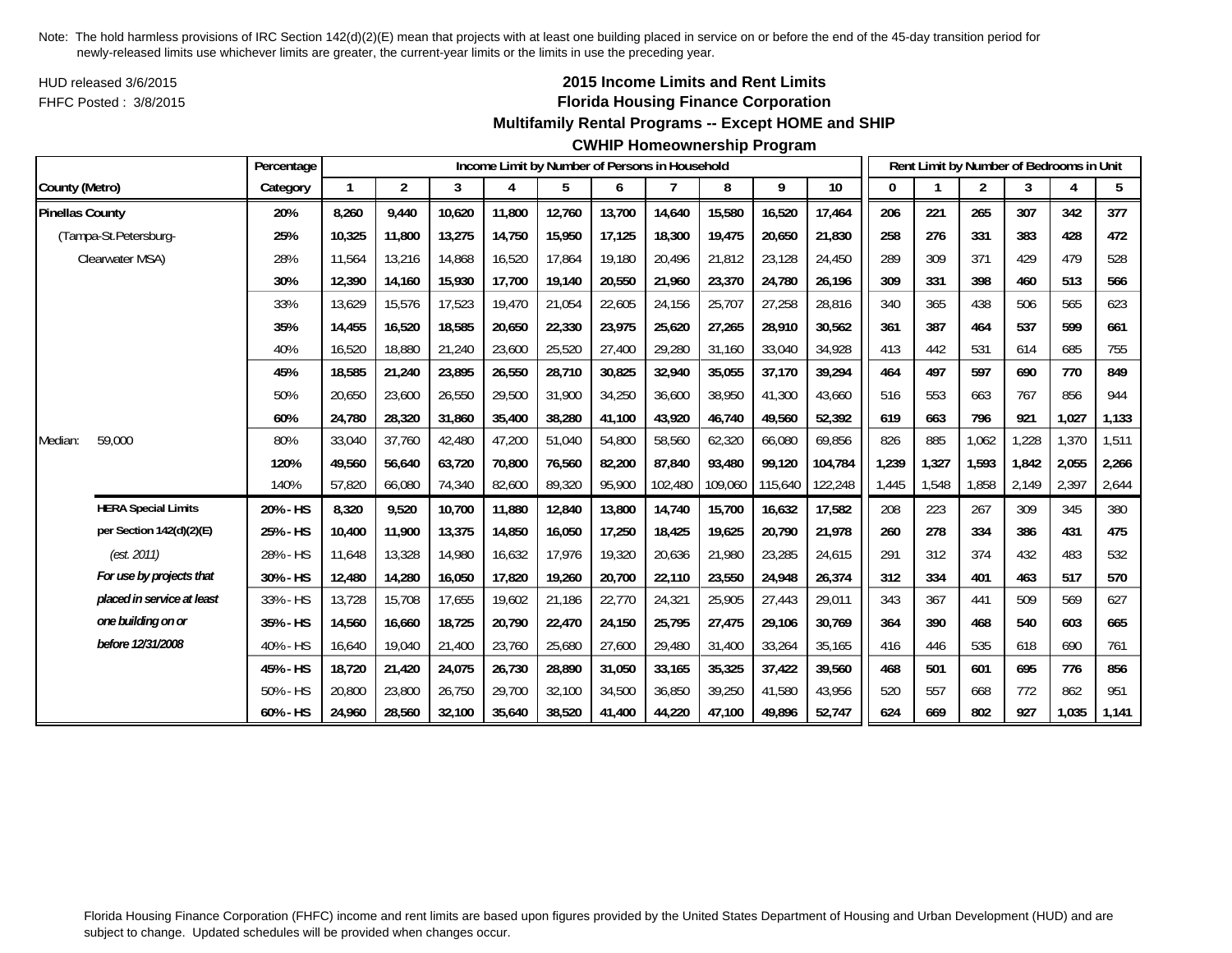HUD released 3/6/2015FHFC Posted : 3/8/2015

# **2015 Income Limits and Rent Limits Florida Housing Finance Corporation**

**Multifamily Rental Programs -- Except HOME and SHIP**

**CWHIP Homeownership Program**

|                        |                            | Percentage |        |                |        | Income Limit by Number of Persons in Household |        |        |                |         |         |         |       | Rent Limit by Number of Bedrooms in Unit |       |       |       |       |
|------------------------|----------------------------|------------|--------|----------------|--------|------------------------------------------------|--------|--------|----------------|---------|---------|---------|-------|------------------------------------------|-------|-------|-------|-------|
| County (Metro)         |                            | Category   | 1      | $\overline{2}$ | 3      | 4                                              | 5      | 6      | $\overline{7}$ | 8       | 9       | $10\,$  | 0     |                                          | 2     | 3     | 4     | 5     |
| <b>Pinellas County</b> |                            | 20%        | 8,260  | 9,440          | 10,620 | 11,800                                         | 12,760 | 13,700 | 14,640         | 15,580  | 16,520  | 17,464  | 206   | 221                                      | 265   | 307   | 342   | 377   |
|                        | (Tampa-St.Petersburg-      | 25%        | 10,325 | 11,800         | 13,275 | 14,750                                         | 15,950 | 17,125 | 18,300         | 19,475  | 20,650  | 21,830  | 258   | 276                                      | 331   | 383   | 428   | 472   |
|                        | Clearwater MSA)            | 28%        | 11,564 | 13,216         | 14,868 | 16,520                                         | 17,864 | 19,180 | 20,496         | 21,812  | 23,128  | 24,450  | 289   | 309                                      | 371   | 429   | 479   | 528   |
|                        |                            | 30%        | 12,390 | 14,160         | 15,930 | 17,700                                         | 19,140 | 20,550 | 21,960         | 23,370  | 24,780  | 26,196  | 309   | 331                                      | 398   | 460   | 513   | 566   |
|                        |                            | 33%        | 13,629 | 15,576         | 17,523 | 19,470                                         | 21,054 | 22,605 | 24,156         | 25,707  | 27,258  | 28,816  | 340   | 365                                      | 438   | 506   | 565   | 623   |
|                        |                            | 35%        | 14,455 | 16,520         | 18,585 | 20,650                                         | 22,330 | 23,975 | 25,620         | 27,265  | 28,910  | 30,562  | 361   | 387                                      | 464   | 537   | 599   | 661   |
|                        |                            | 40%        | 16,520 | 18,880         | 21,240 | 23,600                                         | 25,520 | 27,400 | 29,280         | 31,160  | 33,040  | 34,928  | 413   | 442                                      | 531   | 614   | 685   | 755   |
|                        |                            | 45%        | 18,585 | 21,240         | 23,895 | 26,550                                         | 28,710 | 30,825 | 32,940         | 35,055  | 37,170  | 39,294  | 464   | 497                                      | 597   | 690   | 770   | 849   |
|                        |                            | 50%        | 20,650 | 23,600         | 26,550 | 29,500                                         | 31,900 | 34,250 | 36,600         | 38,950  | 41,300  | 43,660  | 516   | 553                                      | 663   | 767   | 856   | 944   |
|                        |                            | 60%        | 24,780 | 28,320         | 31,860 | 35,400                                         | 38,280 | 41,100 | 43,920         | 46,740  | 49,560  | 52,392  | 619   | 663                                      | 796   | 921   | 1,027 | 1,133 |
| Median:                | 59,000                     | 80%        | 33,040 | 37,760         | 42.480 | 47,200                                         | 51,040 | 54,800 | 58,560         | 62,320  | 66,080  | 69,856  | 826   | 885                                      | 1,062 | ,228  | 1,370 | 1,511 |
|                        |                            | 120%       | 49,560 | 56,640         | 63,720 | 70,800                                         | 76,560 | 82,200 | 87,840         | 93,480  | 99,120  | 104,784 | 1,239 | 1,327                                    | 1,593 | 1,842 | 2,055 | 2,266 |
|                        |                            | 140%       | 57,820 | 66,080         | 74,340 | 82,600                                         | 89,320 | 95,900 | 102,480        | 109,060 | 115,640 | 122,248 | 1,445 | 1,548                                    | 1,858 | 2,149 | 2,397 | 2,644 |
|                        | <b>HERA Special Limits</b> | 20% - HS   | 8,320  | 9,520          | 10,700 | 11,880                                         | 12,840 | 13,800 | 14,740         | 15,700  | 16,632  | 17,582  | 208   | 223                                      | 267   | 309   | 345   | 380   |
|                        | per Section 142(d)(2)(E)   | 25% - HS   | 10,400 | 11,900         | 13,375 | 14,850                                         | 16,050 | 17,250 | 18,425         | 19,625  | 20,790  | 21,978  | 260   | 278                                      | 334   | 386   | 431   | 475   |
|                        | (est. 2011)                | 28% - HS   | 11,648 | 13,328         | 14,980 | 16,632                                         | 17,976 | 19,320 | 20,636         | 21,980  | 23,285  | 24,615  | 291   | 312                                      | 374   | 432   | 483   | 532   |
|                        | For use by projects that   | 30% - HS   | 12,480 | 14,280         | 16,050 | 17,820                                         | 19,260 | 20,700 | 22,110         | 23,550  | 24,948  | 26,374  | 312   | 334                                      | 401   | 463   | 517   | 570   |
|                        | placed in service at least | 33% - HS   | 13,728 | 15,708         | 17,655 | 19,602                                         | 21,186 | 22,770 | 24,321         | 25,905  | 27,443  | 29,011  | 343   | 367                                      | 441   | 509   | 569   | 627   |
|                        | one building on or         | 35% - HS   | 14,560 | 16,660         | 18,725 | 20,790                                         | 22,470 | 24,150 | 25,795         | 27,475  | 29,106  | 30,769  | 364   | 390                                      | 468   | 540   | 603   | 665   |
|                        | before 12/31/2008          | 40% - HS   | 16,640 | 19,040         | 21,400 | 23,760                                         | 25,680 | 27,600 | 29,480         | 31,400  | 33,264  | 35,165  | 416   | 446                                      | 535   | 618   | 690   | 761   |
|                        |                            | 45% - HS   | 18,720 | 21,420         | 24,075 | 26,730                                         | 28,890 | 31,050 | 33,165         | 35,325  | 37,422  | 39,560  | 468   | 501                                      | 601   | 695   | 776   | 856   |
|                        |                            | 50% - HS   | 20,800 | 23,800         | 26,750 | 29,700                                         | 32,100 | 34,500 | 36,850         | 39,250  | 41,580  | 43,956  | 520   | 557                                      | 668   | 772   | 862   | 951   |
|                        |                            | 60% - HS   | 24,960 | 28,560         | 32,100 | 35,640                                         | 38,520 | 41,400 | 44,220         | 47,100  | 49,896  | 52,747  | 624   | 669                                      | 802   | 927   | 1,035 | 1,141 |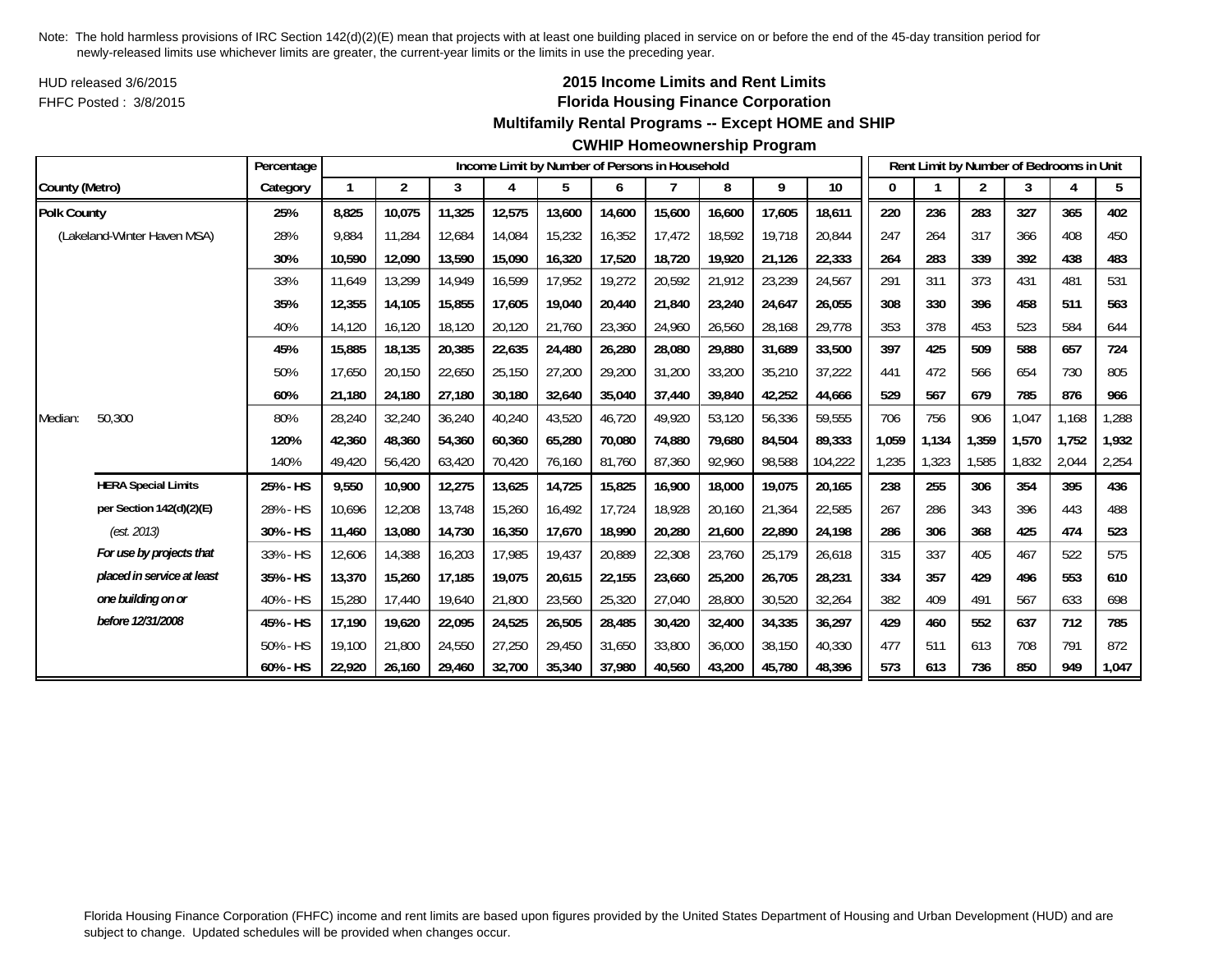HUD released 3/6/2015FHFC Posted : 3/8/2015

## **2015 Income Limits and Rent Limits Florida Housing Finance Corporation**

#### **Multifamily Rental Programs -- Except HOME and SHIP**

#### **CWHIP Homeownership Program**

|                    |                             | Percentage |        |                |        |        |        |        | Income Limit by Number of Persons in Household |        |        |         |       |       |                | Rent Limit by Number of Bedrooms in Unit |       |       |
|--------------------|-----------------------------|------------|--------|----------------|--------|--------|--------|--------|------------------------------------------------|--------|--------|---------|-------|-------|----------------|------------------------------------------|-------|-------|
| County (Metro)     |                             | Category   |        | $\overline{2}$ | 3      | 4      | 5      | 6      |                                                | 8      | 9      | 10      | 0     |       | $\overline{c}$ | 3                                        |       | 5     |
| <b>Polk County</b> |                             | 25%        | 8,825  | 10,075         | 11,325 | 12,575 | 13,600 | 14,600 | 15,600                                         | 16,600 | 17,605 | 18,611  | 220   | 236   | 283            | 327                                      | 365   | 402   |
|                    | (Lakeland-Winter Haven MSA) | 28%        | 9,884  | 11,284         | 12,684 | 14,084 | 15,232 | 16,352 | 17,472                                         | 18,592 | 19,718 | 20,844  | 247   | 264   | 317            | 366                                      | 408   | 450   |
|                    |                             | 30%        | 10,590 | 12,090         | 13,590 | 15,090 | 16,320 | 17,520 | 18,720                                         | 19,920 | 21,126 | 22,333  | 264   | 283   | 339            | 392                                      | 438   | 483   |
|                    |                             | 33%        | 11,649 | 13,299         | 14,949 | 16,599 | 17,952 | 19,272 | 20,592                                         | 21,912 | 23,239 | 24,567  | 291   | 311   | 373            | 431                                      | 481   | 531   |
|                    |                             | 35%        | 12,355 | 14.105         | 15,855 | 17,605 | 19,040 | 20.440 | 21.840                                         | 23,240 | 24,647 | 26,055  | 308   | 330   | 396            | 458                                      | 511   | 563   |
|                    |                             | 40%        | 14,120 | 16,120         | 18,120 | 20,120 | 21,760 | 23,360 | 24,960                                         | 26,560 | 28,168 | 29,778  | 353   | 378   | 453            | 523                                      | 584   | 644   |
|                    |                             | 45%        | 15,885 | 18,135         | 20,385 | 22,635 | 24,480 | 26,280 | 28,080                                         | 29,880 | 31,689 | 33,500  | 397   | 425   | 509            | 588                                      | 657   | 724   |
|                    |                             | 50%        | 17,650 | 20,150         | 22,650 | 25,150 | 27,200 | 29,200 | 31,200                                         | 33,200 | 35,210 | 37,222  | 441   | 472   | 566            | 654                                      | 730   | 805   |
|                    |                             | 60%        | 21,180 | 24,180         | 27,180 | 30,180 | 32,640 | 35,040 | 37,440                                         | 39,840 | 42,252 | 44,666  | 529   | 567   | 679            | 785                                      | 876   | 966   |
| Median:            | 50,300                      | 80%        | 28,240 | 32,240         | 36,240 | 40,240 | 43,520 | 46,720 | 49,920                                         | 53,120 | 56,336 | 59,555  | 706   | 756   | 906            | 1,047                                    | 1,168 | 1,288 |
|                    |                             | 120%       | 42.360 | 48.360         | 54,360 | 60,360 | 65,280 | 70.080 | 74.880                                         | 79,680 | 84,504 | 89.333  | 1.059 | 1,134 | 1.359          | 1,570                                    | 1,752 | 1,932 |
|                    |                             | 140%       | 49,420 | 56,420         | 63,420 | 70,420 | 76,160 | 81,760 | 87,360                                         | 92,960 | 98,588 | 104,222 | ,235  | 1,323 | 1,585          | 1,832                                    | 2,044 | 2,254 |
|                    | <b>HERA Special Limits</b>  | 25% - HS   | 9,550  | 10,900         | 12,275 | 13,625 | 14,725 | 15,825 | 16,900                                         | 18,000 | 19,075 | 20,165  | 238   | 255   | 306            | 354                                      | 395   | 436   |
|                    | per Section 142(d)(2)(E)    | 28% - HS   | 10,696 | 12,208         | 13,748 | 15,260 | 16,492 | 17,724 | 18,928                                         | 20,160 | 21,364 | 22,585  | 267   | 286   | 343            | 396                                      | 443   | 488   |
|                    | (est. 2013)                 | 30% - HS   | 11,460 | 13,080         | 14,730 | 16,350 | 17,670 | 18,990 | 20,280                                         | 21,600 | 22,890 | 24,198  | 286   | 306   | 368            | 425                                      | 474   | 523   |
|                    | For use by projects that    | 33% - HS   | 12,606 | 14,388         | 16,203 | 17,985 | 19,437 | 20,889 | 22,308                                         | 23,760 | 25,179 | 26,618  | 315   | 337   | 405            | 467                                      | 522   | 575   |
|                    | placed in service at least  | 35% - HS   | 13,370 | 15,260         | 17,185 | 19,075 | 20,615 | 22,155 | 23,660                                         | 25,200 | 26,705 | 28,231  | 334   | 357   | 429            | 496                                      | 553   | 610   |
|                    | one building on or          | 40% - HS   | 15,280 | 17,440         | 19,640 | 21,800 | 23,560 | 25,320 | 27,040                                         | 28,800 | 30,520 | 32,264  | 382   | 409   | 491            | 567                                      | 633   | 698   |
|                    | before 12/31/2008           | 45% - HS   | 17,190 | 19,620         | 22,095 | 24,525 | 26,505 | 28,485 | 30,420                                         | 32,400 | 34,335 | 36,297  | 429   | 460   | 552            | 637                                      | 712   | 785   |
|                    |                             | 50% - HS   | 19,100 | 21,800         | 24,550 | 27,250 | 29,450 | 31,650 | 33,800                                         | 36,000 | 38,150 | 40,330  | 477   | 511   | 613            | 708                                      | 791   | 872   |
|                    |                             | 60% - HS   | 22,920 | 26.160         | 29,460 | 32,700 | 35,340 | 37,980 | 40.560                                         | 43,200 | 45.780 | 48,396  | 573   | 613   | 736            | 850                                      | 949   | 1,047 |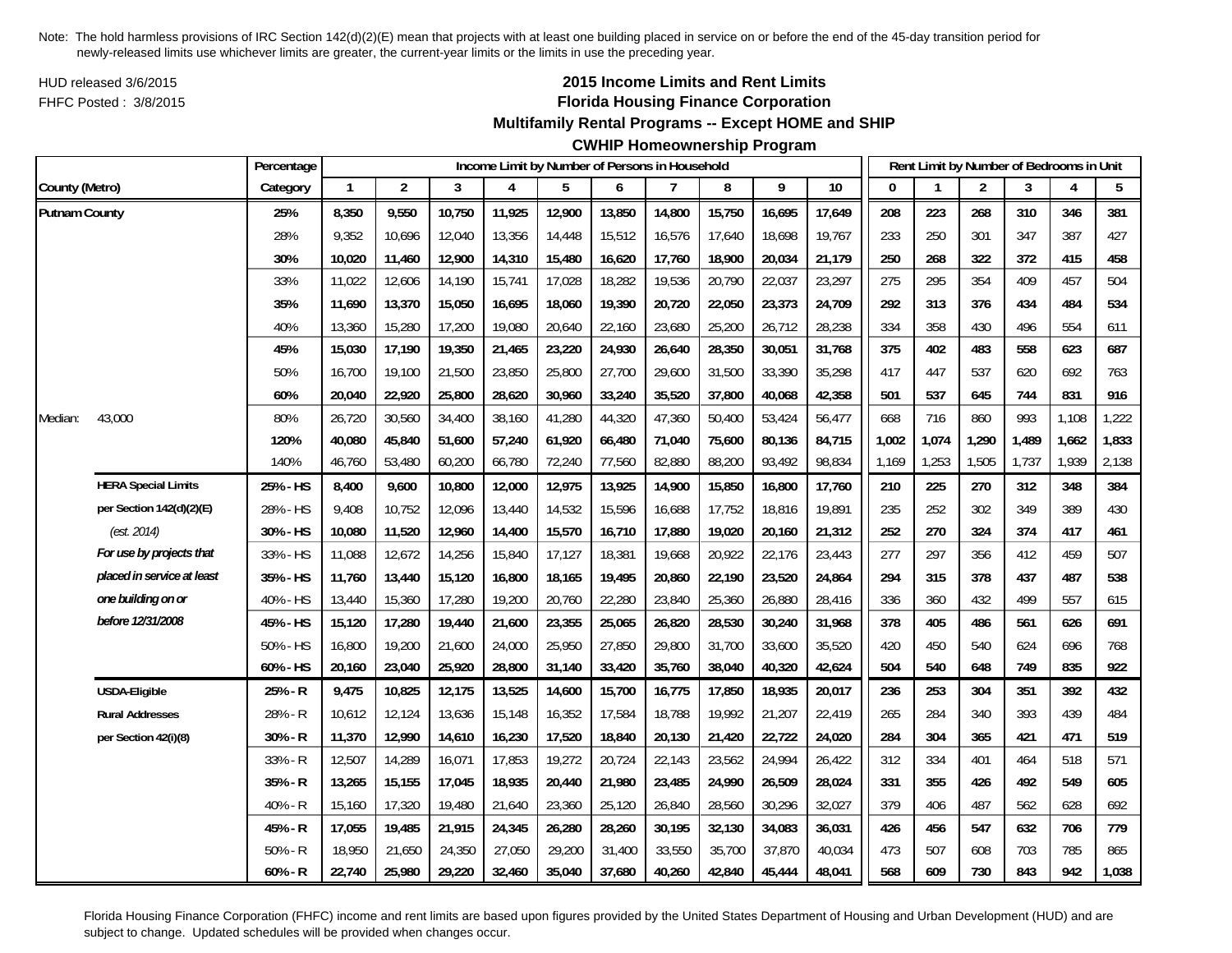HUD released 3/6/2015FHFC Posted : 3/8/2015

# **2015 Income Limits and Rent Limits Florida Housing Finance Corporation**

## **Multifamily Rental Programs -- Except HOME and SHIP**

# **CWHIP Homeownership Program**

|                      |                            | Percentage |              |                |        | Income Limit by Number of Persons in Household |        |        |        |        |        |        |          |       | Rent Limit by Number of Bedrooms in Unit |       |       |       |
|----------------------|----------------------------|------------|--------------|----------------|--------|------------------------------------------------|--------|--------|--------|--------|--------|--------|----------|-------|------------------------------------------|-------|-------|-------|
| County (Metro)       |                            | Category   | $\mathbf{1}$ | $\overline{2}$ | 3      | 4                                              | 5      | 6      | 7      | 8      | 9      | 10     | $\Omega$ |       | $\overline{2}$                           | 3     | 4     | 5     |
| <b>Putnam County</b> |                            | 25%        | 8,350        | 9,550          | 10,750 | 11,925                                         | 12,900 | 13,850 | 14,800 | 15,750 | 16,695 | 17,649 | 208      | 223   | 268                                      | 310   | 346   | 381   |
|                      |                            | 28%        | 9,352        | 10,696         | 12,040 | 13,356                                         | 14,448 | 15,512 | 16,576 | 17,640 | 18,698 | 19,767 | 233      | 250   | 301                                      | 347   | 387   | 427   |
|                      |                            | 30%        | 10,020       | 11,460         | 12,900 | 14,310                                         | 15,480 | 16,620 | 17,760 | 18,900 | 20,034 | 21,179 | 250      | 268   | 322                                      | 372   | 415   | 458   |
|                      |                            | 33%        | 11,022       | 12,606         | 14,190 | 15,741                                         | 17,028 | 18,282 | 19,536 | 20,790 | 22,037 | 23,297 | 275      | 295   | 354                                      | 409   | 457   | 504   |
|                      |                            | 35%        | 11,690       | 13,370         | 15,050 | 16,695                                         | 18,060 | 19,390 | 20,720 | 22,050 | 23,373 | 24,709 | 292      | 313   | 376                                      | 434   | 484   | 534   |
|                      |                            | 40%        | 13,360       | 15,280         | 17,200 | 19,080                                         | 20,640 | 22,160 | 23,680 | 25,200 | 26,712 | 28,238 | 334      | 358   | 430                                      | 496   | 554   | 611   |
|                      |                            | 45%        | 15,030       | 17,190         | 19,350 | 21,465                                         | 23,220 | 24,930 | 26,640 | 28,350 | 30,051 | 31,768 | 375      | 402   | 483                                      | 558   | 623   | 687   |
|                      |                            | 50%        | 16,700       | 19,100         | 21,500 | 23,850                                         | 25,800 | 27,700 | 29,600 | 31,500 | 33,390 | 35,298 | 417      | 447   | 537                                      | 620   | 692   | 763   |
|                      |                            | 60%        | 20,040       | 22,920         | 25,800 | 28,620                                         | 30,960 | 33,240 | 35,520 | 37,800 | 40,068 | 42,358 | 501      | 537   | 645                                      | 744   | 831   | 916   |
| Median:              | 43,000                     | 80%        | 26,720       | 30,560         | 34,400 | 38,160                                         | 41,280 | 44,320 | 47,360 | 50,400 | 53,424 | 56,477 | 668      | 716   | 860                                      | 993   | 1,108 | 1,222 |
|                      |                            | 120%       | 40,080       | 45,840         | 51,600 | 57,240                                         | 61,920 | 66,480 | 71,040 | 75,600 | 80,136 | 84,715 | 1,002    | 1,074 | 1,290                                    | 1,489 | 1,662 | 1,833 |
|                      |                            | 140%       | 46,760       | 53,480         | 60,200 | 66,780                                         | 72,240 | 77,560 | 82,880 | 88,200 | 93,492 | 98,834 | 1,169    | 1,253 | 1,505                                    | 1,737 | 1,939 | 2,138 |
|                      | <b>HERA Special Limits</b> | 25% - HS   | 8,400        | 9,600          | 10,800 | 12,000                                         | 12,975 | 13,925 | 14,900 | 15,850 | 16,800 | 17,760 | 210      | 225   | 270                                      | 312   | 348   | 384   |
|                      | per Section 142(d)(2)(E)   | 28% - HS   | 9,408        | 10,752         | 12,096 | 13,440                                         | 14,532 | 15,596 | 16,688 | 17,752 | 18,816 | 19,891 | 235      | 252   | 302                                      | 349   | 389   | 430   |
|                      | (est. 2014)                | 30% - HS   | 10,080       | 11,520         | 12,960 | 14,400                                         | 15,570 | 16,710 | 17,880 | 19,020 | 20,160 | 21,312 | 252      | 270   | 324                                      | 374   | 417   | 461   |
|                      | For use by projects that   | 33% - HS   | 11,088       | 12,672         | 14,256 | 15,840                                         | 17,127 | 18,381 | 19,668 | 20,922 | 22,176 | 23,443 | 277      | 297   | 356                                      | 412   | 459   | 507   |
|                      | placed in service at least | 35% - HS   | 11,760       | 13,440         | 15,120 | 16,800                                         | 18,165 | 19,495 | 20,860 | 22,190 | 23,520 | 24,864 | 294      | 315   | 378                                      | 437   | 487   | 538   |
|                      | one building on or         | 40% - HS   | 13,440       | 15,360         | 17,280 | 19,200                                         | 20,760 | 22,280 | 23,840 | 25,360 | 26,880 | 28,416 | 336      | 360   | 432                                      | 499   | 557   | 615   |
|                      | before 12/31/2008          | 45% - HS   | 15,120       | 17,280         | 19,440 | 21,600                                         | 23,355 | 25,065 | 26,820 | 28,530 | 30,240 | 31,968 | 378      | 405   | 486                                      | 561   | 626   | 691   |
|                      |                            | 50% - HS   | 16,800       | 19,200         | 21,600 | 24,000                                         | 25,950 | 27,850 | 29,800 | 31,700 | 33,600 | 35,520 | 420      | 450   | 540                                      | 624   | 696   | 768   |
|                      |                            | 60% - HS   | 20,160       | 23,040         | 25,920 | 28,800                                         | 31,140 | 33,420 | 35,760 | 38,040 | 40,320 | 42,624 | 504      | 540   | 648                                      | 749   | 835   | 922   |
|                      | <b>USDA-Eligible</b>       | 25% - R    | 9,475        | 10,825         | 12,175 | 13,525                                         | 14,600 | 15,700 | 16,775 | 17,850 | 18,935 | 20,017 | 236      | 253   | 304                                      | 351   | 392   | 432   |
|                      | <b>Rural Addresses</b>     | 28% - R    | 10,612       | 12,124         | 13,636 | 15,148                                         | 16,352 | 17,584 | 18,788 | 19,992 | 21,207 | 22,419 | 265      | 284   | 340                                      | 393   | 439   | 484   |
|                      | per Section 42(i)(8)       | 30% - R    | 11,370       | 12,990         | 14,610 | 16,230                                         | 17,520 | 18,840 | 20,130 | 21,420 | 22,722 | 24,020 | 284      | 304   | 365                                      | 421   | 471   | 519   |
|                      |                            | 33% - R    | 12,507       | 14,289         | 16,071 | 17,853                                         | 19,272 | 20,724 | 22,143 | 23,562 | 24,994 | 26,422 | 312      | 334   | 401                                      | 464   | 518   | 571   |
|                      |                            | 35% - R    | 13,265       | 15,155         | 17,045 | 18,935                                         | 20,440 | 21,980 | 23,485 | 24,990 | 26,509 | 28,024 | 331      | 355   | 426                                      | 492   | 549   | 605   |
|                      |                            | 40% - R    | 15,160       | 17,320         | 19,480 | 21,640                                         | 23,360 | 25,120 | 26,840 | 28,560 | 30,296 | 32,027 | 379      | 406   | 487                                      | 562   | 628   | 692   |
|                      |                            | 45% - R    | 17,055       | 19,485         | 21,915 | 24,345                                         | 26,280 | 28,260 | 30,195 | 32,130 | 34,083 | 36,031 | 426      | 456   | 547                                      | 632   | 706   | 779   |
|                      |                            | $50% - R$  | 18,950       | 21,650         | 24,350 | 27,050                                         | 29,200 | 31,400 | 33,550 | 35,700 | 37,870 | 40,034 | 473      | 507   | 608                                      | 703   | 785   | 865   |
|                      |                            | $60% - R$  | 22,740       | 25,980         | 29,220 | 32,460                                         | 35,040 | 37,680 | 40,260 | 42,840 | 45,444 | 48,041 | 568      | 609   | 730                                      | 843   | 942   | 1,038 |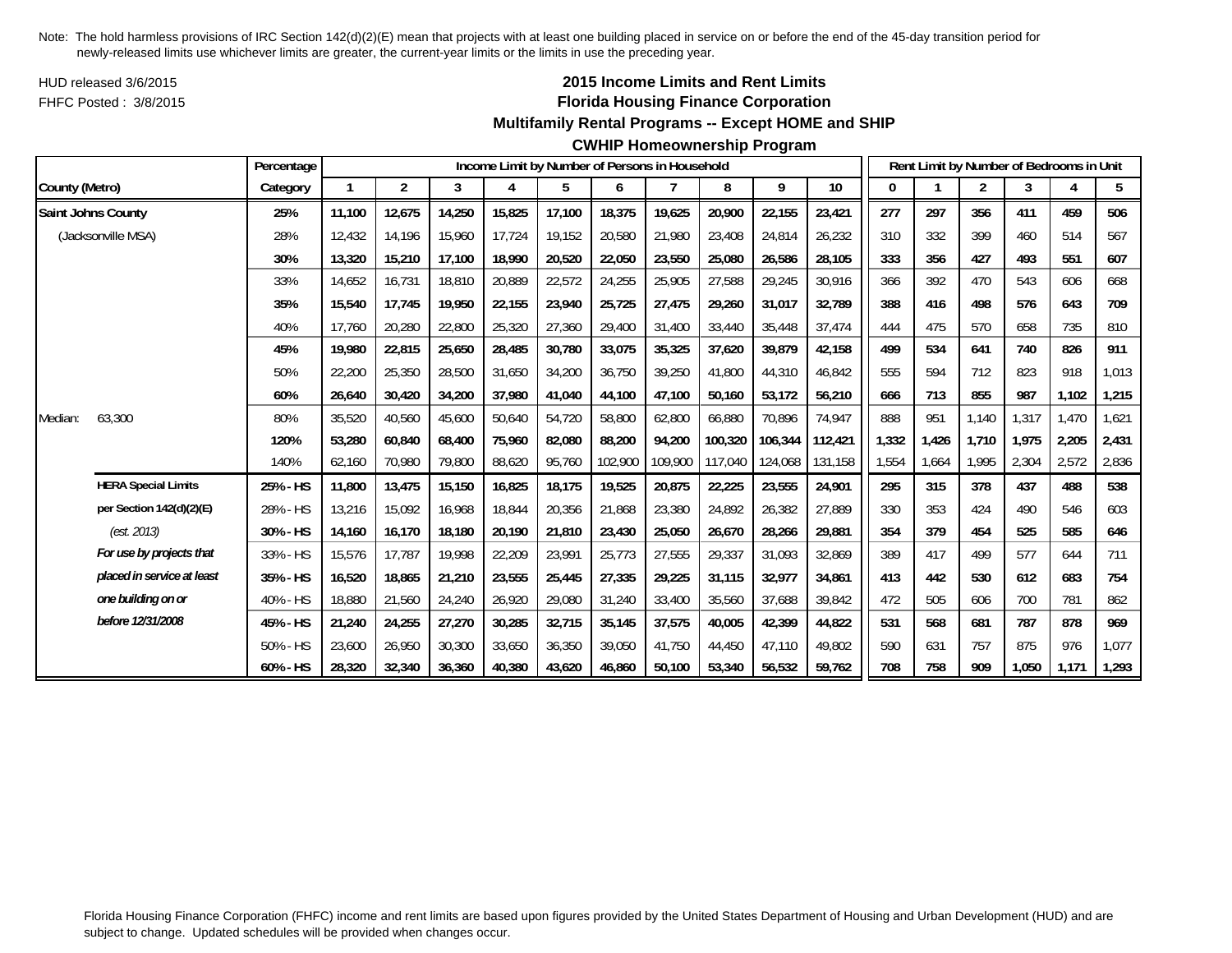HUD released 3/6/2015FHFC Posted : 3/8/2015

## **2015 Income Limits and Rent Limits Florida Housing Finance Corporation**

#### **Multifamily Rental Programs -- Except HOME and SHIP**

#### **CWHIP Homeownership Program**

|                |                            | Percentage |        |                |        |        |        |         | Income Limit by Number of Persons in Household |         |         |         |       |       | Rent Limit by Number of Bedrooms in Unit |       |       |       |
|----------------|----------------------------|------------|--------|----------------|--------|--------|--------|---------|------------------------------------------------|---------|---------|---------|-------|-------|------------------------------------------|-------|-------|-------|
| County (Metro) |                            | Category   | 1      | $\overline{2}$ | 3      | 4      | 5      | 6       |                                                | 8       | 9       | 10      | 0     |       | $\overline{2}$                           | 3     | 4     | 5     |
|                | Saint Johns County         | 25%        | 11,100 | 12,675         | 14,250 | 15,825 | 17,100 | 18,375  | 19,625                                         | 20,900  | 22,155  | 23,421  | 277   | 297   | 356                                      | 411   | 459   | 506   |
|                | (Jacksonville MSA)         | 28%        | 12.432 | 14.196         | 15.960 | 17.724 | 19.152 | 20,580  | 21,980                                         | 23,408  | 24,814  | 26,232  | 310   | 332   | 399                                      | 460   | 514   | 567   |
|                |                            | 30%        | 13,320 | 15,210         | 17,100 | 18,990 | 20,520 | 22,050  | 23,550                                         | 25,080  | 26,586  | 28,105  | 333   | 356   | 427                                      | 493   | 551   | 607   |
|                |                            | 33%        | 14,652 | 16,731         | 18,810 | 20,889 | 22,572 | 24,255  | 25,905                                         | 27,588  | 29,245  | 30,916  | 366   | 392   | 470                                      | 543   | 606   | 668   |
|                |                            | 35%        | 15,540 | 17,745         | 19,950 | 22,155 | 23,940 | 25,725  | 27,475                                         | 29,260  | 31,017  | 32,789  | 388   | 416   | 498                                      | 576   | 643   | 709   |
|                |                            | 40%        | 17,760 | 20,280         | 22,800 | 25,320 | 27,360 | 29,400  | 31,400                                         | 33,440  | 35,448  | 37,474  | 444   | 475   | 570                                      | 658   | 735   | 810   |
|                |                            | 45%        | 19.980 | 22,815         | 25,650 | 28,485 | 30,780 | 33,075  | 35,325                                         | 37,620  | 39,879  | 42.158  | 499   | 534   | 641                                      | 740   | 826   | 911   |
|                |                            | 50%        | 22,200 | 25,350         | 28,500 | 31,650 | 34,200 | 36,750  | 39,250                                         | 41,800  | 44,310  | 46,842  | 555   | 594   | 712                                      | 823   | 918   | 1,013 |
|                |                            | 60%        | 26,640 | 30,420         | 34,200 | 37,980 | 41,040 | 44,100  | 47,100                                         | 50,160  | 53,172  | 56,210  | 666   | 713   | 855                                      | 987   | 1,102 | 1,215 |
| Median:        | 63,300                     | 80%        | 35,520 | 40,560         | 45,600 | 50,640 | 54,720 | 58,800  | 62,800                                         | 66,880  | 70,896  | 74,947  | 888   | 951   | 1,140                                    | 1,317 | 1,470 | 1,621 |
|                |                            | 120%       | 53,280 | 60,840         | 68,400 | 75,960 | 82,080 | 88,200  | 94,200                                         | 100,320 | 106,344 | 112,421 | 1,332 | 1,426 | 1,710                                    | 1.975 | 2,205 | 2,431 |
|                |                            | 140%       | 62,160 | 70,980         | 79,800 | 88,620 | 95,760 | 102,900 | 109,900                                        | 117,040 | 124,068 | 131,158 | 1,554 | 1,664 | 1,995                                    | 2,304 | 2,572 | 2,836 |
|                | <b>HERA Special Limits</b> | 25% - HS   | 11,800 | 13,475         | 15,150 | 16,825 | 18,175 | 19,525  | 20,875                                         | 22,225  | 23,555  | 24,901  | 295   | 315   | 378                                      | 437   | 488   | 538   |
|                | per Section 142(d)(2)(E)   | 28% - HS   | 13,216 | 15,092         | 16,968 | 18,844 | 20,356 | 21,868  | 23,380                                         | 24,892  | 26,382  | 27,889  | 330   | 353   | 424                                      | 490   | 546   | 603   |
|                | (est. 2013)                | 30% - HS   | 14,160 | 16,170         | 18,180 | 20,190 | 21,810 | 23,430  | 25,050                                         | 26,670  | 28,266  | 29,881  | 354   | 379   | 454                                      | 525   | 585   | 646   |
|                | For use by projects that   | 33% - HS   | 15,576 | 17,787         | 19,998 | 22,209 | 23,991 | 25,773  | 27,555                                         | 29,337  | 31,093  | 32,869  | 389   | 417   | 499                                      | 577   | 644   | 711   |
|                | placed in service at least | 35% - HS   | 16,520 | 18,865         | 21,210 | 23,555 | 25,445 | 27,335  | 29,225                                         | 31,115  | 32,977  | 34,861  | 413   | 442   | 530                                      | 612   | 683   | 754   |
|                | one building on or         | 40% - HS   | 18,880 | 21,560         | 24,240 | 26,920 | 29,080 | 31,240  | 33,400                                         | 35,560  | 37,688  | 39,842  | 472   | 505   | 606                                      | 700   | 781   | 862   |
|                | before 12/31/2008          | 45% - HS   | 21,240 | 24,255         | 27,270 | 30,285 | 32,715 | 35,145  | 37,575                                         | 40,005  | 42,399  | 44,822  | 531   | 568   | 681                                      | 787   | 878   | 969   |
|                |                            | 50% - HS   | 23,600 | 26,950         | 30,300 | 33,650 | 36,350 | 39,050  | 41,750                                         | 44,450  | 47,110  | 49,802  | 590   | 631   | 757                                      | 875   | 976   | 1,077 |
|                |                            | 60% - HS   | 28,320 | 32,340         | 36,360 | 40,380 | 43,620 | 46,860  | 50,100                                         | 53,340  | 56,532  | 59,762  | 708   | 758   | 909                                      | 1,050 | 1,171 | 1,293 |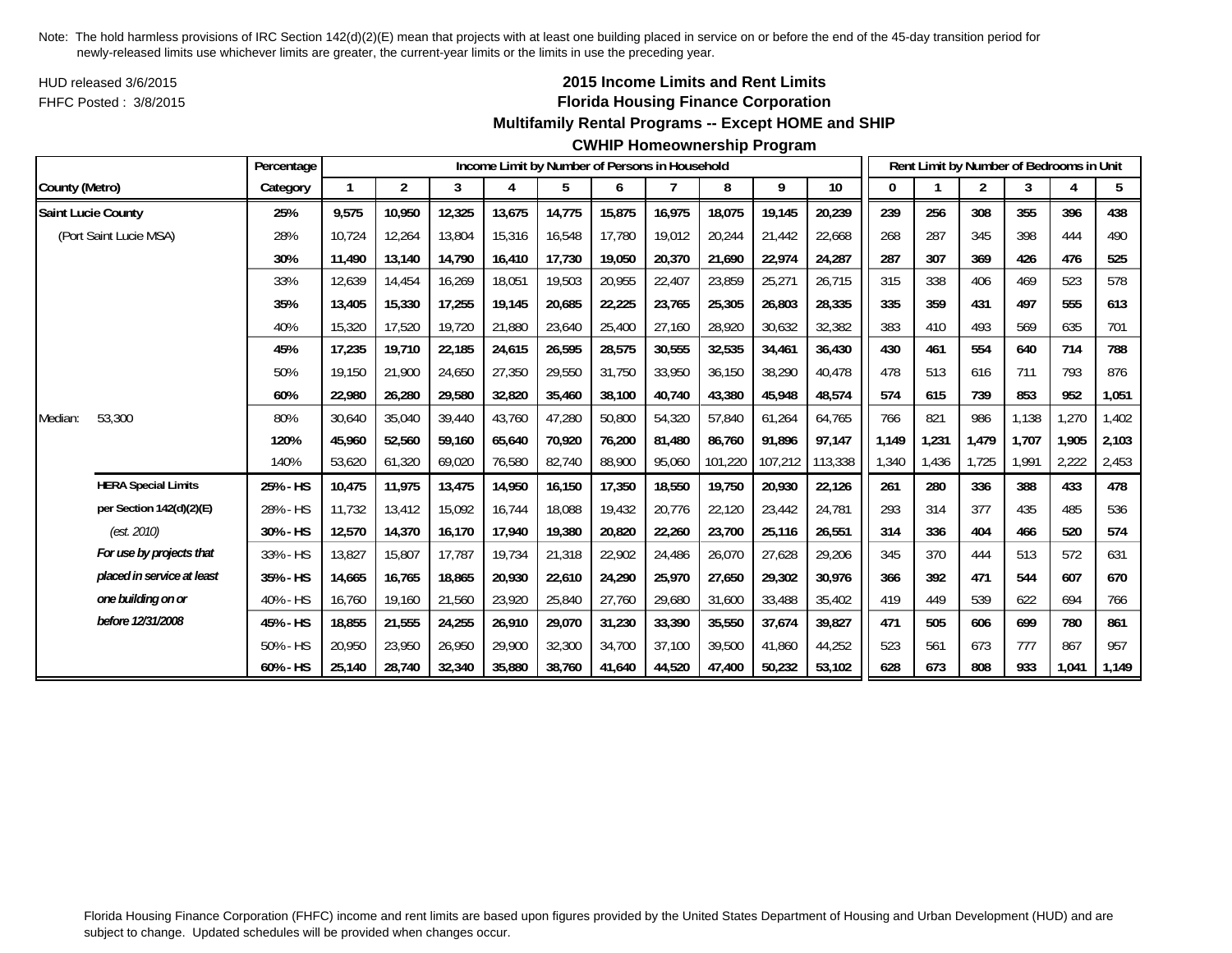HUD released 3/6/2015FHFC Posted : 3/8/2015

## **2015 Income Limits and Rent Limits Florida Housing Finance Corporation**

#### **Multifamily Rental Programs -- Except HOME and SHIP**

#### **CWHIP Homeownership Program**

|                |                            | Percentage |        |                |        |        |        |        | Income Limit by Number of Persons in Household |         |         |         |       |       | Rent Limit by Number of Bedrooms in Unit |       |       |       |
|----------------|----------------------------|------------|--------|----------------|--------|--------|--------|--------|------------------------------------------------|---------|---------|---------|-------|-------|------------------------------------------|-------|-------|-------|
| County (Metro) |                            | Category   | 1      | $\overline{2}$ | 3      | 4      | 5      | 6      |                                                | 8       | 9       | 10      | 0     |       | $\overline{2}$                           | 3     | 4     | 5     |
|                | <b>Saint Lucie County</b>  | 25%        | 9,575  | 10,950         | 12,325 | 13,675 | 14,775 | 15,875 | 16,975                                         | 18,075  | 19,145  | 20,239  | 239   | 256   | 308                                      | 355   | 396   | 438   |
|                | (Port Saint Lucie MSA)     | 28%        | 10.724 | 12.264         | 13,804 | 15,316 | 16,548 | 17.780 | 19.012                                         | 20,244  | 21.442  | 22,668  | 268   | 287   | 345                                      | 398   | 444   | 490   |
|                |                            | 30%        | 11,490 | 13,140         | 14,790 | 16,410 | 17,730 | 19,050 | 20,370                                         | 21,690  | 22,974  | 24,287  | 287   | 307   | 369                                      | 426   | 476   | 525   |
|                |                            | 33%        | 12,639 | 14,454         | 16,269 | 18,051 | 19,503 | 20,955 | 22,407                                         | 23,859  | 25,271  | 26,715  | 315   | 338   | 406                                      | 469   | 523   | 578   |
|                |                            | 35%        | 13,405 | 15,330         | 17,255 | 19,145 | 20,685 | 22,225 | 23,765                                         | 25,305  | 26,803  | 28,335  | 335   | 359   | 431                                      | 497   | 555   | 613   |
|                |                            | 40%        | 15,320 | 17,520         | 19,720 | 21,880 | 23,640 | 25,400 | 27,160                                         | 28,920  | 30,632  | 32,382  | 383   | 410   | 493                                      | 569   | 635   | 701   |
|                |                            | 45%        | 17.235 | 19.710         | 22,185 | 24,615 | 26,595 | 28,575 | 30,555                                         | 32,535  | 34,461  | 36.430  | 430   | 461   | 554                                      | 640   | 714   | 788   |
|                |                            | 50%        | 19,150 | 21,900         | 24,650 | 27,350 | 29,550 | 31,750 | 33,950                                         | 36,150  | 38,290  | 40,478  | 478   | 513   | 616                                      | 711   | 793   | 876   |
|                |                            | 60%        | 22,980 | 26,280         | 29,580 | 32,820 | 35,460 | 38,100 | 40,740                                         | 43,380  | 45,948  | 48,574  | 574   | 615   | 739                                      | 853   | 952   | 1,051 |
| Median:        | 53,300                     | 80%        | 30,640 | 35,040         | 39,440 | 43,760 | 47,280 | 50,800 | 54,320                                         | 57,840  | 61,264  | 64,765  | 766   | 821   | 986                                      | 1,138 | 1,270 | 1,402 |
|                |                            | 120%       | 45,960 | 52,560         | 59,160 | 65,640 | 70,920 | 76,200 | 81.480                                         | 86,760  | 91,896  | 97,147  | 1,149 | 1,231 | 1,479                                    | 1.707 | 1,905 | 2,103 |
|                |                            | 140%       | 53,620 | 61,320         | 69,020 | 76,580 | 82,740 | 88,900 | 95,060                                         | 101,220 | 107,212 | 113,338 | 1,340 | 1,436 | 1,725                                    | 1.991 | 2,222 | 2,453 |
|                | <b>HERA Special Limits</b> | 25% - HS   | 10,475 | 11,975         | 13,475 | 14,950 | 16,150 | 17,350 | 18,550                                         | 19,750  | 20,930  | 22,126  | 261   | 280   | 336                                      | 388   | 433   | 478   |
|                | per Section 142(d)(2)(E)   | 28% - HS   | 11.732 | 13,412         | 15,092 | 16,744 | 18,088 | 19,432 | 20,776                                         | 22,120  | 23,442  | 24,781  | 293   | 314   | 377                                      | 435   | 485   | 536   |
|                | (est. 2010)                | 30% - HS   | 12,570 | 14,370         | 16,170 | 17,940 | 19,380 | 20,820 | 22,260                                         | 23,700  | 25,116  | 26,551  | 314   | 336   | 404                                      | 466   | 520   | 574   |
|                | For use by projects that   | 33% - HS   | 13,827 | 15,807         | 17.787 | 19,734 | 21,318 | 22,902 | 24,486                                         | 26,070  | 27,628  | 29,206  | 345   | 370   | 444                                      | 513   | 572   | 631   |
|                | placed in service at least | 35% - HS   | 14,665 | 16,765         | 18,865 | 20,930 | 22,610 | 24,290 | 25,970                                         | 27,650  | 29,302  | 30,976  | 366   | 392   | 471                                      | 544   | 607   | 670   |
|                | one building on or         | 40% - HS   | 16,760 | 19,160         | 21,560 | 23,920 | 25,840 | 27,760 | 29,680                                         | 31,600  | 33,488  | 35,402  | 419   | 449   | 539                                      | 622   | 694   | 766   |
|                | before 12/31/2008          | 45% - HS   | 18,855 | 21,555         | 24,255 | 26,910 | 29,070 | 31,230 | 33,390                                         | 35,550  | 37,674  | 39,827  | 471   | 505   | 606                                      | 699   | 780   | 861   |
|                |                            | 50% - HS   | 20,950 | 23,950         | 26,950 | 29,900 | 32,300 | 34,700 | 37,100                                         | 39,500  | 41,860  | 44,252  | 523   | 561   | 673                                      | 777   | 867   | 957   |
|                |                            | 60% - HS   | 25,140 | 28,740         | 32,340 | 35,880 | 38,760 | 41,640 | 44,520                                         | 47,400  | 50,232  | 53,102  | 628   | 673   | 808                                      | 933   | 1,041 | 1,149 |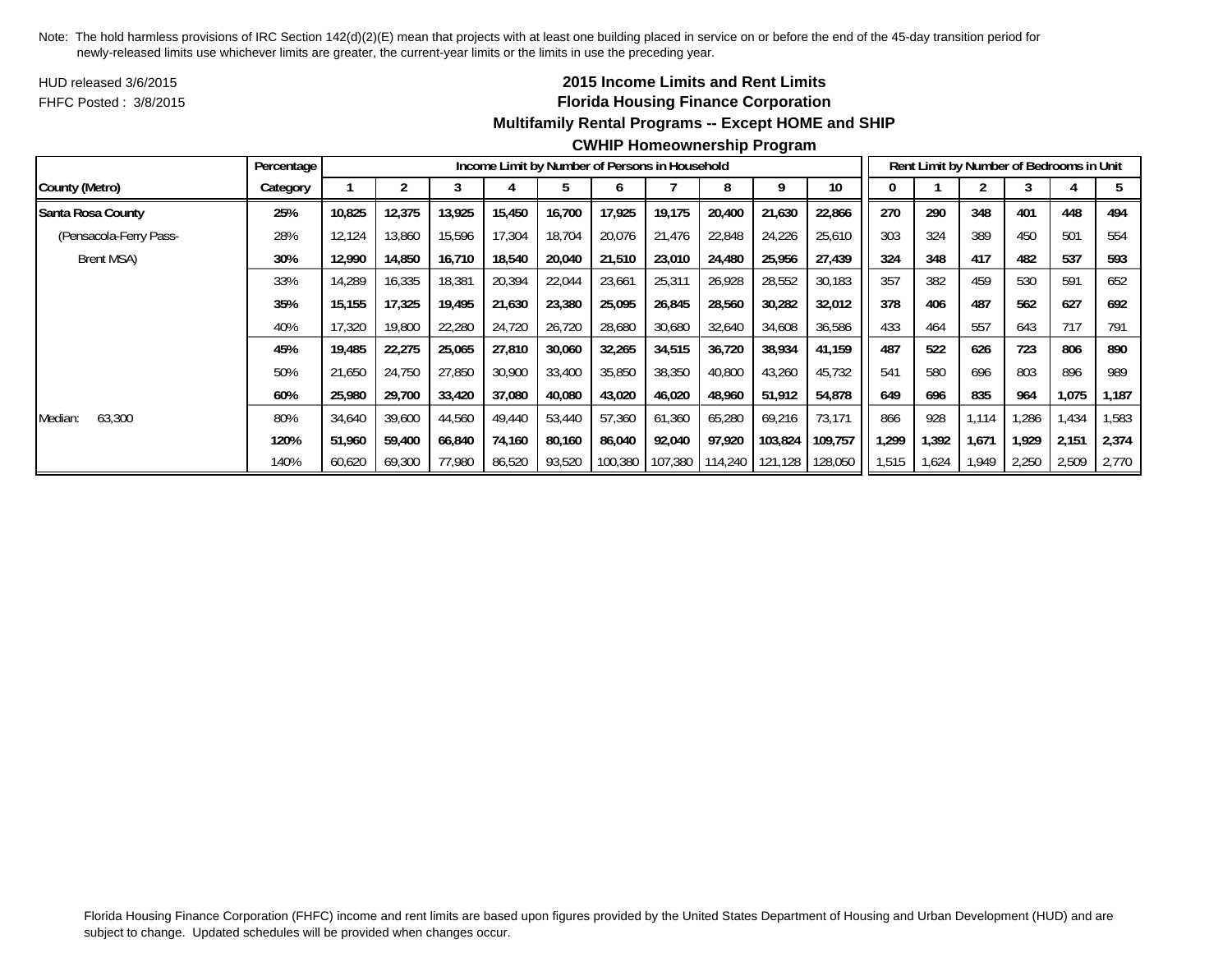HUD released 3/6/2015FHFC Posted : 3/8/2015

# **2015 Income Limits and Rent Limits Florida Housing Finance Corporation Multifamily Rental Programs -- Except HOME and SHIP**

|                        | Percentage |        |        |        | Income Limit by Number of Persons in Household |        |         |         |         |         |         |       |       | Rent Limit by Number of Bedrooms in Unit |       |       |       |
|------------------------|------------|--------|--------|--------|------------------------------------------------|--------|---------|---------|---------|---------|---------|-------|-------|------------------------------------------|-------|-------|-------|
| County (Metro)         | Category   |        |        |        |                                                |        |         |         | 8       |         | 10      |       |       |                                          |       |       |       |
| Santa Rosa County      | 25%        | 10,825 | 12,375 | 13,925 | 15,450                                         | 16,700 | 17,925  | 19,175  | 20,400  | 21,630  | 22,866  | 270   | 290   | 348                                      | 401   | 448   | 494   |
| (Pensacola-Ferry Pass- | 28%        | 12,124 | 13,860 | 15,596 | 17,304                                         | 18,704 | 20,076  | 21,476  | 22,848  | 24,226  | 25,610  | 303   | 324   | 389                                      | 450   | 501   | 554   |
| Brent MSA)             | 30%        | 12,990 | 14,850 | 16,710 | 18,540                                         | 20,040 | 21,510  | 23,010  | 24,480  | 25,956  | 27,439  | 324   | 348   | 417                                      | 482   | 537   | 593   |
|                        | 33%        | 14,289 | 16,335 | 18,381 | 20,394                                         | 22,044 | 23,661  | 25,31'  | 26,928  | 28,552  | 30,183  | 357   | 382   | 459                                      | 530   | 591   | 652   |
|                        | 35%        | 15,155 | 17,325 | 19,495 | 21,630                                         | 23,380 | 25,095  | 26,845  | 28,560  | 30,282  | 32,012  | 378   | 406   | 487                                      | 562   | 627   | 692   |
|                        | 40%        | 17,320 | 19,800 | 22,280 | 24,720                                         | 26,720 | 28,680  | 30,680  | 32,640  | 34,608  | 36,586  | 433   | 464   | 557                                      | 643   | 717   | 791   |
|                        | 45%        | 19,485 | 22,275 | 25,065 | 27,810                                         | 30,060 | 32,265  | 34,515  | 36,720  | 38,934  | 41,159  | 487   | 522   | 626                                      | 723   | 806   | 890   |
|                        | 50%        | 21,650 | 24,750 | 27,850 | 30,900                                         | 33,400 | 35,850  | 38,350  | 40,800  | 43,260  | 45,732  | 541   | 580   | 696                                      | 803   | 896   | 989   |
|                        | 60%        | 25,980 | 29,700 | 33,420 | 37,080                                         | 40,080 | 43,020  | 46,020  | 48,960  | 51,912  | 54,878  | 649   | 696   | 835                                      | 964   | 1,075 | 1,187 |
| 63,300<br>Median:      | 80%        | 34,640 | 39,600 | 44,560 | 49,440                                         | 53,440 | 57,360  | 61,360  | 65,280  | 69,216  | 73,171  | 866   | 928   | 1.114                                    | .286  | .434  | 1,583 |
|                        | 120%       | 51,960 | 59,400 | 66,840 | 74,160                                         | 80,160 | 86,040  | 92,040  | 97,920  | 103,824 | 109,757 | 1,299 | 1,392 | 1,671                                    | 1.929 | 2,151 | 2,374 |
|                        | 140%       | 60,620 | 69,300 | 77,980 | 86,520                                         | 93,520 | 100,380 | 107,380 | 114,240 | 121,128 | 128,050 | 1,515 | 1,624 | 1,949                                    | 2,250 | 2,509 | 2,770 |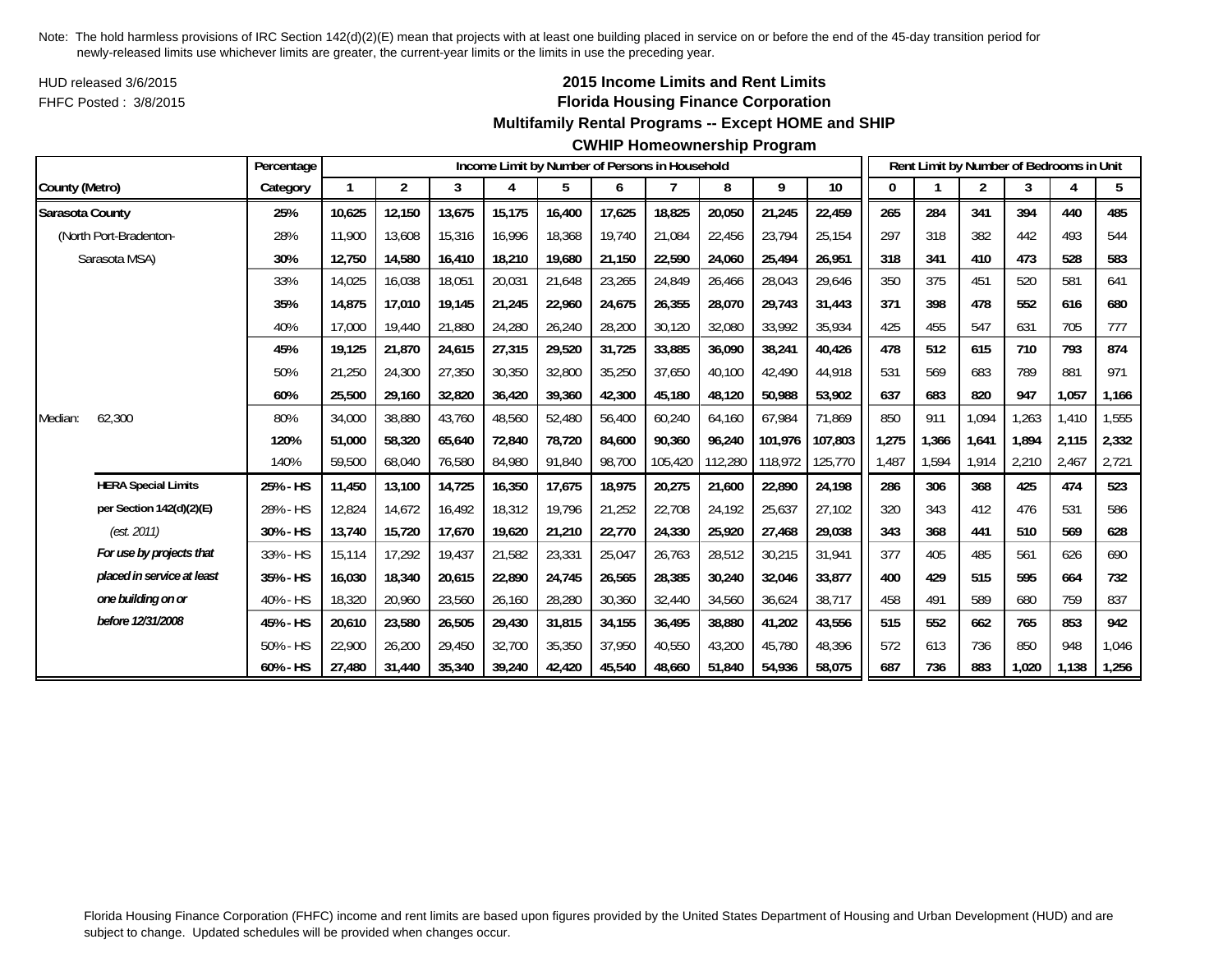HUD released 3/6/2015FHFC Posted : 3/8/2015

# **2015 Income Limits and Rent Limits Florida Housing Finance Corporation**

#### **Multifamily Rental Programs -- Except HOME and SHIP**

**CWHIP Homeownership Program**

|                 |                            | Percentage |              |                |        |        |        |        | Income Limit by Number of Persons in Household |         |         |         |       |       | Rent Limit by Number of Bedrooms in Unit |       |       |       |
|-----------------|----------------------------|------------|--------------|----------------|--------|--------|--------|--------|------------------------------------------------|---------|---------|---------|-------|-------|------------------------------------------|-------|-------|-------|
| County (Metro)  |                            | Category   | $\mathbf{1}$ | $\overline{2}$ | 3      | 4      | 5      | 6      |                                                | 8       | 9       | 10      | 0     |       | $\overline{2}$                           | 3     | 4     | 5     |
| Sarasota County |                            | 25%        | 10,625       | 12,150         | 13,675 | 15,175 | 16,400 | 17,625 | 18,825                                         | 20,050  | 21,245  | 22,459  | 265   | 284   | 341                                      | 394   | 440   | 485   |
|                 | (North Port-Bradenton-     | 28%        | 11,900       | 13,608         | 15,316 | 16,996 | 18,368 | 19.740 | 21.084                                         | 22,456  | 23,794  | 25,154  | 297   | 318   | 382                                      | 442   | 493   | 544   |
|                 | Sarasota MSA)              | 30%        | 12,750       | 14,580         | 16,410 | 18,210 | 19,680 | 21,150 | 22,590                                         | 24,060  | 25,494  | 26,951  | 318   | 341   | 410                                      | 473   | 528   | 583   |
|                 |                            | 33%        | 14,025       | 16,038         | 18,051 | 20,031 | 21,648 | 23,265 | 24,849                                         | 26,466  | 28,043  | 29,646  | 350   | 375   | 451                                      | 520   | 581   | 641   |
|                 |                            | 35%        | 14,875       | 17,010         | 19,145 | 21,245 | 22,960 | 24,675 | 26,355                                         | 28,070  | 29,743  | 31,443  | 371   | 398   | 478                                      | 552   | 616   | 680   |
|                 |                            | 40%        | 17,000       | 19,440         | 21,880 | 24,280 | 26,240 | 28,200 | 30,120                                         | 32,080  | 33,992  | 35,934  | 425   | 455   | 547                                      | 631   | 705   | 777   |
|                 |                            | 45%        | 19,125       | 21,870         | 24,615 | 27,315 | 29,520 | 31,725 | 33,885                                         | 36,090  | 38,241  | 40,426  | 478   | 512   | 615                                      | 710   | 793   | 874   |
|                 |                            | 50%        | 21,250       | 24,300         | 27,350 | 30,350 | 32,800 | 35,250 | 37.650                                         | 40,100  | 42,490  | 44,918  | 531   | 569   | 683                                      | 789   | 881   | 971   |
|                 |                            | 60%        | 25,500       | 29,160         | 32,820 | 36,420 | 39,360 | 42,300 | 45,180                                         | 48,120  | 50,988  | 53,902  | 637   | 683   | 820                                      | 947   | 1,057 | 1,166 |
| Median:         | 62,300                     | 80%        | 34,000       | 38,880         | 43,760 | 48,560 | 52,480 | 56,400 | 60,240                                         | 64,160  | 67,984  | 71,869  | 850   | 911   | 1,094                                    | 1,263 | 1,410 | 1,555 |
|                 |                            | 120%       | 51,000       | 58,320         | 65,640 | 72,840 | 78,720 | 84,600 | 90.360                                         | 96,240  | 101.976 | 107,803 | 1,275 | 1,366 | 1,641                                    | 1,894 | 2,115 | 2,332 |
|                 |                            | 140%       | 59,500       | 68,040         | 76,580 | 84,980 | 91,840 | 98,700 | 105,420                                        | 112,280 | 118,972 | 125,770 | 1,487 | 1,594 | 1,914                                    | 2,210 | 2,467 | 2,721 |
|                 | <b>HERA Special Limits</b> | 25% - HS   | 11,450       | 13,100         | 14,725 | 16,350 | 17,675 | 18,975 | 20,275                                         | 21,600  | 22,890  | 24,198  | 286   | 306   | 368                                      | 425   | 474   | 523   |
|                 | per Section 142(d)(2)(E)   | 28% - HS   | 12,824       | 14,672         | 16,492 | 18,312 | 19,796 | 21,252 | 22,708                                         | 24,192  | 25,637  | 27,102  | 320   | 343   | 412                                      | 476   | 531   | 586   |
|                 | (est. 2011)                | 30% - HS   | 13,740       | 15,720         | 17,670 | 19,620 | 21,210 | 22,770 | 24,330                                         | 25,920  | 27,468  | 29,038  | 343   | 368   | 441                                      | 510   | 569   | 628   |
|                 | For use by projects that   | 33% - HS   | 15,114       | 17,292         | 19,437 | 21,582 | 23,331 | 25,047 | 26,763                                         | 28,512  | 30,215  | 31,941  | 377   | 405   | 485                                      | 561   | 626   | 690   |
|                 | placed in service at least | 35% - HS   | 16,030       | 18,340         | 20,615 | 22,890 | 24,745 | 26,565 | 28,385                                         | 30,240  | 32,046  | 33,877  | 400   | 429   | 515                                      | 595   | 664   | 732   |
|                 | one building on or         | 40% - HS   | 18,320       | 20,960         | 23,560 | 26,160 | 28,280 | 30,360 | 32,440                                         | 34,560  | 36,624  | 38,717  | 458   | 491   | 589                                      | 680   | 759   | 837   |
|                 | before 12/31/2008          | 45% - HS   | 20,610       | 23,580         | 26,505 | 29,430 | 31,815 | 34,155 | 36,495                                         | 38,880  | 41,202  | 43,556  | 515   | 552   | 662                                      | 765   | 853   | 942   |
|                 |                            | 50% - HS   | 22,900       | 26,200         | 29,450 | 32,700 | 35,350 | 37.950 | 40.550                                         | 43,200  | 45,780  | 48.396  | 572   | 613   | 736                                      | 850   | 948   | 1,046 |
|                 |                            | 60% - HS   | 27.480       | 31,440         | 35,340 | 39,240 | 42,420 | 45,540 | 48.660                                         | 51,840  | 54,936  | 58,075  | 687   | 736   | 883                                      | 1.020 | 1,138 | 1,256 |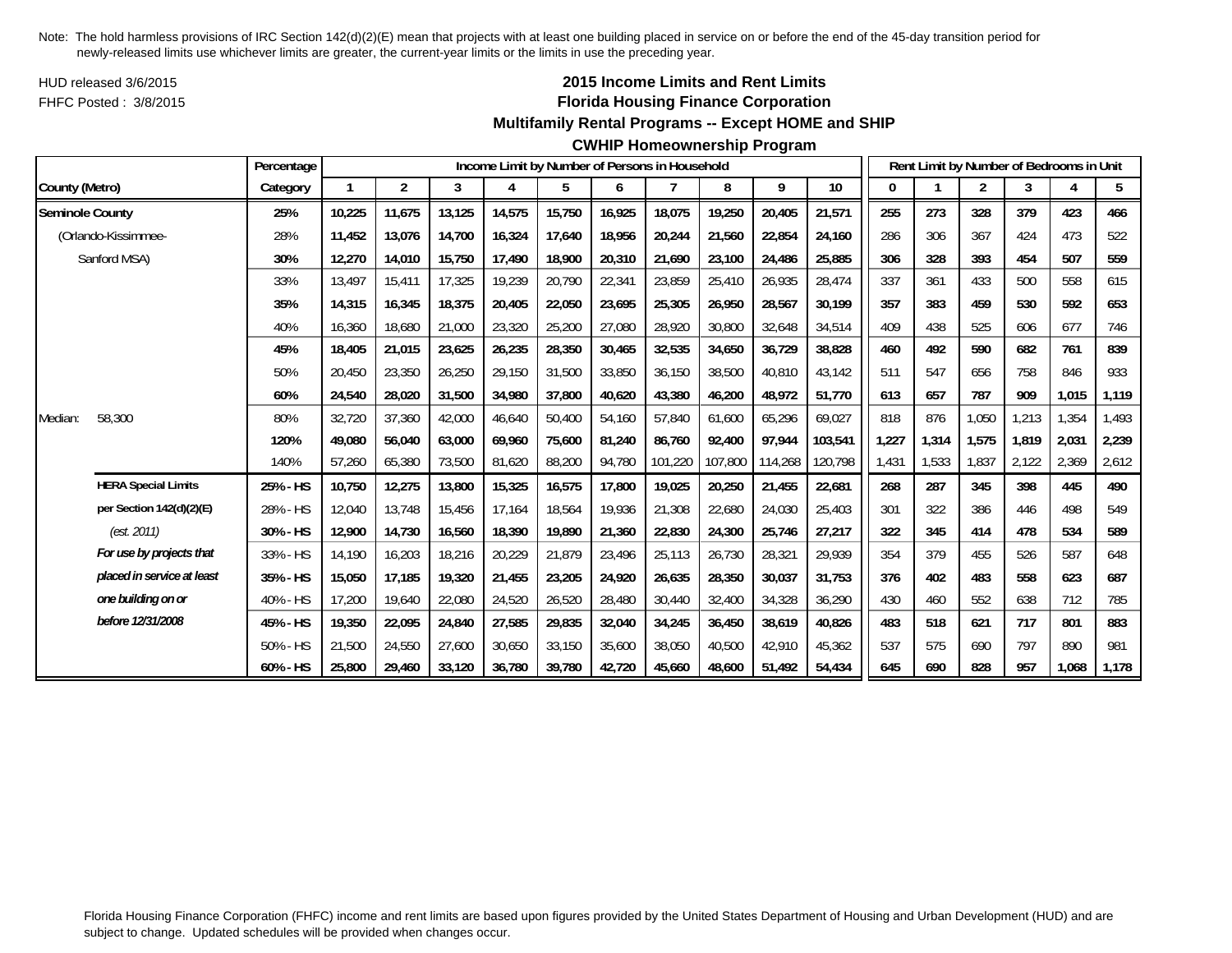HUD released 3/6/2015FHFC Posted : 3/8/2015

## **2015 Income Limits and Rent Limits Florida Housing Finance Corporation**

#### **Multifamily Rental Programs -- Except HOME and SHIP**

#### **CWHIP Homeownership Program**

|                        |                            | Percentage |        |                |        |        |        |        | Income Limit by Number of Persons in Household |         |         |         |       |       | Rent Limit by Number of Bedrooms in Unit |       |       |       |
|------------------------|----------------------------|------------|--------|----------------|--------|--------|--------|--------|------------------------------------------------|---------|---------|---------|-------|-------|------------------------------------------|-------|-------|-------|
| County (Metro)         |                            | Category   |        | $\overline{2}$ | 3      | 4      | 5      | 6      |                                                | 8       | 9       | 10      | 0     |       | $\overline{2}$                           | 3     | 4     | 5     |
| <b>Seminole County</b> |                            | 25%        | 10,225 | 11,675         | 13,125 | 14,575 | 15,750 | 16,925 | 18,075                                         | 19,250  | 20,405  | 21,571  | 255   | 273   | 328                                      | 379   | 423   | 466   |
|                        | (Orlando-Kissimmee-        | 28%        | 11.452 | 13.076         | 14,700 | 16,324 | 17,640 | 18,956 | 20,244                                         | 21,560  | 22,854  | 24,160  | 286   | 306   | 367                                      | 424   | 473   | 522   |
|                        | Sanford MSA)               | 30%        | 12,270 | 14,010         | 15,750 | 17,490 | 18,900 | 20,310 | 21,690                                         | 23,100  | 24,486  | 25,885  | 306   | 328   | 393                                      | 454   | 507   | 559   |
|                        |                            | 33%        | 13.497 | 15,411         | 17,325 | 19,239 | 20,790 | 22,341 | 23,859                                         | 25,410  | 26,935  | 28,474  | 337   | 361   | 433                                      | 500   | 558   | 615   |
|                        |                            | 35%        | 14,315 | 16,345         | 18,375 | 20,405 | 22,050 | 23,695 | 25,305                                         | 26,950  | 28,567  | 30,199  | 357   | 383   | 459                                      | 530   | 592   | 653   |
|                        |                            | 40%        | 16,360 | 18,680         | 21,000 | 23,320 | 25,200 | 27,080 | 28,920                                         | 30,800  | 32,648  | 34,514  | 409   | 438   | 525                                      | 606   | 677   | 746   |
|                        |                            | 45%        | 18.405 | 21,015         | 23,625 | 26,235 | 28,350 | 30,465 | 32,535                                         | 34,650  | 36,729  | 38.828  | 460   | 492   | 590                                      | 682   | 761   | 839   |
|                        |                            | 50%        | 20,450 | 23,350         | 26,250 | 29,150 | 31,500 | 33,850 | 36,150                                         | 38,500  | 40,810  | 43,142  | 511   | 547   | 656                                      | 758   | 846   | 933   |
|                        |                            | 60%        | 24,540 | 28,020         | 31,500 | 34,980 | 37,800 | 40,620 | 43,380                                         | 46,200  | 48,972  | 51,770  | 613   | 657   | 787                                      | 909   | 1,015 | 1,119 |
| Median:                | 58,300                     | 80%        | 32,720 | 37,360         | 42,000 | 46,640 | 50,400 | 54,160 | 57,840                                         | 61,600  | 65,296  | 69,027  | 818   | 876   | 1,050                                    | 1,213 | 1,354 | 1,493 |
|                        |                            | 120%       | 49,080 | 56,040         | 63,000 | 69,960 | 75,600 | 81,240 | 86.760                                         | 92,400  | 97,944  | 103,541 | 1,227 | 1,314 | 1,575                                    | 1.819 | 2,031 | 2,239 |
|                        |                            | 140%       | 57,260 | 65,380         | 73,500 | 81,620 | 88,200 | 94,780 | 101,220                                        | 107,800 | 114,268 | 120,798 | 1,431 | 1,533 | 1,837                                    | 2,122 | 2,369 | 2,612 |
|                        | <b>HERA Special Limits</b> | 25% - HS   | 10,750 | 12,275         | 13,800 | 15,325 | 16,575 | 17,800 | 19,025                                         | 20,250  | 21,455  | 22,681  | 268   | 287   | 345                                      | 398   | 445   | 490   |
|                        | per Section 142(d)(2)(E)   | 28% - HS   | 12,040 | 13,748         | 15,456 | 17,164 | 18,564 | 19,936 | 21,308                                         | 22,680  | 24,030  | 25,403  | 301   | 322   | 386                                      | 446   | 498   | 549   |
|                        | (est. 2011)                | 30% - HS   | 12,900 | 14,730         | 16,560 | 18,390 | 19,890 | 21,360 | 22,830                                         | 24,300  | 25,746  | 27,217  | 322   | 345   | 414                                      | 478   | 534   | 589   |
|                        | For use by projects that   | 33% - HS   | 14,190 | 16,203         | 18,216 | 20,229 | 21,879 | 23,496 | 25,113                                         | 26,730  | 28,321  | 29,939  | 354   | 379   | 455                                      | 526   | 587   | 648   |
|                        | placed in service at least | 35% - HS   | 15,050 | 17,185         | 19,320 | 21,455 | 23,205 | 24,920 | 26,635                                         | 28,350  | 30,037  | 31,753  | 376   | 402   | 483                                      | 558   | 623   | 687   |
|                        | one building on or         | 40% - HS   | 17,200 | 19,640         | 22,080 | 24,520 | 26,520 | 28,480 | 30,440                                         | 32,400  | 34,328  | 36,290  | 430   | 460   | 552                                      | 638   | 712   | 785   |
|                        | before 12/31/2008          | 45% - HS   | 19,350 | 22,095         | 24,840 | 27,585 | 29,835 | 32,040 | 34,245                                         | 36,450  | 38,619  | 40,826  | 483   | 518   | 621                                      | 717   | 801   | 883   |
|                        |                            | 50% - HS   | 21,500 | 24,550         | 27,600 | 30,650 | 33,150 | 35,600 | 38,050                                         | 40,500  | 42,910  | 45,362  | 537   | 575   | 690                                      | 797   | 890   | 981   |
|                        |                            | 60% - HS   | 25,800 | 29,460         | 33,120 | 36,780 | 39,780 | 42,720 | 45,660                                         | 48,600  | 51,492  | 54,434  | 645   | 690   | 828                                      | 957   | 1,068 | 1,178 |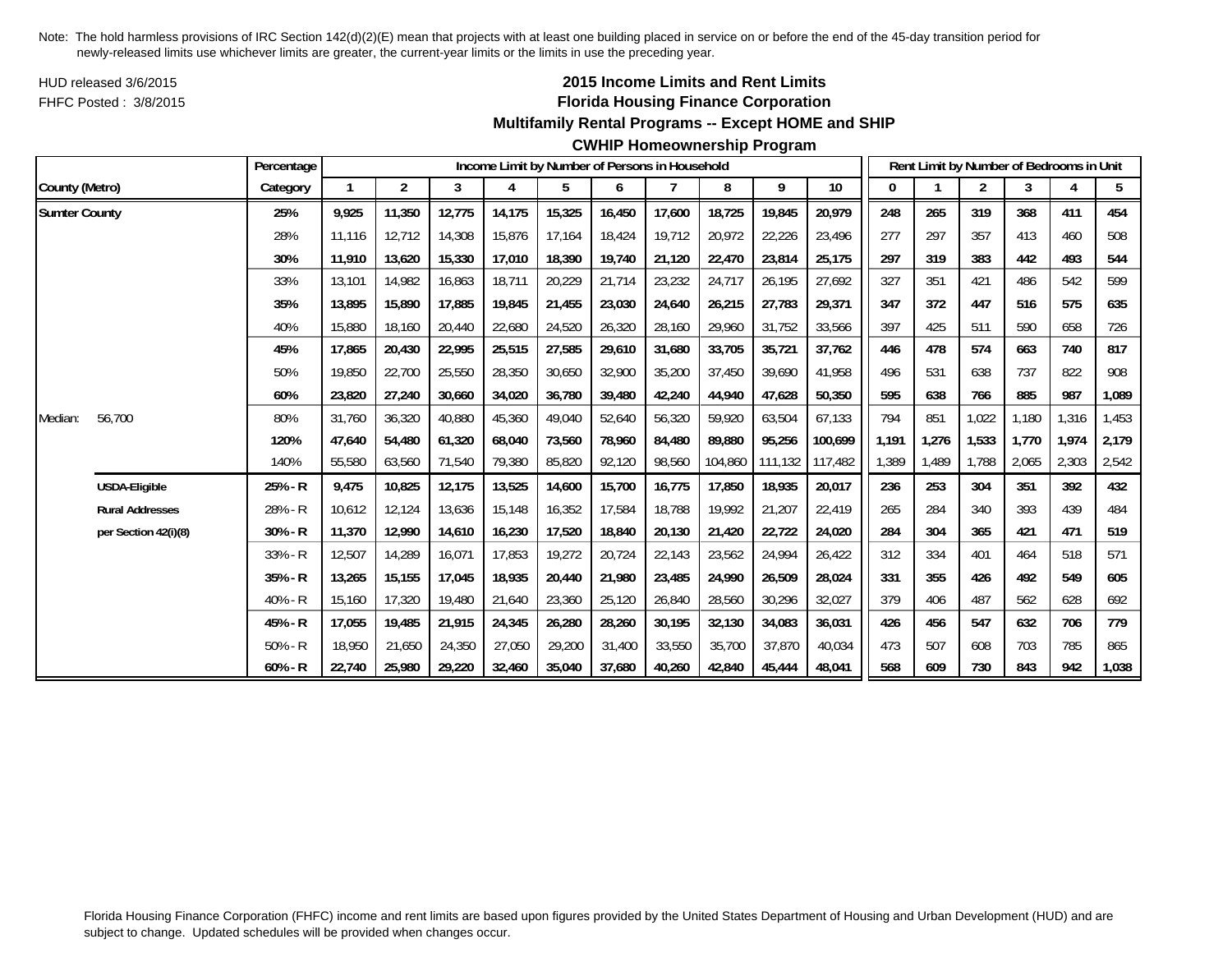HUD released 3/6/2015FHFC Posted : 3/8/2015

# **2015 Income Limits and Rent Limits Florida Housing Finance Corporation**

## **Multifamily Rental Programs -- Except HOME and SHIP**

#### **CWHIP Homeownership Program**

|                      |                        | Percentage |        |                |        |        |        |        | Income Limit by Number of Persons in Household |         |         |                 |       |       | Rent Limit by Number of Bedrooms in Unit |       |       |       |
|----------------------|------------------------|------------|--------|----------------|--------|--------|--------|--------|------------------------------------------------|---------|---------|-----------------|-------|-------|------------------------------------------|-------|-------|-------|
| County (Metro)       |                        | Category   |        | $\overline{2}$ | 3      | 4      | 5      | 6      | 7                                              | 8       | 9       | 10 <sup>°</sup> | 0     |       | $\overline{2}$                           | 3     |       | 5     |
| <b>Sumter County</b> |                        | 25%        | 9,925  | 11,350         | 12,775 | 14,175 | 15,325 | 16,450 | 17,600                                         | 18,725  | 19,845  | 20,979          | 248   | 265   | 319                                      | 368   | 411   | 454   |
|                      |                        | 28%        | 11.116 | 12,712         | 14,308 | 15,876 | 17,164 | 18,424 | 19,712                                         | 20,972  | 22,226  | 23,496          | 277   | 297   | 357                                      | 413   | 460   | 508   |
|                      |                        | 30%        | 11,910 | 13,620         | 15,330 | 17,010 | 18,390 | 19,740 | 21,120                                         | 22,470  | 23,814  | 25,175          | 297   | 319   | 383                                      | 442   | 493   | 544   |
|                      |                        | 33%        | 13,101 | 14,982         | 16,863 | 18,711 | 20,229 | 21,714 | 23,232                                         | 24,717  | 26,195  | 27,692          | 327   | 351   | 421                                      | 486   | 542   | 599   |
|                      |                        | 35%        | 13,895 | 15,890         | 17,885 | 19,845 | 21,455 | 23,030 | 24,640                                         | 26,215  | 27,783  | 29,371          | 347   | 372   | 447                                      | 516   | 575   | 635   |
|                      |                        | 40%        | 15,880 | 18.160         | 20,440 | 22,680 | 24,520 | 26,320 | 28,160                                         | 29,960  | 31,752  | 33,566          | 397   | 425   | 511                                      | 590   | 658   | 726   |
|                      |                        | 45%        | 17,865 | 20,430         | 22,995 | 25,515 | 27,585 | 29,610 | 31,680                                         | 33,705  | 35,721  | 37,762          | 446   | 478   | 574                                      | 663   | 740   | 817   |
|                      |                        | 50%        | 19,850 | 22,700         | 25,550 | 28,350 | 30,650 | 32,900 | 35,200                                         | 37,450  | 39,690  | 41,958          | 496   | 531   | 638                                      | 737   | 822   | 908   |
|                      |                        | 60%        | 23,820 | 27,240         | 30,660 | 34,020 | 36,780 | 39,480 | 42,240                                         | 44,940  | 47,628  | 50,350          | 595   | 638   | 766                                      | 885   | 987   | 1,089 |
| Median:              | 56,700                 | 80%        | 31.760 | 36,320         | 40,880 | 45,360 | 49,040 | 52,640 | 56,320                                         | 59,920  | 63,504  | 67,133          | 794   | 851   | 1,022                                    | 1.180 | 1,316 | 1,453 |
|                      |                        | 120%       | 47,640 | 54,480         | 61,320 | 68,040 | 73,560 | 78.960 | 84.480                                         | 89,880  | 95,256  | 100.699         | 1.191 | 1,276 | 1.533                                    | 1.770 | 1.974 | 2,179 |
|                      |                        | 140%       | 55,580 | 63,560         | 71,540 | 79,380 | 85,820 | 92,120 | 98,560                                         | 104,860 | 111,132 | 117,482         | 1,389 | 1,489 | 1,788                                    | 2,065 | 2,303 | 2,542 |
|                      | USDA-Eligible          | 25% - R    | 9,475  | 10,825         | 12,175 | 13,525 | 14,600 | 15,700 | 16,775                                         | 17,850  | 18,935  | 20,017          | 236   | 253   | 304                                      | 351   | 392   | 432   |
|                      | <b>Rural Addresses</b> | 28% - R    | 10,612 | 12,124         | 13,636 | 15,148 | 16,352 | 17,584 | 18,788                                         | 19,992  | 21,207  | 22,419          | 265   | 284   | 340                                      | 393   | 439   | 484   |
|                      | per Section 42(i)(8)   | $30% - R$  | 11,370 | 12,990         | 14,610 | 16,230 | 17,520 | 18,840 | 20,130                                         | 21,420  | 22,722  | 24,020          | 284   | 304   | 365                                      | 421   | 471   | 519   |
|                      |                        | $33% - R$  | 12,507 | 14,289         | 16,071 | 17,853 | 19,272 | 20,724 | 22,143                                         | 23,562  | 24,994  | 26,422          | 312   | 334   | 401                                      | 464   | 518   | 571   |
|                      |                        | $35% - R$  | 13,265 | 15,155         | 17,045 | 18,935 | 20,440 | 21,980 | 23,485                                         | 24,990  | 26,509  | 28,024          | 331   | 355   | 426                                      | 492   | 549   | 605   |
|                      |                        | $40% - R$  | 15,160 | 17,320         | 19,480 | 21,640 | 23,360 | 25,120 | 26,840                                         | 28,560  | 30,296  | 32,027          | 379   | 406   | 487                                      | 562   | 628   | 692   |
|                      |                        | 45% - R    | 17,055 | 19,485         | 21,915 | 24,345 | 26,280 | 28,260 | 30,195                                         | 32,130  | 34,083  | 36,031          | 426   | 456   | 547                                      | 632   | 706   | 779   |
|                      |                        | $50% - R$  | 18,950 | 21,650         | 24,350 | 27,050 | 29,200 | 31,400 | 33,550                                         | 35,700  | 37,870  | 40,034          | 473   | 507   | 608                                      | 703   | 785   | 865   |
|                      |                        | $60% - R$  | 22,740 | 25,980         | 29,220 | 32,460 | 35,040 | 37,680 | 40,260                                         | 42,840  | 45,444  | 48,041          | 568   | 609   | 730                                      | 843   | 942   | 1,038 |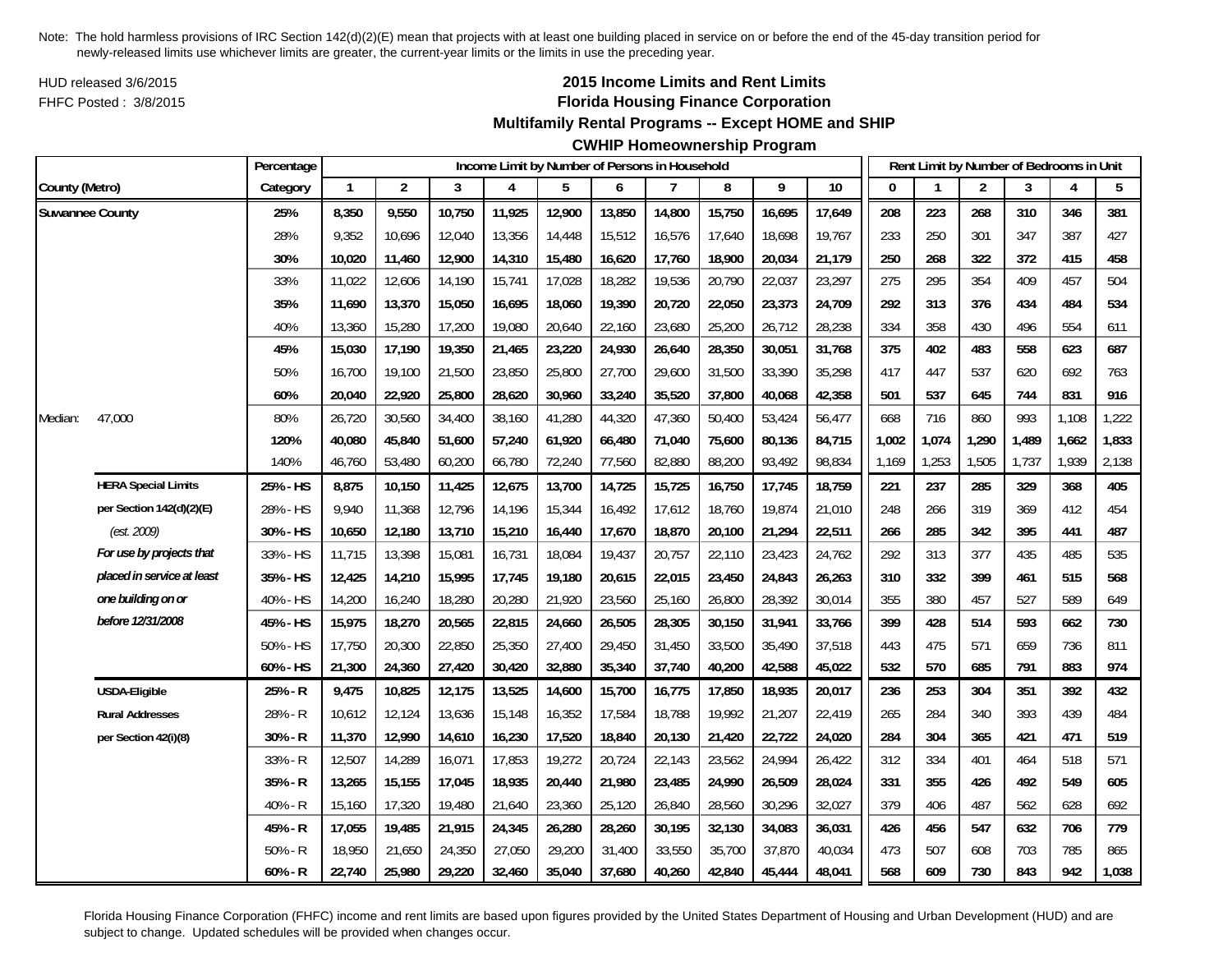HUD released 3/6/2015FHFC Posted : 3/8/2015

## **2015 Income Limits and Rent Limits Florida Housing Finance Corporation**

#### **Multifamily Rental Programs -- Except HOME and SHIP**

## **CWHIP Homeownership Program**

|                        |                            | Percentage<br>Income Limit by Number of Persons in Household |              |                |        |        |        |        |        |        |        |        |              |       | Rent Limit by Number of Bedrooms in Unit |       |       |       |
|------------------------|----------------------------|--------------------------------------------------------------|--------------|----------------|--------|--------|--------|--------|--------|--------|--------|--------|--------------|-------|------------------------------------------|-------|-------|-------|
| County (Metro)         |                            | Category                                                     | $\mathbf{1}$ | $\overline{2}$ | 3      | 4      | 5      | 6      | 7      | 8      | 9      | 10     | $\mathbf{0}$ |       | $\overline{2}$                           | 3     | 4     | 5     |
| <b>Suwannee County</b> |                            | 25%                                                          | 8,350        | 9,550          | 10,750 | 11,925 | 12,900 | 13,850 | 14,800 | 15,750 | 16,695 | 17,649 | 208          | 223   | 268                                      | 310   | 346   | 381   |
|                        |                            | 28%                                                          | 9,352        | 10,696         | 12,040 | 13,356 | 14,448 | 15,512 | 16,576 | 17,640 | 18,698 | 19,767 | 233          | 250   | 301                                      | 347   | 387   | 427   |
|                        |                            | 30%                                                          | 10,020       | 11,460         | 12,900 | 14,310 | 15,480 | 16,620 | 17,760 | 18,900 | 20,034 | 21,179 | 250          | 268   | 322                                      | 372   | 415   | 458   |
|                        |                            | 33%                                                          | 11,022       | 12,606         | 14,190 | 15,741 | 17,028 | 18,282 | 19,536 | 20,790 | 22,037 | 23,297 | 275          | 295   | 354                                      | 409   | 457   | 504   |
|                        |                            | 35%                                                          | 11,690       | 13,370         | 15,050 | 16,695 | 18,060 | 19,390 | 20,720 | 22,050 | 23,373 | 24,709 | 292          | 313   | 376                                      | 434   | 484   | 534   |
|                        |                            | 40%                                                          | 13,360       | 15,280         | 17,200 | 19,080 | 20,640 | 22,160 | 23,680 | 25,200 | 26,712 | 28,238 | 334          | 358   | 430                                      | 496   | 554   | 611   |
|                        |                            | 45%                                                          | 15,030       | 17,190         | 19,350 | 21,465 | 23,220 | 24,930 | 26,640 | 28,350 | 30,051 | 31,768 | 375          | 402   | 483                                      | 558   | 623   | 687   |
|                        |                            | 50%                                                          | 16,700       | 19,100         | 21,500 | 23,850 | 25,800 | 27,700 | 29,600 | 31,500 | 33,390 | 35,298 | 417          | 447   | 537                                      | 620   | 692   | 763   |
|                        |                            | 60%                                                          | 20,040       | 22,920         | 25,800 | 28,620 | 30,960 | 33,240 | 35,520 | 37,800 | 40,068 | 42,358 | 501          | 537   | 645                                      | 744   | 831   | 916   |
| Median:                | 47,000                     | 80%                                                          | 26,720       | 30,560         | 34,400 | 38,160 | 41,280 | 44,320 | 47,360 | 50,400 | 53,424 | 56,477 | 668          | 716   | 860                                      | 993   | 1,108 | 1,222 |
|                        |                            | 120%                                                         | 40,080       | 45,840         | 51,600 | 57,240 | 61,920 | 66,480 | 71,040 | 75,600 | 80,136 | 84,715 | 1,002        | 1,074 | 1,290                                    | 1,489 | 1,662 | 1,833 |
|                        |                            | 140%                                                         | 46,760       | 53,480         | 60,200 | 66,780 | 72,240 | 77,560 | 82,880 | 88,200 | 93,492 | 98,834 | 1,169        | 1,253 | 1,505                                    | 1,737 | 1,939 | 2,138 |
|                        | <b>HERA Special Limits</b> | 25% - HS                                                     | 8,875        | 10,150         | 11,425 | 12,675 | 13,700 | 14,725 | 15,725 | 16,750 | 17,745 | 18,759 | 221          | 237   | 285                                      | 329   | 368   | 405   |
|                        | per Section 142(d)(2)(E)   | 28% - HS                                                     | 9,940        | 11,368         | 12,796 | 14,196 | 15,344 | 16,492 | 17,612 | 18,760 | 19,874 | 21,010 | 248          | 266   | 319                                      | 369   | 412   | 454   |
|                        | (est. 2009)                | 30% - HS                                                     | 10,650       | 12,180         | 13,710 | 15,210 | 16,440 | 17,670 | 18,870 | 20,100 | 21,294 | 22,511 | 266          | 285   | 342                                      | 395   | 441   | 487   |
|                        | For use by projects that   | 33% - HS                                                     | 11,715       | 13,398         | 15,081 | 16,731 | 18,084 | 19,437 | 20,757 | 22,110 | 23,423 | 24,762 | 292          | 313   | 377                                      | 435   | 485   | 535   |
|                        | placed in service at least | 35% - HS                                                     | 12,425       | 14,210         | 15,995 | 17,745 | 19,180 | 20,615 | 22,015 | 23,450 | 24,843 | 26,263 | 310          | 332   | 399                                      | 461   | 515   | 568   |
|                        | one building on or         | 40% - HS                                                     | 14,200       | 16,240         | 18,280 | 20,280 | 21,920 | 23,560 | 25,160 | 26,800 | 28,392 | 30,014 | 355          | 380   | 457                                      | 527   | 589   | 649   |
|                        | before 12/31/2008          | 45% - HS                                                     | 15,975       | 18,270         | 20,565 | 22,815 | 24,660 | 26,505 | 28,305 | 30,150 | 31,941 | 33,766 | 399          | 428   | 514                                      | 593   | 662   | 730   |
|                        |                            | 50% - HS                                                     | 17,750       | 20,300         | 22,850 | 25,350 | 27,400 | 29,450 | 31,450 | 33,500 | 35,490 | 37,518 | 443          | 475   | 571                                      | 659   | 736   | 811   |
|                        |                            | 60% - HS                                                     | 21,300       | 24,360         | 27,420 | 30,420 | 32,880 | 35,340 | 37,740 | 40,200 | 42,588 | 45,022 | 532          | 570   | 685                                      | 791   | 883   | 974   |
|                        | <b>USDA-Eligible</b>       | 25% - R                                                      | 9,475        | 10,825         | 12,175 | 13,525 | 14,600 | 15,700 | 16,775 | 17,850 | 18,935 | 20,017 | 236          | 253   | 304                                      | 351   | 392   | 432   |
|                        | <b>Rural Addresses</b>     | 28% - R                                                      | 10,612       | 12,124         | 13,636 | 15,148 | 16,352 | 17,584 | 18,788 | 19,992 | 21,207 | 22,419 | 265          | 284   | 340                                      | 393   | 439   | 484   |
|                        | per Section 42(i)(8)       | 30% - R                                                      | 11,370       | 12,990         | 14,610 | 16,230 | 17,520 | 18,840 | 20,130 | 21,420 | 22,722 | 24,020 | 284          | 304   | 365                                      | 421   | 471   | 519   |
|                        |                            | 33% - R                                                      | 12,507       | 14,289         | 16,071 | 17,853 | 19,272 | 20,724 | 22,143 | 23,562 | 24,994 | 26,422 | 312          | 334   | 401                                      | 464   | 518   | 571   |
|                        |                            | 35% - R                                                      | 13,265       | 15,155         | 17,045 | 18,935 | 20,440 | 21,980 | 23,485 | 24,990 | 26,509 | 28,024 | 331          | 355   | 426                                      | 492   | 549   | 605   |
|                        |                            | 40% - R                                                      | 15,160       | 17,320         | 19,480 | 21,640 | 23,360 | 25,120 | 26,840 | 28,560 | 30,296 | 32,027 | 379          | 406   | 487                                      | 562   | 628   | 692   |
|                        |                            | 45% - R                                                      | 17,055       | 19,485         | 21,915 | 24,345 | 26,280 | 28,260 | 30,195 | 32,130 | 34,083 | 36,031 | 426          | 456   | 547                                      | 632   | 706   | 779   |
|                        |                            | $50% - R$                                                    | 18,950       | 21,650         | 24,350 | 27,050 | 29,200 | 31,400 | 33,550 | 35,700 | 37,870 | 40,034 | 473          | 507   | 608                                      | 703   | 785   | 865   |
|                        |                            | 60% - R                                                      | 22,740       | 25,980         | 29,220 | 32,460 | 35,040 | 37,680 | 40,260 | 42,840 | 45,444 | 48,041 | 568          | 609   | 730                                      | 843   | 942   | 1,038 |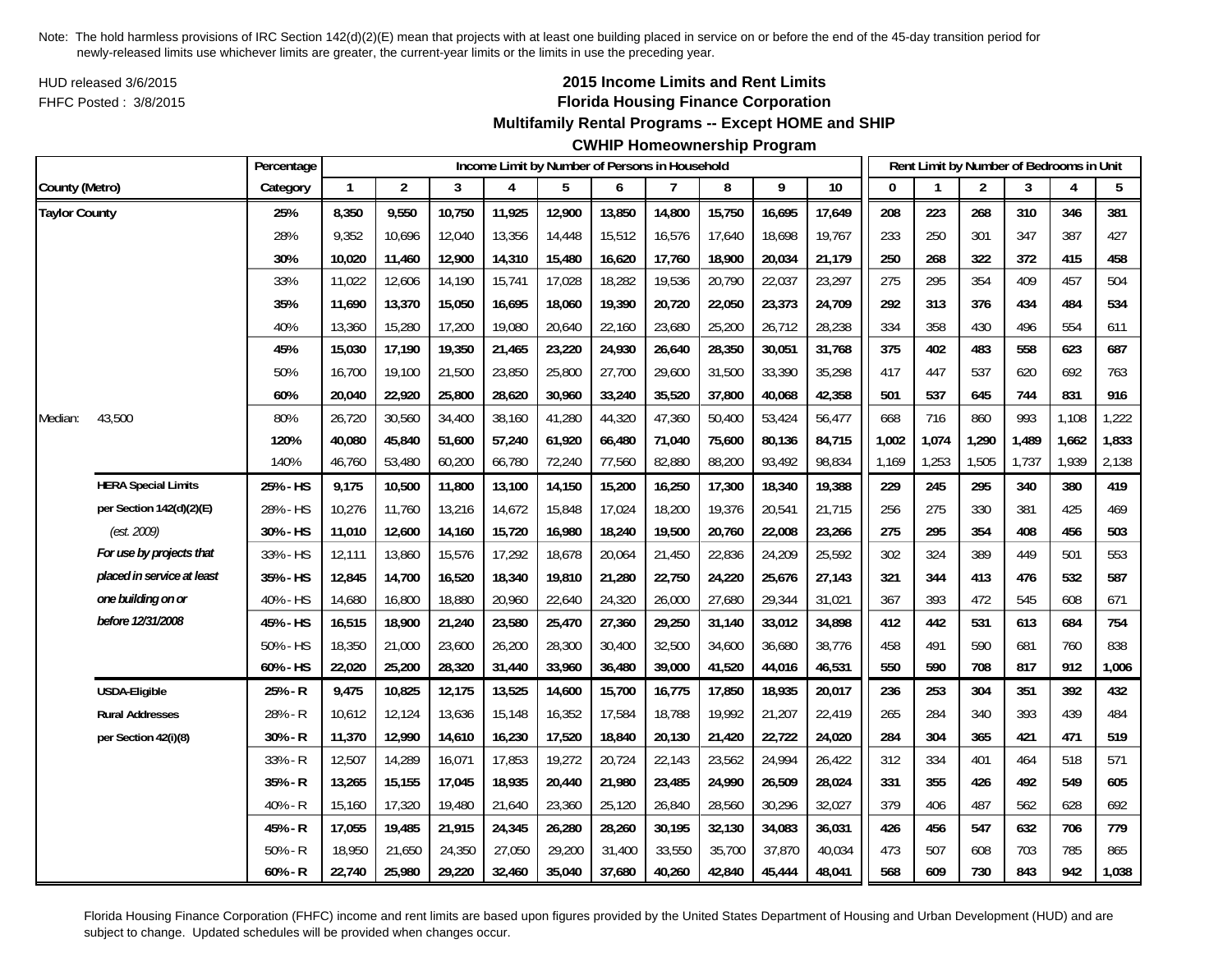HUD released 3/6/2015FHFC Posted : 3/8/2015

# **2015 Income Limits and Rent Limits Florida Housing Finance Corporation**

## **Multifamily Rental Programs -- Except HOME and SHIP**

# **CWHIP Homeownership Program**

|                      |                            | Percentage |              |                |        | Income Limit by Number of Persons in Household |        |        |        |        |        |        |          |       | Rent Limit by Number of Bedrooms in Unit |       |       |       |
|----------------------|----------------------------|------------|--------------|----------------|--------|------------------------------------------------|--------|--------|--------|--------|--------|--------|----------|-------|------------------------------------------|-------|-------|-------|
| County (Metro)       |                            | Category   | $\mathbf{1}$ | $\overline{2}$ | 3      | 4                                              | 5      | 6      | 7      | 8      | 9      | 10     | $\bf{0}$ |       | $\overline{2}$                           | 3     | 4     | 5     |
| <b>Taylor County</b> |                            | 25%        | 8,350        | 9,550          | 10,750 | 11,925                                         | 12,900 | 13,850 | 14,800 | 15,750 | 16,695 | 17,649 | 208      | 223   | 268                                      | 310   | 346   | 381   |
|                      |                            | 28%        | 9,352        | 10,696         | 12,040 | 13,356                                         | 14,448 | 15,512 | 16,576 | 17,640 | 18,698 | 19,767 | 233      | 250   | 301                                      | 347   | 387   | 427   |
|                      |                            | 30%        | 10,020       | 11,460         | 12,900 | 14,310                                         | 15,480 | 16,620 | 17,760 | 18,900 | 20,034 | 21,179 | 250      | 268   | 322                                      | 372   | 415   | 458   |
|                      |                            | 33%        | 11,022       | 12,606         | 14,190 | 15,741                                         | 17,028 | 18,282 | 19,536 | 20,790 | 22,037 | 23,297 | 275      | 295   | 354                                      | 409   | 457   | 504   |
|                      |                            | 35%        | 11,690       | 13,370         | 15,050 | 16,695                                         | 18,060 | 19,390 | 20,720 | 22,050 | 23,373 | 24,709 | 292      | 313   | 376                                      | 434   | 484   | 534   |
|                      |                            | 40%        | 13,360       | 15,280         | 17,200 | 19,080                                         | 20,640 | 22,160 | 23,680 | 25,200 | 26,712 | 28,238 | 334      | 358   | 430                                      | 496   | 554   | 611   |
|                      |                            | 45%        | 15,030       | 17,190         | 19,350 | 21,465                                         | 23,220 | 24,930 | 26,640 | 28,350 | 30,051 | 31,768 | 375      | 402   | 483                                      | 558   | 623   | 687   |
|                      |                            | 50%        | 16,700       | 19,100         | 21,500 | 23,850                                         | 25,800 | 27,700 | 29,600 | 31,500 | 33,390 | 35,298 | 417      | 447   | 537                                      | 620   | 692   | 763   |
|                      |                            | 60%        | 20,040       | 22,920         | 25,800 | 28,620                                         | 30,960 | 33,240 | 35,520 | 37,800 | 40,068 | 42,358 | 501      | 537   | 645                                      | 744   | 831   | 916   |
| Median:              | 43,500                     | 80%        | 26,720       | 30,560         | 34,400 | 38,160                                         | 41,280 | 44,320 | 47,360 | 50,400 | 53,424 | 56,477 | 668      | 716   | 860                                      | 993   | 1,108 | 1,222 |
|                      |                            | 120%       | 40,080       | 45,840         | 51,600 | 57,240                                         | 61,920 | 66,480 | 71,040 | 75,600 | 80,136 | 84,715 | 1,002    | 1,074 | 1,290                                    | 1,489 | 1,662 | 1,833 |
|                      |                            | 140%       | 46,760       | 53,480         | 60,200 | 66,780                                         | 72,240 | 77,560 | 82,880 | 88,200 | 93,492 | 98,834 | 1,169    | 1,253 | 1,505                                    | 1,737 | 1,939 | 2,138 |
|                      | <b>HERA Special Limits</b> | 25% - HS   | 9,175        | 10,500         | 11,800 | 13,100                                         | 14,150 | 15,200 | 16,250 | 17,300 | 18,340 | 19,388 | 229      | 245   | 295                                      | 340   | 380   | 419   |
|                      | per Section 142(d)(2)(E)   | 28% - HS   | 10,276       | 11,760         | 13,216 | 14,672                                         | 15,848 | 17,024 | 18,200 | 19,376 | 20,541 | 21,715 | 256      | 275   | 330                                      | 381   | 425   | 469   |
|                      | (est. 2009)                | 30% - HS   | 11,010       | 12,600         | 14,160 | 15,720                                         | 16,980 | 18,240 | 19,500 | 20,760 | 22,008 | 23,266 | 275      | 295   | 354                                      | 408   | 456   | 503   |
|                      | For use by projects that   | 33% - HS   | 12,111       | 13,860         | 15,576 | 17,292                                         | 18,678 | 20,064 | 21,450 | 22,836 | 24,209 | 25,592 | 302      | 324   | 389                                      | 449   | 501   | 553   |
|                      | placed in service at least | 35% - HS   | 12,845       | 14,700         | 16,520 | 18,340                                         | 19,810 | 21,280 | 22,750 | 24,220 | 25,676 | 27,143 | 321      | 344   | 413                                      | 476   | 532   | 587   |
|                      | one building on or         | 40% - HS   | 14,680       | 16,800         | 18,880 | 20,960                                         | 22,640 | 24,320 | 26,000 | 27,680 | 29,344 | 31,021 | 367      | 393   | 472                                      | 545   | 608   | 671   |
|                      | before 12/31/2008          | 45% - HS   | 16,515       | 18,900         | 21,240 | 23,580                                         | 25,470 | 27,360 | 29,250 | 31,140 | 33,012 | 34,898 | 412      | 442   | 531                                      | 613   | 684   | 754   |
|                      |                            | 50% - HS   | 18,350       | 21,000         | 23,600 | 26,200                                         | 28,300 | 30,400 | 32,500 | 34,600 | 36,680 | 38,776 | 458      | 491   | 590                                      | 681   | 760   | 838   |
|                      |                            | 60% - HS   | 22,020       | 25,200         | 28,320 | 31,440                                         | 33,960 | 36,480 | 39,000 | 41,520 | 44,016 | 46,531 | 550      | 590   | 708                                      | 817   | 912   | 1,006 |
|                      | <b>USDA-Eligible</b>       | 25% - R    | 9,475        | 10,825         | 12,175 | 13,525                                         | 14,600 | 15,700 | 16,775 | 17,850 | 18,935 | 20,017 | 236      | 253   | 304                                      | 351   | 392   | 432   |
|                      | <b>Rural Addresses</b>     | 28% - R    | 10,612       | 12,124         | 13,636 | 15,148                                         | 16,352 | 17,584 | 18,788 | 19,992 | 21,207 | 22,419 | 265      | 284   | 340                                      | 393   | 439   | 484   |
|                      | per Section 42(i)(8)       | 30% - R    | 11,370       | 12,990         | 14,610 | 16,230                                         | 17,520 | 18,840 | 20,130 | 21,420 | 22,722 | 24,020 | 284      | 304   | 365                                      | 421   | 471   | 519   |
|                      |                            | 33% - R    | 12,507       | 14,289         | 16,071 | 17,853                                         | 19,272 | 20,724 | 22,143 | 23,562 | 24,994 | 26,422 | 312      | 334   | 401                                      | 464   | 518   | 571   |
|                      |                            | 35% - R    | 13,265       | 15,155         | 17,045 | 18,935                                         | 20,440 | 21,980 | 23,485 | 24,990 | 26,509 | 28,024 | 331      | 355   | 426                                      | 492   | 549   | 605   |
|                      |                            | 40% - R    | 15,160       | 17,320         | 19,480 | 21,640                                         | 23,360 | 25,120 | 26,840 | 28,560 | 30,296 | 32,027 | 379      | 406   | 487                                      | 562   | 628   | 692   |
|                      |                            | 45% - R    | 17,055       | 19,485         | 21,915 | 24,345                                         | 26,280 | 28,260 | 30,195 | 32,130 | 34,083 | 36,031 | 426      | 456   | 547                                      | 632   | 706   | 779   |
|                      |                            | $50% - R$  | 18,950       | 21,650         | 24,350 | 27,050                                         | 29,200 | 31,400 | 33,550 | 35,700 | 37,870 | 40,034 | 473      | 507   | 608                                      | 703   | 785   | 865   |
|                      |                            | $60% - R$  | 22,740       | 25,980         | 29,220 | 32,460                                         | 35,040 | 37,680 | 40,260 | 42,840 | 45,444 | 48,041 | 568      | 609   | 730                                      | 843   | 942   | 1,038 |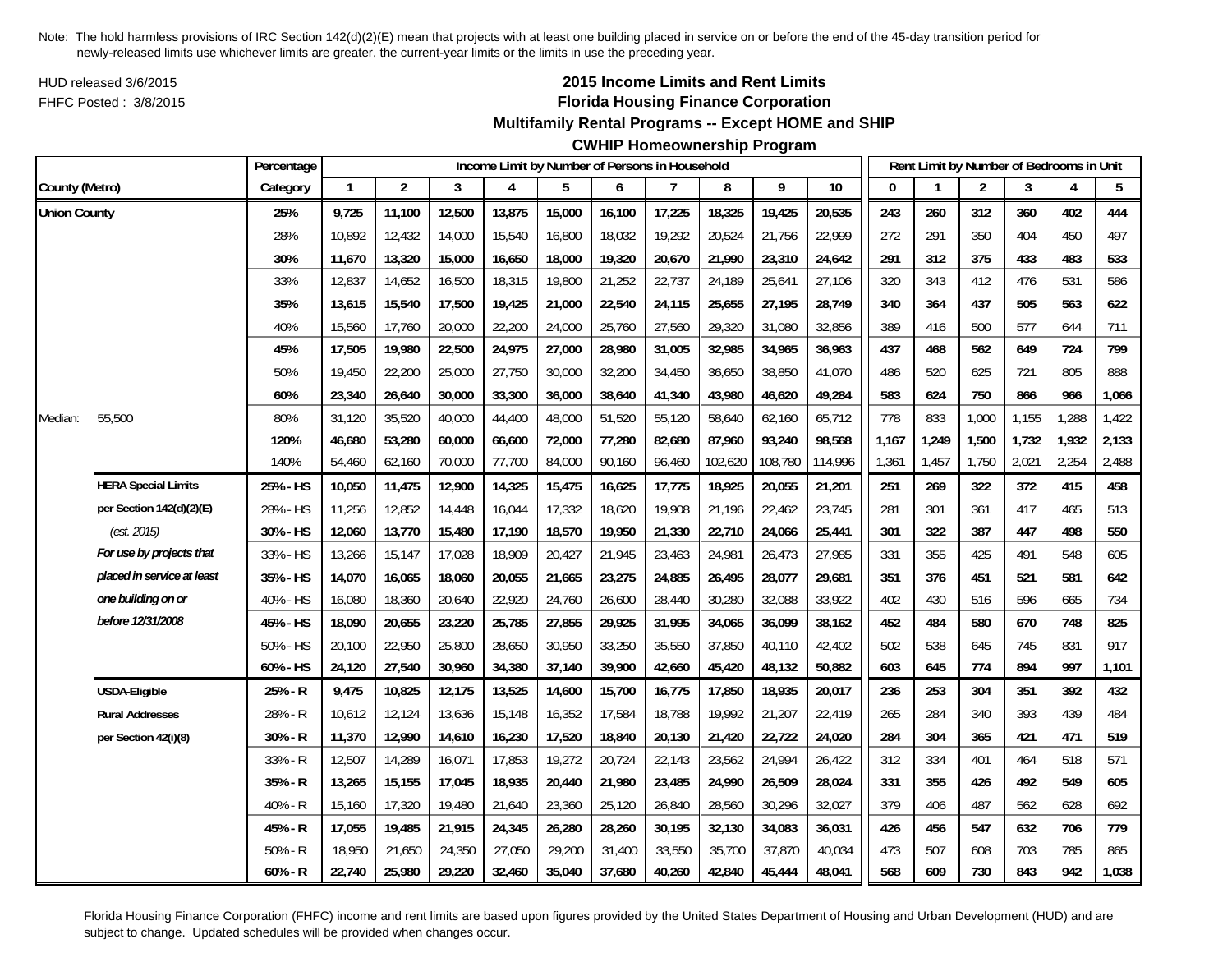HUD released 3/6/2015FHFC Posted : 3/8/2015

# **2015 Income Limits and Rent Limits Florida Housing Finance Corporation**

## **Multifamily Rental Programs -- Except HOME and SHIP**

# **CWHIP Homeownership Program**

| Percentage<br>Income Limit by Number of Persons in Household |                            |           |              |                |        |        |        |        |        |         |         |         | Rent Limit by Number of Bedrooms in Unit |       |                |       |       |       |
|--------------------------------------------------------------|----------------------------|-----------|--------------|----------------|--------|--------|--------|--------|--------|---------|---------|---------|------------------------------------------|-------|----------------|-------|-------|-------|
| County (Metro)                                               |                            | Category  | $\mathbf{1}$ | $\overline{2}$ | 3      | 4      | 5      | 6      | 7      | 8       | 9       | 10      | $\Omega$                                 |       | $\overline{c}$ | 3     | 4     | 5     |
| <b>Union County</b>                                          |                            | 25%       | 9,725        | 11,100         | 12,500 | 13,875 | 15,000 | 16,100 | 17,225 | 18,325  | 19,425  | 20,535  | 243                                      | 260   | 312            | 360   | 402   | 444   |
|                                                              |                            | 28%       | 10,892       | 12,432         | 14,000 | 15,540 | 16,800 | 18,032 | 19,292 | 20,524  | 21,756  | 22,999  | 272                                      | 291   | 350            | 404   | 450   | 497   |
|                                                              |                            | 30%       | 11,670       | 13,320         | 15,000 | 16,650 | 18,000 | 19,320 | 20,670 | 21,990  | 23,310  | 24,642  | 291                                      | 312   | 375            | 433   | 483   | 533   |
|                                                              |                            | 33%       | 12,837       | 14,652         | 16,500 | 18,315 | 19,800 | 21,252 | 22,737 | 24,189  | 25,641  | 27,106  | 320                                      | 343   | 412            | 476   | 531   | 586   |
|                                                              |                            | 35%       | 13,615       | 15,540         | 17,500 | 19,425 | 21,000 | 22,540 | 24,115 | 25,655  | 27,195  | 28,749  | 340                                      | 364   | 437            | 505   | 563   | 622   |
|                                                              |                            | 40%       | 15,560       | 17,760         | 20,000 | 22,200 | 24,000 | 25,760 | 27,560 | 29,320  | 31,080  | 32,856  | 389                                      | 416   | 500            | 577   | 644   | 711   |
|                                                              |                            | 45%       | 17,505       | 19,980         | 22,500 | 24,975 | 27,000 | 28,980 | 31,005 | 32,985  | 34,965  | 36,963  | 437                                      | 468   | 562            | 649   | 724   | 799   |
|                                                              |                            | 50%       | 19,450       | 22,200         | 25,000 | 27,750 | 30,000 | 32,200 | 34,450 | 36,650  | 38,850  | 41,070  | 486                                      | 520   | 625            | 721   | 805   | 888   |
|                                                              |                            | 60%       | 23,340       | 26,640         | 30,000 | 33,300 | 36,000 | 38,640 | 41,340 | 43,980  | 46,620  | 49,284  | 583                                      | 624   | 750            | 866   | 966   | 1,066 |
| Median:                                                      | 55,500                     | 80%       | 31,120       | 35,520         | 40,000 | 44,400 | 48,000 | 51,520 | 55,120 | 58,640  | 62,160  | 65,712  | 778                                      | 833   | 1,000          | 1,155 | 1,288 | 1,422 |
|                                                              |                            | 120%      | 46,680       | 53,280         | 60,000 | 66,600 | 72,000 | 77,280 | 82,680 | 87,960  | 93,240  | 98,568  | 1,167                                    | 1,249 | 1,500          | 1,732 | 1,932 | 2,133 |
|                                                              |                            | 140%      | 54,460       | 62,160         | 70,000 | 77,700 | 84,000 | 90,160 | 96,460 | 102,620 | 108,780 | 114,996 | 1,361                                    | 1,457 | 1,750          | 2,021 | 2,254 | 2,488 |
|                                                              | <b>HERA Special Limits</b> | 25% - HS  | 10,050       | 11,475         | 12,900 | 14,325 | 15,475 | 16,625 | 17,775 | 18,925  | 20,055  | 21,201  | 251                                      | 269   | 322            | 372   | 415   | 458   |
|                                                              | per Section 142(d)(2)(E)   | 28% - HS  | 11,256       | 12,852         | 14,448 | 16,044 | 17,332 | 18,620 | 19,908 | 21,196  | 22,462  | 23,745  | 281                                      | 301   | 361            | 417   | 465   | 513   |
|                                                              | (est. 2015)                | 30% - HS  | 12,060       | 13,770         | 15,480 | 17,190 | 18,570 | 19,950 | 21,330 | 22,710  | 24,066  | 25,441  | 301                                      | 322   | 387            | 447   | 498   | 550   |
|                                                              | For use by projects that   | 33% - HS  | 13,266       | 15,147         | 17,028 | 18,909 | 20,427 | 21,945 | 23,463 | 24,981  | 26,473  | 27,985  | 331                                      | 355   | 425            | 491   | 548   | 605   |
|                                                              | placed in service at least | 35% - HS  | 14,070       | 16,065         | 18,060 | 20,055 | 21,665 | 23,275 | 24,885 | 26,495  | 28,077  | 29,681  | 351                                      | 376   | 451            | 521   | 581   | 642   |
|                                                              | one building on or         | 40% - HS  | 16,080       | 18,360         | 20,640 | 22,920 | 24,760 | 26,600 | 28,440 | 30,280  | 32,088  | 33,922  | 402                                      | 430   | 516            | 596   | 665   | 734   |
|                                                              | before 12/31/2008          | 45% - HS  | 18,090       | 20,655         | 23,220 | 25,785 | 27,855 | 29,925 | 31,995 | 34,065  | 36,099  | 38,162  | 452                                      | 484   | 580            | 670   | 748   | 825   |
|                                                              |                            | 50% - HS  | 20,100       | 22,950         | 25,800 | 28,650 | 30,950 | 33,250 | 35,550 | 37,850  | 40,110  | 42,402  | 502                                      | 538   | 645            | 745   | 831   | 917   |
|                                                              |                            | 60% - HS  | 24,120       | 27,540         | 30,960 | 34,380 | 37,140 | 39,900 | 42,660 | 45,420  | 48,132  | 50,882  | 603                                      | 645   | 774            | 894   | 997   | 1,101 |
|                                                              | <b>USDA-Eligible</b>       | 25% - R   | 9,475        | 10,825         | 12,175 | 13,525 | 14,600 | 15,700 | 16,775 | 17,850  | 18,935  | 20,017  | 236                                      | 253   | 304            | 351   | 392   | 432   |
|                                                              | <b>Rural Addresses</b>     | 28% - R   | 10,612       | 12,124         | 13,636 | 15,148 | 16,352 | 17,584 | 18,788 | 19,992  | 21,207  | 22,419  | 265                                      | 284   | 340            | 393   | 439   | 484   |
|                                                              | per Section 42(i)(8)       | 30% - R   | 11,370       | 12,990         | 14,610 | 16,230 | 17,520 | 18,840 | 20,130 | 21,420  | 22,722  | 24,020  | 284                                      | 304   | 365            | 421   | 471   | 519   |
|                                                              |                            | 33% - R   | 12,507       | 14,289         | 16,071 | 17,853 | 19,272 | 20,724 | 22,143 | 23,562  | 24,994  | 26,422  | 312                                      | 334   | 401            | 464   | 518   | 571   |
|                                                              |                            | 35% - R   | 13,265       | 15,155         | 17,045 | 18,935 | 20,440 | 21,980 | 23,485 | 24,990  | 26,509  | 28,024  | 331                                      | 355   | 426            | 492   | 549   | 605   |
|                                                              |                            | 40% - R   | 15,160       | 17,320         | 19,480 | 21,640 | 23,360 | 25,120 | 26,840 | 28,560  | 30,296  | 32,027  | 379                                      | 406   | 487            | 562   | 628   | 692   |
|                                                              |                            | 45% - R   | 17,055       | 19,485         | 21,915 | 24,345 | 26,280 | 28,260 | 30,195 | 32,130  | 34,083  | 36,031  | 426                                      | 456   | 547            | 632   | 706   | 779   |
|                                                              |                            | $50% - R$ | 18,950       | 21,650         | 24,350 | 27,050 | 29,200 | 31,400 | 33,550 | 35,700  | 37,870  | 40,034  | 473                                      | 507   | 608            | 703   | 785   | 865   |
|                                                              |                            | $60% - R$ | 22,740       | 25,980         | 29,220 | 32,460 | 35,040 | 37,680 | 40,260 | 42,840  | 45,444  | 48,041  | 568                                      | 609   | 730            | 843   | 942   | 1,038 |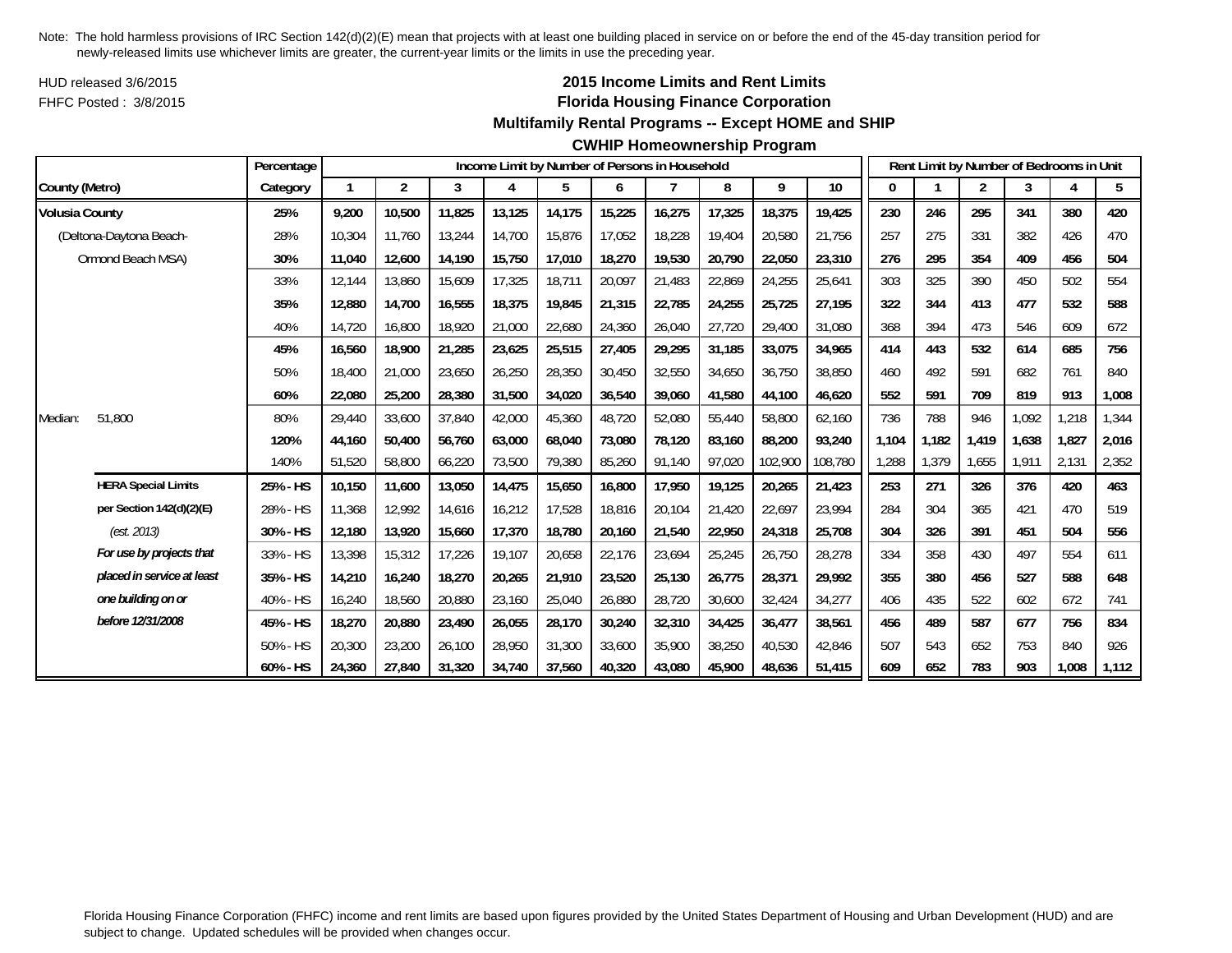HUD released 3/6/2015FHFC Posted : 3/8/2015

# **2015 Income Limits and Rent Limits Florida Housing Finance Corporation**

## **Multifamily Rental Programs -- Except HOME and SHIP**

#### **CWHIP Homeownership Program**

|                       |                            | Percentage |        |                |        |        |        |        | Income Limit by Number of Persons in Household |        |         |         |       |       | Rent Limit by Number of Bedrooms in Unit |       |       |       |
|-----------------------|----------------------------|------------|--------|----------------|--------|--------|--------|--------|------------------------------------------------|--------|---------|---------|-------|-------|------------------------------------------|-------|-------|-------|
| County (Metro)        |                            | Category   |        | $\overline{2}$ | 3      | 4      | 5      | 6      |                                                | 8      | 9       | 10      | 0     |       | 2                                        | 3     | 4     | 5     |
| <b>Volusia County</b> |                            | 25%        | 9,200  | 10,500         | 11,825 | 13,125 | 14,175 | 15,225 | 16,275                                         | 17,325 | 18,375  | 19,425  | 230   | 246   | 295                                      | 341   | 380   | 420   |
|                       | (Deltona-Daytona Beach-    | 28%        | 10,304 | 11.760         | 13,244 | 14,700 | 15,876 | 17,052 | 18,228                                         | 19,404 | 20,580  | 21,756  | 257   | 275   | 331                                      | 382   | 426   | 470   |
|                       | Ormond Beach MSA)          | 30%        | 11,040 | 12,600         | 14,190 | 15,750 | 17,010 | 18,270 | 19,530                                         | 20,790 | 22,050  | 23,310  | 276   | 295   | 354                                      | 409   | 456   | 504   |
|                       |                            | 33%        | 12,144 | 13,860         | 15,609 | 17,325 | 18,711 | 20,097 | 21,483                                         | 22,869 | 24,255  | 25,641  | 303   | 325   | 390                                      | 450   | 502   | 554   |
|                       |                            | 35%        | 12,880 | 14,700         | 16,555 | 18,375 | 19,845 | 21,315 | 22,785                                         | 24,255 | 25,725  | 27,195  | 322   | 344   | 413                                      | 477   | 532   | 588   |
|                       |                            | 40%        | 14,720 | 16,800         | 18,920 | 21,000 | 22,680 | 24,360 | 26,040                                         | 27,720 | 29,400  | 31,080  | 368   | 394   | 473                                      | 546   | 609   | 672   |
|                       |                            | 45%        | 16,560 | 18,900         | 21,285 | 23,625 | 25,515 | 27,405 | 29,295                                         | 31,185 | 33,075  | 34,965  | 414   | 443   | 532                                      | 614   | 685   | 756   |
|                       |                            | 50%        | 18,400 | 21,000         | 23,650 | 26,250 | 28,350 | 30,450 | 32,550                                         | 34,650 | 36,750  | 38,850  | 460   | 492   | 591                                      | 682   | 761   | 840   |
|                       |                            | 60%        | 22,080 | 25,200         | 28,380 | 31,500 | 34,020 | 36,540 | 39,060                                         | 41,580 | 44,100  | 46,620  | 552   | 591   | 709                                      | 819   | 913   | 1,008 |
| Median:               | 51,800                     | 80%        | 29,440 | 33,600         | 37,840 | 42,000 | 45,360 | 48,720 | 52,080                                         | 55,440 | 58,800  | 62,160  | 736   | 788   | 946                                      | 1,092 | 1,218 | 1,344 |
|                       |                            | 120%       | 44.160 | 50,400         | 56,760 | 63,000 | 68,040 | 73.080 | 78.120                                         | 83,160 | 88,200  | 93,240  | 1.104 | 1.182 | 1.419                                    | 1.638 | 1,827 | 2,016 |
|                       |                            | 140%       | 51,520 | 58,800         | 66,220 | 73,500 | 79,380 | 85,260 | 91,140                                         | 97,020 | 102,900 | 108,780 | 1,288 | 1,379 | 1,655                                    | 1.911 | 2,131 | 2,352 |
|                       | <b>HERA Special Limits</b> | 25% - HS   | 10,150 | 11,600         | 13,050 | 14,475 | 15,650 | 16,800 | 17,950                                         | 19,125 | 20,265  | 21,423  | 253   | 271   | 326                                      | 376   | 420   | 463   |
|                       | per Section 142(d)(2)(E)   | 28% - HS   | 11,368 | 12,992         | 14,616 | 16,212 | 17,528 | 18,816 | 20,104                                         | 21,420 | 22,697  | 23,994  | 284   | 304   | 365                                      | 421   | 470   | 519   |
|                       | (est. 2013)                | 30% - HS   | 12,180 | 13,920         | 15,660 | 17,370 | 18,780 | 20,160 | 21,540                                         | 22,950 | 24,318  | 25,708  | 304   | 326   | 391                                      | 451   | 504   | 556   |
|                       | For use by projects that   | 33% - HS   | 13,398 | 15,312         | 17,226 | 19,107 | 20,658 | 22,176 | 23,694                                         | 25,245 | 26,750  | 28,278  | 334   | 358   | 430                                      | 497   | 554   | 611   |
|                       | placed in service at least | 35% - HS   | 14,210 | 16,240         | 18,270 | 20,265 | 21,910 | 23,520 | 25,130                                         | 26,775 | 28,371  | 29,992  | 355   | 380   | 456                                      | 527   | 588   | 648   |
|                       | one building on or         | 40% - HS   | 16,240 | 18,560         | 20,880 | 23,160 | 25,040 | 26,880 | 28,720                                         | 30,600 | 32,424  | 34,277  | 406   | 435   | 522                                      | 602   | 672   | 741   |
|                       | before 12/31/2008          | 45% - HS   | 18,270 | 20,880         | 23,490 | 26,055 | 28,170 | 30,240 | 32,310                                         | 34,425 | 36,477  | 38,561  | 456   | 489   | 587                                      | 677   | 756   | 834   |
|                       |                            | 50% - HS   | 20,300 | 23,200         | 26,100 | 28,950 | 31,300 | 33,600 | 35,900                                         | 38,250 | 40,530  | 42,846  | 507   | 543   | 652                                      | 753   | 840   | 926   |
|                       |                            | 60% - HS   | 24.360 | 27,840         | 31,320 | 34,740 | 37,560 | 40.320 | 43.080                                         | 45,900 | 48,636  | 51,415  | 609   | 652   | 783                                      | 903   | 1,008 | 1,112 |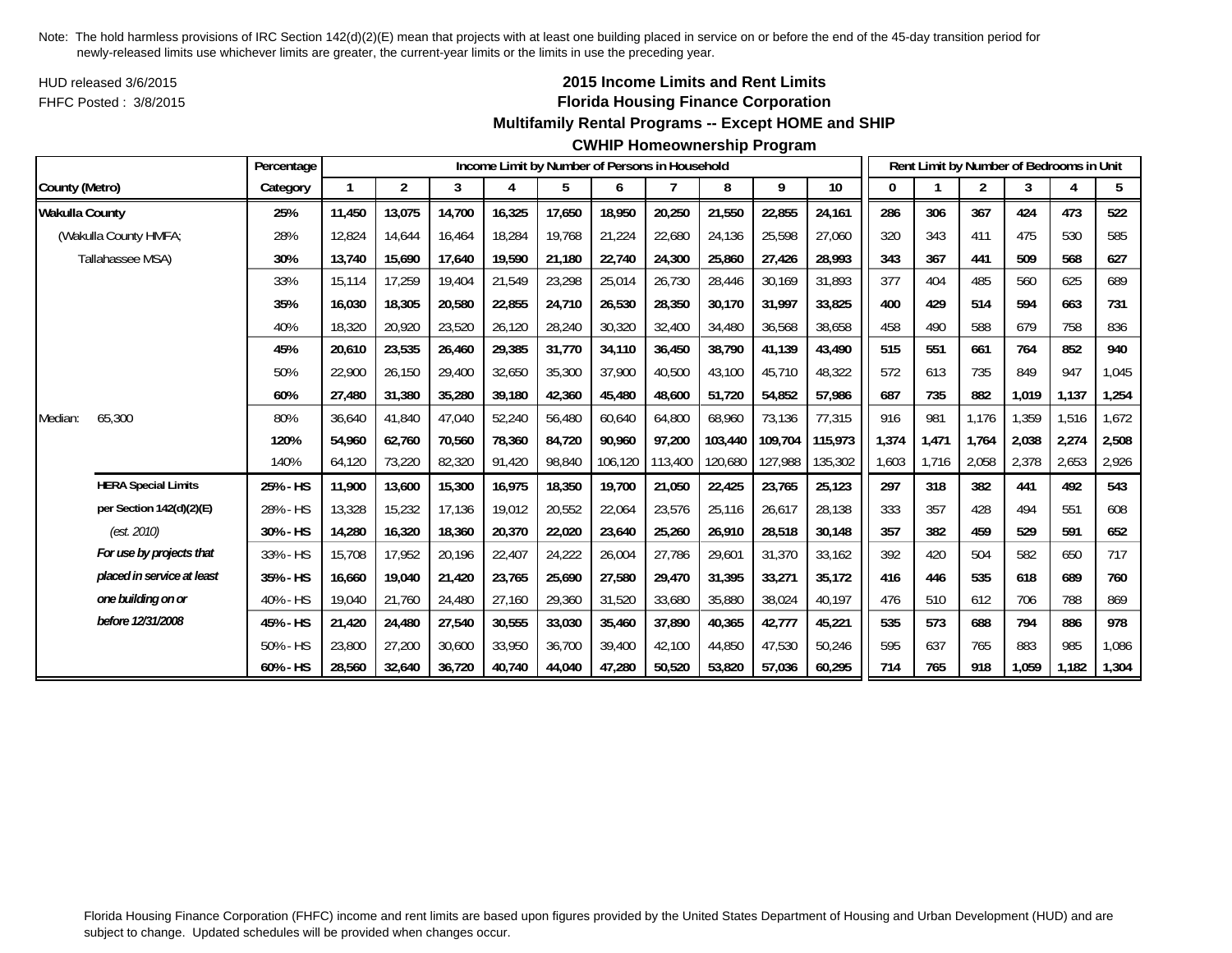HUD released 3/6/2015FHFC Posted : 3/8/2015

# **2015 Income Limits and Rent Limits Florida Housing Finance Corporation**

## **Multifamily Rental Programs -- Except HOME and SHIP**

#### **CWHIP Homeownership Program**

|                       |                            | Percentage |        |                |        |        |        |         | Income Limit by Number of Persons in Household |         |         |         |       |       |       | Rent Limit by Number of Bedrooms in Unit |       |       |
|-----------------------|----------------------------|------------|--------|----------------|--------|--------|--------|---------|------------------------------------------------|---------|---------|---------|-------|-------|-------|------------------------------------------|-------|-------|
| County (Metro)        |                            | Category   |        | $\overline{2}$ | 3      | 4      | 5      | 6       | $\overline{7}$                                 | 8       | 9       | 10      | 0     |       | 2     | 3                                        | 4     | 5     |
| <b>Wakulla County</b> |                            | 25%        | 11.450 | 13,075         | 14,700 | 16,325 | 17,650 | 18,950  | 20,250                                         | 21,550  | 22,855  | 24,161  | 286   | 306   | 367   | 424                                      | 473   | 522   |
|                       | (Wakulla County HMFA;      | 28%        | 12,824 | 14,644         | 16.464 | 18,284 | 19.768 | 21,224  | 22,680                                         | 24,136  | 25,598  | 27,060  | 320   | 343   | 411   | 475                                      | 530   | 585   |
|                       | Tallahassee MSA)           | 30%        | 13,740 | 15,690         | 17,640 | 19,590 | 21,180 | 22,740  | 24,300                                         | 25,860  | 27,426  | 28,993  | 343   | 367   | 441   | 509                                      | 568   | 627   |
|                       |                            | 33%        | 15,114 | 17,259         | 19,404 | 21,549 | 23,298 | 25,014  | 26,730                                         | 28,446  | 30,169  | 31,893  | 377   | 404   | 485   | 560                                      | 625   | 689   |
|                       |                            | 35%        | 16,030 | 18,305         | 20,580 | 22,855 | 24,710 | 26,530  | 28,350                                         | 30,170  | 31,997  | 33,825  | 400   | 429   | 514   | 594                                      | 663   | 731   |
|                       |                            | 40%        | 18,320 | 20,920         | 23,520 | 26,120 | 28,240 | 30,320  | 32,400                                         | 34,480  | 36,568  | 38,658  | 458   | 490   | 588   | 679                                      | 758   | 836   |
|                       |                            | 45%        | 20,610 | 23,535         | 26,460 | 29,385 | 31,770 | 34,110  | 36,450                                         | 38,790  | 41,139  | 43,490  | 515   | 551   | 661   | 764                                      | 852   | 940   |
|                       |                            | 50%        | 22,900 | 26,150         | 29,400 | 32,650 | 35,300 | 37,900  | 40,500                                         | 43,100  | 45,710  | 48,322  | 572   | 613   | 735   | 849                                      | 947   | 1,045 |
|                       |                            | 60%        | 27,480 | 31,380         | 35,280 | 39,180 | 42,360 | 45,480  | 48,600                                         | 51,720  | 54,852  | 57,986  | 687   | 735   | 882   | 1,019                                    | 1,137 | 1,254 |
| Median:               | 65,300                     | 80%        | 36,640 | 41,840         | 47,040 | 52,240 | 56,480 | 60,640  | 64,800                                         | 68,960  | 73,136  | 77,315  | 916   | 981   | 1,176 | 1,359                                    | 1,516 | 1,672 |
|                       |                            | 120%       | 54,960 | 62,760         | 70,560 | 78,360 | 84,720 | 90.960  | 97,200                                         | 103,440 | 109,704 | 115,973 | 1,374 | 1,471 | 1,764 | 2,038                                    | 2,274 | 2,508 |
|                       |                            | 140%       | 64,120 | 73,220         | 82,320 | 91,420 | 98,840 | 106,120 | 113,400                                        | 120,680 | 127,988 | 135,302 | 1,603 | 1,716 | 2,058 | 2,378                                    | 2,653 | 2,926 |
|                       | <b>HERA Special Limits</b> | 25% - HS   | 11,900 | 13,600         | 15,300 | 16,975 | 18,350 | 19,700  | 21,050                                         | 22,425  | 23,765  | 25,123  | 297   | 318   | 382   | 441                                      | 492   | 543   |
|                       | per Section 142(d)(2)(E)   | 28% - HS   | 13,328 | 15,232         | 17,136 | 19,012 | 20,552 | 22,064  | 23,576                                         | 25,116  | 26,617  | 28,138  | 333   | 357   | 428   | 494                                      | 551   | 608   |
|                       | (est. 2010)                | 30% - HS   | 14,280 | 16,320         | 18,360 | 20,370 | 22,020 | 23,640  | 25,260                                         | 26,910  | 28,518  | 30,148  | 357   | 382   | 459   | 529                                      | 591   | 652   |
|                       | For use by projects that   | 33% - HS   | 15,708 | 17,952         | 20,196 | 22,407 | 24,222 | 26,004  | 27,786                                         | 29,601  | 31,370  | 33,162  | 392   | 420   | 504   | 582                                      | 650   | 717   |
|                       | placed in service at least | 35% - HS   | 16,660 | 19,040         | 21,420 | 23,765 | 25,690 | 27,580  | 29.470                                         | 31.395  | 33,271  | 35,172  | 416   | 446   | 535   | 618                                      | 689   | 760   |
|                       | one building on or         | 40% - HS   | 19,040 | 21,760         | 24,480 | 27,160 | 29,360 | 31,520  | 33,680                                         | 35,880  | 38,024  | 40,197  | 476   | 510   | 612   | 706                                      | 788   | 869   |
|                       | before 12/31/2008          | 45% - HS   | 21,420 | 24,480         | 27,540 | 30,555 | 33,030 | 35,460  | 37,890                                         | 40,365  | 42,777  | 45,221  | 535   | 573   | 688   | 794                                      | 886   | 978   |
|                       |                            | 50% - HS   | 23,800 | 27.200         | 30,600 | 33,950 | 36,700 | 39,400  | 42,100                                         | 44.850  | 47,530  | 50,246  | 595   | 637   | 765   | 883                                      | 985   | 1,086 |
|                       |                            | 60% - HS   | 28,560 | 32,640         | 36,720 | 40,740 | 44,040 | 47,280  | 50,520                                         | 53,820  | 57,036  | 60,295  | 714   | 765   | 918   | 1,059                                    | 1,182 | 1,304 |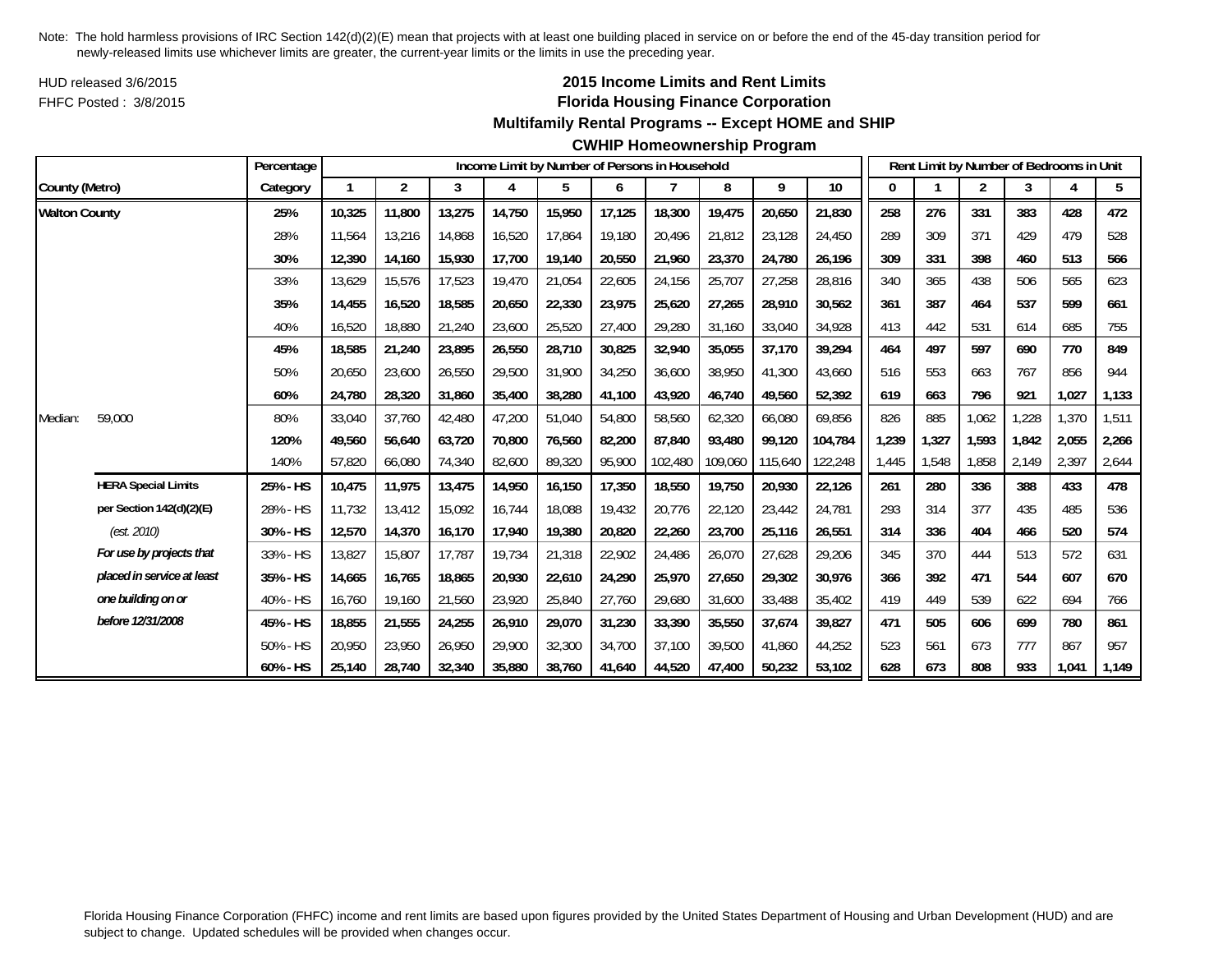HUD released 3/6/2015FHFC Posted : 3/8/2015

## **2015 Income Limits and Rent Limits Florida Housing Finance Corporation**

#### **Multifamily Rental Programs -- Except HOME and SHIP**

|                      |                            | Percentage |        |                |        |        |        |        | Income Limit by Number of Persons in Household |         |         |         |       |       | Rent Limit by Number of Bedrooms in Unit |       |       |       |
|----------------------|----------------------------|------------|--------|----------------|--------|--------|--------|--------|------------------------------------------------|---------|---------|---------|-------|-------|------------------------------------------|-------|-------|-------|
| County (Metro)       |                            | Category   |        | $\overline{2}$ | 3      | 4      | 5      | 6      | $\overline{7}$                                 | 8       | 9       | 10      | 0     |       | $\overline{2}$                           | 3     | 4     | 5     |
| <b>Walton County</b> |                            | 25%        | 10,325 | 11,800         | 13,275 | 14,750 | 15,950 | 17,125 | 18,300                                         | 19,475  | 20,650  | 21,830  | 258   | 276   | 331                                      | 383   | 428   | 472   |
|                      |                            | 28%        | 11.564 | 13,216         | 14.868 | 16,520 | 17,864 | 19,180 | 20.496                                         | 21,812  | 23,128  | 24.450  | 289   | 309   | 371                                      | 429   | 479   | 528   |
|                      |                            | 30%        | 12,390 | 14,160         | 15,930 | 17,700 | 19,140 | 20,550 | 21,960                                         | 23,370  | 24,780  | 26,196  | 309   | 331   | 398                                      | 460   | 513   | 566   |
|                      |                            | 33%        | 13,629 | 15,576         | 17,523 | 19,470 | 21,054 | 22,605 | 24,156                                         | 25,707  | 27,258  | 28,816  | 340   | 365   | 438                                      | 506   | 565   | 623   |
|                      |                            | 35%        | 14,455 | 16,520         | 18,585 | 20,650 | 22,330 | 23,975 | 25,620                                         | 27,265  | 28,910  | 30,562  | 361   | 387   | 464                                      | 537   | 599   | 661   |
|                      |                            | 40%        | 16,520 | 18,880         | 21,240 | 23,600 | 25,520 | 27,400 | 29,280                                         | 31,160  | 33,040  | 34,928  | 413   | 442   | 531                                      | 614   | 685   | 755   |
|                      |                            | 45%        | 18,585 | 21,240         | 23,895 | 26,550 | 28,710 | 30,825 | 32,940                                         | 35,055  | 37,170  | 39,294  | 464   | 497   | 597                                      | 690   | 770   | 849   |
|                      |                            | 50%        | 20,650 | 23,600         | 26,550 | 29,500 | 31,900 | 34,250 | 36,600                                         | 38,950  | 41,300  | 43,660  | 516   | 553   | 663                                      | 767   | 856   | 944   |
|                      |                            | 60%        | 24,780 | 28,320         | 31,860 | 35,400 | 38,280 | 41,100 | 43,920                                         | 46,740  | 49,560  | 52,392  | 619   | 663   | 796                                      | 921   | 1,027 | 1,133 |
| Median:              | 59,000                     | 80%        | 33,040 | 37,760         | 42,480 | 47,200 | 51,040 | 54,800 | 58,560                                         | 62,320  | 66,080  | 69,856  | 826   | 885   | 1,062                                    | ,228  | 1,370 | 1,511 |
|                      |                            | 120%       | 49.560 | 56.640         | 63.720 | 70,800 | 76,560 | 82,200 | 87.840                                         | 93,480  | 99.120  | 104.784 | 1,239 | 1,327 | 1,593                                    | 1,842 | 2,055 | 2,266 |
|                      |                            | 140%       | 57,820 | 66,080         | 74,340 | 82,600 | 89,320 | 95,900 | 102,480                                        | 109,060 | 115,640 | 122,248 | 1,445 | 1,548 | 1,858                                    | 2,149 | 2,397 | 2,644 |
|                      | <b>HERA Special Limits</b> | 25% - HS   | 10,475 | 11,975         | 13,475 | 14,950 | 16,150 | 17,350 | 18,550                                         | 19,750  | 20,930  | 22,126  | 261   | 280   | 336                                      | 388   | 433   | 478   |
|                      | per Section 142(d)(2)(E)   | 28% - HS   | 11,732 | 13,412         | 15,092 | 16,744 | 18,088 | 19,432 | 20,776                                         | 22,120  | 23,442  | 24,781  | 293   | 314   | 377                                      | 435   | 485   | 536   |
|                      | (est. 2010)                | 30% - HS   | 12,570 | 14,370         | 16,170 | 17,940 | 19,380 | 20,820 | 22,260                                         | 23,700  | 25,116  | 26,551  | 314   | 336   | 404                                      | 466   | 520   | 574   |
|                      | For use by projects that   | 33% - HS   | 13,827 | 15,807         | 17,787 | 19,734 | 21,318 | 22,902 | 24,486                                         | 26,070  | 27,628  | 29,206  | 345   | 370   | 444                                      | 513   | 572   | 631   |
|                      | placed in service at least | 35% - HS   | 14,665 | 16,765         | 18,865 | 20,930 | 22,610 | 24,290 | 25,970                                         | 27,650  | 29,302  | 30,976  | 366   | 392   | 471                                      | 544   | 607   | 670   |
|                      | one building on or         | 40% - HS   | 16,760 | 19,160         | 21,560 | 23,920 | 25,840 | 27,760 | 29,680                                         | 31,600  | 33,488  | 35,402  | 419   | 449   | 539                                      | 622   | 694   | 766   |
|                      | before 12/31/2008          | 45% - HS   | 18,855 | 21,555         | 24,255 | 26,910 | 29,070 | 31,230 | 33,390                                         | 35,550  | 37,674  | 39,827  | 471   | 505   | 606                                      | 699   | 780   | 861   |
|                      |                            | 50% - HS   | 20,950 | 23,950         | 26,950 | 29,900 | 32,300 | 34,700 | 37,100                                         | 39,500  | 41,860  | 44,252  | 523   | 561   | 673                                      | 777   | 867   | 957   |
|                      |                            | 60% - HS   | 25,140 | 28,740         | 32,340 | 35,880 | 38,760 | 41,640 | 44,520                                         | 47,400  | 50,232  | 53,102  | 628   | 673   | 808                                      | 933   | 1,041 | 1,149 |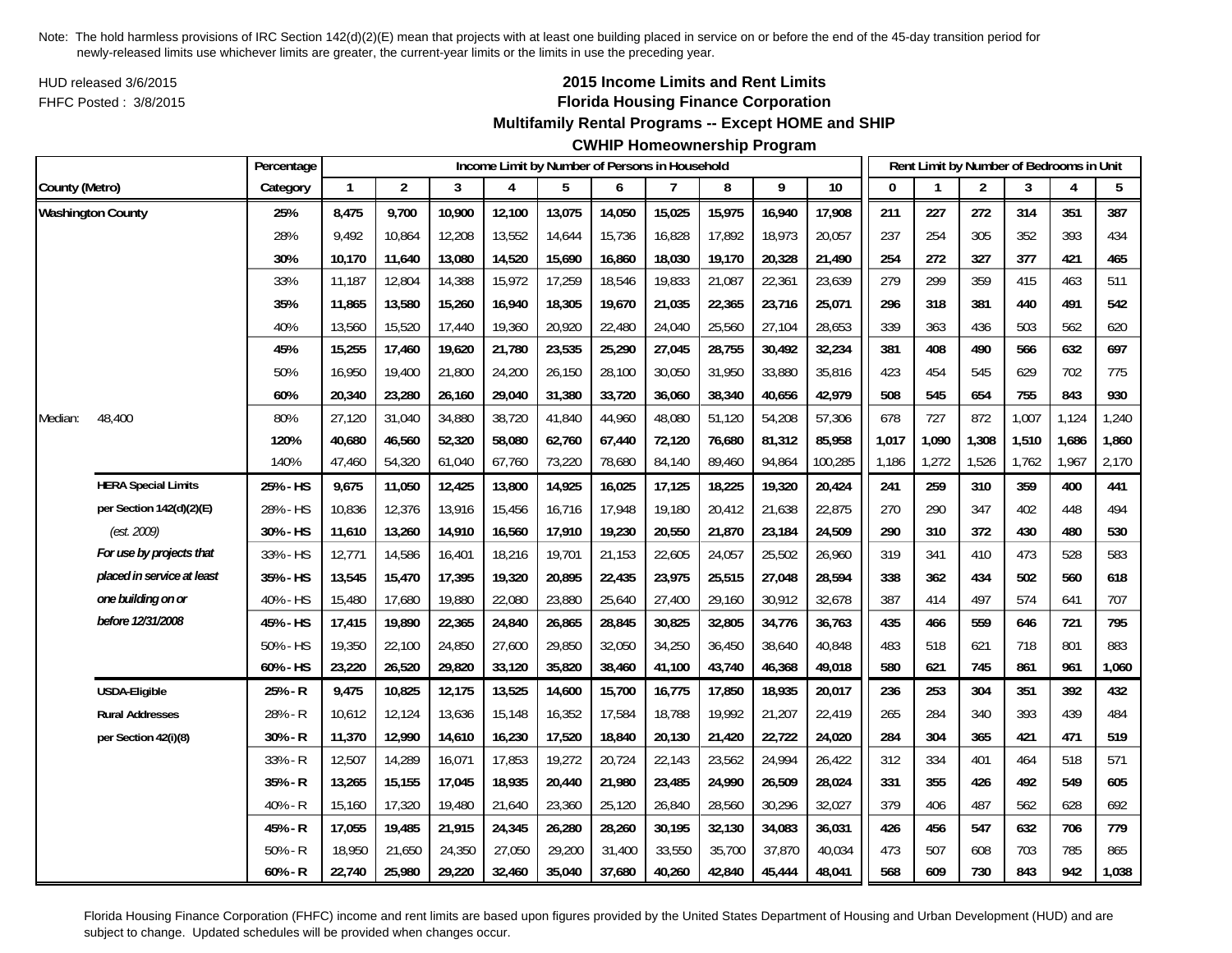HUD released 3/6/2015FHFC Posted : 3/8/2015

## **2015 Income Limits and Rent Limits Florida Housing Finance Corporation**

**Multifamily Rental Programs -- Except HOME and SHIP**

**CWHIP Homeownership Program**

|                |                            | Percentage |              | Income Limit by Number of Persons in Household |        |        |        |        |        |        |        |         |       | Rent Limit by Number of Bedrooms in Unit |                |       |       |       |
|----------------|----------------------------|------------|--------------|------------------------------------------------|--------|--------|--------|--------|--------|--------|--------|---------|-------|------------------------------------------|----------------|-------|-------|-------|
| County (Metro) |                            | Category   | $\mathbf{1}$ | $\overline{2}$                                 | 3      | 4      | 5      | 6      | 7      | 8      | 9      | 10      | 0     |                                          | $\overline{2}$ | 3     | 4     | 5     |
|                | <b>Washington County</b>   | 25%        | 8,475        | 9,700                                          | 10,900 | 12,100 | 13,075 | 14,050 | 15,025 | 15,975 | 16,940 | 17,908  | 211   | 227                                      | 272            | 314   | 351   | 387   |
|                |                            | 28%        | 9,492        | 10,864                                         | 12,208 | 13,552 | 14,644 | 15,736 | 16,828 | 17,892 | 18,973 | 20,057  | 237   | 254                                      | 305            | 352   | 393   | 434   |
|                |                            | 30%        | 10,170       | 11,640                                         | 13,080 | 14,520 | 15,690 | 16,860 | 18,030 | 19,170 | 20,328 | 21,490  | 254   | 272                                      | 327            | 377   | 421   | 465   |
|                |                            | 33%        | 11,187       | 12,804                                         | 14,388 | 15,972 | 17,259 | 18,546 | 19,833 | 21,087 | 22,361 | 23,639  | 279   | 299                                      | 359            | 415   | 463   | 511   |
|                |                            | 35%        | 11.865       | 13,580                                         | 15,260 | 16,940 | 18,305 | 19,670 | 21,035 | 22,365 | 23,716 | 25,071  | 296   | 318                                      | 381            | 440   | 491   | 542   |
|                |                            | 40%        | 13,560       | 15,520                                         | 17,440 | 19,360 | 20,920 | 22,480 | 24,040 | 25,560 | 27,104 | 28,653  | 339   | 363                                      | 436            | 503   | 562   | 620   |
|                |                            | 45%        | 15,255       | 17,460                                         | 19,620 | 21,780 | 23,535 | 25,290 | 27,045 | 28,755 | 30,492 | 32,234  | 381   | 408                                      | 490            | 566   | 632   | 697   |
|                |                            | 50%        | 16,950       | 19,400                                         | 21,800 | 24,200 | 26,150 | 28,100 | 30,050 | 31,950 | 33,880 | 35,816  | 423   | 454                                      | 545            | 629   | 702   | 775   |
|                |                            | 60%        | 20,340       | 23,280                                         | 26,160 | 29,040 | 31,380 | 33,720 | 36,060 | 38,340 | 40,656 | 42,979  | 508   | 545                                      | 654            | 755   | 843   | 930   |
| Median:        | 48,400                     | 80%        | 27,120       | 31,040                                         | 34,880 | 38,720 | 41,840 | 44,960 | 48,080 | 51,120 | 54,208 | 57,306  | 678   | 727                                      | 872            | 1,007 | 1,124 | 1,240 |
|                |                            | 120%       | 40,680       | 46,560                                         | 52,320 | 58,080 | 62,760 | 67,440 | 72,120 | 76,680 | 81,312 | 85,958  | 1,017 | 1,090                                    | 1,308          | 1,510 | 1,686 | 1,860 |
|                |                            | 140%       | 47,460       | 54,320                                         | 61,040 | 67,760 | 73,220 | 78,680 | 84,140 | 89,460 | 94,864 | 100,285 | 1,186 | 1,272                                    | 1,526          | 1,762 | 1,967 | 2,170 |
|                | <b>HERA Special Limits</b> | 25% - HS   | 9,675        | 11,050                                         | 12,425 | 13,800 | 14,925 | 16,025 | 17,125 | 18,225 | 19,320 | 20,424  | 241   | 259                                      | 310            | 359   | 400   | 441   |
|                | per Section 142(d)(2)(E)   | 28% - HS   | 10,836       | 12,376                                         | 13,916 | 15,456 | 16,716 | 17,948 | 19,180 | 20,412 | 21,638 | 22,875  | 270   | 290                                      | 347            | 402   | 448   | 494   |
|                | (est. 2009)                | 30% - HS   | 11,610       | 13,260                                         | 14,910 | 16,560 | 17,910 | 19,230 | 20,550 | 21,870 | 23,184 | 24,509  | 290   | 310                                      | 372            | 430   | 480   | 530   |
|                | For use by projects that   | 33% - HS   | 12,771       | 14,586                                         | 16,401 | 18,216 | 19,701 | 21,153 | 22,605 | 24,057 | 25,502 | 26,960  | 319   | 341                                      | 410            | 473   | 528   | 583   |
|                | placed in service at least | 35% - HS   | 13,545       | 15,470                                         | 17,395 | 19,320 | 20,895 | 22,435 | 23,975 | 25,515 | 27,048 | 28,594  | 338   | 362                                      | 434            | 502   | 560   | 618   |
|                | one building on or         | 40% - HS   | 15,480       | 17,680                                         | 19,880 | 22,080 | 23,880 | 25,640 | 27,400 | 29,160 | 30,912 | 32,678  | 387   | 414                                      | 497            | 574   | 641   | 707   |
|                | before 12/31/2008          | 45% - HS   | 17,415       | 19,890                                         | 22,365 | 24,840 | 26,865 | 28,845 | 30,825 | 32,805 | 34,776 | 36,763  | 435   | 466                                      | 559            | 646   | 721   | 795   |
|                |                            | 50% - HS   | 19,350       | 22,100                                         | 24,850 | 27,600 | 29,850 | 32,050 | 34,250 | 36,450 | 38,640 | 40,848  | 483   | 518                                      | 621            | 718   | 801   | 883   |
|                |                            | 60% - HS   | 23,220       | 26,520                                         | 29,820 | 33,120 | 35,820 | 38,460 | 41,100 | 43,740 | 46,368 | 49,018  | 580   | 621                                      | 745            | 861   | 961   | 1,060 |
|                | USDA-Eligible              | 25% - R    | 9,475        | 10,825                                         | 12,175 | 13,525 | 14,600 | 15,700 | 16,775 | 17,850 | 18,935 | 20,017  | 236   | 253                                      | 304            | 351   | 392   | 432   |
|                | <b>Rural Addresses</b>     | 28% - R    | 10,612       | 12,124                                         | 13,636 | 15,148 | 16,352 | 17,584 | 18,788 | 19,992 | 21,207 | 22,419  | 265   | 284                                      | 340            | 393   | 439   | 484   |
|                | per Section 42(i)(8)       | 30% - R    | 11,370       | 12,990                                         | 14,610 | 16,230 | 17,520 | 18,840 | 20,130 | 21,420 | 22,722 | 24,020  | 284   | 304                                      | 365            | 421   | 471   | 519   |
|                |                            | 33% - R    | 12,507       | 14,289                                         | 16,071 | 17,853 | 19,272 | 20,724 | 22,143 | 23,562 | 24,994 | 26,422  | 312   | 334                                      | 401            | 464   | 518   | 571   |
|                |                            | 35% - R    | 13,265       | 15,155                                         | 17,045 | 18,935 | 20,440 | 21,980 | 23,485 | 24,990 | 26,509 | 28,024  | 331   | 355                                      | 426            | 492   | 549   | 605   |
|                |                            | 40% - R    | 15,160       | 17,320                                         | 19,480 | 21,640 | 23,360 | 25,120 | 26,840 | 28,560 | 30,296 | 32,027  | 379   | 406                                      | 487            | 562   | 628   | 692   |
|                |                            | 45% - R    | 17,055       | 19,485                                         | 21,915 | 24,345 | 26,280 | 28,260 | 30,195 | 32,130 | 34,083 | 36,031  | 426   | 456                                      | 547            | 632   | 706   | 779   |
|                |                            | $50% - R$  | 18,950       | 21,650                                         | 24,350 | 27,050 | 29,200 | 31,400 | 33,550 | 35,700 | 37,870 | 40,034  | 473   | 507                                      | 608            | 703   | 785   | 865   |
|                |                            | $60% - R$  | 22,740       | 25,980                                         | 29,220 | 32,460 | 35,040 | 37,680 | 40,260 | 42,840 | 45,444 | 48,041  | 568   | 609                                      | 730            | 843   | 942   | 1,038 |